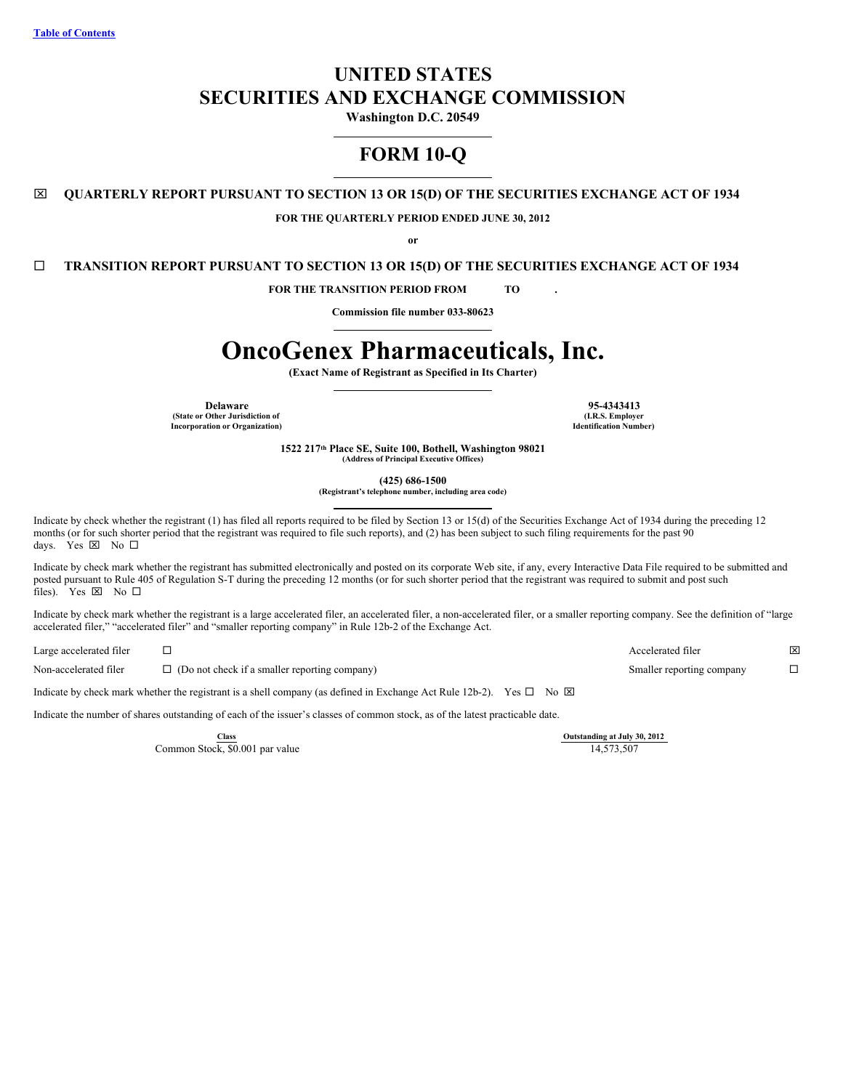## **UNITED STATES SECURITIES AND EXCHANGE COMMISSION**

**Washington D.C. 20549**

# **FORM 10-Q**

x **QUARTERLY REPORT PURSUANT TO SECTION 13 OR 15(D) OF THE SECURITIES EXCHANGE ACT OF 1934**

**FOR THE QUARTERLY PERIOD ENDED JUNE 30, 2012**

**or**

¨ **TRANSITION REPORT PURSUANT TO SECTION 13 OR 15(D) OF THE SECURITIES EXCHANGE ACT OF 1934**

**FOR THE TRANSITION PERIOD FROM TO .**

**Commission file number 033-80623**

# **OncoGenex Pharmaceuticals, Inc.**

**(Exact Name of Registrant as Specified in Its Charter)**

**(State or Other Jurisdiction of Incorporation or Organization)**

**Delaware 95-4343413 (I.R.S. Employer Identification Number)**

> **1522 217 Place SE, Suite 100, Bothell, Washington 98021 th(Address of Principal Executive Offices)**

> > **(425) 686-1500**

**(Registrant's telephone number, including area code)**

Indicate by check whether the registrant (1) has filed all reports required to be filed by Section 13 or 15(d) of the Securities Exchange Act of 1934 during the preceding 12 months (or for such shorter period that the registrant was required to file such reports), and (2) has been subject to such filing requirements for the past 90 days. Yes ⊠ No □

Indicate by check mark whether the registrant has submitted electronically and posted on its corporate Web site, if any, every Interactive Data File required to be submitted and posted pursuant to Rule 405 of Regulation S-T during the preceding 12 months (or for such shorter period that the registrant was required to submit and post such files). Yes  $\boxtimes$  No  $\square$ 

Indicate by check mark whether the registrant is a large accelerated filer, an accelerated filer, a non-accelerated filer, or a smaller reporting company. See the definition of "large accelerated filer," "accelerated filer" and "smaller reporting company" in Rule 12b-2 of the Exchange Act.

Large accelerated filer  $\square$ 

Non-accelerated filer  $\square$  (Do not check if a smaller reporting company) Smaller reporting company  $\square$ 

Indicate by check mark whether the registrant is a shell company (as defined in Exchange Act Rule 12b-2). Yes  $\Box$  No  $\boxtimes$ 

Indicate the number of shares outstanding of each of the issuer's classes of common stock, as of the latest practicable date.

Common Stock,  $\frac{1}{30.001}$  par value 14,573,507

**Class Outstanding at July 30, 2012**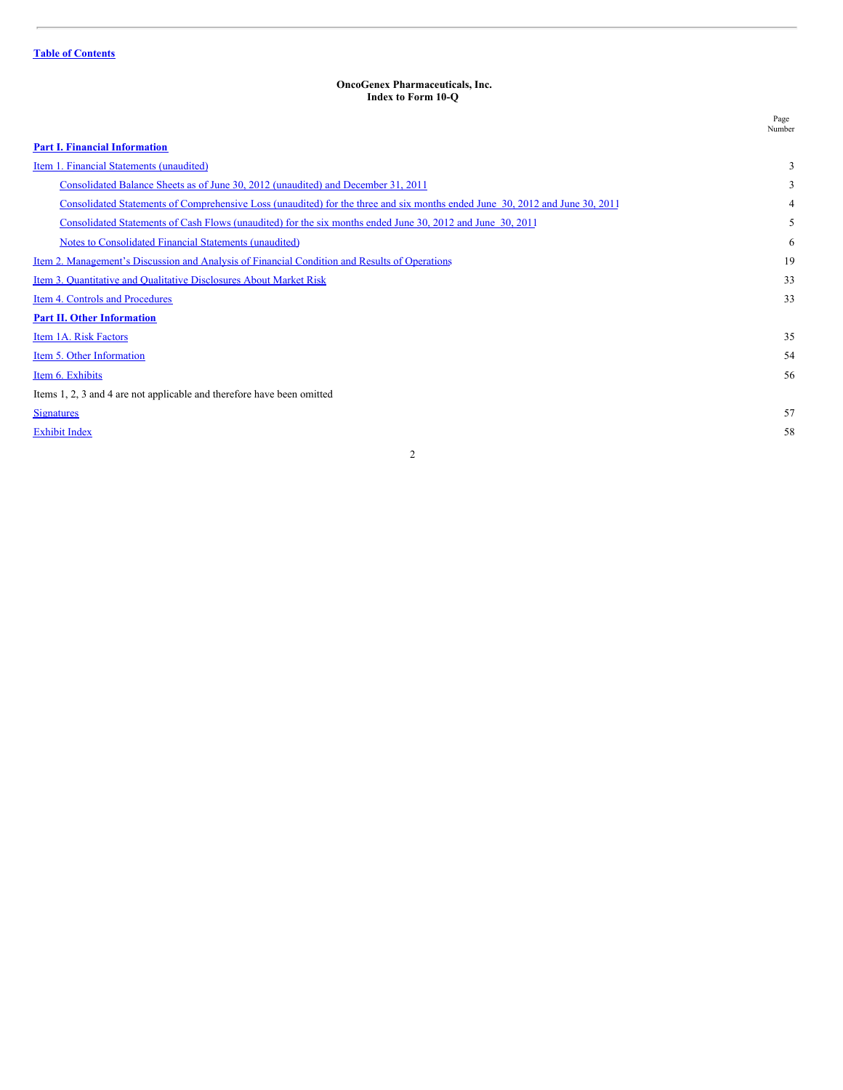#### <span id="page-1-0"></span>**OncoGenex Pharmaceuticals, Inc. Index to Form 10-Q**

|                                                                                                                              | Page<br>Number |
|------------------------------------------------------------------------------------------------------------------------------|----------------|
| <b>Part I. Financial Information</b>                                                                                         |                |
| Item 1. Financial Statements (unaudited)                                                                                     | 3              |
| Consolidated Balance Sheets as of June 30, 2012 (unaudited) and December 31, 2011                                            | 3              |
| Consolidated Statements of Comprehensive Loss (unaudited) for the three and six months ended June 30, 2012 and June 30, 2011 | 4              |
| Consolidated Statements of Cash Flows (unaudited) for the six months ended June 30, 2012 and June 30, 2011                   | 5              |
| Notes to Consolidated Financial Statements (unaudited)                                                                       | 6              |
| <u>Item 2. Management's Discussion and Analysis of Financial Condition and Results of Operations</u>                         | 19             |
| <b>Item 3. Quantitative and Qualitative Disclosures About Market Risk</b>                                                    | 33             |
| Item 4. Controls and Procedures                                                                                              | 33             |
| <b>Part II. Other Information</b>                                                                                            |                |
| Item 1A. Risk Factors                                                                                                        | 35             |
| Item 5. Other Information                                                                                                    | 54             |
| Item 6. Exhibits                                                                                                             | 56             |
| Items 1, 2, 3 and 4 are not applicable and therefore have been omitted                                                       |                |
| <b>Signatures</b>                                                                                                            | 57             |
| <b>Exhibit Index</b>                                                                                                         | 58             |
|                                                                                                                              |                |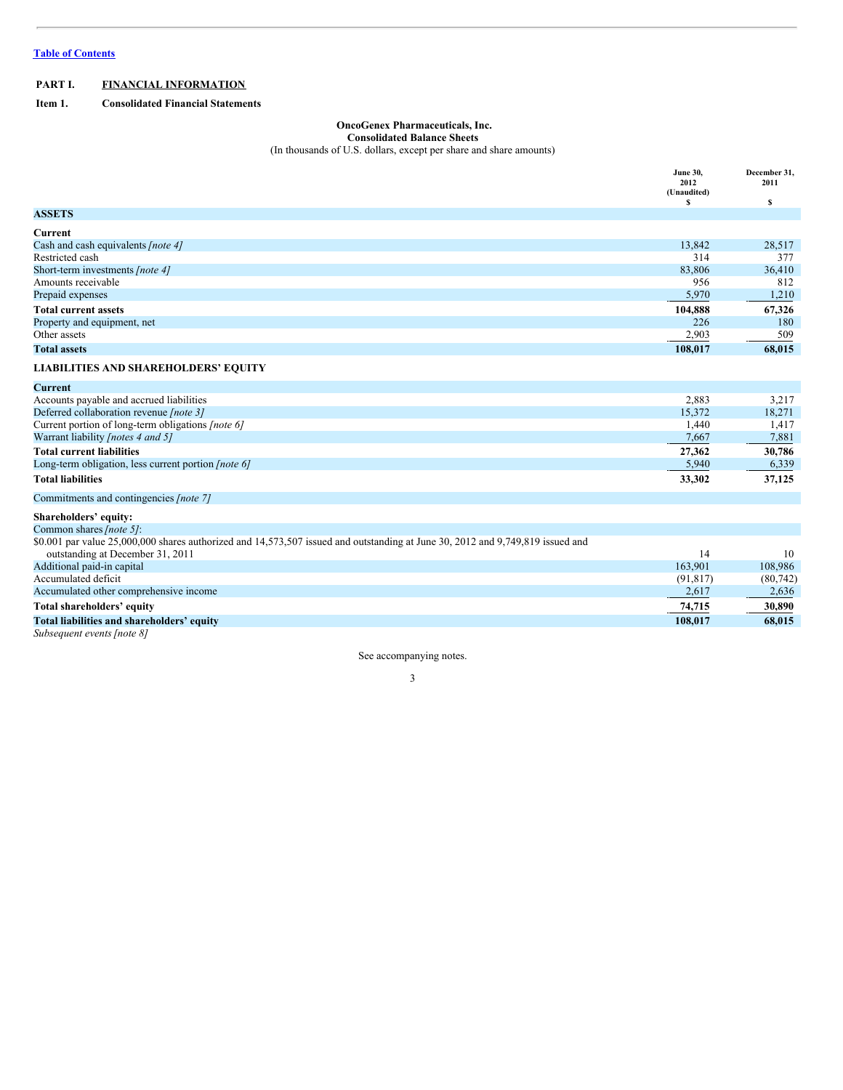## <span id="page-2-0"></span>**PART I. FINANCIAL INFORMATION**

<span id="page-2-1"></span>**Item 1. Consolidated Financial Statements**

## <span id="page-2-2"></span>**OncoGenex Pharmaceuticals, Inc.**

## **Consolidated Balance Sheets**

(In thousands of U.S. dollars, except per share and share amounts)

|                                                                                                                                                                    | <b>June 30,</b><br>2012<br>(Unaudited)<br>\$ | December 31,<br>2011<br>s |
|--------------------------------------------------------------------------------------------------------------------------------------------------------------------|----------------------------------------------|---------------------------|
| <b>ASSETS</b>                                                                                                                                                      |                                              |                           |
| Current                                                                                                                                                            |                                              |                           |
| Cash and cash equivalents [note 4]                                                                                                                                 | 13,842                                       | 28,517                    |
| Restricted cash                                                                                                                                                    | 314                                          | 377                       |
| Short-term investments [note 4]                                                                                                                                    | 83,806                                       | 36,410                    |
| Amounts receivable                                                                                                                                                 | 956                                          | 812                       |
| Prepaid expenses                                                                                                                                                   | 5,970                                        | 1.210                     |
| <b>Total current assets</b>                                                                                                                                        | 104,888                                      | 67,326                    |
| Property and equipment, net                                                                                                                                        | 226                                          | 180                       |
| Other assets                                                                                                                                                       | 2,903                                        | 509                       |
| <b>Total assets</b>                                                                                                                                                | 108,017                                      | 68,015                    |
| <b>LIABILITIES AND SHAREHOLDERS' EQUITY</b>                                                                                                                        |                                              |                           |
| <b>Current</b>                                                                                                                                                     |                                              |                           |
| Accounts payable and accrued liabilities                                                                                                                           | 2,883                                        | 3,217                     |
| Deferred collaboration revenue [note 3]                                                                                                                            | 15,372                                       | 18,271                    |
| Current portion of long-term obligations [note 6]                                                                                                                  | 1,440                                        | 1,417                     |
| Warrant liability [notes 4 and 5]                                                                                                                                  | 7,667                                        | 7,881                     |
| <b>Total current liabilities</b>                                                                                                                                   | 27,362                                       | 30,786                    |
| Long-term obligation, less current portion <i>[note 6]</i>                                                                                                         | 5,940                                        | 6,339                     |
| <b>Total liabilities</b>                                                                                                                                           | 33,302                                       | 37,125                    |
| Commitments and contingencies [note 7]                                                                                                                             |                                              |                           |
| Shareholders' equity:                                                                                                                                              |                                              |                           |
| Common shares [note 5]:                                                                                                                                            |                                              |                           |
| \$0.001 par value 25,000,000 shares authorized and 14,573,507 issued and outstanding at June 30, 2012 and 9,749,819 issued and<br>outstanding at December 31, 2011 | 14                                           | 10                        |
| Additional paid-in capital                                                                                                                                         | 163,901                                      | 108,986                   |
| Accumulated deficit                                                                                                                                                | (91, 817)                                    | (80, 742)                 |
| Accumulated other comprehensive income                                                                                                                             | 2,617                                        | 2,636                     |
| Total shareholders' equity                                                                                                                                         | 74,715                                       | 30,890                    |
| Total liabilities and shareholders' equity                                                                                                                         | 108,017                                      | 68,015                    |
| Subsequent events [note 8]                                                                                                                                         |                                              |                           |

See accompanying notes.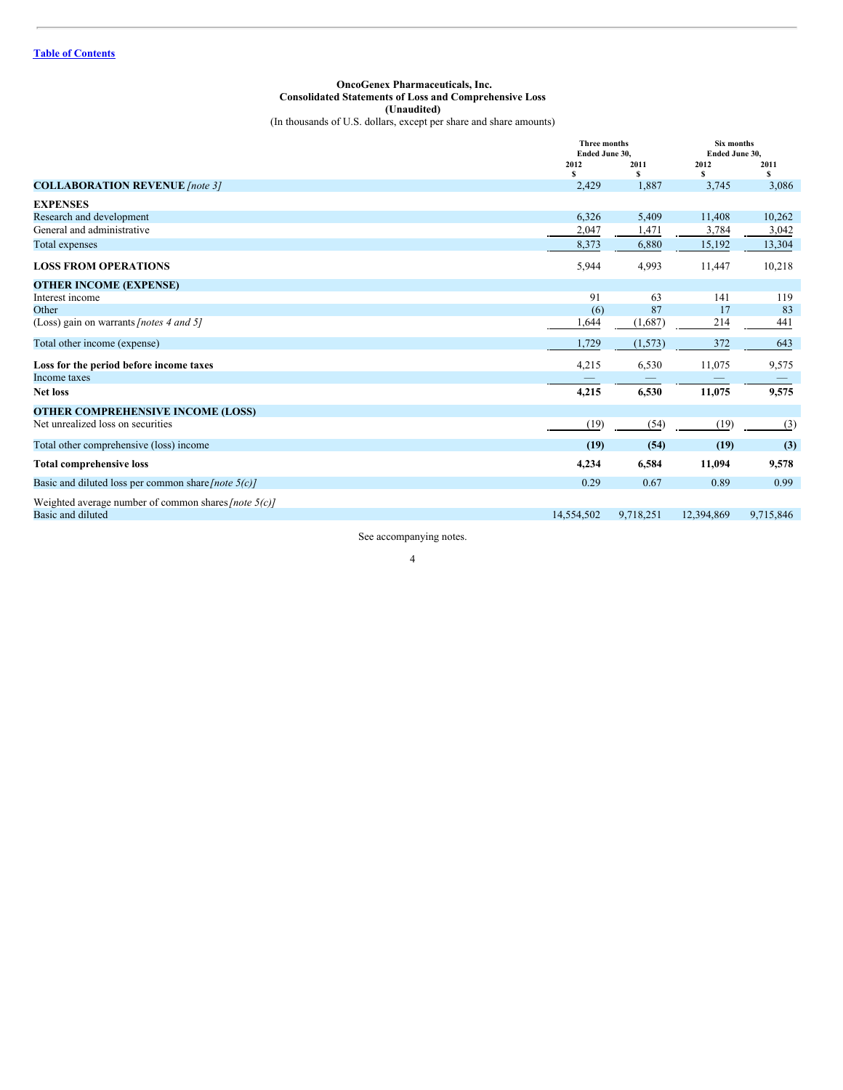## <span id="page-3-0"></span>**OncoGenex Pharmaceuticals, Inc. Consolidated Statements of Loss and Comprehensive Loss (Unaudited)** (In thousands of U.S. dollars, except per share and share amounts)

|                                                         |            | <b>Three months</b><br><b>Ended June 30.</b> |            | <b>Six months</b><br>Ended June 30, |
|---------------------------------------------------------|------------|----------------------------------------------|------------|-------------------------------------|
|                                                         | 2012       | 2011                                         | 2012       | 2011                                |
| <b>COLLABORATION REVENUE</b> [note 3]                   | S<br>2,429 | s<br>1,887                                   | S<br>3,745 | S<br>3,086                          |
|                                                         |            |                                              |            |                                     |
| <b>EXPENSES</b>                                         |            |                                              |            |                                     |
| Research and development<br>General and administrative  | 6,326      | 5,409                                        | 11,408     | 10,262                              |
|                                                         | 2,047      | 1,471                                        | 3,784      | 3,042                               |
| Total expenses                                          | 8,373      | 6,880                                        | 15,192     | 13,304                              |
| <b>LOSS FROM OPERATIONS</b>                             | 5,944      | 4,993                                        | 11,447     | 10,218                              |
| <b>OTHER INCOME (EXPENSE)</b>                           |            |                                              |            |                                     |
| Interest income                                         | 91         | 63                                           | 141        | 119                                 |
| Other                                                   | (6)        | 87                                           | 17         | 83                                  |
| (Loss) gain on warrants [notes 4 and 5]                 | 1,644      | (1,687)                                      | 214        | 441                                 |
| Total other income (expense)                            | 1,729      | (1, 573)                                     | 372        | 643                                 |
| Loss for the period before income taxes                 | 4,215      | 6,530                                        | 11,075     | 9,575                               |
| Income taxes                                            |            |                                              |            |                                     |
| <b>Net loss</b>                                         | 4,215      | 6,530                                        | 11,075     | 9,575                               |
| <b>OTHER COMPREHENSIVE INCOME (LOSS)</b>                |            |                                              |            |                                     |
| Net unrealized loss on securities                       | (19)       | (54)                                         | (19)       | (3)                                 |
| Total other comprehensive (loss) income                 | (19)       | (54)                                         | (19)       | (3)                                 |
| <b>Total comprehensive loss</b>                         | 4,234      | 6,584                                        | 11,094     | 9,578                               |
| Basic and diluted loss per common share [note $5(c)$ ]  | 0.29       | 0.67                                         | 0.89       | 0.99                                |
| Weighted average number of common shares [note $5(c)$ ] |            |                                              |            |                                     |
| Basic and diluted                                       | 14,554,502 | 9,718,251                                    | 12,394,869 | 9,715,846                           |

See accompanying notes.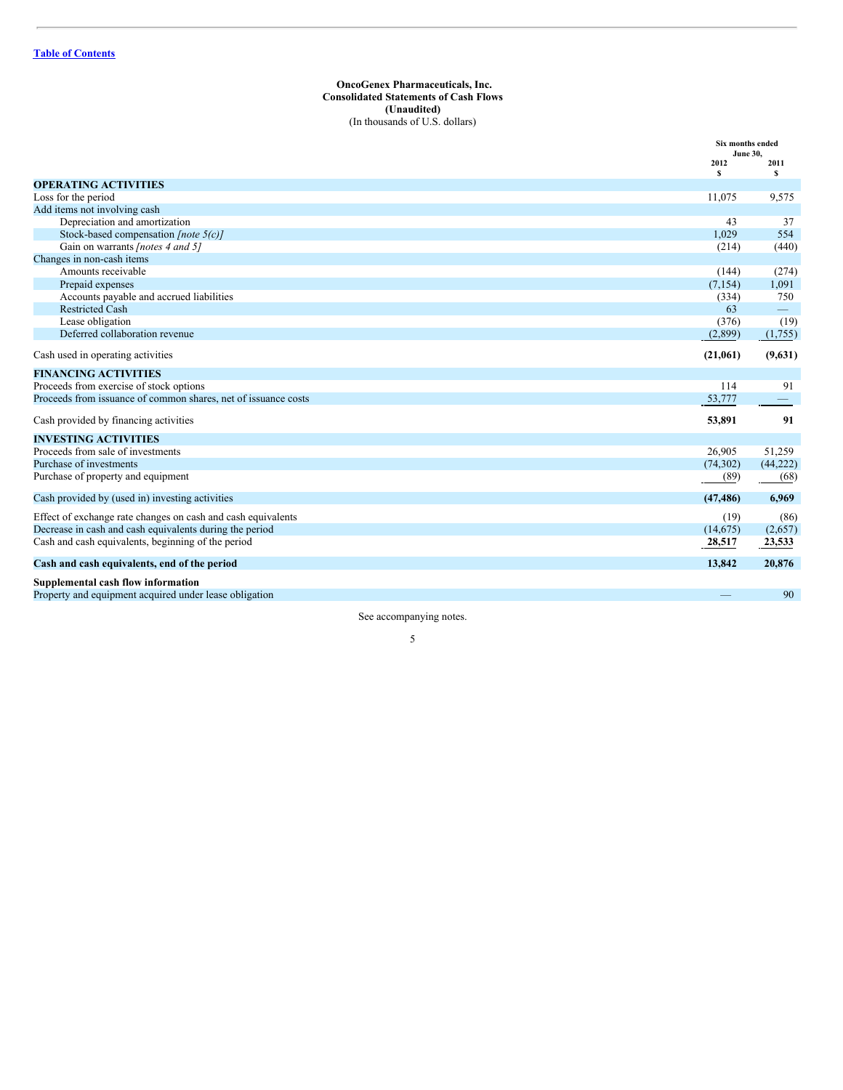## <span id="page-4-0"></span>**OncoGenex Pharmaceuticals, Inc. Consolidated Statements of Cash Flows (Unaudited)** (In thousands of U.S. dollars)

|                                                                |           | Six months ended<br><b>June 30,</b> |
|----------------------------------------------------------------|-----------|-------------------------------------|
|                                                                | 2012      | 2011                                |
|                                                                | s         | s                                   |
| <b>OPERATING ACTIVITIES</b>                                    |           |                                     |
| Loss for the period                                            | 11,075    | 9,575                               |
| Add items not involving cash                                   |           |                                     |
| Depreciation and amortization                                  | 43        | 37                                  |
| Stock-based compensation [note $5(c)$ ]                        | 1,029     | 554                                 |
| Gain on warrants [notes 4 and 5]                               | (214)     | (440)                               |
| Changes in non-cash items                                      |           |                                     |
| Amounts receivable                                             | (144)     | (274)                               |
| Prepaid expenses                                               | (7, 154)  | 1,091                               |
| Accounts payable and accrued liabilities                       | (334)     | 750                                 |
| <b>Restricted Cash</b>                                         | 63        |                                     |
| Lease obligation                                               | (376)     | (19)                                |
| Deferred collaboration revenue                                 | (2,899)   | (1,755)                             |
| Cash used in operating activities                              | (21,061)  | (9,631)                             |
| <b>FINANCING ACTIVITIES</b>                                    |           |                                     |
| Proceeds from exercise of stock options                        | 114       | 91                                  |
| Proceeds from issuance of common shares, net of issuance costs | 53,777    |                                     |
| Cash provided by financing activities                          | 53,891    | 91                                  |
| <b>INVESTING ACTIVITIES</b>                                    |           |                                     |
| Proceeds from sale of investments                              | 26,905    | 51,259                              |
| Purchase of investments                                        | (74, 302) | (44, 222)                           |
| Purchase of property and equipment                             | (89)      | (68)                                |
| Cash provided by (used in) investing activities                | (47, 486) | 6,969                               |
| Effect of exchange rate changes on cash and cash equivalents   | (19)      | (86)                                |
| Decrease in cash and cash equivalents during the period        | (14,675)  | (2,657)                             |
| Cash and cash equivalents, beginning of the period             | 28,517    | 23,533                              |
| Cash and cash equivalents, end of the period                   | 13,842    | 20,876                              |
| Supplemental cash flow information                             |           |                                     |
| Property and equipment acquired under lease obligation         |           | 90                                  |

See accompanying notes.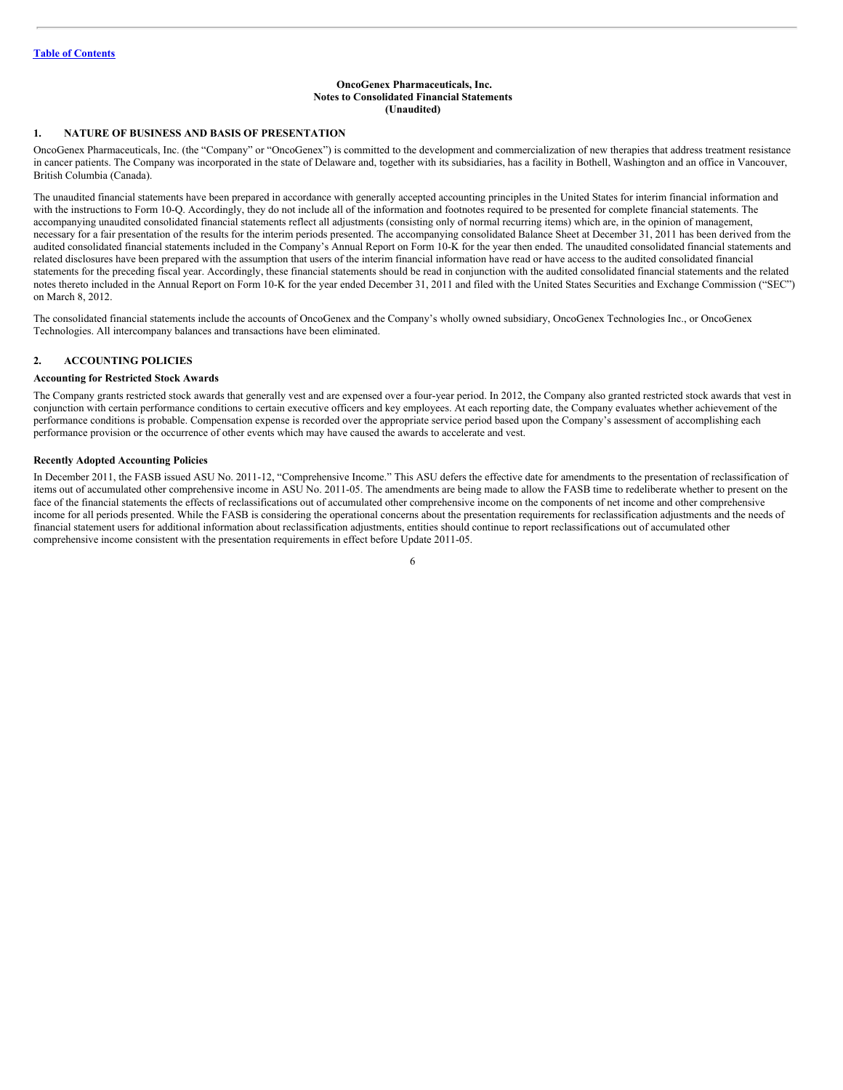## <span id="page-5-0"></span>**OncoGenex Pharmaceuticals, Inc. Notes to Consolidated Financial Statements (Unaudited)**

## **1. NATURE OF BUSINESS AND BASIS OF PRESENTATION**

OncoGenex Pharmaceuticals, Inc. (the "Company" or "OncoGenex") is committed to the development and commercialization of new therapies that address treatment resistance in cancer patients. The Company was incorporated in the state of Delaware and, together with its subsidiaries, has a facility in Bothell, Washington and an office in Vancouver, British Columbia (Canada).

The unaudited financial statements have been prepared in accordance with generally accepted accounting principles in the United States for interim financial information and with the instructions to Form 10-Q. Accordingly, they do not include all of the information and footnotes required to be presented for complete financial statements. The accompanying unaudited consolidated financial statements reflect all adjustments (consisting only of normal recurring items) which are, in the opinion of management, necessary for a fair presentation of the results for the interim periods presented. The accompanying consolidated Balance Sheet at December 31, 2011 has been derived from the audited consolidated financial statements included in the Company's Annual Report on Form 10-K for the year then ended. The unaudited consolidated financial statements and related disclosures have been prepared with the assumption that users of the interim financial information have read or have access to the audited consolidated financial statements for the preceding fiscal year. Accordingly, these financial statements should be read in conjunction with the audited consolidated financial statements and the related notes thereto included in the Annual Report on Form 10-K for the year ended December 31, 2011 and filed with the United States Securities and Exchange Commission ("SEC") on March 8, 2012.

The consolidated financial statements include the accounts of OncoGenex and the Company's wholly owned subsidiary, OncoGenex Technologies Inc., or OncoGenex Technologies. All intercompany balances and transactions have been eliminated.

## **2. ACCOUNTING POLICIES**

## **Accounting for Restricted Stock Awards**

The Company grants restricted stock awards that generally vest and are expensed over a four-year period. In 2012, the Company also granted restricted stock awards that vest in conjunction with certain performance conditions to certain executive officers and key employees. At each reporting date, the Company evaluates whether achievement of the performance conditions is probable. Compensation expense is recorded over the appropriate service period based upon the Company's assessment of accomplishing each performance provision or the occurrence of other events which may have caused the awards to accelerate and vest.

## **Recently Adopted Accounting Policies**

In December 2011, the FASB issued ASU No. 2011-12, "Comprehensive Income." This ASU defers the effective date for amendments to the presentation of reclassification of items out of accumulated other comprehensive income in ASU No. 2011-05. The amendments are being made to allow the FASB time to redeliberate whether to present on the face of the financial statements the effects of reclassifications out of accumulated other comprehensive income on the components of net income and other comprehensive income for all periods presented. While the FASB is considering the operational concerns about the presentation requirements for reclassification adjustments and the needs of financial statement users for additional information about reclassification adjustments, entities should continue to report reclassifications out of accumulated other comprehensive income consistent with the presentation requirements in effect before Update 2011-05.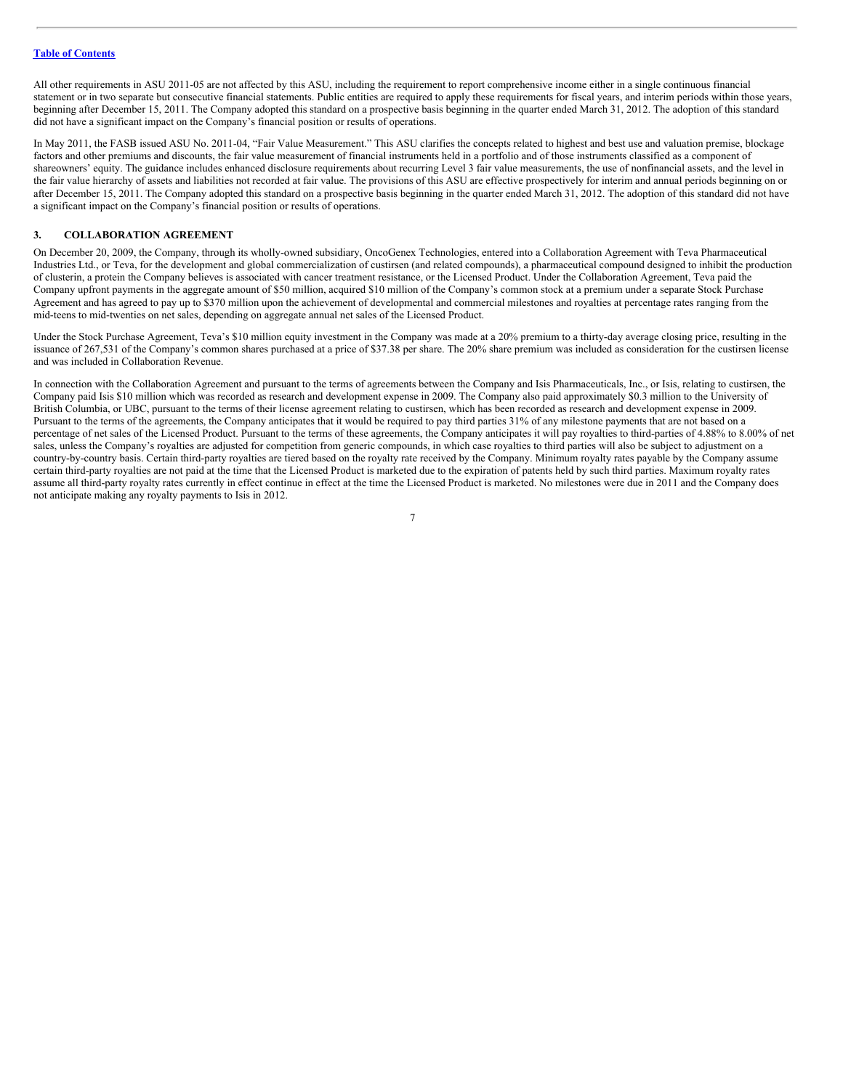All other requirements in ASU 2011-05 are not affected by this ASU, including the requirement to report comprehensive income either in a single continuous financial statement or in two separate but consecutive financial statements. Public entities are required to apply these requirements for fiscal years, and interim periods within those years, beginning after December 15, 2011. The Company adopted this standard on a prospective basis beginning in the quarter ended March 31, 2012. The adoption of this standard did not have a significant impact on the Company's financial position or results of operations.

In May 2011, the FASB issued ASU No. 2011-04, "Fair Value Measurement." This ASU clarifies the concepts related to highest and best use and valuation premise, blockage factors and other premiums and discounts, the fair value measurement of financial instruments held in a portfolio and of those instruments classified as a component of shareowners' equity. The guidance includes enhanced disclosure requirements about recurring Level 3 fair value measurements, the use of nonfinancial assets, and the level in the fair value hierarchy of assets and liabilities not recorded at fair value. The provisions of this ASU are effective prospectively for interim and annual periods beginning on or after December 15, 2011. The Company adopted this standard on a prospective basis beginning in the quarter ended March 31, 2012. The adoption of this standard did not have a significant impact on the Company's financial position or results of operations.

## **3. COLLABORATION AGREEMENT**

On December 20, 2009, the Company, through its wholly-owned subsidiary, OncoGenex Technologies, entered into a Collaboration Agreement with Teva Pharmaceutical Industries Ltd., or Teva, for the development and global commercialization of custirsen (and related compounds), a pharmaceutical compound designed to inhibit the production of clusterin, a protein the Company believes is associated with cancer treatment resistance, or the Licensed Product. Under the Collaboration Agreement, Teva paid the Company upfront payments in the aggregate amount of \$50 million, acquired \$10 million of the Company's common stock at a premium under a separate Stock Purchase Agreement and has agreed to pay up to \$370 million upon the achievement of developmental and commercial milestones and royalties at percentage rates ranging from the mid-teens to mid-twenties on net sales, depending on aggregate annual net sales of the Licensed Product.

Under the Stock Purchase Agreement, Teva's \$10 million equity investment in the Company was made at a 20% premium to a thirty-day average closing price, resulting in the issuance of 267,531 of the Company's common shares purchased at a price of \$37.38 per share. The 20% share premium was included as consideration for the custirsen license and was included in Collaboration Revenue.

In connection with the Collaboration Agreement and pursuant to the terms of agreements between the Company and Isis Pharmaceuticals, Inc., or Isis, relating to custirsen, the Company paid Isis \$10 million which was recorded as research and development expense in 2009. The Company also paid approximately \$0.3 million to the University of British Columbia, or UBC, pursuant to the terms of their license agreement relating to custirsen, which has been recorded as research and development expense in 2009. Pursuant to the terms of the agreements, the Company anticipates that it would be required to pay third parties 31% of any milestone payments that are not based on a percentage of net sales of the Licensed Product. Pursuant to the terms of these agreements, the Company anticipates it will pay royalties to third-parties of 4.88% to 8.00% of net sales, unless the Company's royalties are adjusted for competition from generic compounds, in which case royalties to third parties will also be subject to adjustment on a country-by-country basis. Certain third-party royalties are tiered based on the royalty rate received by the Company. Minimum royalty rates payable by the Company assume certain third-party royalties are not paid at the time that the Licensed Product is marketed due to the expiration of patents held by such third parties. Maximum royalty rates assume all third-party royalty rates currently in effect continue in effect at the time the Licensed Product is marketed. No milestones were due in 2011 and the Company does not anticipate making any royalty payments to Isis in 2012.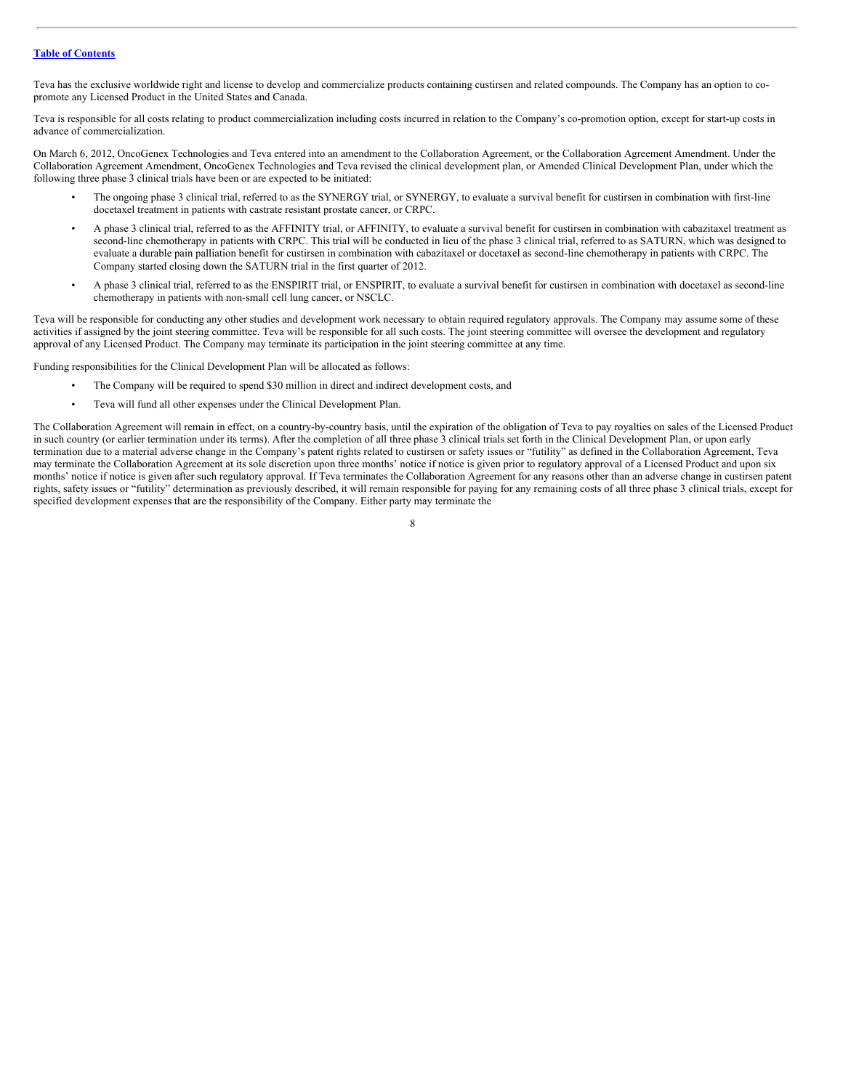Teva has the exclusive worldwide right and license to develop and commercialize products containing custirsen and related compounds. The Company has an option to copromote any Licensed Product in the United States and Canada.

Teva is responsible for all costs relating to product commercialization including costs incurred in relation to the Company's co-promotion option, except for start-up costs in advance of commercialization.

On March 6, 2012, OncoGenex Technologies and Teva entered into an amendment to the Collaboration Agreement, or the Collaboration Agreement Amendment. Under the Collaboration Agreement Amendment, OncoGenex Technologies and Teva revised the clinical development plan, or Amended Clinical Development Plan, under which the following three phase 3 clinical trials have been or are expected to be initiated:

- The ongoing phase 3 clinical trial, referred to as the SYNERGY trial, or SYNERGY, to evaluate a survival benefit for custirsen in combination with first-line docetaxel treatment in patients with castrate resistant prostate cancer, or CRPC.
- A phase 3 clinical trial, referred to as the AFFINITY trial, or AFFINITY, to evaluate a survival benefit for custirsen in combination with cabazitaxel treatment as second-line chemotherapy in patients with CRPC. This trial will be conducted in lieu of the phase 3 clinical trial, referred to as SATURN, which was designed to evaluate a durable pain palliation benefit for custirsen in combination with cabazitaxel or docetaxel as second-line chemotherapy in patients with CRPC. The Company started closing down the SATURN trial in the first quarter of 2012.
- A phase 3 clinical trial, referred to as the ENSPIRIT trial, or ENSPIRIT, to evaluate a survival benefit for custirsen in combination with docetaxel as second-line chemotherapy in patients with non-small cell lung cancer, or NSCLC.

Teva will be responsible for conducting any other studies and development work necessary to obtain required regulatory approvals. The Company may assume some of these activities if assigned by the joint steering committee. Teva will be responsible for all such costs. The joint steering committee will oversee the development and regulatory approval of any Licensed Product. The Company may terminate its participation in the joint steering committee at any time.

Funding responsibilities for the Clinical Development Plan will be allocated as follows:

- The Company will be required to spend \$30 million in direct and indirect development costs, and
- Teva will fund all other expenses under the Clinical Development Plan.

The Collaboration Agreement will remain in effect, on a country-by-country basis, until the expiration of the obligation of Teva to pay royalties on sales of the Licensed Product in such country (or earlier termination under its terms). After the completion of all three phase 3 clinical trials set forth in the Clinical Development Plan, or upon early termination due to a material adverse change in the Company's patent rights related to custirsen or safety issues or "futility" as defined in the Collaboration Agreement, Teva may terminate the Collaboration Agreement at its sole discretion upon three months' notice if notice is given prior to regulatory approval of a Licensed Product and upon six months' notice if notice is given after such regulatory approval. If Teva terminates the Collaboration Agreement for any reasons other than an adverse change in custirsen patent rights, safety issues or "futility" determination as previously described, it will remain responsible for paying for any remaining costs of all three phase 3 clinical trials, except for specified development expenses that are the responsibility of the Company. Either party may terminate the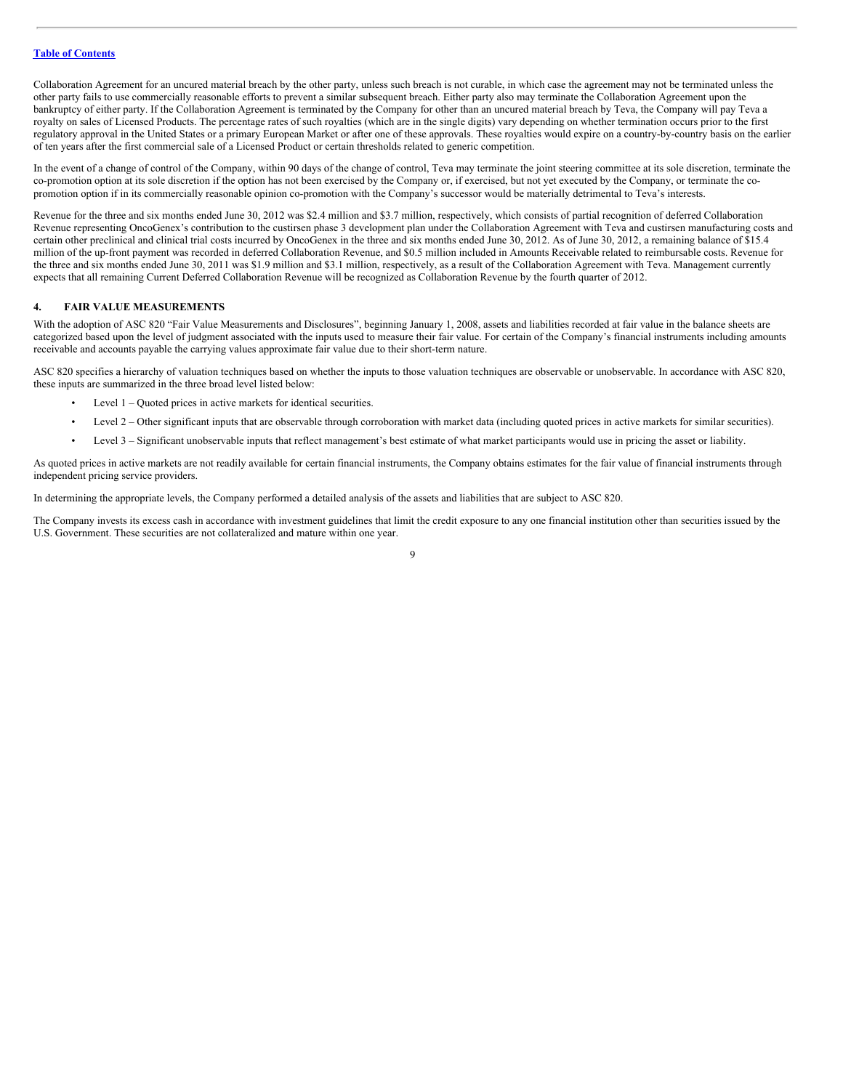Collaboration Agreement for an uncured material breach by the other party, unless such breach is not curable, in which case the agreement may not be terminated unless the other party fails to use commercially reasonable efforts to prevent a similar subsequent breach. Either party also may terminate the Collaboration Agreement upon the bankruptcy of either party. If the Collaboration Agreement is terminated by the Company for other than an uncured material breach by Teva, the Company will pay Teva a royalty on sales of Licensed Products. The percentage rates of such royalties (which are in the single digits) vary depending on whether termination occurs prior to the first regulatory approval in the United States or a primary European Market or after one of these approvals. These royalties would expire on a country-by-country basis on the earlier of ten years after the first commercial sale of a Licensed Product or certain thresholds related to generic competition.

In the event of a change of control of the Company, within 90 days of the change of control, Teva may terminate the joint steering committee at its sole discretion, terminate the co-promotion option at its sole discretion if the option has not been exercised by the Company or, if exercised, but not yet executed by the Company, or terminate the copromotion option if in its commercially reasonable opinion co-promotion with the Company's successor would be materially detrimental to Teva's interests.

Revenue for the three and six months ended June 30, 2012 was \$2.4 million and \$3.7 million, respectively, which consists of partial recognition of deferred Collaboration Revenue representing OncoGenex's contribution to the custirsen phase 3 development plan under the Collaboration Agreement with Teva and custirsen manufacturing costs and certain other preclinical and clinical trial costs incurred by OncoGenex in the three and six months ended June 30, 2012. As of June 30, 2012, a remaining balance of \$15.4 million of the up-front payment was recorded in deferred Collaboration Revenue, and \$0.5 million included in Amounts Receivable related to reimbursable costs. Revenue for the three and six months ended June 30, 2011 was \$1.9 million and \$3.1 million, respectively, as a result of the Collaboration Agreement with Teva. Management currently expects that all remaining Current Deferred Collaboration Revenue will be recognized as Collaboration Revenue by the fourth quarter of 2012.

#### **4. FAIR VALUE MEASUREMENTS**

With the adoption of ASC 820 "Fair Value Measurements and Disclosures", beginning January 1, 2008, assets and liabilities recorded at fair value in the balance sheets are categorized based upon the level of judgment associated with the inputs used to measure their fair value. For certain of the Company's financial instruments including amounts receivable and accounts payable the carrying values approximate fair value due to their short-term nature.

ASC 820 specifies a hierarchy of valuation techniques based on whether the inputs to those valuation techniques are observable or unobservable. In accordance with ASC 820, these inputs are summarized in the three broad level listed below:

- Level 1 Quoted prices in active markets for identical securities.
- Level 2 Other significant inputs that are observable through corroboration with market data (including quoted prices in active markets for similar securities).
- Level  $3$  Significant unobservable inputs that reflect management's best estimate of what market participants would use in pricing the asset or liability.

As quoted prices in active markets are not readily available for certain financial instruments, the Company obtains estimates for the fair value of financial instruments through independent pricing service providers.

In determining the appropriate levels, the Company performed a detailed analysis of the assets and liabilities that are subject to ASC 820.

The Company invests its excess cash in accordance with investment guidelines that limit the credit exposure to any one financial institution other than securities issued by the U.S. Government. These securities are not collateralized and mature within one year.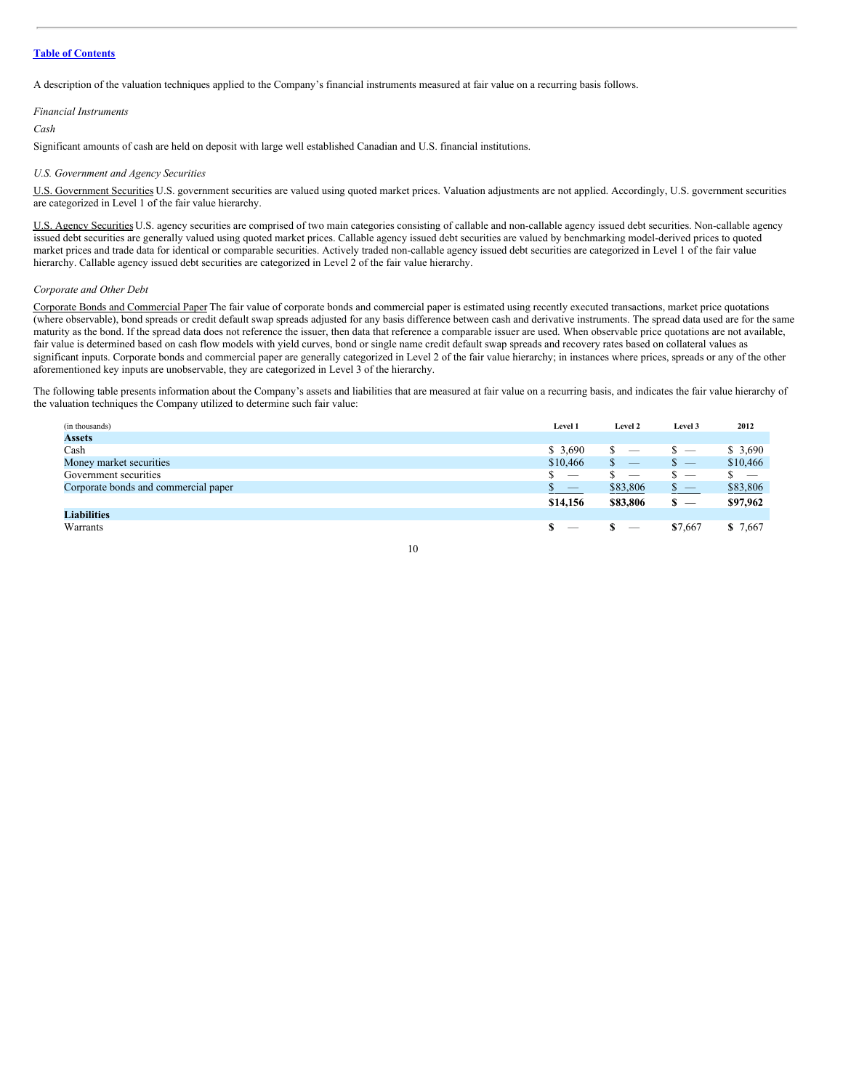A description of the valuation techniques applied to the Company's financial instruments measured at fair value on a recurring basis follows.

#### *Financial Instruments*

## *Cash*

Significant amounts of cash are held on deposit with large well established Canadian and U.S. financial institutions.

## *U.S. Government and Agency Securities*

U.S. Government Securities U.S. government securities are valued using quoted market prices. Valuation adjustments are not applied. Accordingly, U.S. government securities are categorized in Level 1 of the fair value hierarchy.

U.S. Agency Securities U.S. agency securities are comprised of two main categories consisting of callable and non-callable agency issued debt securities. Non-callable agency issued debt securities are generally valued using quoted market prices. Callable agency issued debt securities are valued by benchmarking model-derived prices to quoted market prices and trade data for identical or comparable securities. Actively traded non-callable agency issued debt securities are categorized in Level 1 of the fair value hierarchy. Callable agency issued debt securities are categorized in Level 2 of the fair value hierarchy.

#### *Corporate and Other Debt*

Corporate Bonds and Commercial Paper The fair value of corporate bonds and commercial paper is estimated using recently executed transactions, market price quotations (where observable), bond spreads or credit default swap spreads adjusted for any basis difference between cash and derivative instruments. The spread data used are for the same maturity as the bond. If the spread data does not reference the issuer, then data that reference a comparable issuer are used. When observable price quotations are not available, fair value is determined based on cash flow models with yield curves, bond or single name credit default swap spreads and recovery rates based on collateral values as significant inputs. Corporate bonds and commercial paper are generally categorized in Level 2 of the fair value hierarchy; in instances where prices, spreads or any of the other aforementioned key inputs are unobservable, they are categorized in Level 3 of the hierarchy.

The following table presents information about the Company's assets and liabilities that are measured at fair value on a recurring basis, and indicates the fair value hierarchy of the valuation techniques the Company utilized to determine such fair value:

| (in thousands)                       | Level 1                               | <b>Level 2</b>                 | Level 3 | 2012                     |
|--------------------------------------|---------------------------------------|--------------------------------|---------|--------------------------|
| <b>Assets</b>                        |                                       |                                |         |                          |
| Cash                                 | \$3,690                               | \$<br>--                       | $s =$   | \$3,690                  |
| Money market securities              | \$10,466                              | \$<br>$\overline{\phantom{m}}$ | $s =$   | \$10,466                 |
| Government securities                | S.<br>$\hspace{0.1mm}-\hspace{0.1mm}$ |                                | $s =$   | $\overline{\phantom{a}}$ |
| Corporate bonds and commercial paper | $s -$                                 | \$83,806                       | $s -$   | \$83,806                 |
|                                      | \$14,156                              | \$83,806                       | $s -$   | \$97,962                 |
| <b>Liabilities</b>                   |                                       |                                |         |                          |
| Warrants                             | $\overline{\phantom{a}}$              |                                | \$7,667 | \$7,667                  |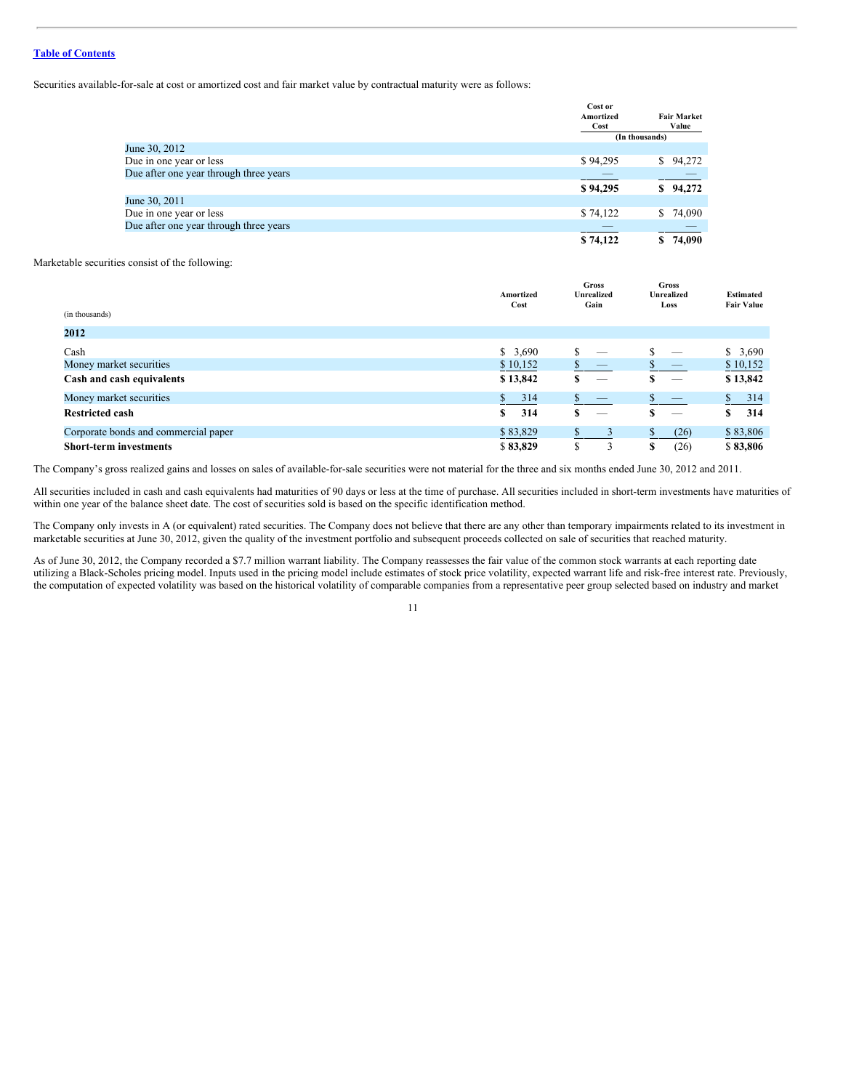Securities available-for-sale at cost or amortized cost and fair market value by contractual maturity were as follows:

|                                        | Cost or<br>Amortized | <b>Fair Market</b> |
|----------------------------------------|----------------------|--------------------|
|                                        | Cost                 | Value              |
|                                        |                      | (In thousands)     |
| June 30, 2012                          |                      |                    |
| Due in one year or less                | \$94,295             | S.<br>94,272       |
| Due after one year through three years |                      |                    |
|                                        | \$94,295             | \$94,272           |
| June 30, 2011                          |                      |                    |
| Due in one year or less                | \$74,122             | 74,090<br>S.       |
| Due after one year through three years |                      |                    |
|                                        | \$74,122             | 74,090<br>SS.      |

## Marketable securities consist of the following:

| (in thousands)                       | Amortized<br>Cost | <b>Gross</b><br><b>Unrealized</b><br>Gain | <b>Gross</b><br><b>Unrealized</b><br>Loss | <b>Estimated</b><br><b>Fair Value</b> |
|--------------------------------------|-------------------|-------------------------------------------|-------------------------------------------|---------------------------------------|
| 2012                                 |                   |                                           |                                           |                                       |
| Cash                                 | \$3,690           | S                                         |                                           | \$3,690                               |
| Money market securities              | \$10,152          |                                           |                                           | \$10,152                              |
| Cash and cash equivalents            | \$13,842          |                                           |                                           | \$13,842                              |
| Money market securities              | 314<br>\$         | \$.<br>$\qquad \qquad - \qquad \qquad$    | $\qquad \qquad -$                         | \$<br>314                             |
| <b>Restricted cash</b>               | 314<br>\$         | $\overline{\phantom{a}}$                  | _                                         | 314<br>\$                             |
| Corporate bonds and commercial paper | \$83,829          | $\mathbb{S}$                              | \$<br>(26)                                | \$83,806                              |
| <b>Short-term investments</b>        | \$83,829          | S                                         | (26)<br>S                                 | \$83,806                              |

The Company's gross realized gains and losses on sales of available-for-sale securities were not material for the three and six months ended June 30, 2012 and 2011.

All securities included in cash and cash equivalents had maturities of 90 days or less at the time of purchase. All securities included in short-term investments have maturities of within one year of the balance sheet date. The cost of securities sold is based on the specific identification method.

The Company only invests in A (or equivalent) rated securities. The Company does not believe that there are any other than temporary impairments related to its investment in marketable securities at June 30, 2012, given the quality of the investment portfolio and subsequent proceeds collected on sale of securities that reached maturity.

As of June 30, 2012, the Company recorded a \$7.7 million warrant liability. The Company reassesses the fair value of the common stock warrants at each reporting date utilizing a Black-Scholes pricing model. Inputs used in the pricing model include estimates of stock price volatility, expected warrant life and risk-free interest rate. Previously, the computation of expected volatility was based on the historical volatility of comparable companies from a representative peer group selected based on industry and market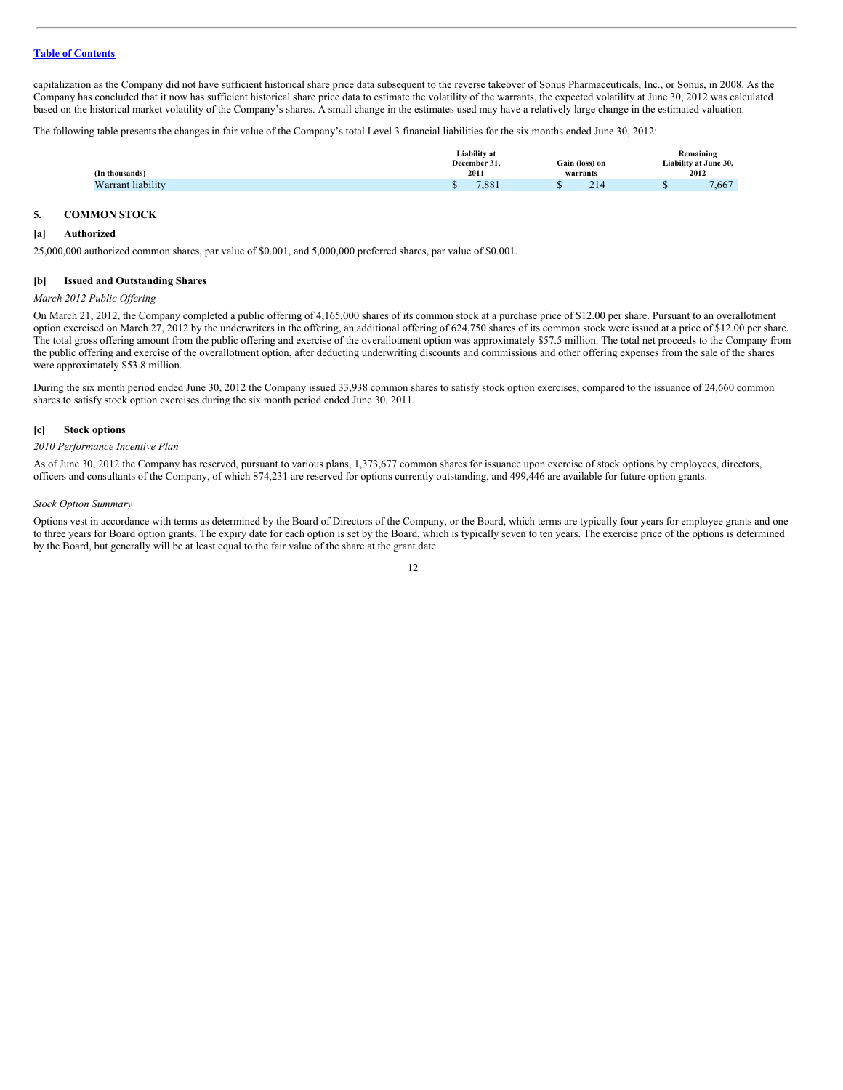capitalization as the Company did not have sufficient historical share price data subsequent to the reverse takeover of Sonus Pharmaceuticals, Inc., or Sonus, in 2008. As the Company has concluded that it now has sufficient historical share price data to estimate the volatility of the warrants, the expected volatility at June 30, 2012 was calculated based on the historical market volatility of the Company's shares. A small change in the estimates used may have a relatively large change in the estimated valuation.

The following table presents the changes in fair value of the Company's total Level 3 financial liabilities for the six months ended June 30, 2012:

|                   | Liability at |                |      |                       |  |
|-------------------|--------------|----------------|------|-----------------------|--|
|                   | December 31. | Gain (loss) on |      | Liability at June 30. |  |
| (In thousands)    | 2011         | warrants       | 2012 |                       |  |
| Warrant liability | 7.881        | 2 I °          | w    | 7,667                 |  |
|                   |              |                |      |                       |  |

## **5. COMMON STOCK**

#### **[a] Authorized**

25,000,000 authorized common shares, par value of \$0.001, and 5,000,000 preferred shares, par value of \$0.001.

## **[b] Issued and Outstanding Shares**

## *March 2012 Public Of ering*

On March 21, 2012, the Company completed a public offering of 4,165,000 shares of its common stock at a purchase price of \$12.00 per share. Pursuant to an overallotment option exercised on March 27, 2012 by the underwriters in the offering, an additional offering of 624,750 shares of its common stock were issued at a price of \$12.00 per share. The total gross offering amount from the public offering and exercise of the overallotment option was approximately \$57.5 million. The total net proceeds to the Company from the public offering and exercise of the overallotment option, after deducting underwriting discounts and commissions and other offering expenses from the sale of the shares were approximately \$53.8 million.

During the six month period ended June 30, 2012 the Company issued 33,938 common shares to satisfy stock option exercises, compared to the issuance of 24,660 common shares to satisfy stock option exercises during the six month period ended June 30, 2011.

#### **[c] Stock options**

## *2010 Performance Incentive Plan*

As of June 30, 2012 the Company has reserved, pursuant to various plans, 1,373,677 common shares for issuance upon exercise of stock options by employees, directors, officers and consultants of the Company, of which 874,231 are reserved for options currently outstanding, and 499,446 are available for future option grants.

## *Stock Option Summary*

Options vest in accordance with terms as determined by the Board of Directors of the Company, or the Board, which terms are typically four years for employee grants and one to three years for Board option grants. The expiry date for each option is set by the Board, which is typically seven to ten years. The exercise price of the options is determined by the Board, but generally will be at least equal to the fair value of the share at the grant date.

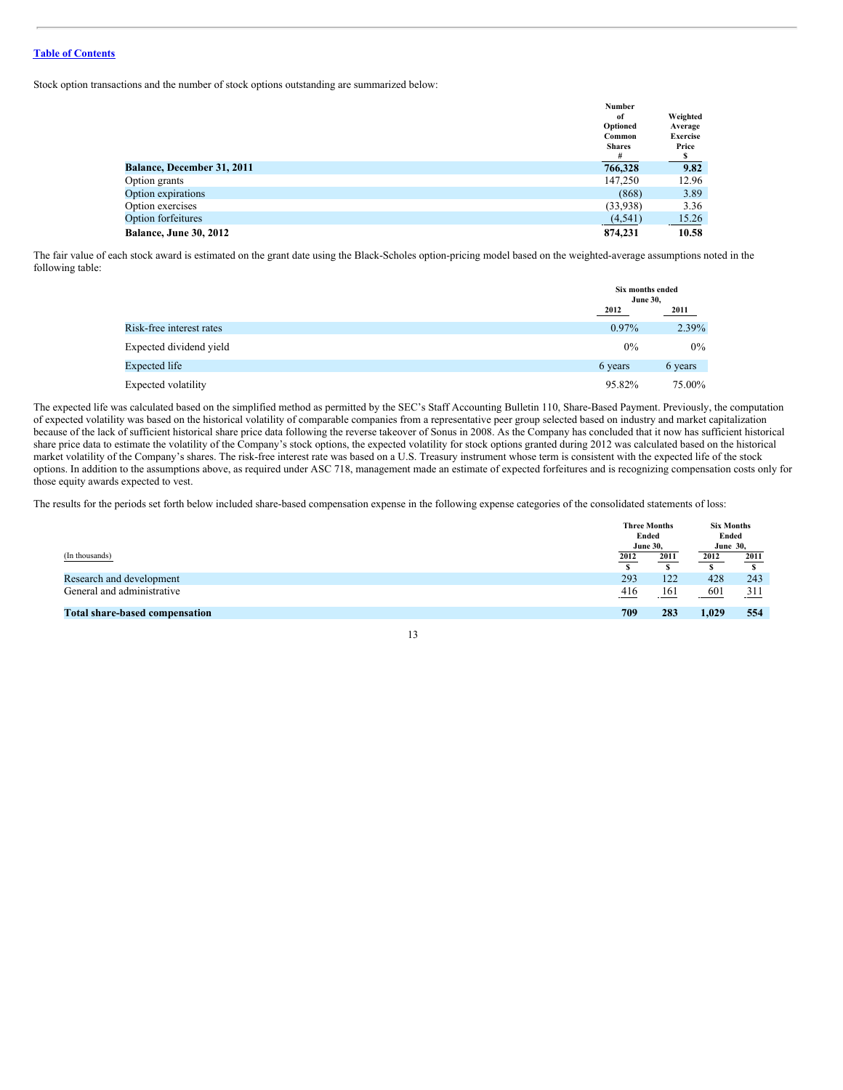Stock option transactions and the number of stock options outstanding are summarized below:

|                               | Number        |          |
|-------------------------------|---------------|----------|
|                               | of            | Weighted |
|                               | Optioned      | Average  |
|                               | Common        | Exercise |
|                               | <b>Shares</b> | Price    |
|                               | #             |          |
| Balance, December 31, 2011    | 766,328       | 9.82     |
| Option grants                 | 147,250       | 12.96    |
| Option expirations            | (868)         | 3.89     |
| Option exercises              | (33,938)      | 3.36     |
| Option forfeitures            | (4, 541)      | 15.26    |
| <b>Balance, June 30, 2012</b> | 874.231       | 10.58    |

The fair value of each stock award is estimated on the grant date using the Black-Scholes option-pricing model based on the weighted-average assumptions noted in the following table:

|                          | Six months ended<br><b>June 30,</b> |         |
|--------------------------|-------------------------------------|---------|
|                          | 2012                                | 2011    |
| Risk-free interest rates | $0.97\%$                            | 2.39%   |
| Expected dividend yield  | $0\%$                               | $0\%$   |
| Expected life            | 6 years                             | 6 years |
| Expected volatility      | 95.82%                              | 75.00%  |

The expected life was calculated based on the simplified method as permitted by the SEC's Staff Accounting Bulletin 110, Share-Based Payment. Previously, the computation of expected volatility was based on the historical volatility of comparable companies from a representative peer group selected based on industry and market capitalization because of the lack of sufficient historical share price data following the reverse takeover of Sonus in 2008. As the Company has concluded that it now has sufficient historical share price data to estimate the volatility of the Company's stock options, the expected volatility for stock options granted during 2012 was calculated based on the historical market volatility of the Company's shares. The risk-free interest rate was based on a U.S. Treasury instrument whose term is consistent with the expected life of the stock options. In addition to the assumptions above, as required under ASC 718, management made an estimate of expected forfeitures and is recognizing compensation costs only for those equity awards expected to vest.

The results for the periods set forth below included share-based compensation expense in the following expense categories of the consolidated statements of loss:

|                                       | <b>Three Months</b><br>Ended<br><b>June 30,</b> |      | <b>Six Months</b><br>Ended<br><b>June 30,</b> |      |
|---------------------------------------|-------------------------------------------------|------|-----------------------------------------------|------|
| (In thousands)                        | 2012                                            | 2011 | 2012                                          | 2011 |
|                                       |                                                 |      |                                               |      |
| Research and development              | 293                                             | 122  | 428                                           | 243  |
| General and administrative            | 416                                             | 161  | 601                                           | 311  |
|                                       |                                                 |      |                                               |      |
| <b>Total share-based compensation</b> | 709                                             | 283  | 1.029                                         | 554  |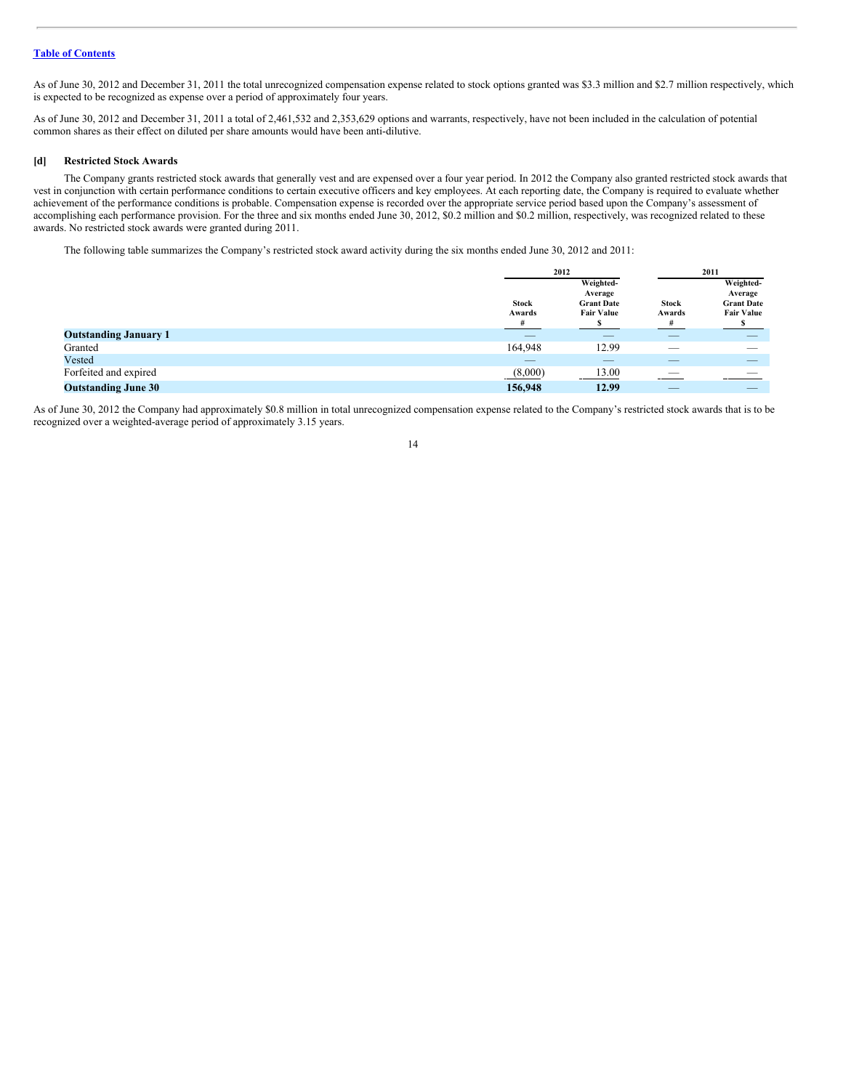As of June 30, 2012 and December 31, 2011 the total unrecognized compensation expense related to stock options granted was \$3.3 million and \$2.7 million respectively, which is expected to be recognized as expense over a period of approximately four years.

As of June 30, 2012 and December 31, 2011 a total of 2,461,532 and 2,353,629 options and warrants, respectively, have not been included in the calculation of potential common shares as their effect on diluted per share amounts would have been anti-dilutive.

## **[d] Restricted Stock Awards**

The Company grants restricted stock awards that generally vest and are expensed over a four year period. In 2012 the Company also granted restricted stock awards that vest in conjunction with certain performance conditions to certain executive officers and key employees. At each reporting date, the Company is required to evaluate whether achievement of the performance conditions is probable. Compensation expense is recorded over the appropriate service period based upon the Company's assessment of accomplishing each performance provision. For the three and six months ended June 30, 2012, \$0.2 million and \$0.2 million, respectively, was recognized related to these awards. No restricted stock awards were granted during 2011.

The following table summarizes the Company's restricted stock award activity during the six months ended June 30, 2012 and 2011:

|                              | 2012                        |                                                                | 2011                        |                                                                |
|------------------------------|-----------------------------|----------------------------------------------------------------|-----------------------------|----------------------------------------------------------------|
|                              | <b>Stock</b><br>Awards<br># | Weighted-<br>Average<br><b>Grant Date</b><br><b>Fair Value</b> | <b>Stock</b><br>Awards<br># | Weighted-<br>Average<br><b>Grant Date</b><br><b>Fair Value</b> |
| <b>Outstanding January 1</b> | _                           | _                                                              |                             | _                                                              |
| Granted                      | 164,948                     | 12.99                                                          | $\overline{\phantom{a}}$    | __                                                             |
| Vested                       | $-$                         | $-$                                                            | __                          | _                                                              |
| Forfeited and expired        | (8,000)                     | 13.00                                                          | _                           | _                                                              |
| <b>Outstanding June 30</b>   | 156,948                     | 12.99                                                          | $\overline{\phantom{a}}$    |                                                                |

As of June 30, 2012 the Company had approximately \$0.8 million in total unrecognized compensation expense related to the Company's restricted stock awards that is to be recognized over a weighted-average period of approximately 3.15 years.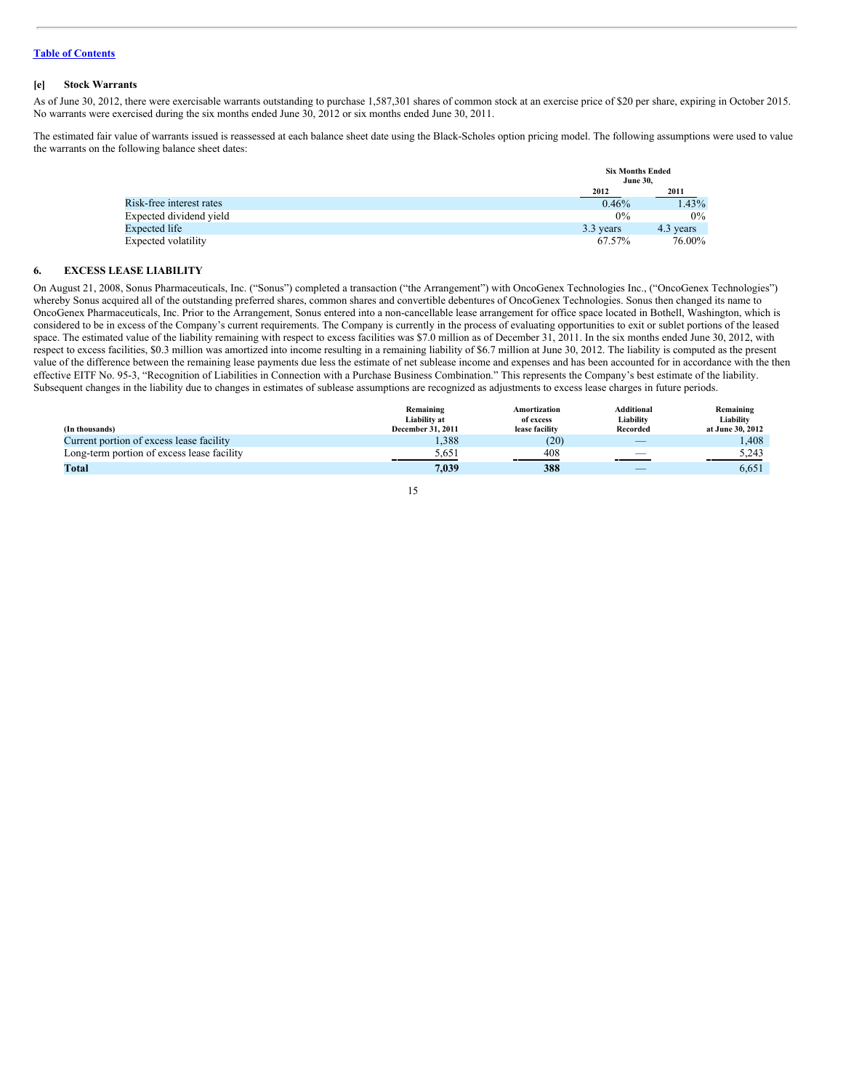## **[e] Stock Warrants**

As of June 30, 2012, there were exercisable warrants outstanding to purchase 1,587,301 shares of common stock at an exercise price of \$20 per share, expiring in October 2015. No warrants were exercised during the six months ended June 30, 2012 or six months ended June 30, 2011.

The estimated fair value of warrants issued is reassessed at each balance sheet date using the Black-Scholes option pricing model. The following assumptions were used to value the warrants on the following balance sheet dates:

| <b>Six Months Ended</b><br><b>June 30.</b> |           |
|--------------------------------------------|-----------|
| 2012                                       | 2011      |
| 0.46%                                      | 1.43%     |
| $0\%$                                      | $0\%$     |
| 3.3 years                                  | 4.3 years |
| 67.57%                                     | 76.00%    |
|                                            |           |

## **6. EXCESS LEASE LIABILITY**

On August 21, 2008, Sonus Pharmaceuticals, Inc. ("Sonus") completed a transaction ("the Arrangement") with OncoGenex Technologies Inc., ("OncoGenex Technologies") whereby Sonus acquired all of the outstanding preferred shares, common shares and convertible debentures of OncoGenex Technologies. Sonus then changed its name to OncoGenex Pharmaceuticals, Inc. Prior to the Arrangement, Sonus entered into a non-cancellable lease arrangement for office space located in Bothell, Washington, which is considered to be in excess of the Company's current requirements. The Company is currently in the process of evaluating opportunities to exit or sublet portions of the leased space. The estimated value of the liability remaining with respect to excess facilities was \$7.0 million as of December 31, 2011. In the six months ended June 30, 2012, with respect to excess facilities, \$0.3 million was amortized into income resulting in a remaining liability of \$6.7 million at June 30, 2012. The liability is computed as the present value of the difference between the remaining lease payments due less the estimate of net sublease income and expenses and has been accounted for in accordance with the then effective EITF No. 95-3, "Recognition of Liabilities in Connection with a Purchase Business Combination." This represents the Company's best estimate of the liability. Subsequent changes in the liability due to changes in estimates of sublease assumptions are recognized as adjustments to excess lease charges in future periods.

|                                            | Remaining<br>Liability at | Amortization<br>of excess | Additional<br>Liability  | Remaining<br>Liability |
|--------------------------------------------|---------------------------|---------------------------|--------------------------|------------------------|
| (In thousands)                             | <b>December 31, 2011</b>  | lease facility            | Recorded                 | at June 30, 2012       |
| Current portion of excess lease facility   | .388                      | (20)                      | $\overline{\phantom{a}}$ | 1.408                  |
| Long-term portion of excess lease facility | 5.651                     | 408                       | $\overline{\phantom{a}}$ | 5.243                  |
| Total                                      | 7.039                     | 388                       | $\overline{\phantom{a}}$ | 6.651                  |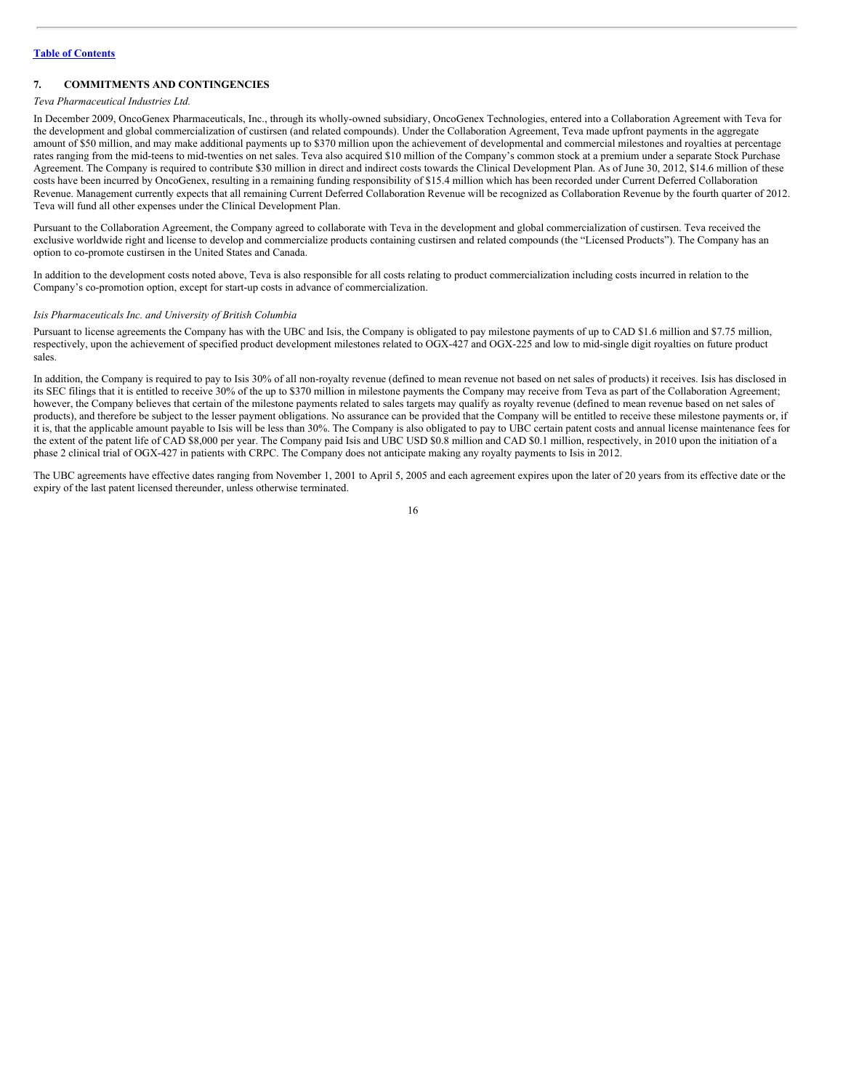## **7. COMMITMENTS AND CONTINGENCIES**

#### *Teva Pharmaceutical Industries Ltd.*

In December 2009, OncoGenex Pharmaceuticals, Inc., through its wholly-owned subsidiary, OncoGenex Technologies, entered into a Collaboration Agreement with Teva for the development and global commercialization of custirsen (and related compounds). Under the Collaboration Agreement, Teva made upfront payments in the aggregate amount of \$50 million, and may make additional payments up to \$370 million upon the achievement of developmental and commercial milestones and royalties at percentage rates ranging from the mid-teens to mid-twenties on net sales. Teva also acquired \$10 million of the Company's common stock at a premium under a separate Stock Purchase Agreement. The Company is required to contribute \$30 million in direct and indirect costs towards the Clinical Development Plan. As of June 30, 2012, \$14.6 million of these costs have been incurred by OncoGenex, resulting in a remaining funding responsibility of \$15.4 million which has been recorded under Current Deferred Collaboration Revenue. Management currently expects that all remaining Current Deferred Collaboration Revenue will be recognized as Collaboration Revenue by the fourth quarter of 2012. Teva will fund all other expenses under the Clinical Development Plan.

Pursuant to the Collaboration Agreement, the Company agreed to collaborate with Teva in the development and global commercialization of custirsen. Teva received the exclusive worldwide right and license to develop and commercialize products containing custirsen and related compounds (the "Licensed Products"). The Company has an option to co-promote custirsen in the United States and Canada.

In addition to the development costs noted above, Teva is also responsible for all costs relating to product commercialization including costs incurred in relation to the Company's co-promotion option, except for start-up costs in advance of commercialization.

#### *Isis Pharmaceuticals Inc. and University of British Columbia*

Pursuant to license agreements the Company has with the UBC and Isis, the Company is obligated to pay milestone payments of up to CAD \$1.6 million and \$7.75 million, respectively, upon the achievement of specified product development milestones related to OGX-427 and OGX-225 and low to mid-single digit royalties on future product sales.

In addition, the Company is required to pay to Isis 30% of all non-royalty revenue (defined to mean revenue not based on net sales of products) it receives. Isis has disclosed in its SEC filings that it is entitled to receive 30% of the up to \$370 million in milestone payments the Company may receive from Teva as part of the Collaboration Agreement; however, the Company believes that certain of the milestone payments related to sales targets may qualify as royalty revenue (defined to mean revenue based on net sales of products), and therefore be subject to the lesser payment obligations. No assurance can be provided that the Company will be entitled to receive these milestone payments or, if it is, that the applicable amount payable to Isis will be less than 30%. The Company is also obligated to pay to UBC certain patent costs and annual license maintenance fees for the extent of the patent life of CAD \$8,000 per year. The Company paid Isis and UBC USD \$0.8 million and CAD \$0.1 million, respectively, in 2010 upon the initiation of a phase 2 clinical trial of OGX-427 in patients with CRPC. The Company does not anticipate making any royalty payments to Isis in 2012.

The UBC agreements have effective dates ranging from November 1, 2001 to April 5, 2005 and each agreement expires upon the later of 20 years from its effective date or the expiry of the last patent licensed thereunder, unless otherwise terminated.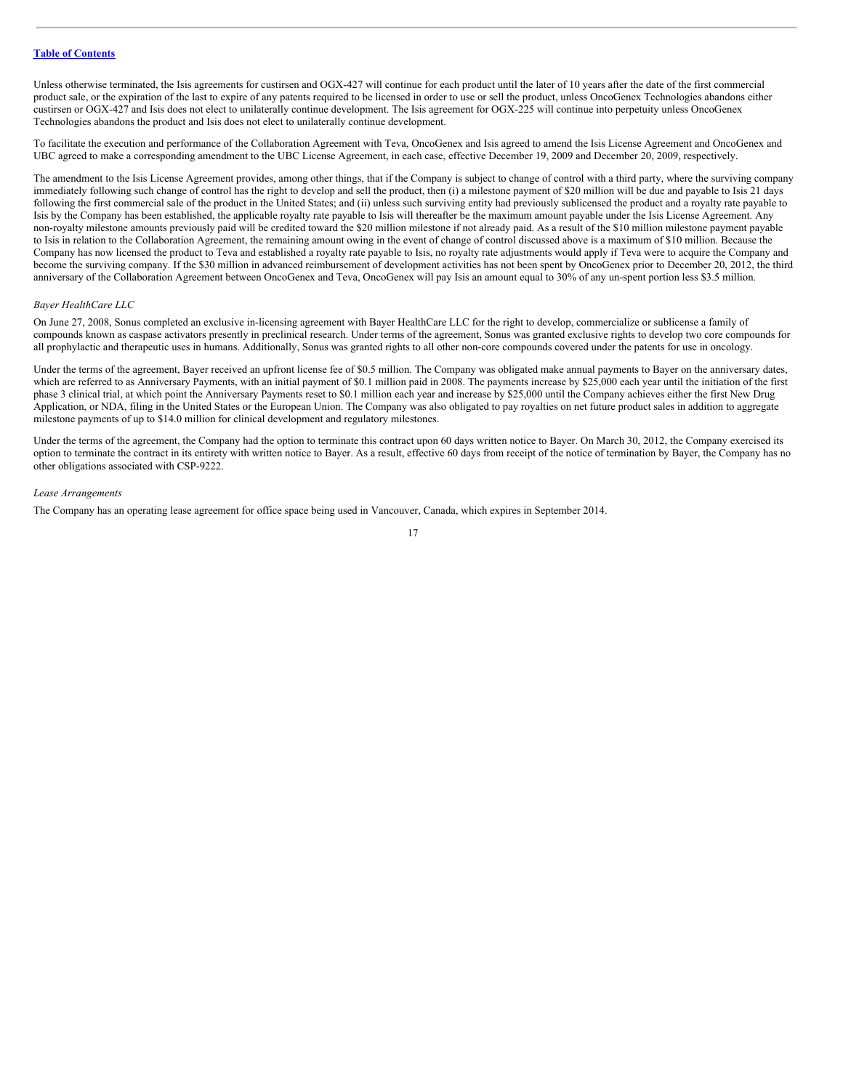Unless otherwise terminated, the Isis agreements for custirsen and OGX-427 will continue for each product until the later of 10 years after the date of the first commercial product sale, or the expiration of the last to expire of any patents required to be licensed in order to use or sell the product, unless OncoGenex Technologies abandons either custirsen or OGX-427 and Isis does not elect to unilaterally continue development. The Isis agreement for OGX-225 will continue into perpetuity unless OncoGenex Technologies abandons the product and Isis does not elect to unilaterally continue development.

To facilitate the execution and performance of the Collaboration Agreement with Teva, OncoGenex and Isis agreed to amend the Isis License Agreement and OncoGenex and UBC agreed to make a corresponding amendment to the UBC License Agreement, in each case, effective December 19, 2009 and December 20, 2009, respectively.

The amendment to the Isis License Agreement provides, among other things, that if the Company is subject to change of control with a third party, where the surviving company immediately following such change of control has the right to develop and sell the product, then (i) a milestone payment of \$20 million will be due and payable to Isis 21 days following the first commercial sale of the product in the United States; and (ii) unless such surviving entity had previously sublicensed the product and a royalty rate payable to Isis by the Company has been established, the applicable royalty rate payable to Isis will thereafter be the maximum amount payable under the Isis License Agreement. Any non-royalty milestone amounts previously paid will be credited toward the \$20 million milestone if not already paid. As a result of the \$10 million milestone payment payable to Isis in relation to the Collaboration Agreement, the remaining amount owing in the event of change of control discussed above is a maximum of \$10 million. Because the Company has now licensed the product to Teva and established a royalty rate payable to Isis, no royalty rate adjustments would apply if Teva were to acquire the Company and become the surviving company. If the \$30 million in advanced reimbursement of development activities has not been spent by OncoGenex prior to December 20, 2012, the third anniversary of the Collaboration Agreement between OncoGenex and Teva, OncoGenex will pay Isis an amount equal to 30% of any un-spent portion less \$3.5 million.

#### *Bayer HealthCare LLC*

On June 27, 2008, Sonus completed an exclusive in-licensing agreement with Bayer HealthCare LLC for the right to develop, commercialize or sublicense a family of compounds known as caspase activators presently in preclinical research. Under terms of the agreement, Sonus was granted exclusive rights to develop two core compounds for all prophylactic and therapeutic uses in humans. Additionally, Sonus was granted rights to all other non-core compounds covered under the patents for use in oncology.

Under the terms of the agreement, Bayer received an upfront license fee of \$0.5 million. The Company was obligated make annual payments to Bayer on the anniversary dates, which are referred to as Anniversary Payments, with an initial payment of \$0.1 million paid in 2008. The payments increase by \$25,000 each year until the initiation of the first phase 3 clinical trial, at which point the Anniversary Payments reset to \$0.1 million each year and increase by \$25,000 until the Company achieves either the first New Drug Application, or NDA, filing in the United States or the European Union. The Company was also obligated to pay royalties on net future product sales in addition to aggregate milestone payments of up to \$14.0 million for clinical development and regulatory milestones.

Under the terms of the agreement, the Company had the option to terminate this contract upon 60 days written notice to Bayer. On March 30, 2012, the Company exercised its option to terminate the contract in its entirety with written notice to Bayer. As a result, effective 60 days from receipt of the notice of termination by Bayer, the Company has no other obligations associated with CSP-9222.

#### *Lease Arrangements*

The Company has an operating lease agreement for office space being used in Vancouver, Canada, which expires in September 2014.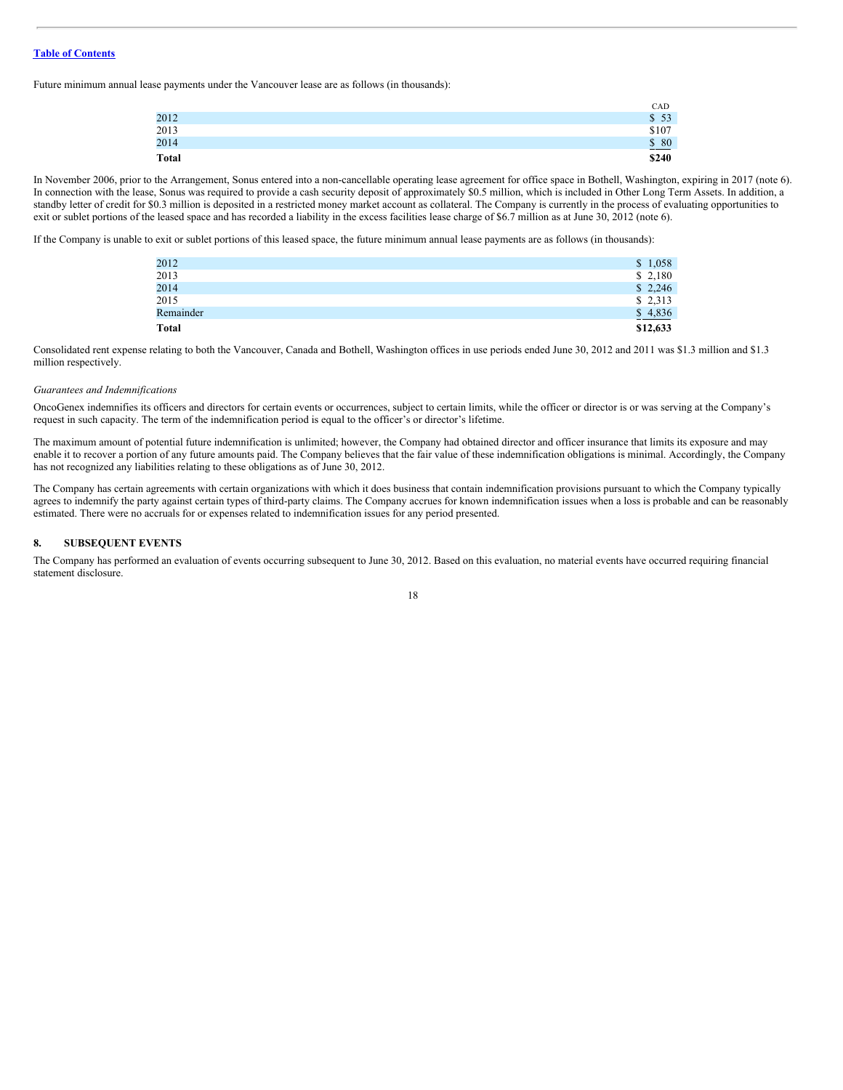Future minimum annual lease payments under the Vancouver lease are as follows (in thousands):

|       | CAD                |
|-------|--------------------|
| 2012  | \$53               |
| 2013  | \$107              |
| 2014  |                    |
| Total | $\frac{$80}{$240}$ |

In November 2006, prior to the Arrangement, Sonus entered into a non-cancellable operating lease agreement for office space in Bothell, Washington, expiring in 2017 (note 6). In connection with the lease, Sonus was required to provide a cash security deposit of approximately \$0.5 million, which is included in Other Long Term Assets. In addition, a standby letter of credit for \$0.3 million is deposited in a restricted money market account as collateral. The Company is currently in the process of evaluating opportunities to exit or sublet portions of the leased space and has recorded a liability in the excess facilities lease charge of \$6.7 million as at June 30, 2012 (note 6).

If the Company is unable to exit or sublet portions of this leased space, the future minimum annual lease payments are as follows (in thousands):

| 2012         | \$1,058  |
|--------------|----------|
| 2013         | \$2,180  |
| 2014         | \$2,246  |
| 2015         | \$2,313  |
| Remainder    | \$4,836  |
| <b>Total</b> | \$12,633 |

Consolidated rent expense relating to both the Vancouver, Canada and Bothell, Washington offices in use periods ended June 30, 2012 and 2011 was \$1.3 million and \$1.3 million respectively.

#### *Guarantees and Indemnifications*

OncoGenex indemnifies its officers and directors for certain events or occurrences, subject to certain limits, while the officer or director is or was serving at the Company's request in such capacity. The term of the indemnification period is equal to the officer's or director's lifetime.

The maximum amount of potential future indemnification is unlimited; however, the Company had obtained director and officer insurance that limits its exposure and may enable it to recover a portion of any future amounts paid. The Company believes that the fair value of these indemnification obligations is minimal. Accordingly, the Company has not recognized any liabilities relating to these obligations as of June 30, 2012.

The Company has certain agreements with certain organizations with which it does business that contain indemnification provisions pursuant to which the Company typically agrees to indemnify the party against certain types of third-party claims. The Company accrues for known indemnification issues when a loss is probable and can be reasonably estimated. There were no accruals for or expenses related to indemnification issues for any period presented.

## **8. SUBSEQUENT EVENTS**

The Company has performed an evaluation of events occurring subsequent to June 30, 2012. Based on this evaluation, no material events have occurred requiring financial statement disclosure.

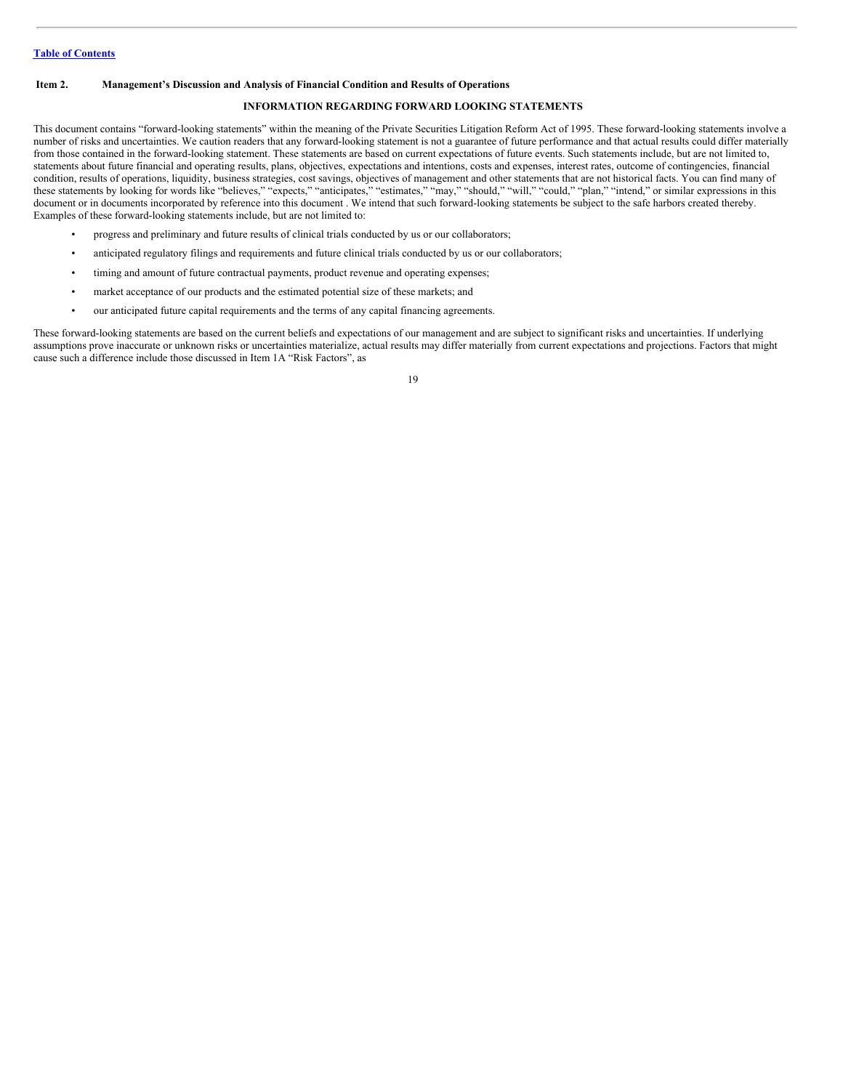## <span id="page-18-0"></span>**Item 2. Management's Discussion and Analysis of Financial Condition and Results of Operations**

## **INFORMATION REGARDING FORWARD LOOKING STATEMENTS**

This document contains "forward-looking statements" within the meaning of the Private Securities Litigation Reform Act of 1995. These forward-looking statements involve a number of risks and uncertainties. We caution readers that any forward-looking statement is not a guarantee of future performance and that actual results could differ materially from those contained in the forward-looking statement. These statements are based on current expectations of future events. Such statements include, but are not limited to, statements about future financial and operating results, plans, objectives, expectations and intentions, costs and expenses, interest rates, outcome of contingencies, financial condition, results of operations, liquidity, business strategies, cost savings, objectives of management and other statements that are not historical facts. You can find many of these statements by looking for words like "believes," "expects," "anticipates," "estimates," "may," "should," "will," "could," "plan," "intend," or similar expressions in this document or in documents incorporated by reference into this document . We intend that such forward-looking statements be subject to the safe harbors created thereby. Examples of these forward-looking statements include, but are not limited to:

- progress and preliminary and future results of clinical trials conducted by us or our collaborators;
- anticipated regulatory filings and requirements and future clinical trials conducted by us or our collaborators;
- timing and amount of future contractual payments, product revenue and operating expenses;
- market acceptance of our products and the estimated potential size of these markets; and
- our anticipated future capital requirements and the terms of any capital financing agreements.

These forward-looking statements are based on the current beliefs and expectations of our management and are subject to significant risks and uncertainties. If underlying assumptions prove inaccurate or unknown risks or uncertainties materialize, actual results may differ materially from current expectations and projections. Factors that might cause such a difference include those discussed in Item 1A "Risk Factors", as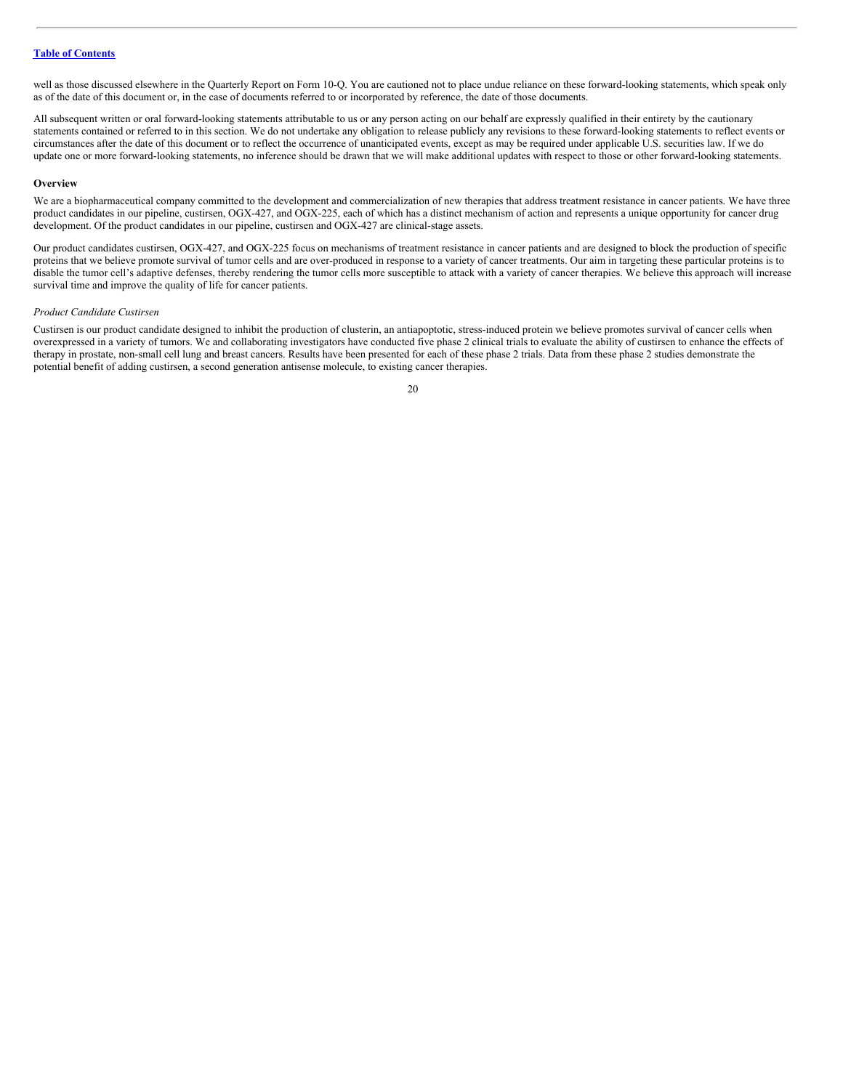well as those discussed elsewhere in the Quarterly Report on Form 10-Q. You are cautioned not to place undue reliance on these forward-looking statements, which speak only as of the date of this document or, in the case of documents referred to or incorporated by reference, the date of those documents.

All subsequent written or oral forward-looking statements attributable to us or any person acting on our behalf are expressly qualified in their entirety by the cautionary statements contained or referred to in this section. We do not undertake any obligation to release publicly any revisions to these forward-looking statements to reflect events or circumstances after the date of this document or to reflect the occurrence of unanticipated events, except as may be required under applicable U.S. securities law. If we do update one or more forward-looking statements, no inference should be drawn that we will make additional updates with respect to those or other forward-looking statements.

#### **Overview**

We are a biopharmaceutical company committed to the development and commercialization of new therapies that address treatment resistance in cancer patients. We have three product candidates in our pipeline, custirsen, OGX-427, and OGX-225, each of which has a distinct mechanism of action and represents a unique opportunity for cancer drug development. Of the product candidates in our pipeline, custirsen and OGX-427 are clinical-stage assets.

Our product candidates custirsen, OGX-427, and OGX-225 focus on mechanisms of treatment resistance in cancer patients and are designed to block the production of specific proteins that we believe promote survival of tumor cells and are over-produced in response to a variety of cancer treatments. Our aim in targeting these particular proteins is to disable the tumor cell's adaptive defenses, thereby rendering the tumor cells more susceptible to attack with a variety of cancer therapies. We believe this approach will increase survival time and improve the quality of life for cancer patients.

## *Product Candidate Custirsen*

Custirsen is our product candidate designed to inhibit the production of clusterin, an antiapoptotic, stress-induced protein we believe promotes survival of cancer cells when overexpressed in a variety of tumors. We and collaborating investigators have conducted five phase 2 clinical trials to evaluate the ability of custirsen to enhance the effects of therapy in prostate, non-small cell lung and breast cancers. Results have been presented for each of these phase 2 trials. Data from these phase 2 studies demonstrate the potential benefit of adding custirsen, a second generation antisense molecule, to existing cancer therapies.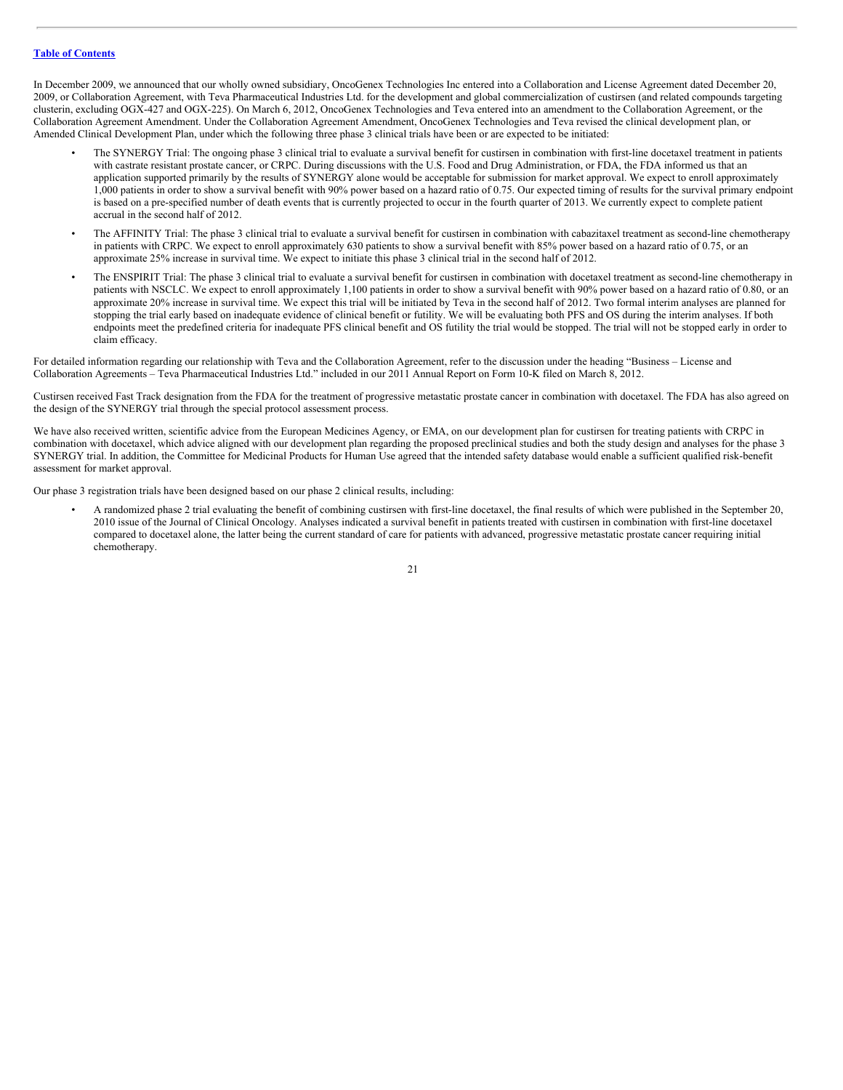In December 2009, we announced that our wholly owned subsidiary, OncoGenex Technologies Inc entered into a Collaboration and License Agreement dated December 20, 2009, or Collaboration Agreement, with Teva Pharmaceutical Industries Ltd. for the development and global commercialization of custirsen (and related compounds targeting clusterin, excluding OGX-427 and OGX-225). On March 6, 2012, OncoGenex Technologies and Teva entered into an amendment to the Collaboration Agreement, or the Collaboration Agreement Amendment. Under the Collaboration Agreement Amendment, OncoGenex Technologies and Teva revised the clinical development plan, or Amended Clinical Development Plan, under which the following three phase 3 clinical trials have been or are expected to be initiated:

- The SYNERGY Trial: The ongoing phase 3 clinical trial to evaluate a survival benefit for custirsen in combination with first-line docetaxel treatment in patients with castrate resistant prostate cancer, or CRPC. During discussions with the U.S. Food and Drug Administration, or FDA, the FDA informed us that an application supported primarily by the results of SYNERGY alone would be acceptable for submission for market approval. We expect to enroll approximately 1,000 patients in order to show a survival benefit with 90% power based on a hazard ratio of 0.75. Our expected timing of results for the survival primary endpoint is based on a pre-specified number of death events that is currently projected to occur in the fourth quarter of 2013. We currently expect to complete patient accrual in the second half of 2012.
- The AFFINITY Trial: The phase 3 clinical trial to evaluate a survival benefit for custirsen in combination with cabazitaxel treatment as second-line chemotherapy in patients with CRPC. We expect to enroll approximately 630 patients to show a survival benefit with 85% power based on a hazard ratio of 0.75, or an approximate 25% increase in survival time. We expect to initiate this phase 3 clinical trial in the second half of 2012.
- The ENSPIRIT Trial: The phase 3 clinical trial to evaluate a survival benefit for custirsen in combination with docetaxel treatment as second-line chemotherapy in patients with NSCLC. We expect to enroll approximately 1,100 patients in order to show a survival benefit with 90% power based on a hazard ratio of 0.80, or an approximate 20% increase in survival time. We expect this trial will be initiated by Teva in the second half of 2012. Two formal interim analyses are planned for stopping the trial early based on inadequate evidence of clinical benefit or futility. We will be evaluating both PFS and OS during the interim analyses. If both endpoints meet the predefined criteria for inadequate PFS clinical benefit and OS futility the trial would be stopped. The trial will not be stopped early in order to claim efficacy.

For detailed information regarding our relationship with Teva and the Collaboration Agreement, refer to the discussion under the heading "Business – License and Collaboration Agreements – Teva Pharmaceutical Industries Ltd." included in our 2011 Annual Report on Form 10-K filed on March 8, 2012.

Custirsen received Fast Track designation from the FDA for the treatment of progressive metastatic prostate cancer in combination with docetaxel. The FDA has also agreed on the design of the SYNERGY trial through the special protocol assessment process.

We have also received written, scientific advice from the European Medicines Agency, or EMA, on our development plan for custirsen for treating patients with CRPC in combination with docetaxel, which advice aligned with our development plan regarding the proposed preclinical studies and both the study design and analyses for the phase 3 SYNERGY trial. In addition, the Committee for Medicinal Products for Human Use agreed that the intended safety database would enable a sufficient qualified risk-benefit assessment for market approval.

Our phase 3 registration trials have been designed based on our phase 2 clinical results, including:

• A randomized phase 2 trial evaluating the benefit of combining custirsen with first-line docetaxel, the final results of which were published in the September 20, 2010 issue of the Journal of Clinical Oncology. Analyses indicated a survival benefit in patients treated with custirsen in combination with first-line docetaxel compared to docetaxel alone, the latter being the current standard of care for patients with advanced, progressive metastatic prostate cancer requiring initial chemotherapy.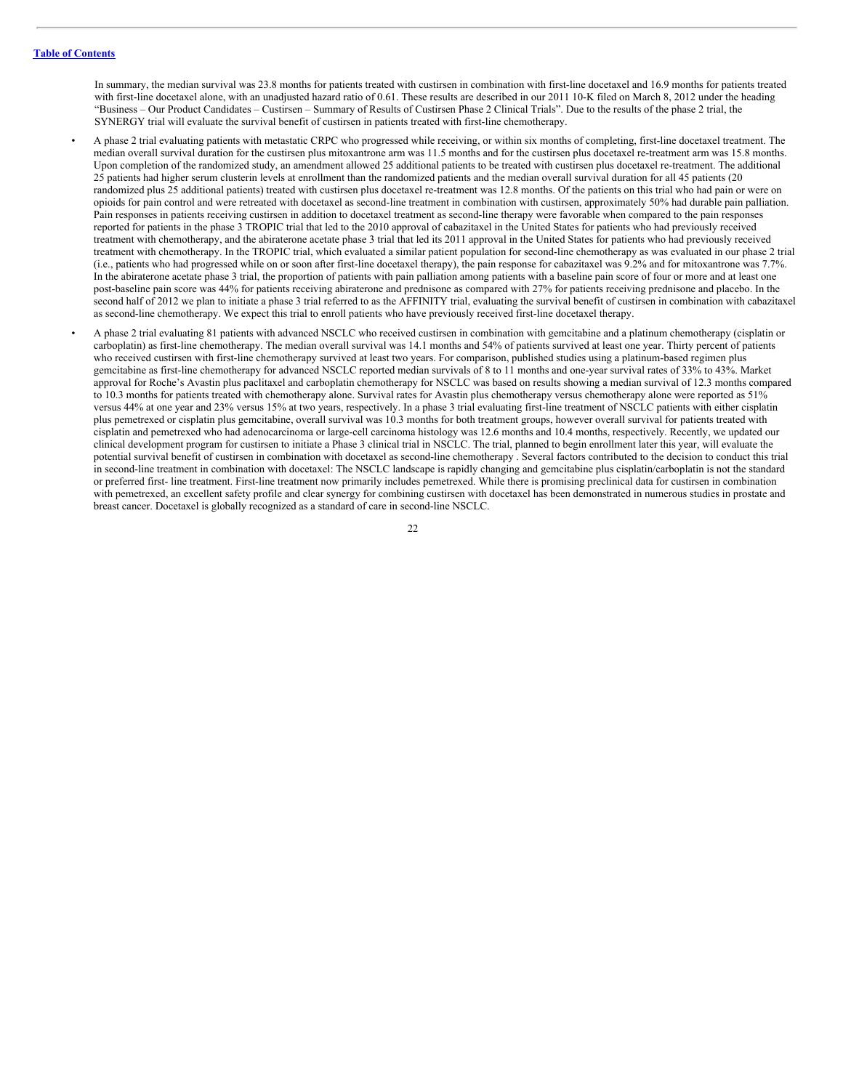In summary, the median survival was 23.8 months for patients treated with custirsen in combination with first-line docetaxel and 16.9 months for patients treated with first-line docetaxel alone, with an unadjusted hazard ratio of 0.61. These results are described in our 2011 10-K filed on March 8, 2012 under the heading "Business – Our Product Candidates – Custirsen – Summary of Results of Custirsen Phase 2 Clinical Trials". Due to the results of the phase 2 trial, the SYNERGY trial will evaluate the survival benefit of custirsen in patients treated with first-line chemotherapy.

- A phase 2 trial evaluating patients with metastatic CRPC who progressed while receiving, or within six months of completing, first-line docetaxel treatment. The median overall survival duration for the custirsen plus mitoxantrone arm was 11.5 months and for the custirsen plus docetaxel re-treatment arm was 15.8 months. Upon completion of the randomized study, an amendment allowed 25 additional patients to be treated with custirsen plus docetaxel re-treatment. The additional 25 patients had higher serum clusterin levels at enrollment than the randomized patients and the median overall survival duration for all 45 patients (20 randomized plus 25 additional patients) treated with custirsen plus docetaxel re-treatment was 12.8 months. Of the patients on this trial who had pain or were on opioids for pain control and were retreated with docetaxel as second-line treatment in combination with custirsen, approximately 50% had durable pain palliation. Pain responses in patients receiving custirsen in addition to docetaxel treatment as second-line therapy were favorable when compared to the pain responses reported for patients in the phase 3 TROPIC trial that led to the 2010 approval of cabazitaxel in the United States for patients who had previously received treatment with chemotherapy, and the abiraterone acetate phase 3 trial that led its 2011 approval in the United States for patients who had previously received treatment with chemotherapy. In the TROPIC trial, which evaluated a similar patient population for second-line chemotherapy as was evaluated in our phase 2 trial (i.e., patients who had progressed while on or soon after first-line docetaxel therapy), the pain response for cabazitaxel was 9.2% and for mitoxantrone was 7.7%. In the abiraterone acetate phase 3 trial, the proportion of patients with pain palliation among patients with a baseline pain score of four or more and at least one post-baseline pain score was 44% for patients receiving abiraterone and prednisone as compared with 27% for patients receiving prednisone and placebo. In the second half of 2012 we plan to initiate a phase 3 trial referred to as the AFFINITY trial, evaluating the survival benefit of custirsen in combination with cabazitaxel as second-line chemotherapy. We expect this trial to enroll patients who have previously received first-line docetaxel therapy.
- A phase 2 trial evaluating 81 patients with advanced NSCLC who received custirsen in combination with gemcitabine and a platinum chemotherapy (cisplatin or carboplatin) as first-line chemotherapy. The median overall survival was 14.1 months and 54% of patients survived at least one year. Thirty percent of patients who received custirsen with first-line chemotherapy survived at least two years. For comparison, published studies using a platinum-based regimen plus gemcitabine as first-line chemotherapy for advanced NSCLC reported median survivals of 8 to 11 months and one-year survival rates of 33% to 43%. Market approval for Roche's Avastin plus paclitaxel and carboplatin chemotherapy for NSCLC was based on results showing a median survival of 12.3 months compared to 10.3 months for patients treated with chemotherapy alone. Survival rates for Avastin plus chemotherapy versus chemotherapy alone were reported as 51% versus 44% at one year and 23% versus 15% at two years, respectively. In a phase 3 trial evaluating first-line treatment of NSCLC patients with either cisplatin plus pemetrexed or cisplatin plus gemcitabine, overall survival was 10.3 months for both treatment groups, however overall survival for patients treated with cisplatin and pemetrexed who had adenocarcinoma or large-cell carcinoma histology was 12.6 months and 10.4 months, respectively. Recently, we updated our clinical development program for custirsen to initiate a Phase 3 clinical trial in NSCLC. The trial, planned to begin enrollment later this year, will evaluate the potential survival benefit of custirsen in combination with docetaxel as second-line chemotherapy . Several factors contributed to the decision to conduct this trial in second-line treatment in combination with docetaxel: The NSCLC landscape is rapidly changing and gemcitabine plus cisplatin/carboplatin is not the standard or preferred first- line treatment. First-line treatment now primarily includes pemetrexed. While there is promising preclinical data for custirsen in combination with pemetrexed, an excellent safety profile and clear synergy for combining custirsen with docetaxel has been demonstrated in numerous studies in prostate and breast cancer. Docetaxel is globally recognized as a standard of care in second-line NSCLC.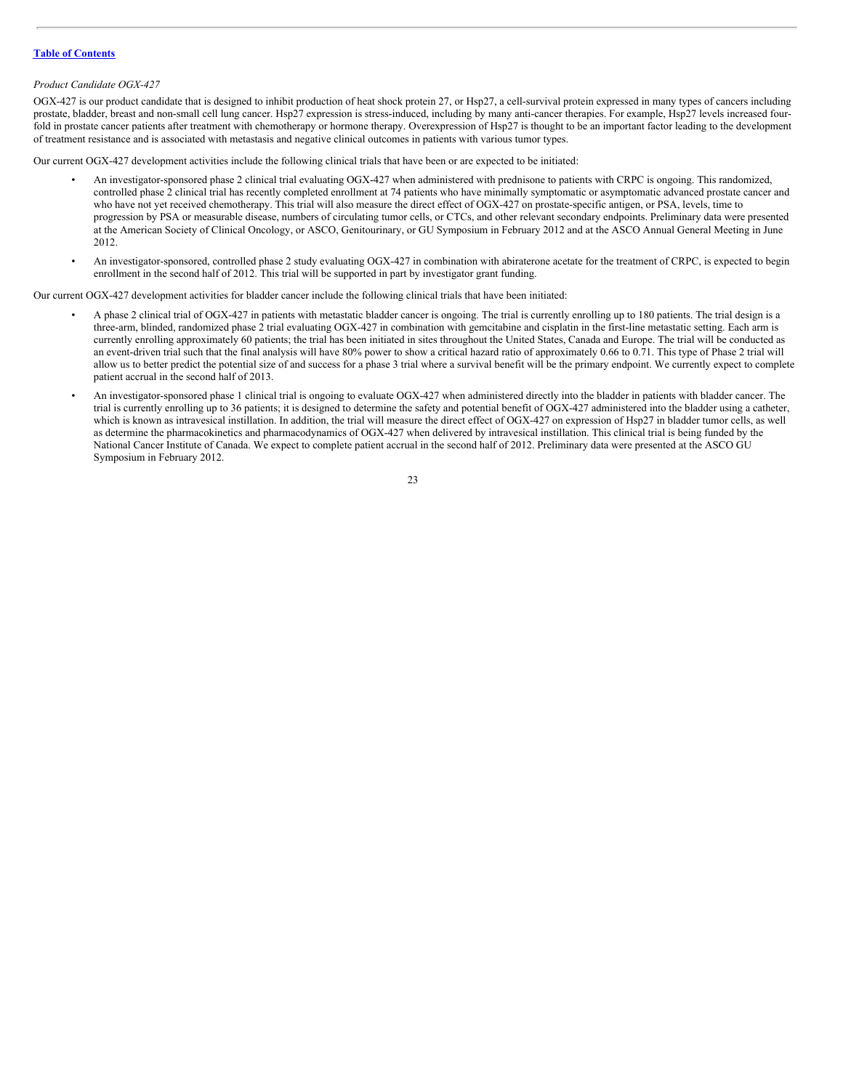## *Product Candidate OGX-427*

OGX-427 is our product candidate that is designed to inhibit production of heat shock protein 27, or Hsp27, a cell-survival protein expressed in many types of cancers including prostate, bladder, breast and non-small cell lung cancer. Hsp27 expression is stress-induced, including by many anti-cancer therapies. For example, Hsp27 levels increased fourfold in prostate cancer patients after treatment with chemotherapy or hormone therapy. Overexpression of Hsp27 is thought to be an important factor leading to the development of treatment resistance and is associated with metastasis and negative clinical outcomes in patients with various tumor types.

Our current OGX-427 development activities include the following clinical trials that have been or are expected to be initiated:

- An investigator-sponsored phase 2 clinical trial evaluating OGX-427 when administered with prednisone to patients with CRPC is ongoing. This randomized, controlled phase 2 clinical trial has recently completed enrollment at 74 patients who have minimally symptomatic or asymptomatic advanced prostate cancer and who have not yet received chemotherapy. This trial will also measure the direct effect of OGX-427 on prostate-specific antigen, or PSA, levels, time to progression by PSA or measurable disease, numbers of circulating tumor cells, or CTCs, and other relevant secondary endpoints. Preliminary data were presented at the American Society of Clinical Oncology, or ASCO, Genitourinary, or GU Symposium in February 2012 and at the ASCO Annual General Meeting in June 2012.
- An investigator-sponsored, controlled phase 2 study evaluating OGX-427 in combination with abiraterone acetate for the treatment of CRPC, is expected to begin enrollment in the second half of 2012. This trial will be supported in part by investigator grant funding.

Our current OGX-427 development activities for bladder cancer include the following clinical trials that have been initiated:

- A phase 2 clinical trial of OGX-427 in patients with metastatic bladder cancer is ongoing. The trial is currently enrolling up to 180 patients. The trial design is a three-arm, blinded, randomized phase 2 trial evaluating OGX-427 in combination with gemcitabine and cisplatin in the first-line metastatic setting. Each arm is currently enrolling approximately 60 patients; the trial has been initiated in sites throughout the United States, Canada and Europe. The trial will be conducted as an event-driven trial such that the final analysis will have 80% power to show a critical hazard ratio of approximately 0.66 to 0.71. This type of Phase 2 trial will allow us to better predict the potential size of and success for a phase 3 trial where a survival benefit will be the primary endpoint. We currently expect to complete patient accrual in the second half of 2013.
- An investigator-sponsored phase 1 clinical trial is ongoing to evaluate OGX-427 when administered directly into the bladder in patients with bladder cancer. The trial is currently enrolling up to 36 patients; it is designed to determine the safety and potential benefit of OGX-427 administered into the bladder using a catheter, which is known as intravesical instillation. In addition, the trial will measure the direct effect of OGX-427 on expression of Hsp27 in bladder tumor cells, as well as determine the pharmacokinetics and pharmacodynamics of OGX-427 when delivered by intravesical instillation. This clinical trial is being funded by the National Cancer Institute of Canada. We expect to complete patient accrual in the second half of 2012. Preliminary data were presented at the ASCO GU Symposium in February 2012.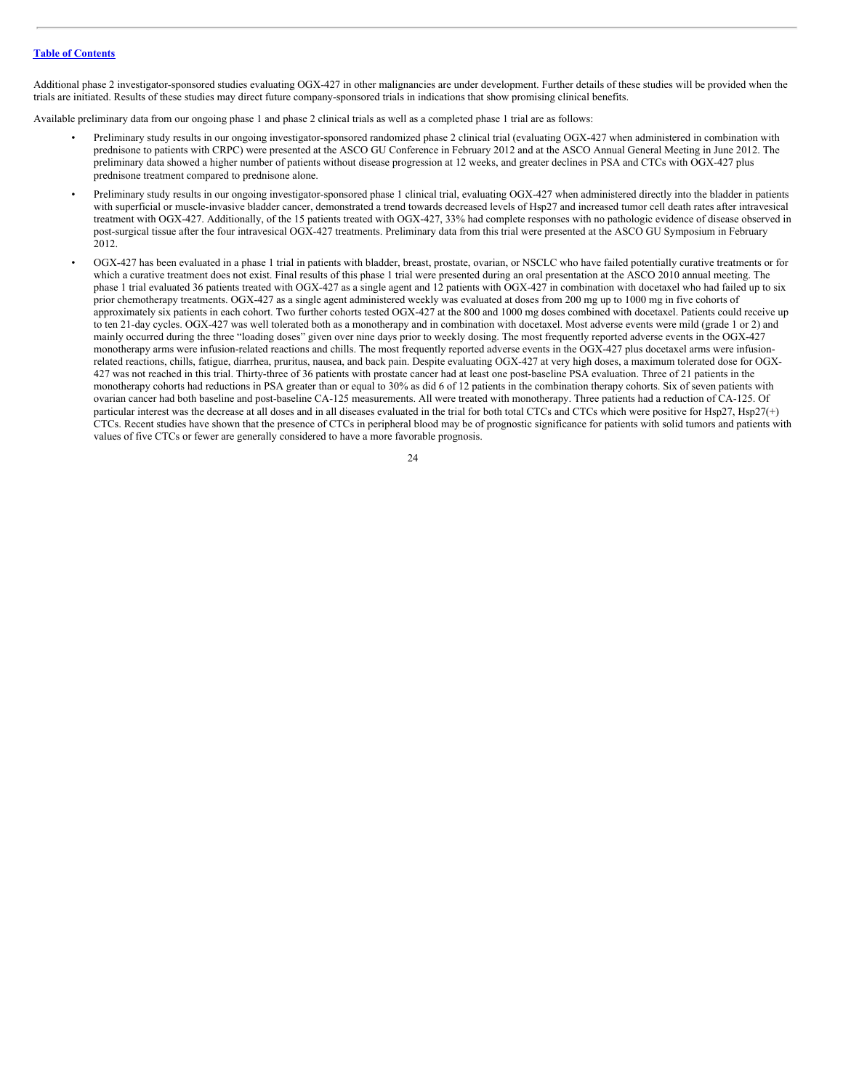Additional phase 2 investigator-sponsored studies evaluating OGX-427 in other malignancies are under development. Further details of these studies will be provided when the trials are initiated. Results of these studies may direct future company-sponsored trials in indications that show promising clinical benefits.

Available preliminary data from our ongoing phase 1 and phase 2 clinical trials as well as a completed phase 1 trial are as follows:

- Preliminary study results in our ongoing investigator-sponsored randomized phase 2 clinical trial (evaluating OGX-427 when administered in combination with prednisone to patients with CRPC) were presented at the ASCO GU Conference in February 2012 and at the ASCO Annual General Meeting in June 2012. The preliminary data showed a higher number of patients without disease progression at 12 weeks, and greater declines in PSA and CTCs with OGX-427 plus prednisone treatment compared to prednisone alone.
- Preliminary study results in our ongoing investigator-sponsored phase 1 clinical trial, evaluating OGX-427 when administered directly into the bladder in patients with superficial or muscle-invasive bladder cancer, demonstrated a trend towards decreased levels of Hsp27 and increased tumor cell death rates after intravesical treatment with OGX-427. Additionally, of the 15 patients treated with OGX-427, 33% had complete responses with no pathologic evidence of disease observed in post-surgical tissue after the four intravesical OGX-427 treatments. Preliminary data from this trial were presented at the ASCO GU Symposium in February 2012.
- OGX-427 has been evaluated in a phase 1 trial in patients with bladder, breast, prostate, ovarian, or NSCLC who have failed potentially curative treatments or for which a curative treatment does not exist. Final results of this phase 1 trial were presented during an oral presentation at the ASCO 2010 annual meeting. The phase 1 trial evaluated 36 patients treated with OGX-427 as a single agent and 12 patients with OGX-427 in combination with docetaxel who had failed up to six prior chemotherapy treatments. OGX-427 as a single agent administered weekly was evaluated at doses from 200 mg up to 1000 mg in five cohorts of approximately six patients in each cohort. Two further cohorts tested OGX-427 at the 800 and 1000 mg doses combined with docetaxel. Patients could receive up to ten 21-day cycles. OGX-427 was well tolerated both as a monotherapy and in combination with docetaxel. Most adverse events were mild (grade 1 or 2) and mainly occurred during the three "loading doses" given over nine days prior to weekly dosing. The most frequently reported adverse events in the OGX-427 monotherapy arms were infusion-related reactions and chills. The most frequently reported adverse events in the OGX-427 plus docetaxel arms were infusionrelated reactions, chills, fatigue, diarrhea, pruritus, nausea, and back pain. Despite evaluating OGX-427 at very high doses, a maximum tolerated dose for OGX-427 was not reached in this trial. Thirty-three of 36 patients with prostate cancer had at least one post-baseline PSA evaluation. Three of 21 patients in the monotherapy cohorts had reductions in PSA greater than or equal to 30% as did 6 of 12 patients in the combination therapy cohorts. Six of seven patients with ovarian cancer had both baseline and post-baseline CA-125 measurements. All were treated with monotherapy. Three patients had a reduction of CA-125. Of particular interest was the decrease at all doses and in all diseases evaluated in the trial for both total CTCs and CTCs which were positive for Hsp27, Hsp27(+) CTCs. Recent studies have shown that the presence of CTCs in peripheral blood may be of prognostic significance for patients with solid tumors and patients with values of five CTCs or fewer are generally considered to have a more favorable prognosis.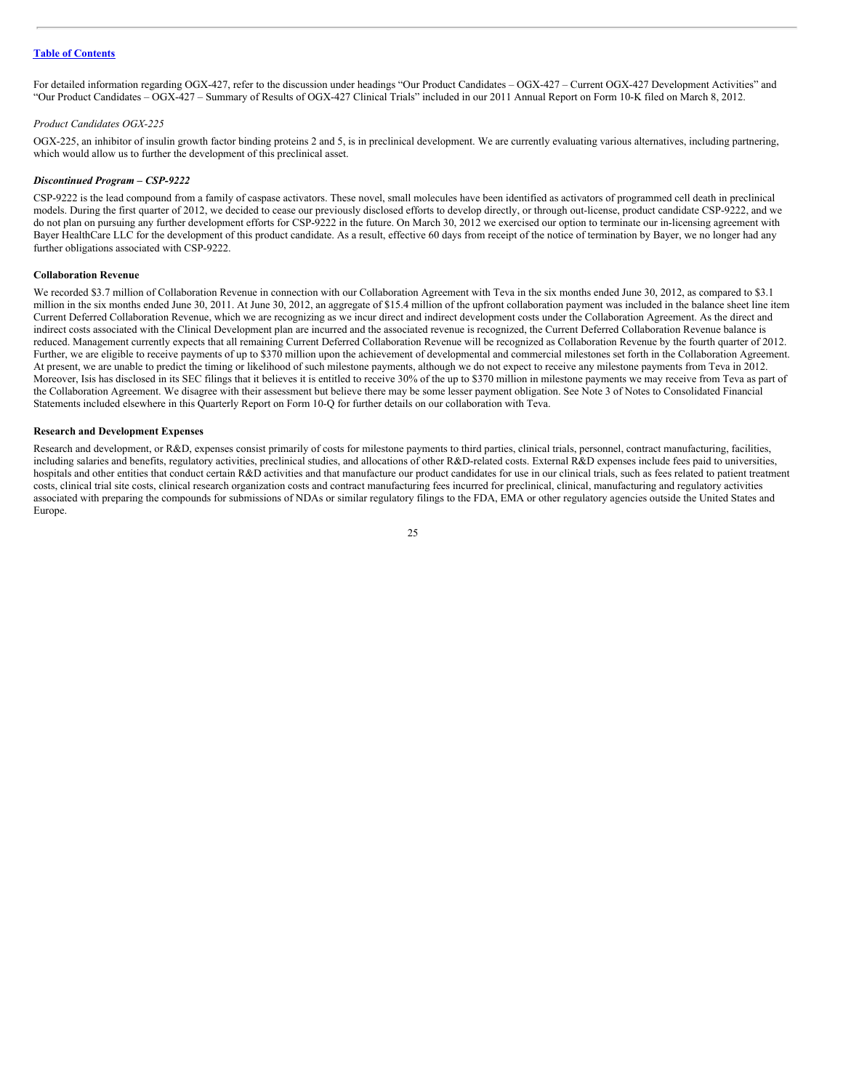For detailed information regarding OGX-427, refer to the discussion under headings "Our Product Candidates - OGX-427 - Current OGX-427 Development Activities" and "Our Product Candidates – OGX-427 – Summary of Results of OGX-427 Clinical Trials" included in our 2011 Annual Report on Form 10-K filed on March 8, 2012.

#### *Product Candidates OGX-225*

OGX-225, an inhibitor of insulin growth factor binding proteins 2 and 5, is in preclinical development. We are currently evaluating various alternatives, including partnering, which would allow us to further the development of this preclinical asset.

## *Discontinued Program – CSP-9222*

CSP-9222 is the lead compound from a family of caspase activators. These novel, small molecules have been identified as activators of programmed cell death in preclinical models. During the first quarter of 2012, we decided to cease our previously disclosed efforts to develop directly, or through out-license, product candidate CSP-9222, and we do not plan on pursuing any further development efforts for CSP-9222 in the future. On March 30, 2012 we exercised our option to terminate our in-licensing agreement with Bayer HealthCare LLC for the development of this product candidate. As a result, effective 60 days from receipt of the notice of termination by Bayer, we no longer had any further obligations associated with CSP-9222.

#### **Collaboration Revenue**

We recorded \$3.7 million of Collaboration Revenue in connection with our Collaboration Agreement with Teva in the six months ended June 30, 2012, as compared to \$3.1 million in the six months ended June 30, 2011. At June 30, 2012, an aggregate of \$15.4 million of the upfront collaboration payment was included in the balance sheet line item Current Deferred Collaboration Revenue, which we are recognizing as we incur direct and indirect development costs under the Collaboration Agreement. As the direct and indirect costs associated with the Clinical Development plan are incurred and the associated revenue is recognized, the Current Deferred Collaboration Revenue balance is reduced. Management currently expects that all remaining Current Deferred Collaboration Revenue will be recognized as Collaboration Revenue by the fourth quarter of 2012. Further, we are eligible to receive payments of up to \$370 million upon the achievement of developmental and commercial milestones set forth in the Collaboration Agreement. At present, we are unable to predict the timing or likelihood of such milestone payments, although we do not expect to receive any milestone payments from Teva in 2012. Moreover, Isis has disclosed in its SEC filings that it believes it is entitled to receive 30% of the up to \$370 million in milestone payments we may receive from Teva as part of the Collaboration Agreement. We disagree with their assessment but believe there may be some lesser payment obligation. See Note 3 of Notes to Consolidated Financial Statements included elsewhere in this Quarterly Report on Form 10-Q for further details on our collaboration with Teva.

#### **Research and Development Expenses**

Research and development, or R&D, expenses consist primarily of costs for milestone payments to third parties, clinical trials, personnel, contract manufacturing, facilities, including salaries and benefits, regulatory activities, preclinical studies, and allocations of other R&D-related costs. External R&D expenses include fees paid to universities, hospitals and other entities that conduct certain R&D activities and that manufacture our product candidates for use in our clinical trials, such as fees related to patient treatment costs, clinical trial site costs, clinical research organization costs and contract manufacturing fees incurred for preclinical, clinical, manufacturing and regulatory activities associated with preparing the compounds for submissions of NDAs or similar regulatory filings to the FDA, EMA or other regulatory agencies outside the United States and Europe.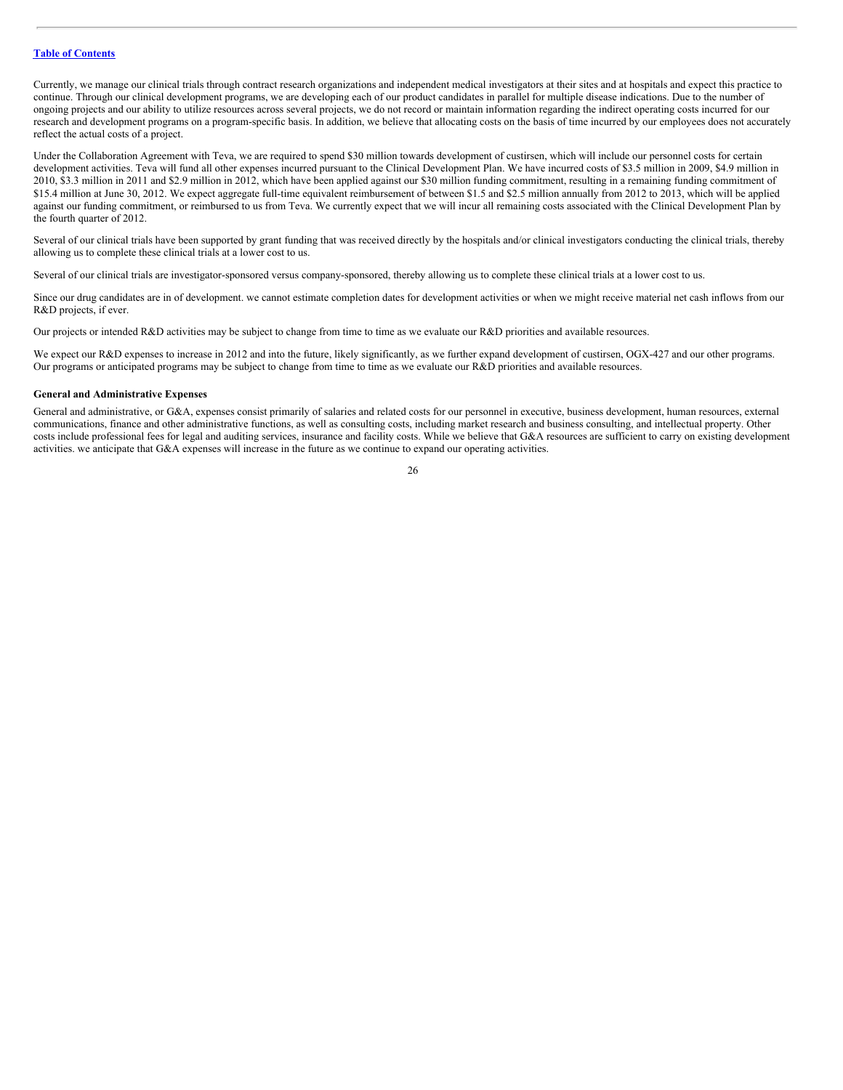Currently, we manage our clinical trials through contract research organizations and independent medical investigators at their sites and at hospitals and expect this practice to continue. Through our clinical development programs, we are developing each of our product candidates in parallel for multiple disease indications. Due to the number of ongoing projects and our ability to utilize resources across several projects, we do not record or maintain information regarding the indirect operating costs incurred for our research and development programs on a program-specific basis. In addition, we believe that allocating costs on the basis of time incurred by our employees does not accurately reflect the actual costs of a project.

Under the Collaboration Agreement with Teva, we are required to spend \$30 million towards development of custirsen, which will include our personnel costs for certain development activities. Teva will fund all other expenses incurred pursuant to the Clinical Development Plan. We have incurred costs of \$3.5 million in 2009, \$4.9 million in 2010, \$3.3 million in 2011 and \$2.9 million in 2012, which have been applied against our \$30 million funding commitment, resulting in a remaining funding commitment of \$15.4 million at June 30, 2012. We expect aggregate full-time equivalent reimbursement of between \$1.5 and \$2.5 million annually from 2012 to 2013, which will be applied against our funding commitment, or reimbursed to us from Teva. We currently expect that we will incur all remaining costs associated with the Clinical Development Plan by the fourth quarter of 2012.

Several of our clinical trials have been supported by grant funding that was received directly by the hospitals and/or clinical investigators conducting the clinical trials, thereby allowing us to complete these clinical trials at a lower cost to us.

Several of our clinical trials are investigator-sponsored versus company-sponsored, thereby allowing us to complete these clinical trials at a lower cost to us.

Since our drug candidates are in of development. we cannot estimate completion dates for development activities or when we might receive material net cash inflows from our R&D projects, if ever.

Our projects or intended R&D activities may be subject to change from time to time as we evaluate our R&D priorities and available resources.

We expect our R&D expenses to increase in 2012 and into the future, likely significantly, as we further expand development of custirsen, OGX-427 and our other programs. Our programs or anticipated programs may be subject to change from time to time as we evaluate our R&D priorities and available resources.

## **General and Administrative Expenses**

General and administrative, or G&A, expenses consist primarily of salaries and related costs for our personnel in executive, business development, human resources, external communications, finance and other administrative functions, as well as consulting costs, including market research and business consulting, and intellectual property. Other costs include professional fees for legal and auditing services, insurance and facility costs. While we believe that G&A resources are sufficient to carry on existing development activities. we anticipate that G&A expenses will increase in the future as we continue to expand our operating activities.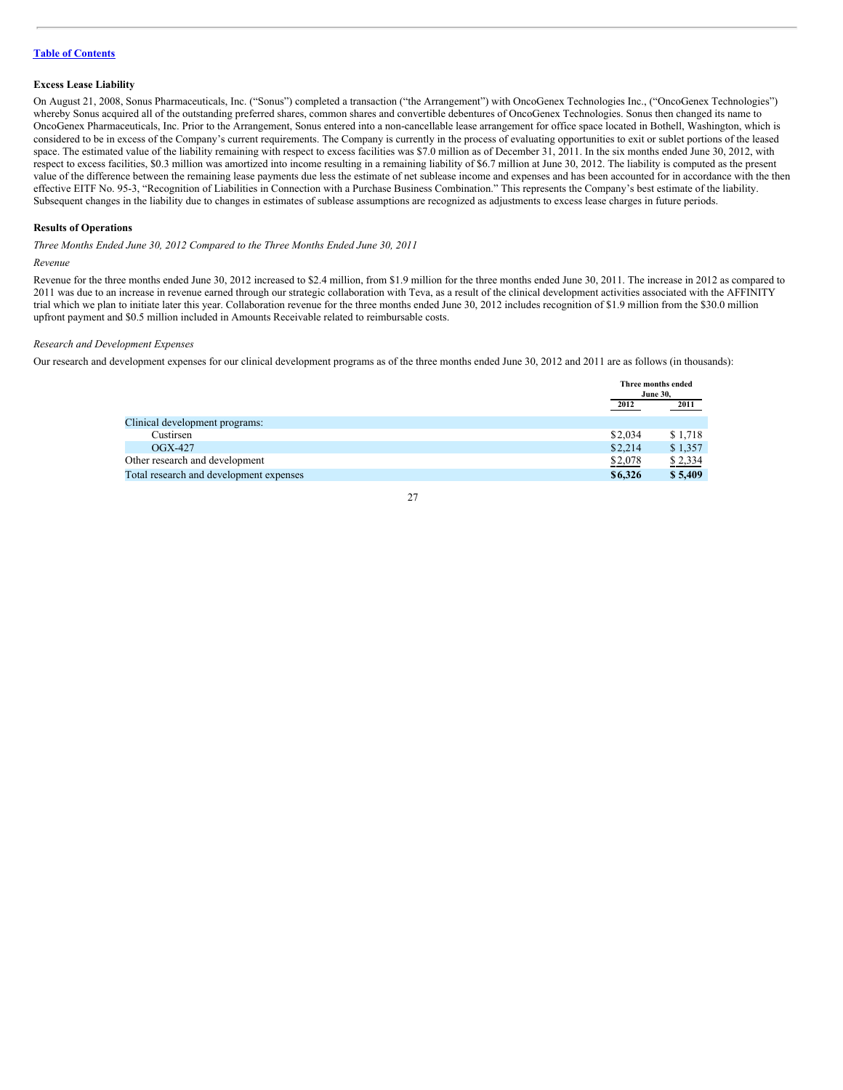#### **Excess Lease Liability**

On August 21, 2008, Sonus Pharmaceuticals, Inc. ("Sonus") completed a transaction ("the Arrangement") with OncoGenex Technologies Inc., ("OncoGenex Technologies") whereby Sonus acquired all of the outstanding preferred shares, common shares and convertible debentures of OncoGenex Technologies. Sonus then changed its name to OncoGenex Pharmaceuticals, Inc. Prior to the Arrangement, Sonus entered into a non-cancellable lease arrangement for office space located in Bothell, Washington, which is considered to be in excess of the Company's current requirements. The Company is currently in the process of evaluating opportunities to exit or sublet portions of the leased space. The estimated value of the liability remaining with respect to excess facilities was \$7.0 million as of December 31, 2011. In the six months ended June 30, 2012, with respect to excess facilities, \$0.3 million was amortized into income resulting in a remaining liability of \$6.7 million at June 30, 2012. The liability is computed as the present value of the difference between the remaining lease payments due less the estimate of net sublease income and expenses and has been accounted for in accordance with the then effective EITF No. 95-3, "Recognition of Liabilities in Connection with a Purchase Business Combination." This represents the Company's best estimate of the liability. Subsequent changes in the liability due to changes in estimates of sublease assumptions are recognized as adjustments to excess lease charges in future periods.

#### **Results of Operations**

*Three Months Ended June 30, 2012 Compared to the Three Months Ended June 30, 2011*

#### *Revenue*

Revenue for the three months ended June 30, 2012 increased to \$2.4 million, from \$1.9 million for the three months ended June 30, 2011. The increase in 2012 as compared to 2011 was due to an increase in revenue earned through our strategic collaboration with Teva, as a result of the clinical development activities associated with the AFFINITY trial which we plan to initiate later this year. Collaboration revenue for the three months ended June 30, 2012 includes recognition of \$1.9 million from the \$30.0 million upfront payment and \$0.5 million included in Amounts Receivable related to reimbursable costs.

#### *Research and Development Expenses*

Our research and development expenses for our clinical development programs as of the three months ended June 30, 2012 and 2011 are as follows (in thousands):

|                                         |         | Three months ended<br><b>June 30.</b> |  |
|-----------------------------------------|---------|---------------------------------------|--|
|                                         | 2012    | 2011                                  |  |
| Clinical development programs:          |         |                                       |  |
| Custirsen                               | \$2,034 | \$1,718                               |  |
| OGX-427                                 | \$2,214 | \$1,357                               |  |
| Other research and development          | \$2,078 | \$2,334                               |  |
| Total research and development expenses | \$6,326 | \$5,409                               |  |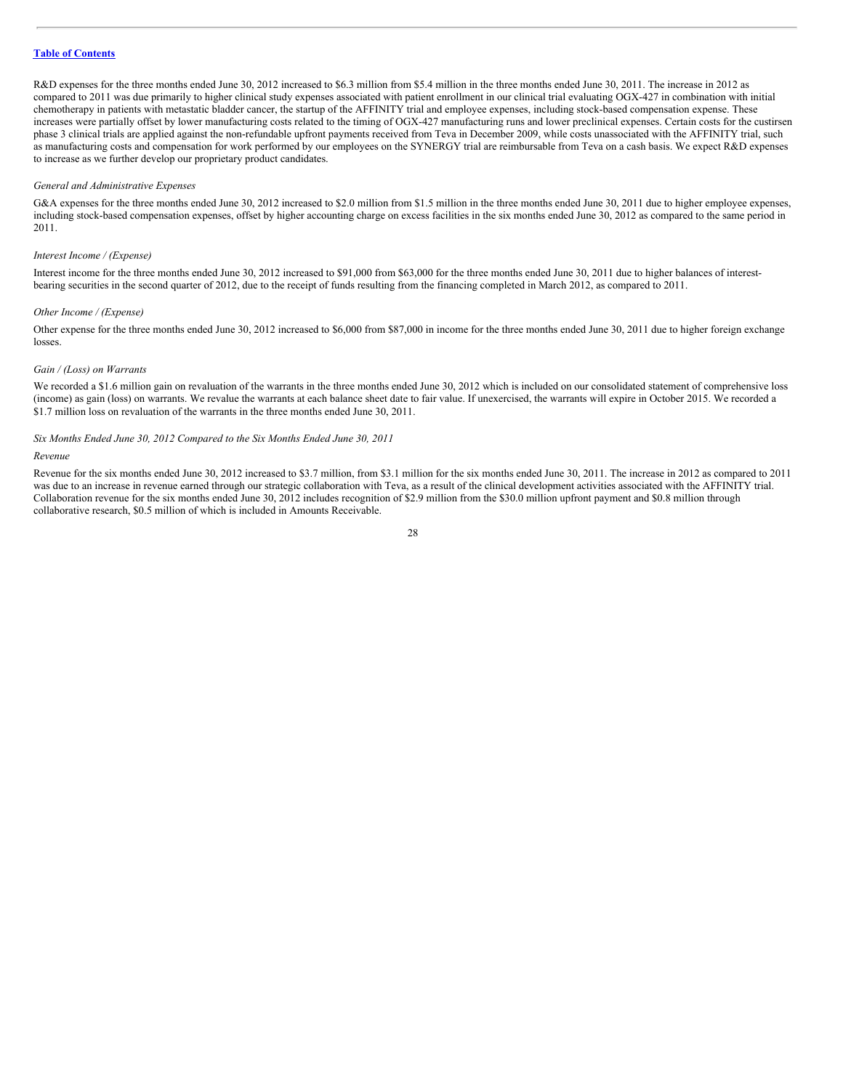R&D expenses for the three months ended June 30, 2012 increased to \$6.3 million from \$5.4 million in the three months ended June 30, 2011. The increase in 2012 as compared to 2011 was due primarily to higher clinical study expenses associated with patient enrollment in our clinical trial evaluating OGX-427 in combination with initial chemotherapy in patients with metastatic bladder cancer, the startup of the AFFINITY trial and employee expenses, including stock-based compensation expense. These increases were partially offset by lower manufacturing costs related to the timing of OGX-427 manufacturing runs and lower preclinical expenses. Certain costs for the custirsen phase 3 clinical trials are applied against the non-refundable upfront payments received from Teva in December 2009, while costs unassociated with the AFFINITY trial, such as manufacturing costs and compensation for work performed by our employees on the SYNERGY trial are reimbursable from Teva on a cash basis. We expect R&D expenses to increase as we further develop our proprietary product candidates.

#### *General and Administrative Expenses*

G&A expenses for the three months ended June 30, 2012 increased to \$2.0 million from \$1.5 million in the three months ended June 30, 2011 due to higher employee expenses, including stock-based compensation expenses, offset by higher accounting charge on excess facilities in the six months ended June 30, 2012 as compared to the same period in 2011.

## *Interest Income / (Expense)*

Interest income for the three months ended June 30, 2012 increased to \$91,000 from \$63,000 for the three months ended June 30, 2011 due to higher balances of interestbearing securities in the second quarter of 2012, due to the receipt of funds resulting from the financing completed in March 2012, as compared to 2011.

#### *Other Income / (Expense)*

Other expense for the three months ended June 30, 2012 increased to \$6,000 from \$87,000 in income for the three months ended June 30, 2011 due to higher foreign exchange losses.

#### *Gain / (Loss) on Warrants*

We recorded a \$1.6 million gain on revaluation of the warrants in the three months ended June 30, 2012 which is included on our consolidated statement of comprehensive loss (income) as gain (loss) on warrants. We revalue the warrants at each balance sheet date to fair value. If unexercised, the warrants will expire in October 2015. We recorded a \$1.7 million loss on revaluation of the warrants in the three months ended June 30, 2011.

#### *Six Months Ended June 30, 2012 Compared to the Six Months Ended June 30, 2011*

#### *Revenue*

Revenue for the six months ended June 30, 2012 increased to \$3.7 million, from \$3.1 million for the six months ended June 30, 2011. The increase in 2012 as compared to 2011 was due to an increase in revenue earned through our strategic collaboration with Teva, as a result of the clinical development activities associated with the AFFINITY trial. Collaboration revenue for the six months ended June 30, 2012 includes recognition of \$2.9 million from the \$30.0 million upfront payment and \$0.8 million through collaborative research, \$0.5 million of which is included in Amounts Receivable.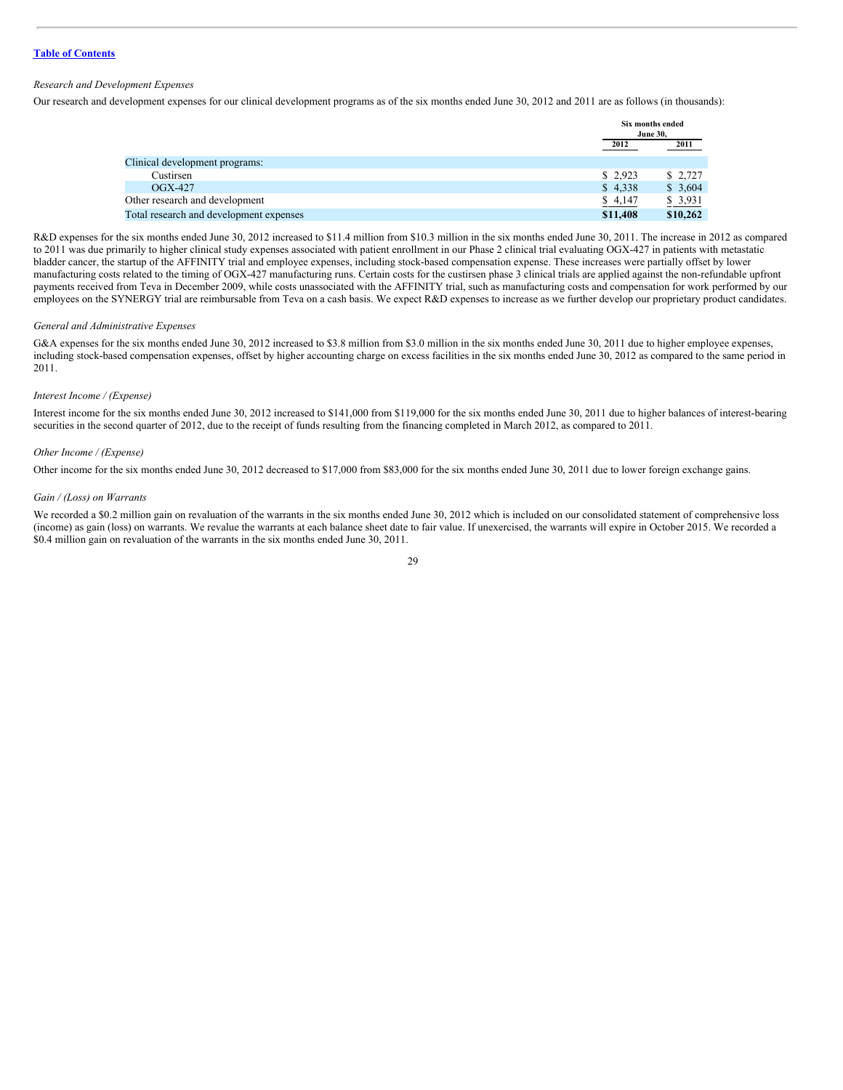## *Research and Development Expenses*

Our research and development expenses for our clinical development programs as of the six months ended June 30, 2012 and 2011 are as follows (in thousands):

|                                         |          | Six months ended<br><b>June 30,</b> |  |
|-----------------------------------------|----------|-------------------------------------|--|
|                                         | 2012     | 2011                                |  |
| Clinical development programs:          |          |                                     |  |
| Custirsen                               | \$ 2.923 | \$2,727                             |  |
| OGX-427                                 | \$4,338  | \$3,604                             |  |
| Other research and development          | \$4,147  | \$3,931                             |  |
| Total research and development expenses | \$11,408 | \$10,262                            |  |

R&D expenses for the six months ended June 30, 2012 increased to \$11.4 million from \$10.3 million in the six months ended June 30, 2011. The increase in 2012 as compared to 2011 was due primarily to higher clinical study expenses associated with patient enrollment in our Phase 2 clinical trial evaluating OGX-427 in patients with metastatic bladder cancer, the startup of the AFFINITY trial and employee expenses, including stock-based compensation expense. These increases were partially offset by lower manufacturing costs related to the timing of OGX-427 manufacturing runs. Certain costs for the custirsen phase 3 clinical trials are applied against the non-refundable upfront payments received from Teva in December 2009, while costs unassociated with the AFFINITY trial, such as manufacturing costs and compensation for work performed by our employees on the SYNERGY trial are reimbursable from Teva on a cash basis. We expect R&D expenses to increase as we further develop our proprietary product candidates.

#### *General and Administrative Expenses*

G&A expenses for the six months ended June 30, 2012 increased to \$3.8 million from \$3.0 million in the six months ended June 30, 2011 due to higher employee expenses, including stock-based compensation expenses, offset by higher accounting charge on excess facilities in the six months ended June 30, 2012 as compared to the same period in 2011.

#### *Interest Income / (Expense)*

Interest income for the six months ended June 30, 2012 increased to \$141,000 from \$119,000 for the six months ended June 30, 2011 due to higher balances of interest-bearing securities in the second quarter of 2012, due to the receipt of funds resulting from the financing completed in March 2012, as compared to 2011.

#### *Other Income / (Expense)*

Other income for the six months ended June 30, 2012 decreased to \$17,000 from \$83,000 for the six months ended June 30, 2011 due to lower foreign exchange gains.

## *Gain / (Loss) on Warrants*

We recorded a \$0.2 million gain on revaluation of the warrants in the six months ended June 30, 2012 which is included on our consolidated statement of comprehensive loss (income) as gain (loss) on warrants. We revalue the warrants at each balance sheet date to fair value. If unexercised, the warrants will expire in October 2015. We recorded a \$0.4 million gain on revaluation of the warrants in the six months ended June 30, 2011.

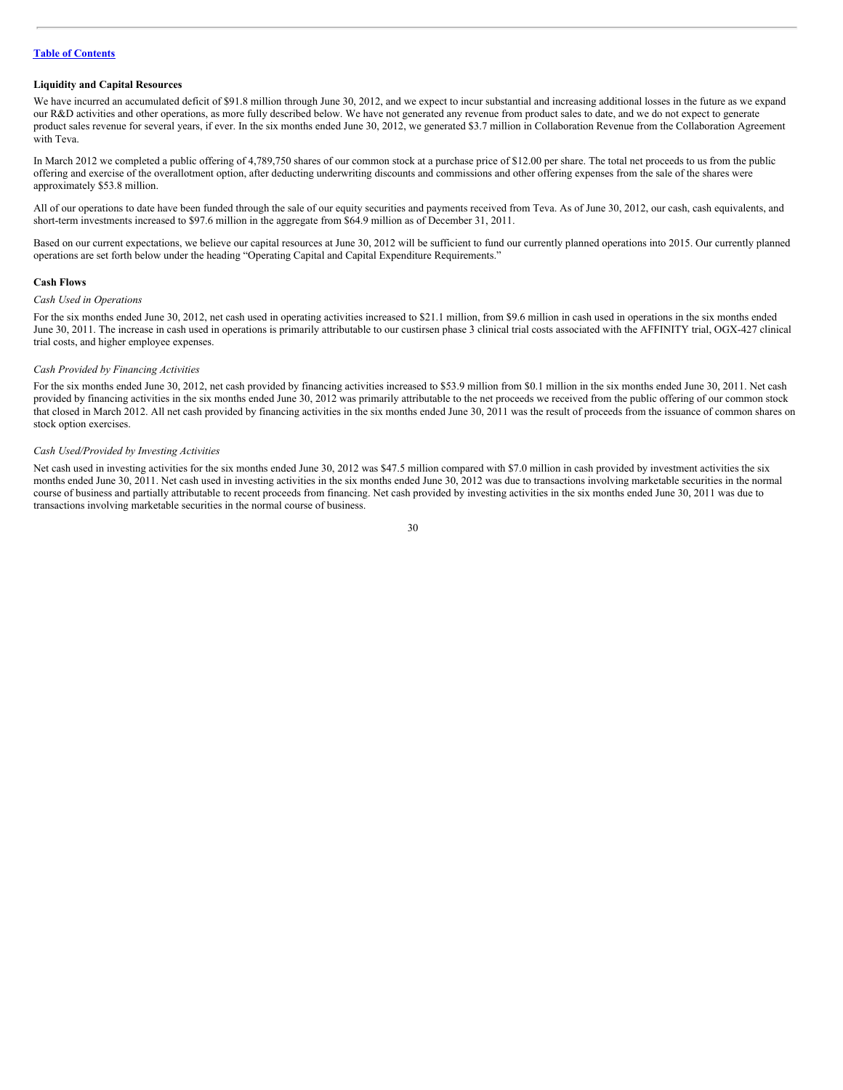#### **Liquidity and Capital Resources**

We have incurred an accumulated deficit of \$91.8 million through June 30, 2012, and we expect to incur substantial and increasing additional losses in the future as we expand our R&D activities and other operations, as more fully described below. We have not generated any revenue from product sales to date, and we do not expect to generate product sales revenue for several years, if ever. In the six months ended June 30, 2012, we generated \$3.7 million in Collaboration Revenue from the Collaboration Agreement with Teva.

In March 2012 we completed a public offering of 4,789,750 shares of our common stock at a purchase price of \$12.00 per share. The total net proceeds to us from the public offering and exercise of the overallotment option, after deducting underwriting discounts and commissions and other offering expenses from the sale of the shares were approximately \$53.8 million.

All of our operations to date have been funded through the sale of our equity securities and payments received from Teva. As of June 30, 2012, our cash, cash equivalents, and short-term investments increased to \$97.6 million in the aggregate from \$64.9 million as of December 31, 2011.

Based on our current expectations, we believe our capital resources at June 30, 2012 will be sufficient to fund our currently planned operations into 2015. Our currently planned operations are set forth below under the heading "Operating Capital and Capital Expenditure Requirements."

#### **Cash Flows**

#### *Cash Used in Operations*

For the six months ended June 30, 2012, net cash used in operating activities increased to \$21.1 million, from \$9.6 million in cash used in operations in the six months ended June 30, 2011. The increase in cash used in operations is primarily attributable to our custirsen phase 3 clinical trial costs associated with the AFFINITY trial, OGX-427 clinical trial costs, and higher employee expenses.

#### *Cash Provided by Financing Activities*

For the six months ended June 30, 2012, net cash provided by financing activities increased to \$53.9 million from \$0.1 million in the six months ended June 30, 2011. Net cash provided by financing activities in the six months ended June 30, 2012 was primarily attributable to the net proceeds we received from the public offering of our common stock that closed in March 2012. All net cash provided by financing activities in the six months ended June 30, 2011 was the result of proceeds from the issuance of common shares on stock option exercises.

#### *Cash Used/Provided by Investing Activities*

Net cash used in investing activities for the six months ended June 30, 2012 was \$47.5 million compared with \$7.0 million in cash provided by investment activities the six months ended June 30, 2011. Net cash used in investing activities in the six months ended June 30, 2012 was due to transactions involving marketable securities in the normal course of business and partially attributable to recent proceeds from financing. Net cash provided by investing activities in the six months ended June 30, 2011 was due to transactions involving marketable securities in the normal course of business.

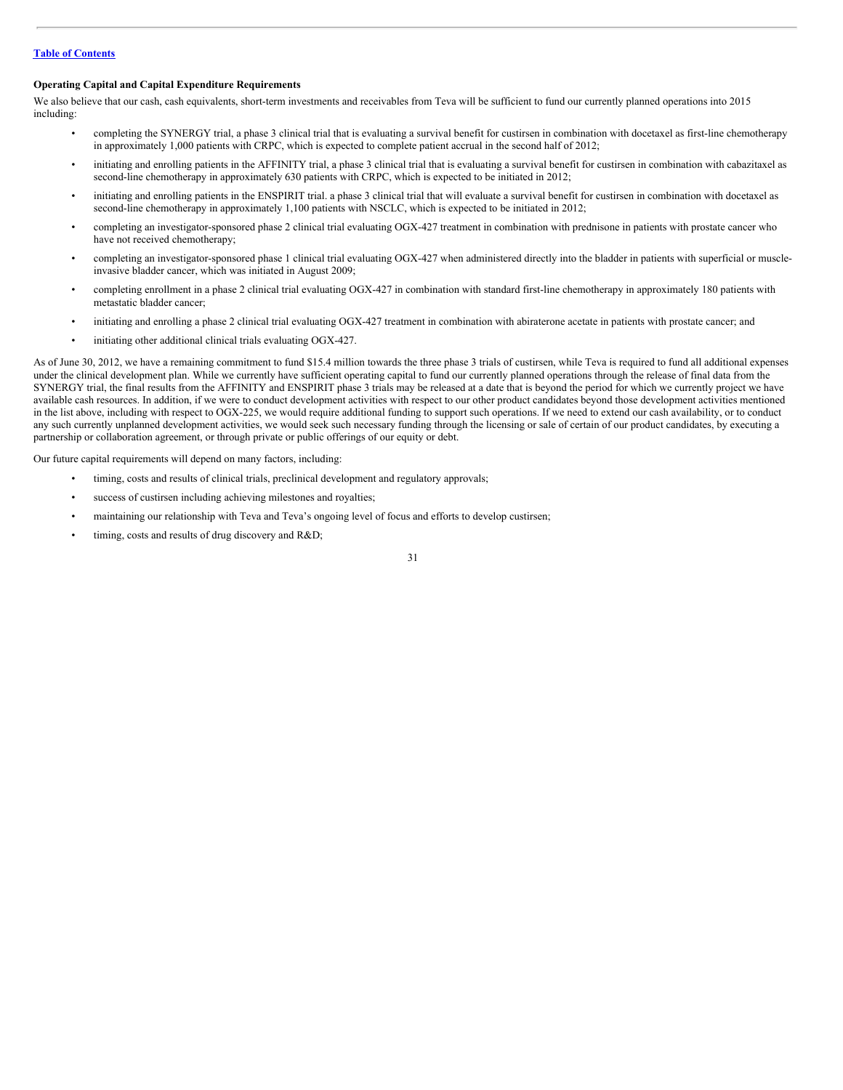## **Operating Capital and Capital Expenditure Requirements**

We also believe that our cash, cash equivalents, short-term investments and receivables from Teva will be sufficient to fund our currently planned operations into 2015 including:

- completing the SYNERGY trial, a phase 3 clinical trial that is evaluating a survival benefit for custirsen in combination with docetaxel as first-line chemotherapy in approximately 1,000 patients with CRPC, which is expected to complete patient accrual in the second half of 2012;
- initiating and enrolling patients in the AFFINITY trial, a phase 3 clinical trial that is evaluating a survival benefit for custirsen in combination with cabazitaxel as second-line chemotherapy in approximately 630 patients with CRPC, which is expected to be initiated in 2012;
- initiating and enrolling patients in the ENSPIRIT trial. a phase 3 clinical trial that will evaluate a survival benefit for custirsen in combination with docetaxel as second-line chemotherapy in approximately 1,100 patients with NSCLC, which is expected to be initiated in 2012;
- completing an investigator-sponsored phase 2 clinical trial evaluating OGX-427 treatment in combination with prednisone in patients with prostate cancer who have not received chemotherapy;
- completing an investigator-sponsored phase 1 clinical trial evaluating OGX-427 when administered directly into the bladder in patients with superficial or muscleinvasive bladder cancer, which was initiated in August 2009;
- completing enrollment in a phase 2 clinical trial evaluating OGX-427 in combination with standard first-line chemotherapy in approximately 180 patients with metastatic bladder cancer;
- initiating and enrolling a phase 2 clinical trial evaluating OGX-427 treatment in combination with abiraterone acetate in patients with prostate cancer; and
- initiating other additional clinical trials evaluating OGX-427.

As of June 30, 2012, we have a remaining commitment to fund \$15.4 million towards the three phase 3 trials of custirsen, while Teva is required to fund all additional expenses under the clinical development plan. While we currently have sufficient operating capital to fund our currently planned operations through the release of final data from the SYNERGY trial, the final results from the AFFINITY and ENSPIRIT phase 3 trials may be released at a date that is beyond the period for which we currently project we have available cash resources. In addition, if we were to conduct development activities with respect to our other product candidates beyond those development activities mentioned in the list above, including with respect to OGX-225, we would require additional funding to support such operations. If we need to extend our cash availability, or to conduct any such currently unplanned development activities, we would seek such necessary funding through the licensing or sale of certain of our product candidates, by executing a partnership or collaboration agreement, or through private or public offerings of our equity or debt.

Our future capital requirements will depend on many factors, including:

- timing, costs and results of clinical trials, preclinical development and regulatory approvals;
- success of custirsen including achieving milestones and royalties;
- maintaining our relationship with Teva and Teva's ongoing level of focus and efforts to develop custirsen;
- timing, costs and results of drug discovery and R&D;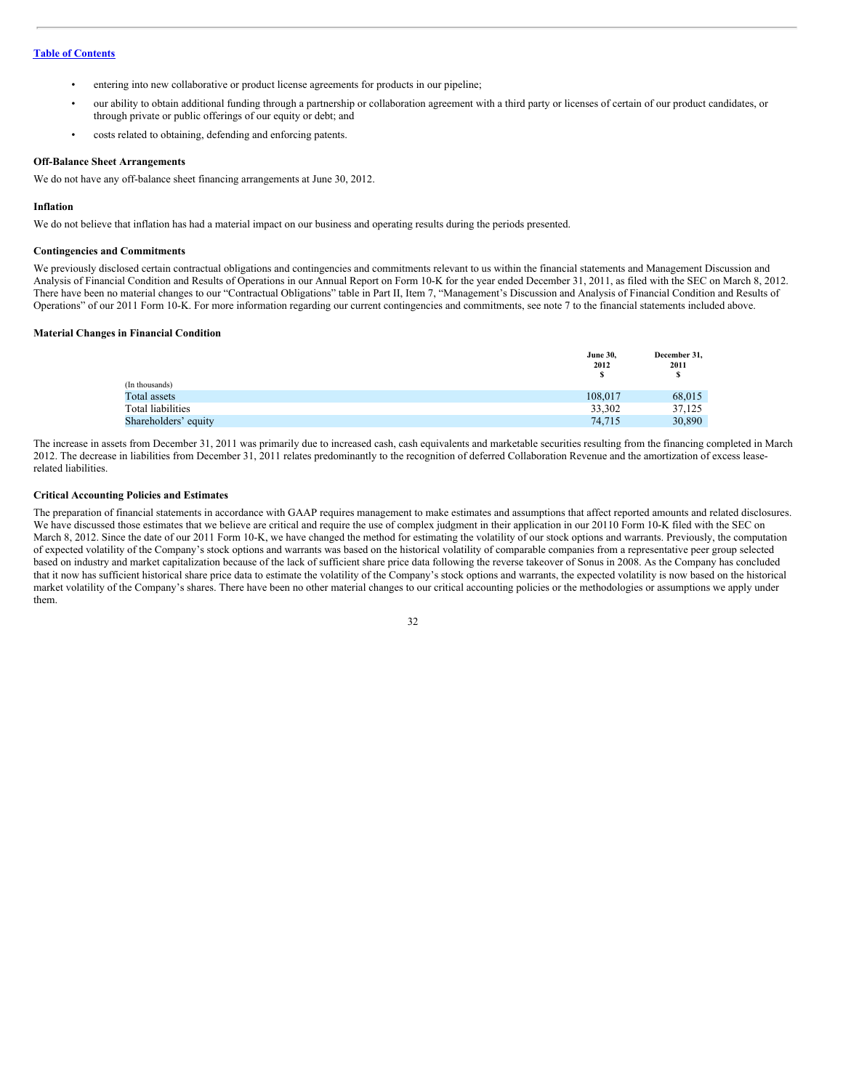- entering into new collaborative or product license agreements for products in our pipeline;
- our ability to obtain additional funding through a partnership or collaboration agreement with a third party or licenses of certain of our product candidates, or through private or public offerings of our equity or debt; and
- costs related to obtaining, defending and enforcing patents.

## **Off-Balance Sheet Arrangements**

We do not have any off-balance sheet financing arrangements at June 30, 2012.

#### **Inflation**

We do not believe that inflation has had a material impact on our business and operating results during the periods presented.

## **Contingencies and Commitments**

We previously disclosed certain contractual obligations and contingencies and commitments relevant to us within the financial statements and Management Discussion and Analysis of Financial Condition and Results of Operations in our Annual Report on Form 10-K for the year ended December 31, 2011, as filed with the SEC on March 8, 2012. There have been no material changes to our "Contractual Obligations" table in Part II, Item 7, "Management's Discussion and Analysis of Financial Condition and Results of Operations" of our 2011 Form 10-K. For more information regarding our current contingencies and commitments, see note 7 to the financial statements included above.

## **Material Changes in Financial Condition**

|                      | <b>June 30,</b><br>2012 | December 31,<br>2011<br>Я |
|----------------------|-------------------------|---------------------------|
| (In thousands)       |                         |                           |
| Total assets         | 108,017                 | 68,015                    |
| Total liabilities    | 33,302                  | 37,125                    |
| Shareholders' equity | 74,715                  | 30,890                    |

The increase in assets from December 31, 2011 was primarily due to increased cash, cash equivalents and marketable securities resulting from the financing completed in March 2012. The decrease in liabilities from December 31, 2011 relates predominantly to the recognition of deferred Collaboration Revenue and the amortization of excess leaserelated liabilities.

#### **Critical Accounting Policies and Estimates**

The preparation of financial statements in accordance with GAAP requires management to make estimates and assumptions that affect reported amounts and related disclosures. We have discussed those estimates that we believe are critical and require the use of complex judgment in their application in our 20110 Form 10-K filed with the SEC on March 8, 2012. Since the date of our 2011 Form 10-K, we have changed the method for estimating the volatility of our stock options and warrants. Previously, the computation of expected volatility of the Company's stock options and warrants was based on the historical volatility of comparable companies from a representative peer group selected based on industry and market capitalization because of the lack of sufficient share price data following the reverse takeover of Sonus in 2008. As the Company has concluded that it now has sufficient historical share price data to estimate the volatility of the Company's stock options and warrants, the expected volatility is now based on the historical market volatility of the Company's shares. There have been no other material changes to our critical accounting policies or the methodologies or assumptions we apply under them.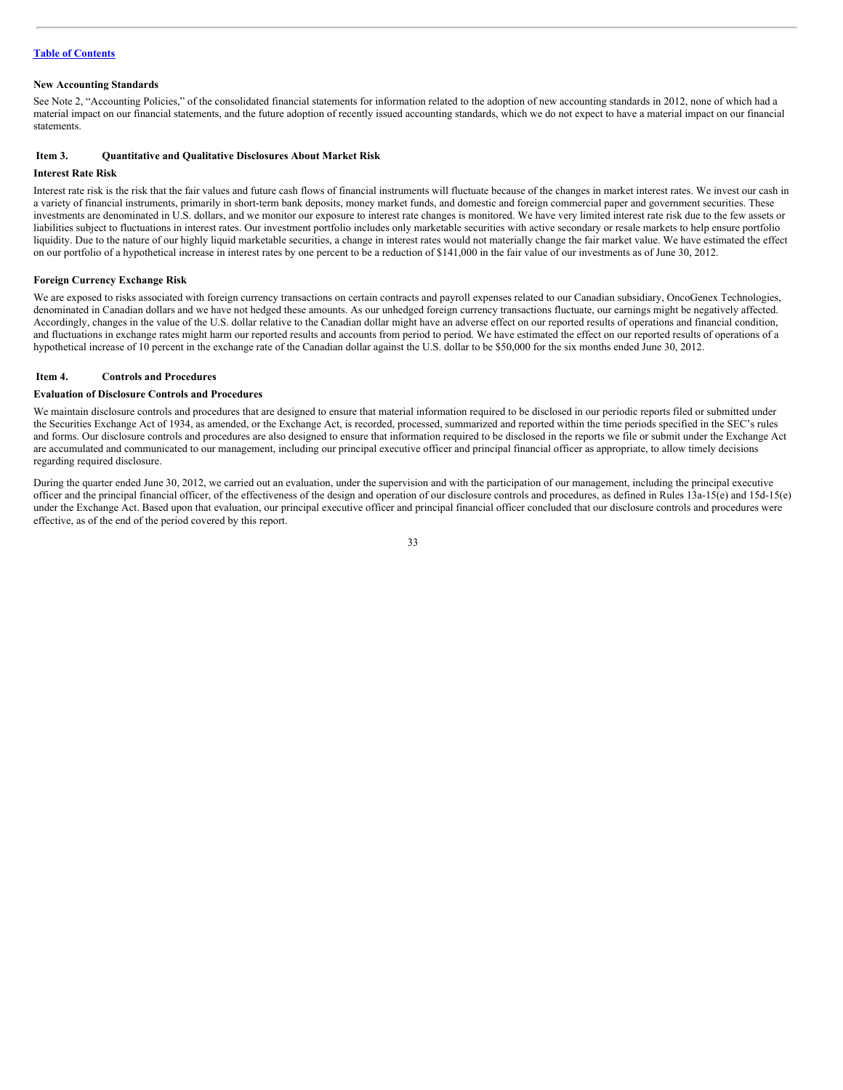## **New Accounting Standards**

See Note 2, "Accounting Policies," of the consolidated financial statements for information related to the adoption of new accounting standards in 2012, none of which had a material impact on our financial statements, and the future adoption of recently issued accounting standards, which we do not expect to have a material impact on our financial statements.

## <span id="page-32-0"></span>**Item 3. Quantitative and Qualitative Disclosures About Market Risk**

## **Interest Rate Risk**

Interest rate risk is the risk that the fair values and future cash flows of financial instruments will fluctuate because of the changes in market interest rates. We invest our cash in a variety of financial instruments, primarily in short-term bank deposits, money market funds, and domestic and foreign commercial paper and government securities. These investments are denominated in U.S. dollars, and we monitor our exposure to interest rate changes is monitored. We have very limited interest rate risk due to the few assets or liabilities subject to fluctuations in interest rates. Our investment portfolio includes only marketable securities with active secondary or resale markets to help ensure portfolio liquidity. Due to the nature of our highly liquid marketable securities, a change in interest rates would not materially change the fair market value. We have estimated the effect on our portfolio of a hypothetical increase in interest rates by one percent to be a reduction of \$141,000 in the fair value of our investments as of June 30, 2012.

## **Foreign Currency Exchange Risk**

We are exposed to risks associated with foreign currency transactions on certain contracts and payroll expenses related to our Canadian subsidiary, OncoGenex Technologies, denominated in Canadian dollars and we have not hedged these amounts. As our unhedged foreign currency transactions fluctuate, our earnings might be negatively affected. Accordingly, changes in the value of the U.S. dollar relative to the Canadian dollar might have an adverse effect on our reported results of operations and financial condition, and fluctuations in exchange rates might harm our reported results and accounts from period to period. We have estimated the effect on our reported results of operations of a hypothetical increase of 10 percent in the exchange rate of the Canadian dollar against the U.S. dollar to be \$50,000 for the six months ended June 30, 2012.

#### <span id="page-32-1"></span>**Item 4. Controls and Procedures**

## **Evaluation of Disclosure Controls and Procedures**

We maintain disclosure controls and procedures that are designed to ensure that material information required to be disclosed in our periodic reports filed or submitted under the Securities Exchange Act of 1934, as amended, or the Exchange Act, is recorded, processed, summarized and reported within the time periods specified in the SEC's rules and forms. Our disclosure controls and procedures are also designed to ensure that information required to be disclosed in the reports we file or submit under the Exchange Act are accumulated and communicated to our management, including our principal executive officer and principal financial officer as appropriate, to allow timely decisions regarding required disclosure.

During the quarter ended June 30, 2012, we carried out an evaluation, under the supervision and with the participation of our management, including the principal executive officer and the principal financial officer, of the effectiveness of the design and operation of our disclosure controls and procedures, as defined in Rules 13a-15(e) and 15d-15(e) under the Exchange Act. Based upon that evaluation, our principal executive officer and principal financial officer concluded that our disclosure controls and procedures were effective, as of the end of the period covered by this report.

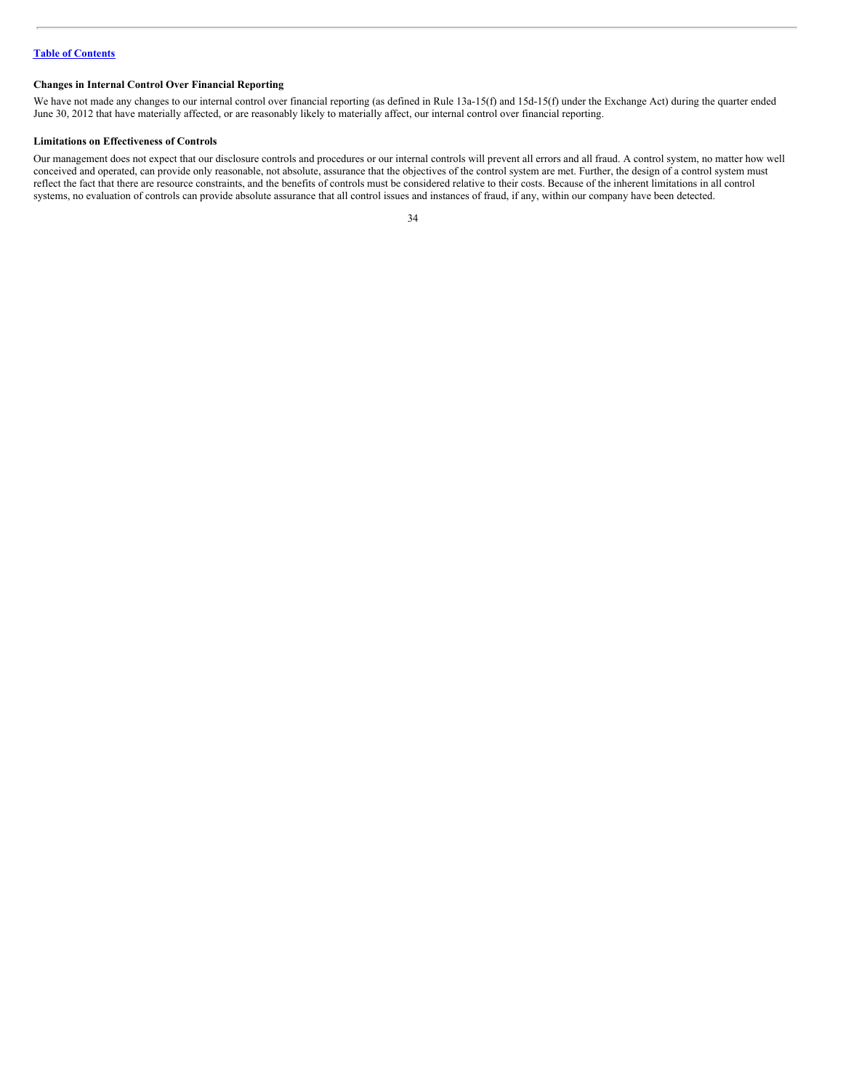## **Changes in Internal Control Over Financial Reporting**

We have not made any changes to our internal control over financial reporting (as defined in Rule 13a-15(f) and 15d-15(f) under the Exchange Act) during the quarter ended June 30, 2012 that have materially affected, or are reasonably likely to materially affect, our internal control over financial reporting.

## **Limitations on Effectiveness of Controls**

Our management does not expect that our disclosure controls and procedures or our internal controls will prevent all errors and all fraud. A control system, no matter how well conceived and operated, can provide only reasonable, not absolute, assurance that the objectives of the control system are met. Further, the design of a control system must reflect the fact that there are resource constraints, and the benefits of controls must be considered relative to their costs. Because of the inherent limitations in all control systems, no evaluation of controls can provide absolute assurance that all control issues and instances of fraud, if any, within our company have been detected.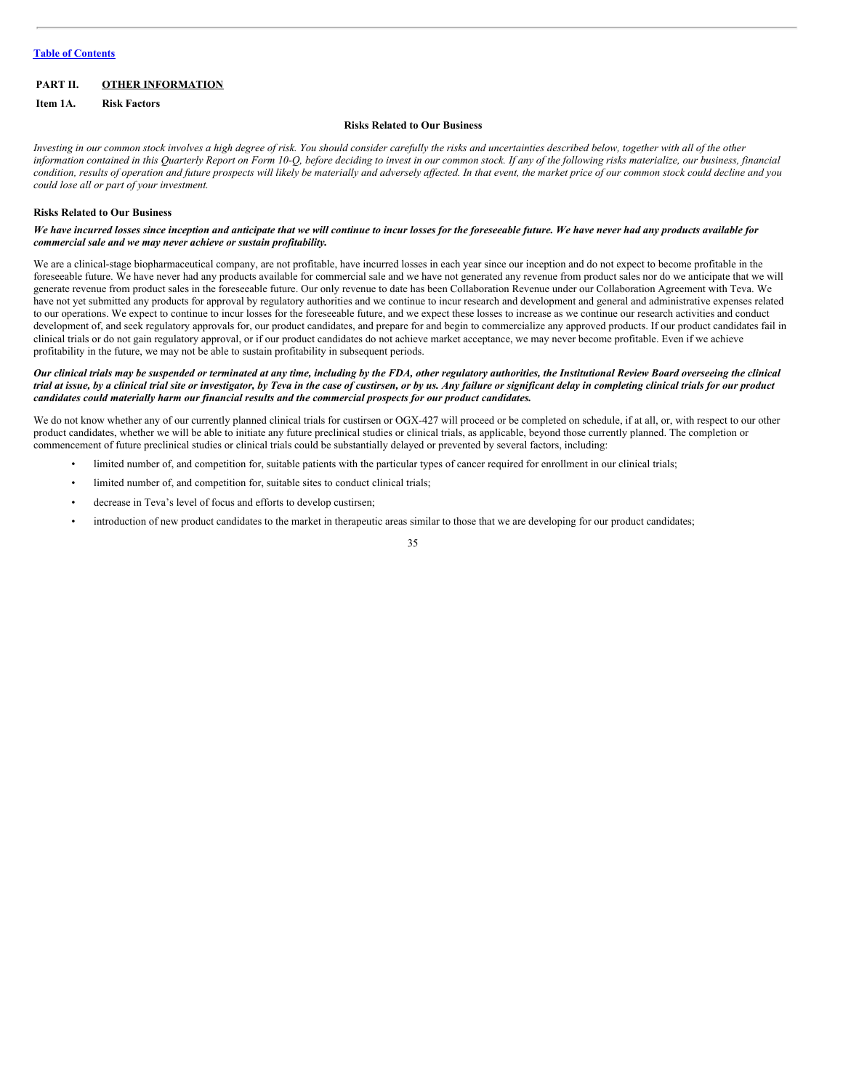## <span id="page-34-0"></span>**PART II. OTHER INFORMATION**

<span id="page-34-1"></span>**Item 1A. Risk Factors**

#### **Risks Related to Our Business**

Investing in our common stock involves a high degree of risk. You should consider carefully the risks and uncertainties described below, together with all of the other information contained in this Quarterly Report on Form 10-Q, before deciding to invest in our common stock. If any of the following risks materialize, our business, financial condition, results of operation and future prospects will likely be materially and adversely affected. In that event, the market price of our common stock could decline and you *could lose all or part of your investment.*

## **Risks Related to Our Business**

We have incurred losses since inception and anticipate that we will continue to incur losses for the foreseeable future. We have never had any products available for *commercial sale and we may never achieve or sustain profitability.*

We are a clinical-stage biopharmaceutical company, are not profitable, have incurred losses in each year since our inception and do not expect to become profitable in the foreseeable future. We have never had any products available for commercial sale and we have not generated any revenue from product sales nor do we anticipate that we will generate revenue from product sales in the foreseeable future. Our only revenue to date has been Collaboration Revenue under our Collaboration Agreement with Teva. We have not yet submitted any products for approval by regulatory authorities and we continue to incur research and development and general and administrative expenses related to our operations. We expect to continue to incur losses for the foreseeable future, and we expect these losses to increase as we continue our research activities and conduct development of, and seek regulatory approvals for, our product candidates, and prepare for and begin to commercialize any approved products. If our product candidates fail in clinical trials or do not gain regulatory approval, or if our product candidates do not achieve market acceptance, we may never become profitable. Even if we achieve profitability in the future, we may not be able to sustain profitability in subsequent periods.

#### Our clinical trials may be suspended or terminated at any time, including by the FDA, other regulatory authorities, the Institutional Review Board overseeing the clinical trial at issue, by a clinical trial site or investigator, by Teva in the case of custirsen, or by us. Any failure or significant delay in completing clinical trials for our product *candidates could materially harm our financial results and the commercial prospects for our product candidates.*

We do not know whether any of our currently planned clinical trials for custirsen or OGX-427 will proceed or be completed on schedule, if at all, or, with respect to our other product candidates, whether we will be able to initiate any future preclinical studies or clinical trials, as applicable, beyond those currently planned. The completion or commencement of future preclinical studies or clinical trials could be substantially delayed or prevented by several factors, including:

- limited number of, and competition for, suitable patients with the particular types of cancer required for enrollment in our clinical trials;
- limited number of, and competition for, suitable sites to conduct clinical trials;
- decrease in Teva's level of focus and efforts to develop custirsen;
- introduction of new product candidates to the market in therapeutic areas similar to those that we are developing for our product candidates;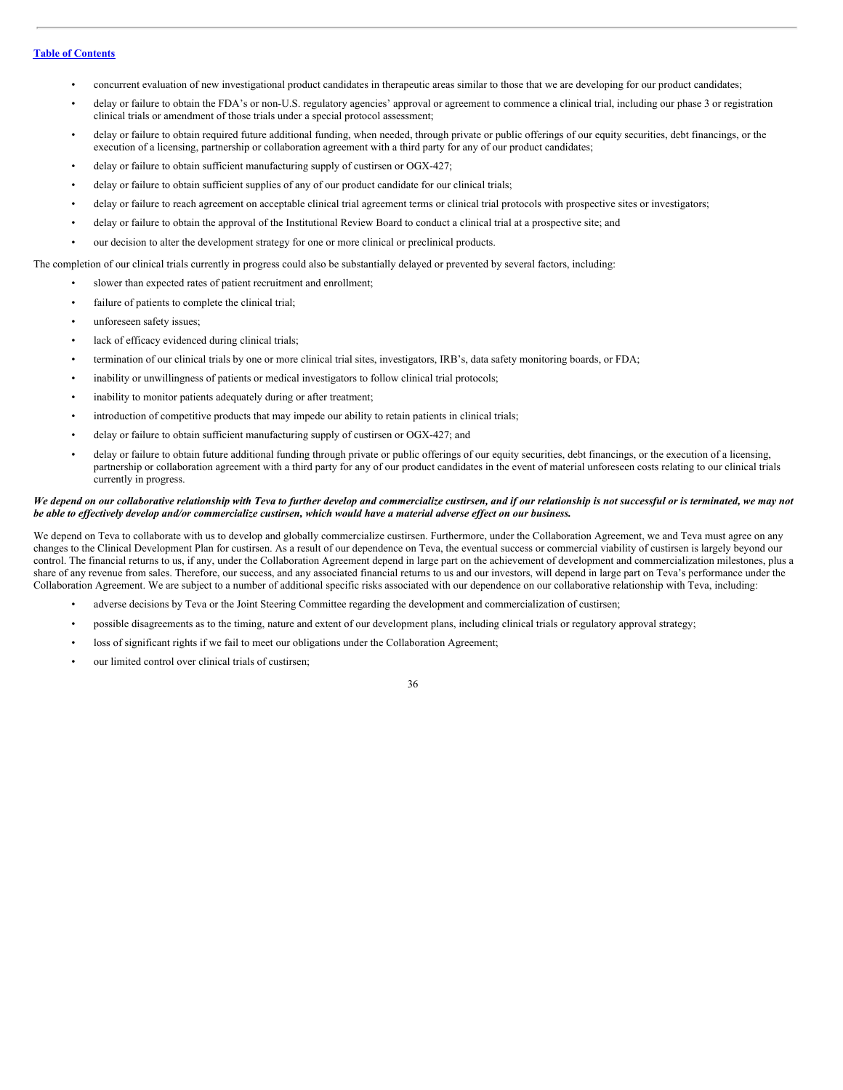- concurrent evaluation of new investigational product candidates in therapeutic areas similar to those that we are developing for our product candidates;
- delay or failure to obtain the FDA's or non-U.S. regulatory agencies' approval or agreement to commence a clinical trial, including our phase 3 or registration clinical trials or amendment of those trials under a special protocol assessment;
- delay or failure to obtain required future additional funding, when needed, through private or public offerings of our equity securities, debt financings, or the execution of a licensing, partnership or collaboration agreement with a third party for any of our product candidates;
- delay or failure to obtain sufficient manufacturing supply of custirsen or OGX-427;
- delay or failure to obtain sufficient supplies of any of our product candidate for our clinical trials;
- delay or failure to reach agreement on acceptable clinical trial agreement terms or clinical trial protocols with prospective sites or investigators;
- delay or failure to obtain the approval of the Institutional Review Board to conduct a clinical trial at a prospective site; and
- our decision to alter the development strategy for one or more clinical or preclinical products.

The completion of our clinical trials currently in progress could also be substantially delayed or prevented by several factors, including:

- slower than expected rates of patient recruitment and enrollment;
- failure of patients to complete the clinical trial;
- unforeseen safety issues;
- lack of efficacy evidenced during clinical trials;
- termination of our clinical trials by one or more clinical trial sites, investigators, IRB's, data safety monitoring boards, or FDA;
- inability or unwillingness of patients or medical investigators to follow clinical trial protocols;
- inability to monitor patients adequately during or after treatment;
- introduction of competitive products that may impede our ability to retain patients in clinical trials;
- delay or failure to obtain sufficient manufacturing supply of custirsen or OGX-427; and
- delay or failure to obtain future additional funding through private or public offerings of our equity securities, debt financings, or the execution of a licensing, partnership or collaboration agreement with a third party for any of our product candidates in the event of material unforeseen costs relating to our clinical trials currently in progress.

## We depend on our collaborative relationship with Teva to further develop and commercialize custirsen, and if our relationship is not successful or is terminated, we may not be able to effectively develop and/or commercialize custirsen, which would have a material adverse effect on our business.

We depend on Teva to collaborate with us to develop and globally commercialize custirsen. Furthermore, under the Collaboration Agreement, we and Teva must agree on any changes to the Clinical Development Plan for custirsen. As a result of our dependence on Teva, the eventual success or commercial viability of custirsen is largely beyond our control. The financial returns to us, if any, under the Collaboration Agreement depend in large part on the achievement of development and commercialization milestones, plus a share of any revenue from sales. Therefore, our success, and any associated financial returns to us and our investors, will depend in large part on Teva's performance under the Collaboration Agreement. We are subject to a number of additional specific risks associated with our dependence on our collaborative relationship with Teva, including:

- adverse decisions by Teva or the Joint Steering Committee regarding the development and commercialization of custirsen;
- possible disagreements as to the timing, nature and extent of our development plans, including clinical trials or regulatory approval strategy;
- loss of significant rights if we fail to meet our obligations under the Collaboration Agreement;
- our limited control over clinical trials of custirsen;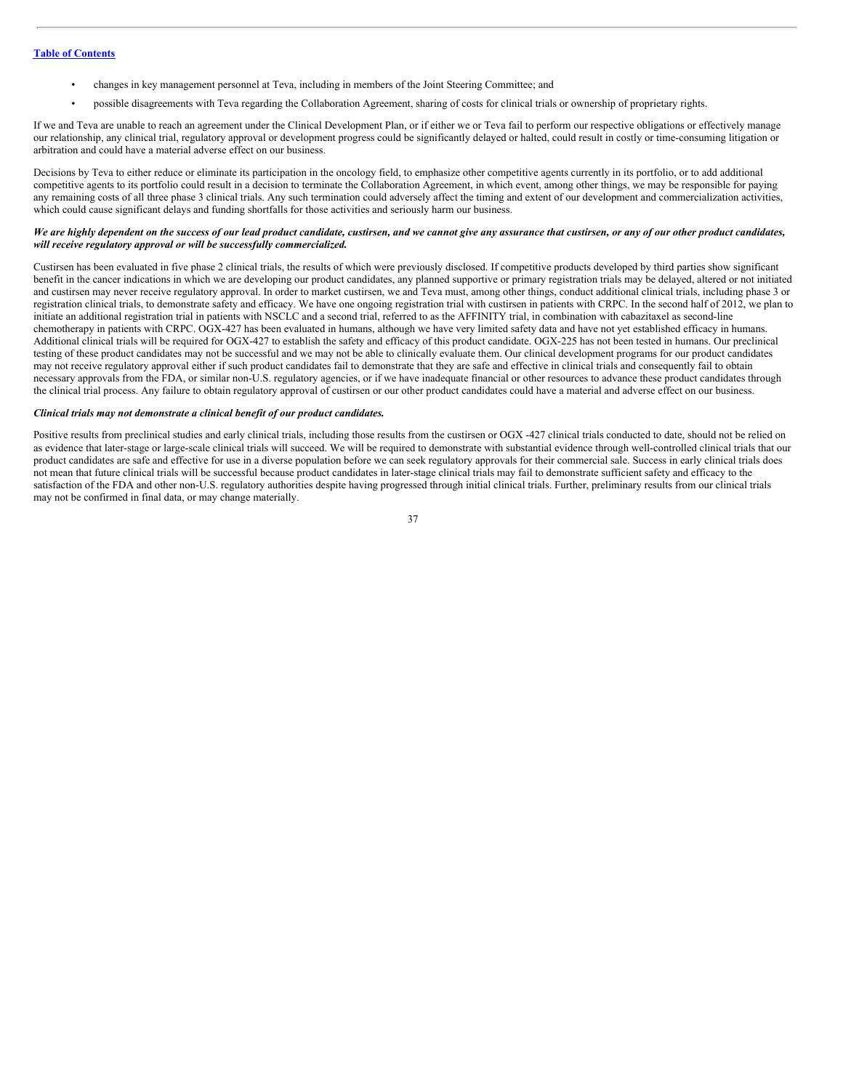- changes in key management personnel at Teva, including in members of the Joint Steering Committee; and
- possible disagreements with Teva regarding the Collaboration Agreement, sharing of costs for clinical trials or ownership of proprietary rights.

If we and Teva are unable to reach an agreement under the Clinical Development Plan, or if either we or Teva fail to perform our respective obligations or effectively manage our relationship, any clinical trial, regulatory approval or development progress could be significantly delayed or halted, could result in costly or time-consuming litigation or arbitration and could have a material adverse effect on our business.

Decisions by Teva to either reduce or eliminate its participation in the oncology field, to emphasize other competitive agents currently in its portfolio, or to add additional competitive agents to its portfolio could result in a decision to terminate the Collaboration Agreement, in which event, among other things, we may be responsible for paying any remaining costs of all three phase 3 clinical trials. Any such termination could adversely affect the timing and extent of our development and commercialization activities, which could cause significant delays and funding shortfalls for those activities and seriously harm our business.

### We are highly dependent on the success of our lead product candidate, custirsen, and we cannot give any assurance that custirsen, or any of our other product candidates, *will receive regulatory approval or will be successfully commercialized.*

Custirsen has been evaluated in five phase 2 clinical trials, the results of which were previously disclosed. If competitive products developed by third parties show significant benefit in the cancer indications in which we are developing our product candidates, any planned supportive or primary registration trials may be delayed, altered or not initiated and custirsen may never receive regulatory approval. In order to market custirsen, we and Teva must, among other things, conduct additional clinical trials, including phase 3 or registration clinical trials, to demonstrate safety and efficacy. We have one ongoing registration trial with custirsen in patients with CRPC. In the second half of 2012, we plan to initiate an additional registration trial in patients with NSCLC and a second trial, referred to as the AFFINITY trial, in combination with cabazitaxel as second-line chemotherapy in patients with CRPC. OGX-427 has been evaluated in humans, although we have very limited safety data and have not yet established efficacy in humans. Additional clinical trials will be required for OGX-427 to establish the safety and efficacy of this product candidate. OGX-225 has not been tested in humans. Our preclinical testing of these product candidates may not be successful and we may not be able to clinically evaluate them. Our clinical development programs for our product candidates may not receive regulatory approval either if such product candidates fail to demonstrate that they are safe and effective in clinical trials and consequently fail to obtain necessary approvals from the FDA, or similar non-U.S. regulatory agencies, or if we have inadequate financial or other resources to advance these product candidates through the clinical trial process. Any failure to obtain regulatory approval of custirsen or our other product candidates could have a material and adverse effect on our business.

#### *Clinical trials may not demonstrate a clinical benefit of our product candidates.*

Positive results from preclinical studies and early clinical trials, including those results from the custirsen or OGX -427 clinical trials conducted to date, should not be relied on as evidence that later-stage or large-scale clinical trials will succeed. We will be required to demonstrate with substantial evidence through well-controlled clinical trials that our product candidates are safe and effective for use in a diverse population before we can seek regulatory approvals for their commercial sale. Success in early clinical trials does not mean that future clinical trials will be successful because product candidates in later-stage clinical trials may fail to demonstrate sufficient safety and efficacy to the satisfaction of the FDA and other non-U.S. regulatory authorities despite having progressed through initial clinical trials. Further, preliminary results from our clinical trials may not be confirmed in final data, or may change materially.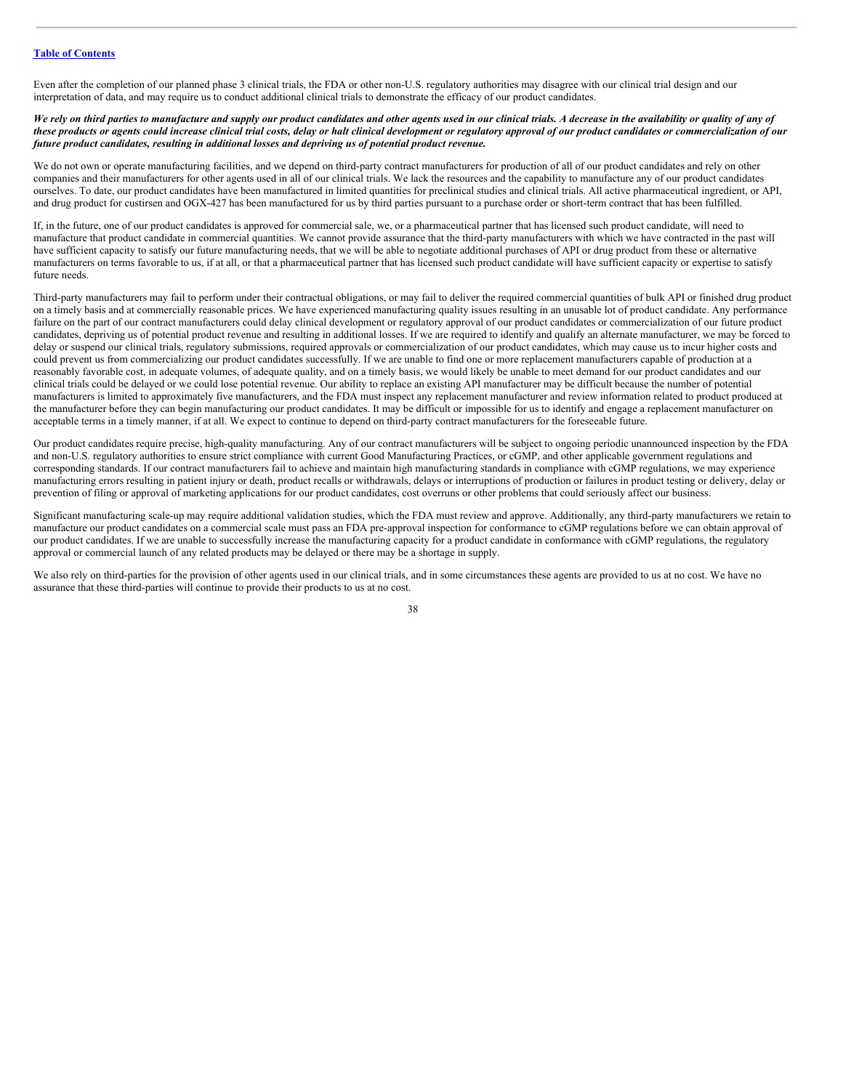Even after the completion of our planned phase 3 clinical trials, the FDA or other non-U.S. regulatory authorities may disagree with our clinical trial design and our interpretation of data, and may require us to conduct additional clinical trials to demonstrate the efficacy of our product candidates.

We rely on third parties to manufacture and supply our product candidates and other agents used in our clinical trials. A decrease in the availability or quality of any of these products or agents could increase clinical trial costs, delay or halt clinical development or regulatory approval of our product candidates or commercialization of our *future product candidates, resulting in additional losses and depriving us of potential product revenue.*

We do not own or operate manufacturing facilities, and we depend on third-party contract manufacturers for production of all of our product candidates and rely on other companies and their manufacturers for other agents used in all of our clinical trials. We lack the resources and the capability to manufacture any of our product candidates ourselves. To date, our product candidates have been manufactured in limited quantities for preclinical studies and clinical trials. All active pharmaceutical ingredient, or API, and drug product for custirsen and OGX-427 has been manufactured for us by third parties pursuant to a purchase order or short-term contract that has been fulfilled.

If, in the future, one of our product candidates is approved for commercial sale, we, or a pharmaceutical partner that has licensed such product candidate, will need to manufacture that product candidate in commercial quantities. We cannot provide assurance that the third-party manufacturers with which we have contracted in the past will have sufficient capacity to satisfy our future manufacturing needs, that we will be able to negotiate additional purchases of API or drug product from these or alternative manufacturers on terms favorable to us, if at all, or that a pharmaceutical partner that has licensed such product candidate will have sufficient capacity or expertise to satisfy future needs.

Third-party manufacturers may fail to perform under their contractual obligations, or may fail to deliver the required commercial quantities of bulk API or finished drug product on a timely basis and at commercially reasonable prices. We have experienced manufacturing quality issues resulting in an unusable lot of product candidate. Any performance failure on the part of our contract manufacturers could delay clinical development or regulatory approval of our product candidates or commercialization of our future product candidates, depriving us of potential product revenue and resulting in additional losses. If we are required to identify and qualify an alternate manufacturer, we may be forced to delay or suspend our clinical trials, regulatory submissions, required approvals or commercialization of our product candidates, which may cause us to incur higher costs and could prevent us from commercializing our product candidates successfully. If we are unable to find one or more replacement manufacturers capable of production at a reasonably favorable cost, in adequate volumes, of adequate quality, and on a timely basis, we would likely be unable to meet demand for our product candidates and our clinical trials could be delayed or we could lose potential revenue. Our ability to replace an existing API manufacturer may be difficult because the number of potential manufacturers is limited to approximately five manufacturers, and the FDA must inspect any replacement manufacturer and review information related to product produced at the manufacturer before they can begin manufacturing our product candidates. It may be difficult or impossible for us to identify and engage a replacement manufacturer on acceptable terms in a timely manner, if at all. We expect to continue to depend on third-party contract manufacturers for the foreseeable future.

Our product candidates require precise, high-quality manufacturing. Any of our contract manufacturers will be subject to ongoing periodic unannounced inspection by the FDA and non-U.S. regulatory authorities to ensure strict compliance with current Good Manufacturing Practices, or cGMP, and other applicable government regulations and corresponding standards. If our contract manufacturers fail to achieve and maintain high manufacturing standards in compliance with cGMP regulations, we may experience manufacturing errors resulting in patient injury or death, product recalls or withdrawals, delays or interruptions of production or failures in product testing or delivery, delay or prevention of filing or approval of marketing applications for our product candidates, cost overruns or other problems that could seriously affect our business.

Significant manufacturing scale-up may require additional validation studies, which the FDA must review and approve. Additionally, any third-party manufacturers we retain to manufacture our product candidates on a commercial scale must pass an FDA pre-approval inspection for conformance to cGMP regulations before we can obtain approval of our product candidates. If we are unable to successfully increase the manufacturing capacity for a product candidate in conformance with cGMP regulations, the regulatory approval or commercial launch of any related products may be delayed or there may be a shortage in supply.

We also rely on third-parties for the provision of other agents used in our clinical trials, and in some circumstances these agents are provided to us at no cost. We have no assurance that these third-parties will continue to provide their products to us at no cost.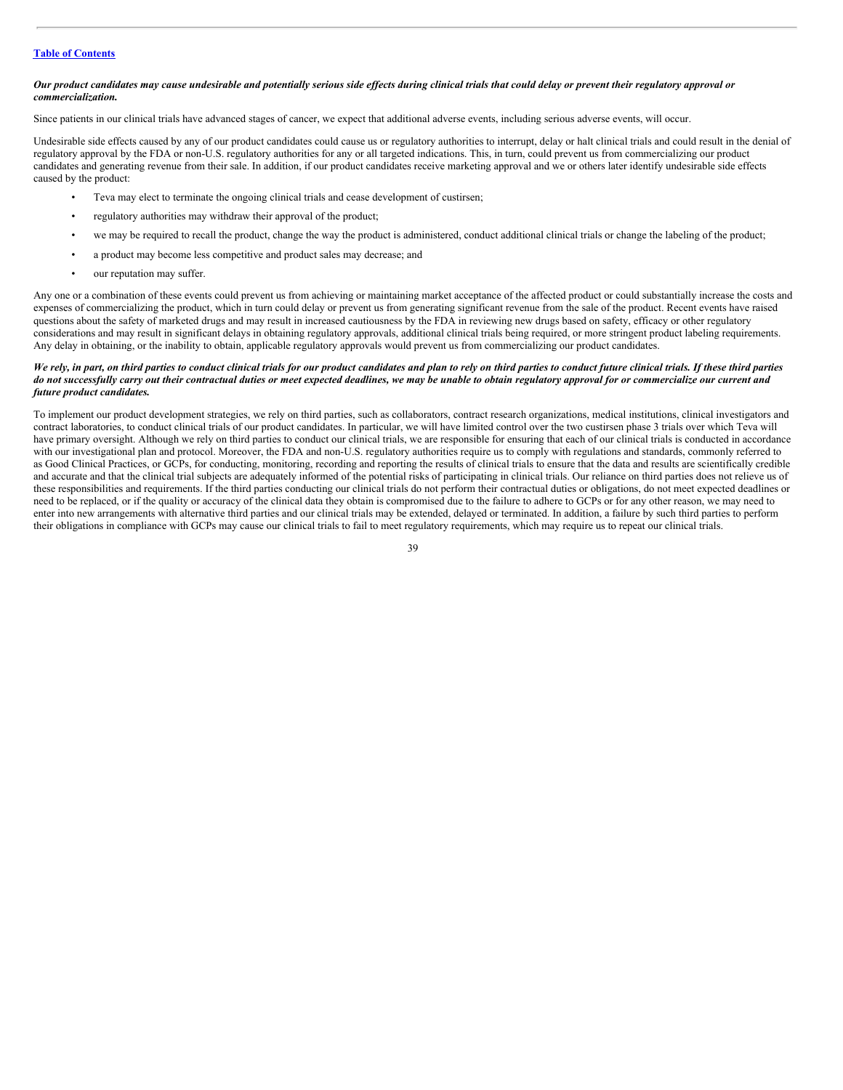# Our product candidates may cause undesirable and potentially serious side effects during clinical trials that could delay or prevent their regulatory approval or *commercialization.*

Since patients in our clinical trials have advanced stages of cancer, we expect that additional adverse events, including serious adverse events, will occur.

Undesirable side effects caused by any of our product candidates could cause us or regulatory authorities to interrupt, delay or halt clinical trials and could result in the denial of regulatory approval by the FDA or non-U.S. regulatory authorities for any or all targeted indications. This, in turn, could prevent us from commercializing our product candidates and generating revenue from their sale. In addition, if our product candidates receive marketing approval and we or others later identify undesirable side effects caused by the product:

- Teva may elect to terminate the ongoing clinical trials and cease development of custirsen;
- regulatory authorities may withdraw their approval of the product;
- we may be required to recall the product, change the way the product is administered, conduct additional clinical trials or change the labeling of the product;
- a product may become less competitive and product sales may decrease; and
- our reputation may suffer.

Any one or a combination of these events could prevent us from achieving or maintaining market acceptance of the affected product or could substantially increase the costs and expenses of commercializing the product, which in turn could delay or prevent us from generating significant revenue from the sale of the product. Recent events have raised questions about the safety of marketed drugs and may result in increased cautiousness by the FDA in reviewing new drugs based on safety, efficacy or other regulatory considerations and may result in significant delays in obtaining regulatory approvals, additional clinical trials being required, or more stringent product labeling requirements. Any delay in obtaining, or the inability to obtain, applicable regulatory approvals would prevent us from commercializing our product candidates.

### We rely, in part, on third parties to conduct clinical trials for our product candidates and plan to rely on third parties to conduct future clinical trials. If these third parties do not successfully carry out their contractual duties or meet expected deadlines, we may be unable to obtain regulatory approval for or commercialize our current and *future product candidates.*

To implement our product development strategies, we rely on third parties, such as collaborators, contract research organizations, medical institutions, clinical investigators and contract laboratories, to conduct clinical trials of our product candidates. In particular, we will have limited control over the two custirsen phase 3 trials over which Teva will have primary oversight. Although we rely on third parties to conduct our clinical trials, we are responsible for ensuring that each of our clinical trials is conducted in accordance with our investigational plan and protocol. Moreover, the FDA and non-U.S. regulatory authorities require us to comply with regulations and standards, commonly referred to as Good Clinical Practices, or GCPs, for conducting, monitoring, recording and reporting the results of clinical trials to ensure that the data and results are scientifically credible and accurate and that the clinical trial subjects are adequately informed of the potential risks of participating in clinical trials. Our reliance on third parties does not relieve us of these responsibilities and requirements. If the third parties conducting our clinical trials do not perform their contractual duties or obligations, do not meet expected deadlines or need to be replaced, or if the quality or accuracy of the clinical data they obtain is compromised due to the failure to adhere to GCPs or for any other reason, we may need to enter into new arrangements with alternative third parties and our clinical trials may be extended, delayed or terminated. In addition, a failure by such third parties to perform their obligations in compliance with GCPs may cause our clinical trials to fail to meet regulatory requirements, which may require us to repeat our clinical trials.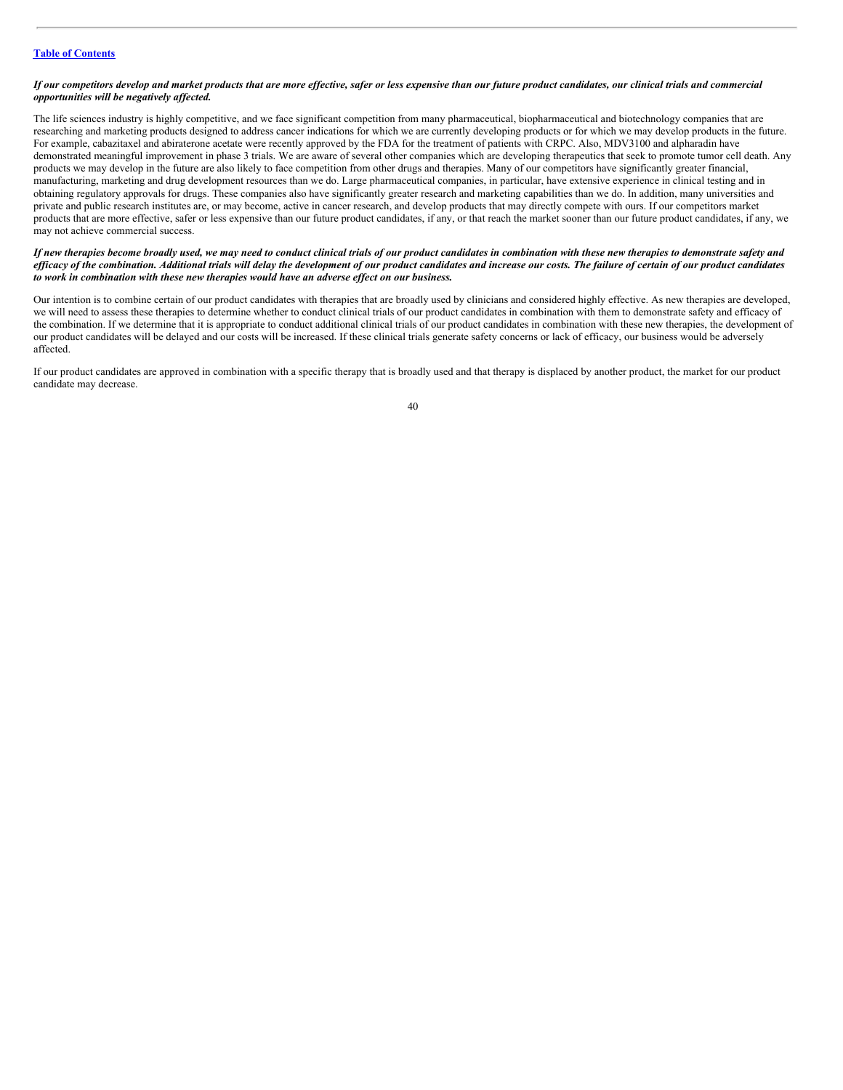# If our competitors develop and market products that are more effective, safer or less expensive than our future product candidates, our clinical trials and commercial *opportunities will be negatively af ected.*

The life sciences industry is highly competitive, and we face significant competition from many pharmaceutical, biopharmaceutical and biotechnology companies that are researching and marketing products designed to address cancer indications for which we are currently developing products or for which we may develop products in the future. For example, cabazitaxel and abiraterone acetate were recently approved by the FDA for the treatment of patients with CRPC. Also, MDV3100 and alpharadin have demonstrated meaningful improvement in phase 3 trials. We are aware of several other companies which are developing therapeutics that seek to promote tumor cell death. Any products we may develop in the future are also likely to face competition from other drugs and therapies. Many of our competitors have significantly greater financial, manufacturing, marketing and drug development resources than we do. Large pharmaceutical companies, in particular, have extensive experience in clinical testing and in obtaining regulatory approvals for drugs. These companies also have significantly greater research and marketing capabilities than we do. In addition, many universities and private and public research institutes are, or may become, active in cancer research, and develop products that may directly compete with ours. If our competitors market products that are more effective, safer or less expensive than our future product candidates, if any, or that reach the market sooner than our future product candidates, if any, we may not achieve commercial success.

If new therapies become broadly used, we may need to conduct clinical trials of our product candidates in combination with these new therapies to demonstrate safety and efficacy of the combination. Additional trials will delay the development of our product candidates and increase our costs. The failure of certain of our product candidates *to work in combination with these new therapies would have an adverse ef ect on our business.*

Our intention is to combine certain of our product candidates with therapies that are broadly used by clinicians and considered highly effective. As new therapies are developed, we will need to assess these therapies to determine whether to conduct clinical trials of our product candidates in combination with them to demonstrate safety and efficacy of the combination. If we determine that it is appropriate to conduct additional clinical trials of our product candidates in combination with these new therapies, the development of our product candidates will be delayed and our costs will be increased. If these clinical trials generate safety concerns or lack of efficacy, our business would be adversely affected.

If our product candidates are approved in combination with a specific therapy that is broadly used and that therapy is displaced by another product, the market for our product candidate may decrease.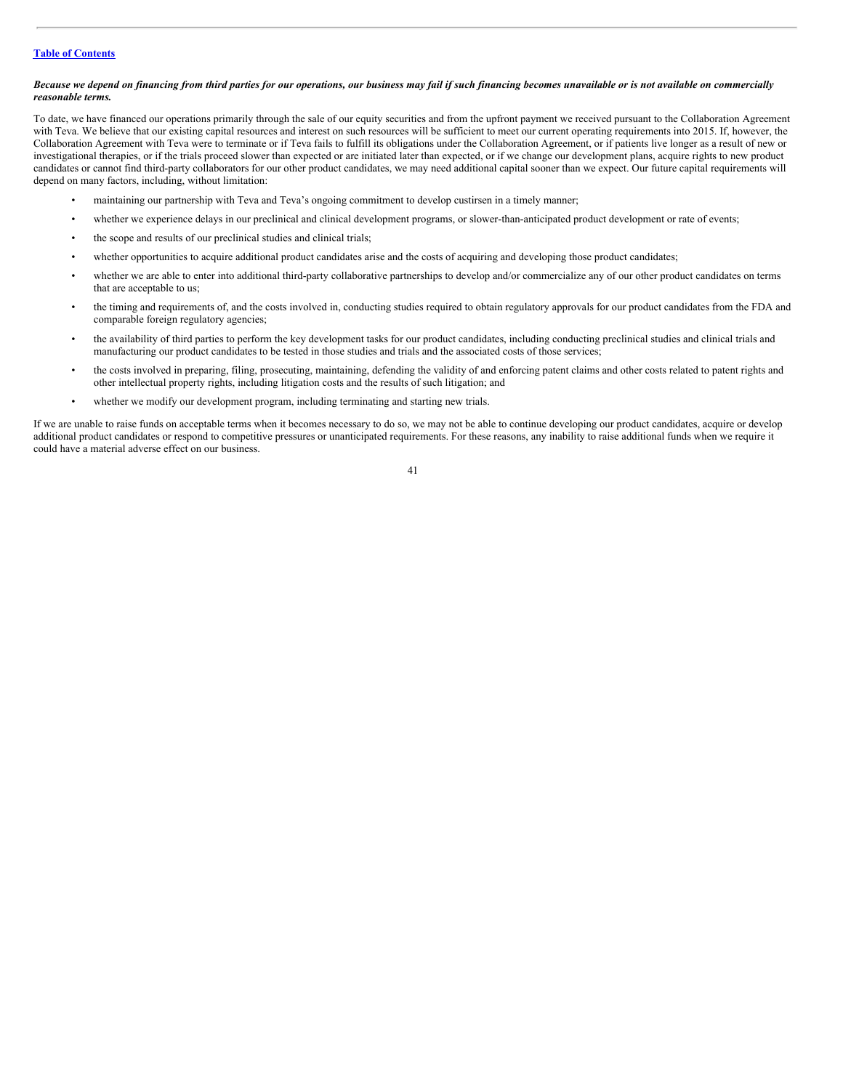# Because we depend on financing from third parties for our operations, our business may fail if such financing becomes unavailable or is not available on commercially *reasonable terms.*

To date, we have financed our operations primarily through the sale of our equity securities and from the upfront payment we received pursuant to the Collaboration Agreement with Teva. We believe that our existing capital resources and interest on such resources will be sufficient to meet our current operating requirements into 2015. If, however, the Collaboration Agreement with Teva were to terminate or if Teva fails to fulfill its obligations under the Collaboration Agreement, or if patients live longer as a result of new or investigational therapies, or if the trials proceed slower than expected or are initiated later than expected, or if we change our development plans, acquire rights to new product candidates or cannot find third-party collaborators for our other product candidates, we may need additional capital sooner than we expect. Our future capital requirements will depend on many factors, including, without limitation:

- maintaining our partnership with Teva and Teva's ongoing commitment to develop custirsen in a timely manner;
- whether we experience delays in our preclinical and clinical development programs, or slower-than-anticipated product development or rate of events;
- the scope and results of our preclinical studies and clinical trials;
- whether opportunities to acquire additional product candidates arise and the costs of acquiring and developing those product candidates;
- whether we are able to enter into additional third-party collaborative partnerships to develop and/or commercialize any of our other product candidates on terms that are acceptable to us;
- the timing and requirements of, and the costs involved in, conducting studies required to obtain regulatory approvals for our product candidates from the FDA and comparable foreign regulatory agencies;
- the availability of third parties to perform the key development tasks for our product candidates, including conducting preclinical studies and clinical trials and manufacturing our product candidates to be tested in those studies and trials and the associated costs of those services;
- the costs involved in preparing, filing, prosecuting, maintaining, defending the validity of and enforcing patent claims and other costs related to patent rights and other intellectual property rights, including litigation costs and the results of such litigation; and
- whether we modify our development program, including terminating and starting new trials.

If we are unable to raise funds on acceptable terms when it becomes necessary to do so, we may not be able to continue developing our product candidates, acquire or develop additional product candidates or respond to competitive pressures or unanticipated requirements. For these reasons, any inability to raise additional funds when we require it could have a material adverse effect on our business.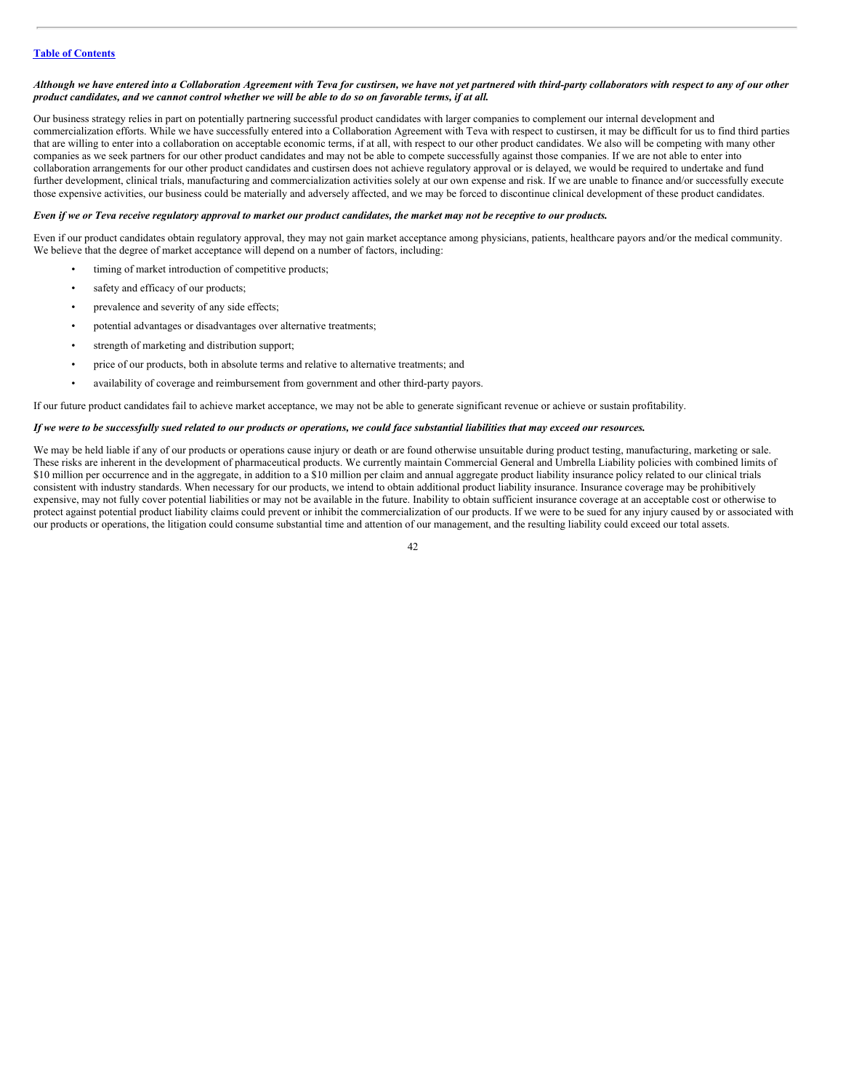## Although we have entered into a Collaboration Agreement with Teva for custirsen, we have not yet partnered with third-party collaborators with respect to any of our other product candidates, and we cannot control whether we will be able to do so on favorable terms, if at all.

Our business strategy relies in part on potentially partnering successful product candidates with larger companies to complement our internal development and commercialization efforts. While we have successfully entered into a Collaboration Agreement with Teva with respect to custirsen, it may be difficult for us to find third parties that are willing to enter into a collaboration on acceptable economic terms, if at all, with respect to our other product candidates. We also will be competing with many other companies as we seek partners for our other product candidates and may not be able to compete successfully against those companies. If we are not able to enter into collaboration arrangements for our other product candidates and custirsen does not achieve regulatory approval or is delayed, we would be required to undertake and fund further development, clinical trials, manufacturing and commercialization activities solely at our own expense and risk. If we are unable to finance and/or successfully execute those expensive activities, our business could be materially and adversely affected, and we may be forced to discontinue clinical development of these product candidates.

### Even if we or Teva receive regulatory approval to market our product candidates, the market may not be receptive to our products.

Even if our product candidates obtain regulatory approval, they may not gain market acceptance among physicians, patients, healthcare payors and/or the medical community. We believe that the degree of market acceptance will depend on a number of factors, including:

- timing of market introduction of competitive products;
- safety and efficacy of our products;
- prevalence and severity of any side effects;
- potential advantages or disadvantages over alternative treatments;
- strength of marketing and distribution support;
- price of our products, both in absolute terms and relative to alternative treatments; and
- availability of coverage and reimbursement from government and other third-party payors.

#### If our future product candidates fail to achieve market acceptance, we may not be able to generate significant revenue or achieve or sustain profitability.

#### If we were to be successfully sued related to our products or operations, we could face substantial liabilities that may exceed our resources.

We may be held liable if any of our products or operations cause injury or death or are found otherwise unsuitable during product testing, manufacturing, marketing or sale. These risks are inherent in the development of pharmaceutical products. We currently maintain Commercial General and Umbrella Liability policies with combined limits of \$10 million per occurrence and in the aggregate, in addition to a \$10 million per claim and annual aggregate product liability insurance policy related to our clinical trials consistent with industry standards. When necessary for our products, we intend to obtain additional product liability insurance. Insurance coverage may be prohibitively expensive, may not fully cover potential liabilities or may not be available in the future. Inability to obtain sufficient insurance coverage at an acceptable cost or otherwise to protect against potential product liability claims could prevent or inhibit the commercialization of our products. If we were to be sued for any injury caused by or associated with our products or operations, the litigation could consume substantial time and attention of our management, and the resulting liability could exceed our total assets.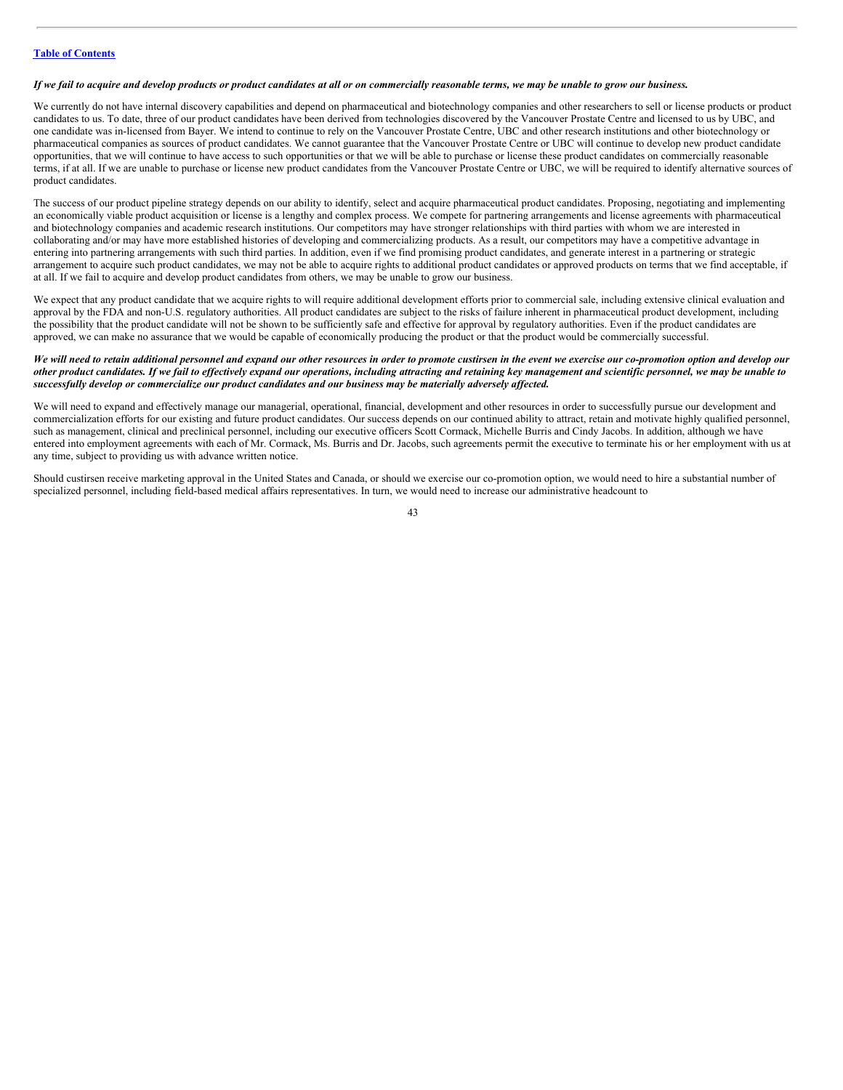#### If we fail to acquire and develop products or product candidates at all or on commercially reasonable terms, we may be unable to grow our business.

We currently do not have internal discovery capabilities and depend on pharmaceutical and biotechnology companies and other researchers to sell or license products or product candidates to us. To date, three of our product candidates have been derived from technologies discovered by the Vancouver Prostate Centre and licensed to us by UBC, and one candidate was in-licensed from Bayer. We intend to continue to rely on the Vancouver Prostate Centre, UBC and other research institutions and other biotechnology or pharmaceutical companies as sources of product candidates. We cannot guarantee that the Vancouver Prostate Centre or UBC will continue to develop new product candidate opportunities, that we will continue to have access to such opportunities or that we will be able to purchase or license these product candidates on commercially reasonable terms, if at all. If we are unable to purchase or license new product candidates from the Vancouver Prostate Centre or UBC, we will be required to identify alternative sources of product candidates.

The success of our product pipeline strategy depends on our ability to identify, select and acquire pharmaceutical product candidates. Proposing, negotiating and implementing an economically viable product acquisition or license is a lengthy and complex process. We compete for partnering arrangements and license agreements with pharmaceutical and biotechnology companies and academic research institutions. Our competitors may have stronger relationships with third parties with whom we are interested in collaborating and/or may have more established histories of developing and commercializing products. As a result, our competitors may have a competitive advantage in entering into partnering arrangements with such third parties. In addition, even if we find promising product candidates, and generate interest in a partnering or strategic arrangement to acquire such product candidates, we may not be able to acquire rights to additional product candidates or approved products on terms that we find acceptable, if at all. If we fail to acquire and develop product candidates from others, we may be unable to grow our business.

We expect that any product candidate that we acquire rights to will require additional development efforts prior to commercial sale, including extensive clinical evaluation and approval by the FDA and non-U.S. regulatory authorities. All product candidates are subject to the risks of failure inherent in pharmaceutical product development, including the possibility that the product candidate will not be shown to be sufficiently safe and effective for approval by regulatory authorities. Even if the product candidates are approved, we can make no assurance that we would be capable of economically producing the product or that the product would be commercially successful.

### We will need to retain additional personnel and expand our other resources in order to promote custirsen in the event we exercise our co-promotion option and develop our other product candidates. If we fail to effectively expand our operations, including attracting and retaining key management and scientific personnel, we may be unable to successfully develop or commercialize our product candidates and our business may be materially adversely affected.

We will need to expand and effectively manage our managerial, operational, financial, development and other resources in order to successfully pursue our development and commercialization efforts for our existing and future product candidates. Our success depends on our continued ability to attract, retain and motivate highly qualified personnel, such as management, clinical and preclinical personnel, including our executive officers Scott Cormack, Michelle Burris and Cindy Jacobs. In addition, although we have entered into employment agreements with each of Mr. Cormack, Ms. Burris and Dr. Jacobs, such agreements permit the executive to terminate his or her employment with us at any time, subject to providing us with advance written notice.

Should custirsen receive marketing approval in the United States and Canada, or should we exercise our co-promotion option, we would need to hire a substantial number of specialized personnel, including field-based medical affairs representatives. In turn, we would need to increase our administrative headcount to

 $\overline{43}$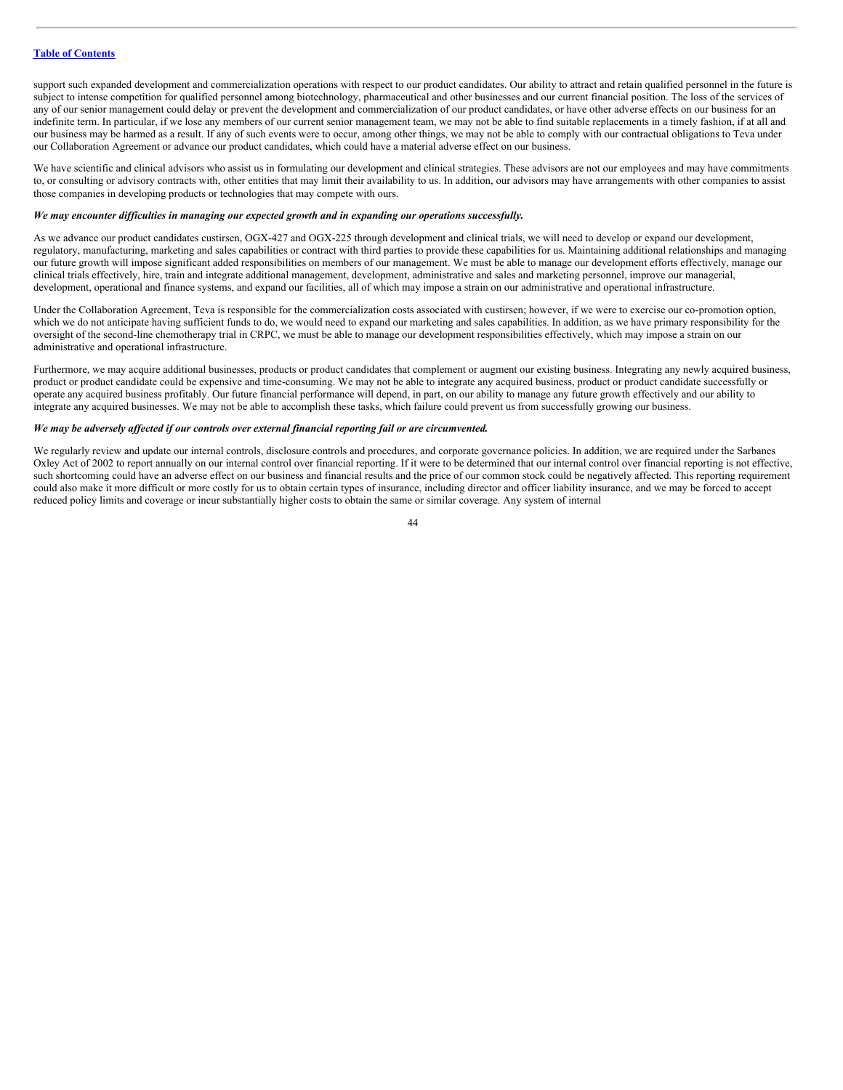support such expanded development and commercialization operations with respect to our product candidates. Our ability to attract and retain qualified personnel in the future is subject to intense competition for qualified personnel among biotechnology, pharmaceutical and other businesses and our current financial position. The loss of the services of any of our senior management could delay or prevent the development and commercialization of our product candidates, or have other adverse effects on our business for an indefinite term. In particular, if we lose any members of our current senior management team, we may not be able to find suitable replacements in a timely fashion, if at all and our business may be harmed as a result. If any of such events were to occur, among other things, we may not be able to comply with our contractual obligations to Teva under our Collaboration Agreement or advance our product candidates, which could have a material adverse effect on our business.

We have scientific and clinical advisors who assist us in formulating our development and clinical strategies. These advisors are not our employees and may have commitments to, or consulting or advisory contracts with, other entities that may limit their availability to us. In addition, our advisors may have arrangements with other companies to assist those companies in developing products or technologies that may compete with ours.

### *We may encounter dif iculties in managing our expected growth and in expanding our operations successfully.*

As we advance our product candidates custirsen, OGX-427 and OGX-225 through development and clinical trials, we will need to develop or expand our development, regulatory, manufacturing, marketing and sales capabilities or contract with third parties to provide these capabilities for us. Maintaining additional relationships and managing our future growth will impose significant added responsibilities on members of our management. We must be able to manage our development efforts effectively, manage our clinical trials effectively, hire, train and integrate additional management, development, administrative and sales and marketing personnel, improve our managerial, development, operational and finance systems, and expand our facilities, all of which may impose a strain on our administrative and operational infrastructure.

Under the Collaboration Agreement, Teva is responsible for the commercialization costs associated with custirsen; however, if we were to exercise our co-promotion option, which we do not anticipate having sufficient funds to do, we would need to expand our marketing and sales capabilities. In addition, as we have primary responsibility for the oversight of the second-line chemotherapy trial in CRPC, we must be able to manage our development responsibilities effectively, which may impose a strain on our administrative and operational infrastructure.

Furthermore, we may acquire additional businesses, products or product candidates that complement or augment our existing business. Integrating any newly acquired business, product or product candidate could be expensive and time-consuming. We may not be able to integrate any acquired business, product or product candidate successfully or operate any acquired business profitably. Our future financial performance will depend, in part, on our ability to manage any future growth effectively and our ability to integrate any acquired businesses. We may not be able to accomplish these tasks, which failure could prevent us from successfully growing our business.

### *We may be adversely af ected if our controls over external financial reporting fail or are circumvented.*

We regularly review and update our internal controls, disclosure controls and procedures, and corporate governance policies. In addition, we are required under the Sarbanes Oxley Act of 2002 to report annually on our internal control over financial reporting. If it were to be determined that our internal control over financial reporting is not effective, such shortcoming could have an adverse effect on our business and financial results and the price of our common stock could be negatively affected. This reporting requirement could also make it more difficult or more costly for us to obtain certain types of insurance, including director and officer liability insurance, and we may be forced to accept reduced policy limits and coverage or incur substantially higher costs to obtain the same or similar coverage. Any system of internal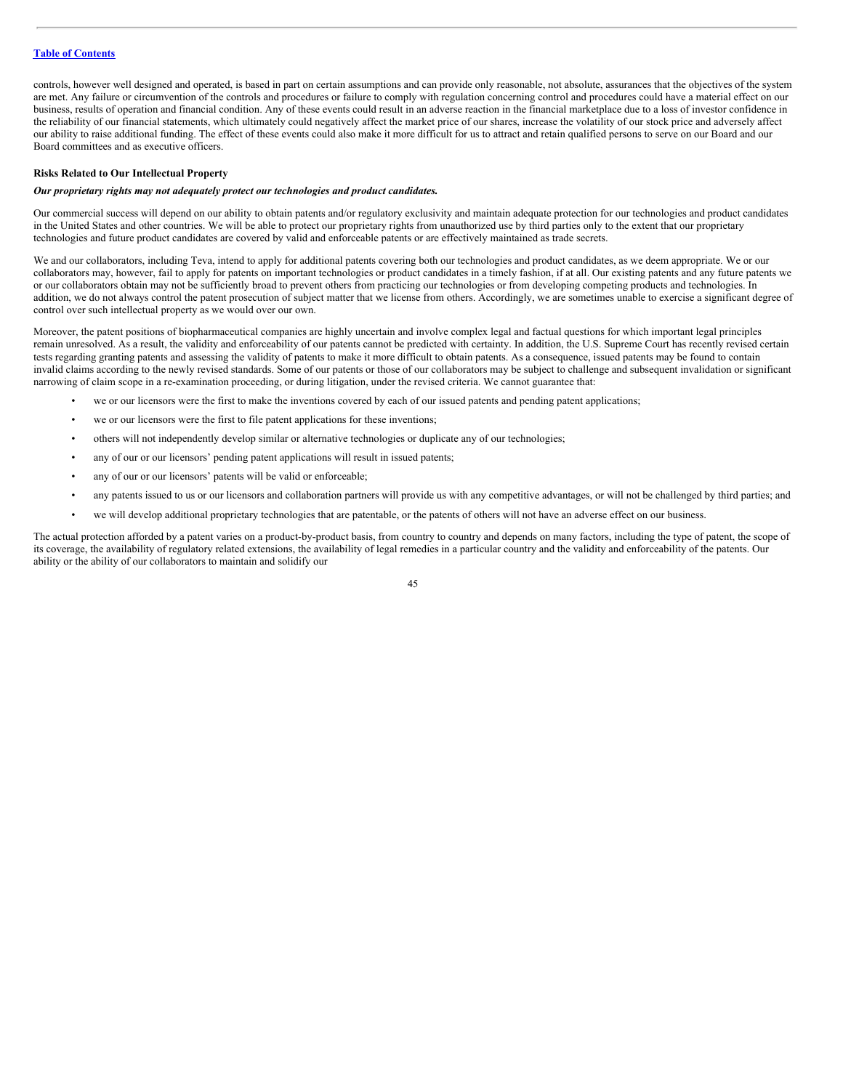controls, however well designed and operated, is based in part on certain assumptions and can provide only reasonable, not absolute, assurances that the objectives of the system are met. Any failure or circumvention of the controls and procedures or failure to comply with regulation concerning control and procedures could have a material effect on our business, results of operation and financial condition. Any of these events could result in an adverse reaction in the financial marketplace due to a loss of investor confidence in the reliability of our financial statements, which ultimately could negatively affect the market price of our shares, increase the volatility of our stock price and adversely affect our ability to raise additional funding. The effect of these events could also make it more difficult for us to attract and retain qualified persons to serve on our Board and our Board committees and as executive officers.

### **Risks Related to Our Intellectual Property**

#### *Our proprietary rights may not adequately protect our technologies and product candidates.*

Our commercial success will depend on our ability to obtain patents and/or regulatory exclusivity and maintain adequate protection for our technologies and product candidates in the United States and other countries. We will be able to protect our proprietary rights from unauthorized use by third parties only to the extent that our proprietary technologies and future product candidates are covered by valid and enforceable patents or are effectively maintained as trade secrets.

We and our collaborators, including Teva, intend to apply for additional patents covering both our technologies and product candidates, as we deem appropriate. We or our collaborators may, however, fail to apply for patents on important technologies or product candidates in a timely fashion, if at all. Our existing patents and any future patents we or our collaborators obtain may not be sufficiently broad to prevent others from practicing our technologies or from developing competing products and technologies. In addition, we do not always control the patent prosecution of subject matter that we license from others. Accordingly, we are sometimes unable to exercise a significant degree of control over such intellectual property as we would over our own.

Moreover, the patent positions of biopharmaceutical companies are highly uncertain and involve complex legal and factual questions for which important legal principles remain unresolved. As a result, the validity and enforceability of our patents cannot be predicted with certainty. In addition, the U.S. Supreme Court has recently revised certain tests regarding granting patents and assessing the validity of patents to make it more difficult to obtain patents. As a consequence, issued patents may be found to contain invalid claims according to the newly revised standards. Some of our patents or those of our collaborators may be subject to challenge and subsequent invalidation or significant narrowing of claim scope in a re-examination proceeding, or during litigation, under the revised criteria. We cannot guarantee that:

- we or our licensors were the first to make the inventions covered by each of our issued patents and pending patent applications;
- we or our licensors were the first to file patent applications for these inventions;
- others will not independently develop similar or alternative technologies or duplicate any of our technologies;
- any of our or our licensors' pending patent applications will result in issued patents;
- any of our or our licensors' patents will be valid or enforceable;
- any patents issued to us or our licensors and collaboration partners will provide us with any competitive advantages, or will not be challenged by third parties; and
- we will develop additional proprietary technologies that are patentable, or the patents of others will not have an adverse effect on our business.

The actual protection afforded by a patent varies on a product-by-product basis, from country to country and depends on many factors, including the type of patent, the scope of its coverage, the availability of regulatory related extensions, the availability of legal remedies in a particular country and the validity and enforceability of the patents. Our ability or the ability of our collaborators to maintain and solidify our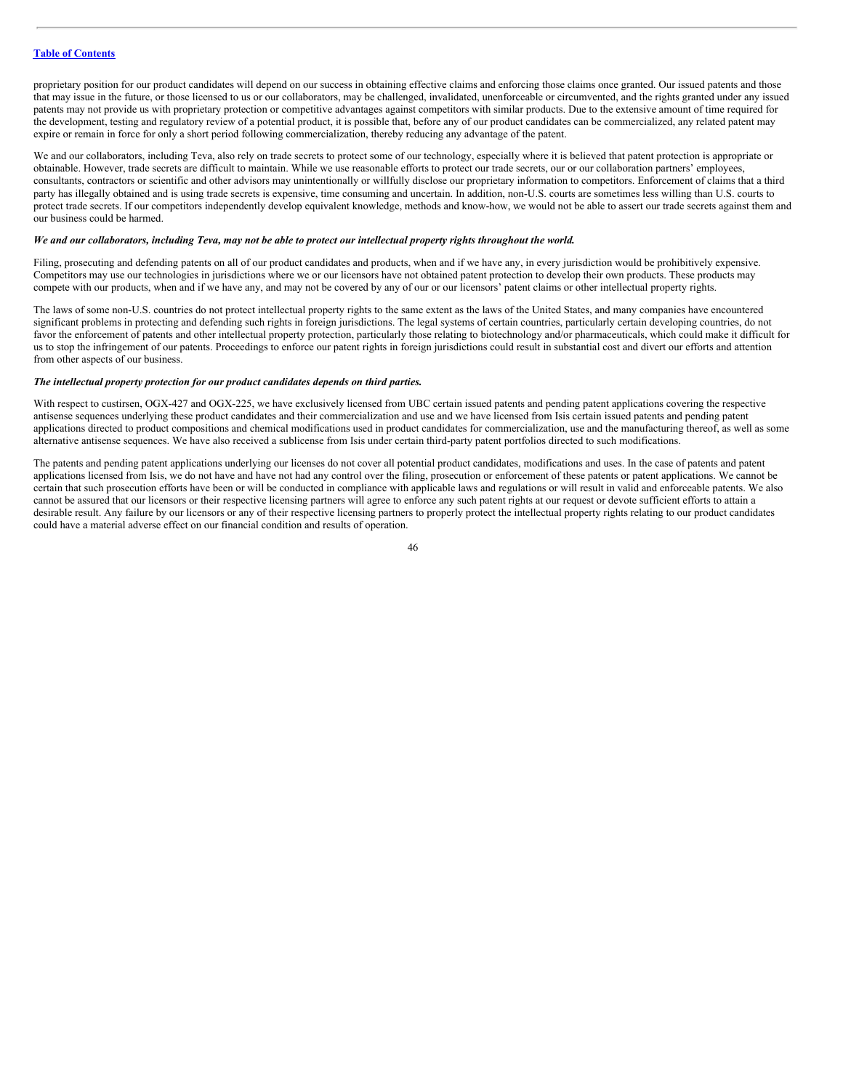proprietary position for our product candidates will depend on our success in obtaining effective claims and enforcing those claims once granted. Our issued patents and those that may issue in the future, or those licensed to us or our collaborators, may be challenged, invalidated, unenforceable or circumvented, and the rights granted under any issued patents may not provide us with proprietary protection or competitive advantages against competitors with similar products. Due to the extensive amount of time required for the development, testing and regulatory review of a potential product, it is possible that, before any of our product candidates can be commercialized, any related patent may expire or remain in force for only a short period following commercialization, thereby reducing any advantage of the patent.

We and our collaborators, including Teva, also rely on trade secrets to protect some of our technology, especially where it is believed that patent protection is appropriate or obtainable. However, trade secrets are difficult to maintain. While we use reasonable efforts to protect our trade secrets, our or our collaboration partners' employees, consultants, contractors or scientific and other advisors may unintentionally or willfully disclose our proprietary information to competitors. Enforcement of claims that a third party has illegally obtained and is using trade secrets is expensive, time consuming and uncertain. In addition, non-U.S. courts are sometimes less willing than U.S. courts to protect trade secrets. If our competitors independently develop equivalent knowledge, methods and know-how, we would not be able to assert our trade secrets against them and our business could be harmed.

### We and our collaborators, including Teva, may not be able to protect our intellectual property rights throughout the world.

Filing, prosecuting and defending patents on all of our product candidates and products, when and if we have any, in every jurisdiction would be prohibitively expensive. Competitors may use our technologies in jurisdictions where we or our licensors have not obtained patent protection to develop their own products. These products may compete with our products, when and if we have any, and may not be covered by any of our or our licensors' patent claims or other intellectual property rights.

The laws of some non-U.S. countries do not protect intellectual property rights to the same extent as the laws of the United States, and many companies have encountered significant problems in protecting and defending such rights in foreign jurisdictions. The legal systems of certain countries, particularly certain developing countries, do not favor the enforcement of patents and other intellectual property protection, particularly those relating to biotechnology and/or pharmaceuticals, which could make it difficult for us to stop the infringement of our patents. Proceedings to enforce our patent rights in foreign jurisdictions could result in substantial cost and divert our efforts and attention from other aspects of our business.

### *The intellectual property protection for our product candidates depends on third parties.*

With respect to custirsen, OGX-427 and OGX-225, we have exclusively licensed from UBC certain issued patents and pending patent applications covering the respective antisense sequences underlying these product candidates and their commercialization and use and we have licensed from Isis certain issued patents and pending patent applications directed to product compositions and chemical modifications used in product candidates for commercialization, use and the manufacturing thereof, as well as some alternative antisense sequences. We have also received a sublicense from Isis under certain third-party patent portfolios directed to such modifications.

The patents and pending patent applications underlying our licenses do not cover all potential product candidates, modifications and uses. In the case of patents and patent applications licensed from Isis, we do not have and have not had any control over the filing, prosecution or enforcement of these patents or patent applications. We cannot be certain that such prosecution efforts have been or will be conducted in compliance with applicable laws and regulations or will result in valid and enforceable patents. We also cannot be assured that our licensors or their respective licensing partners will agree to enforce any such patent rights at our request or devote sufficient efforts to attain a desirable result. Any failure by our licensors or any of their respective licensing partners to properly protect the intellectual property rights relating to our product candidates could have a material adverse effect on our financial condition and results of operation.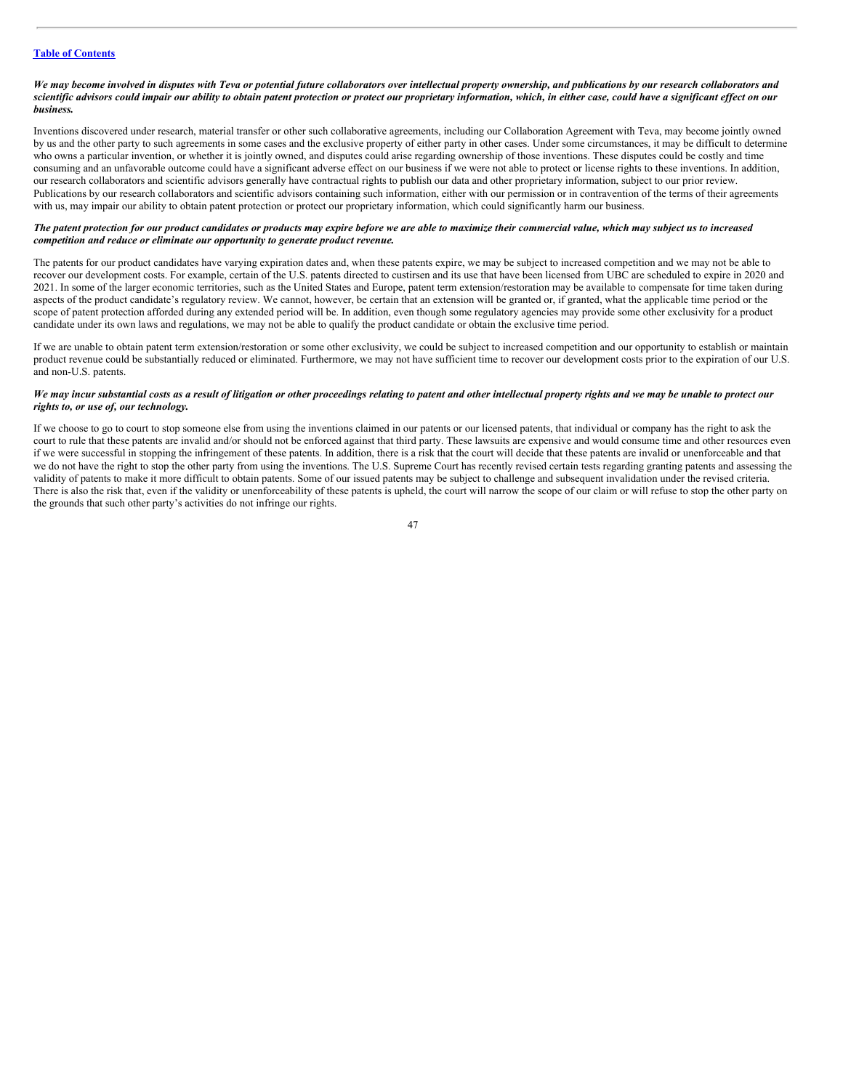### We may become involved in disputes with Teva or potential future collaborators over intellectual property ownership, and publications by our research collaborators and scientific advisors could impair our ability to obtain patent protection or protect our proprietary information, which, in either case, could have a significant effect on our *business.*

Inventions discovered under research, material transfer or other such collaborative agreements, including our Collaboration Agreement with Teva, may become jointly owned by us and the other party to such agreements in some cases and the exclusive property of either party in other cases. Under some circumstances, it may be difficult to determine who owns a particular invention, or whether it is jointly owned, and disputes could arise regarding ownership of those inventions. These disputes could be costly and time consuming and an unfavorable outcome could have a significant adverse effect on our business if we were not able to protect or license rights to these inventions. In addition, our research collaborators and scientific advisors generally have contractual rights to publish our data and other proprietary information, subject to our prior review. Publications by our research collaborators and scientific advisors containing such information, either with our permission or in contravention of the terms of their agreements with us, may impair our ability to obtain patent protection or protect our proprietary information, which could significantly harm our business.

### The patent protection for our product candidates or products may expire before we are able to maximize their commercial value, which may subject us to increased *competition and reduce or eliminate our opportunity to generate product revenue.*

The patents for our product candidates have varying expiration dates and, when these patents expire, we may be subject to increased competition and we may not be able to recover our development costs. For example, certain of the U.S. patents directed to custirsen and its use that have been licensed from UBC are scheduled to expire in 2020 and 2021. In some of the larger economic territories, such as the United States and Europe, patent term extension/restoration may be available to compensate for time taken during aspects of the product candidate's regulatory review. We cannot, however, be certain that an extension will be granted or, if granted, what the applicable time period or the scope of patent protection afforded during any extended period will be. In addition, even though some regulatory agencies may provide some other exclusivity for a product candidate under its own laws and regulations, we may not be able to qualify the product candidate or obtain the exclusive time period.

If we are unable to obtain patent term extension/restoration or some other exclusivity, we could be subject to increased competition and our opportunity to establish or maintain product revenue could be substantially reduced or eliminated. Furthermore, we may not have sufficient time to recover our development costs prior to the expiration of our U.S. and non-U.S. patents.

# We may incur substantial costs as a result of litigation or other proceedings relating to patent and other intellectual property rights and we may be unable to protect our *rights to, or use of, our technology.*

If we choose to go to court to stop someone else from using the inventions claimed in our patents or our licensed patents, that individual or company has the right to ask the court to rule that these patents are invalid and/or should not be enforced against that third party. These lawsuits are expensive and would consume time and other resources even if we were successful in stopping the infringement of these patents. In addition, there is a risk that the court will decide that these patents are invalid or unenforceable and that we do not have the right to stop the other party from using the inventions. The U.S. Supreme Court has recently revised certain tests regarding granting patents and assessing the validity of patents to make it more difficult to obtain patents. Some of our issued patents may be subject to challenge and subsequent invalidation under the revised criteria. There is also the risk that, even if the validity or unenforceability of these patents is upheld, the court will narrow the scope of our claim or will refuse to stop the other party on the grounds that such other party's activities do not infringe our rights.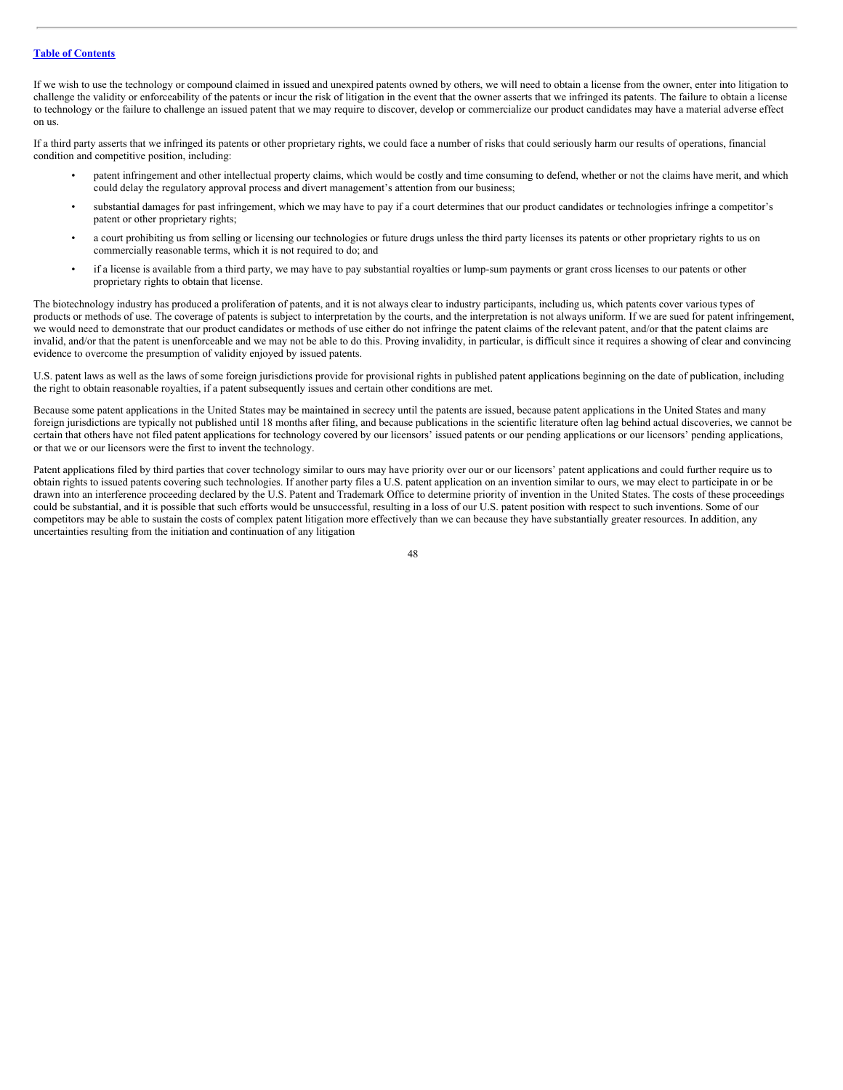If we wish to use the technology or compound claimed in issued and unexpired patents owned by others, we will need to obtain a license from the owner, enter into litigation to challenge the validity or enforceability of the patents or incur the risk of litigation in the event that the owner asserts that we infringed its patents. The failure to obtain a license to technology or the failure to challenge an issued patent that we may require to discover, develop or commercialize our product candidates may have a material adverse effect on us.

If a third party asserts that we infringed its patents or other proprietary rights, we could face a number of risks that could seriously harm our results of operations, financial condition and competitive position, including:

- patent infringement and other intellectual property claims, which would be costly and time consuming to defend, whether or not the claims have merit, and which could delay the regulatory approval process and divert management's attention from our business;
- substantial damages for past infringement, which we may have to pay if a court determines that our product candidates or technologies infringe a competitor's patent or other proprietary rights;
- a court prohibiting us from selling or licensing our technologies or future drugs unless the third party licenses its patents or other proprietary rights to us on commercially reasonable terms, which it is not required to do; and
- if a license is available from a third party, we may have to pay substantial royalties or lump-sum payments or grant cross licenses to our patents or other proprietary rights to obtain that license.

The biotechnology industry has produced a proliferation of patents, and it is not always clear to industry participants, including us, which patents cover various types of products or methods of use. The coverage of patents is subject to interpretation by the courts, and the interpretation is not always uniform. If we are sued for patent infringement, we would need to demonstrate that our product candidates or methods of use either do not infringe the patent claims of the relevant patent, and/or that the patent claims are invalid, and/or that the patent is unenforceable and we may not be able to do this. Proving invalidity, in particular, is difficult since it requires a showing of clear and convincing evidence to overcome the presumption of validity enjoyed by issued patents.

U.S. patent laws as well as the laws of some foreign jurisdictions provide for provisional rights in published patent applications beginning on the date of publication, including the right to obtain reasonable royalties, if a patent subsequently issues and certain other conditions are met.

Because some patent applications in the United States may be maintained in secrecy until the patents are issued, because patent applications in the United States and many foreign jurisdictions are typically not published until 18 months after filing, and because publications in the scientific literature often lag behind actual discoveries, we cannot be certain that others have not filed patent applications for technology covered by our licensors' issued patents or our pending applications or our licensors' pending applications, or that we or our licensors were the first to invent the technology.

Patent applications filed by third parties that cover technology similar to ours may have priority over our or our licensors' patent applications and could further require us to obtain rights to issued patents covering such technologies. If another party files a U.S. patent application on an invention similar to ours, we may elect to participate in or be drawn into an interference proceeding declared by the U.S. Patent and Trademark Office to determine priority of invention in the United States. The costs of these proceedings could be substantial, and it is possible that such efforts would be unsuccessful, resulting in a loss of our U.S. patent position with respect to such inventions. Some of our competitors may be able to sustain the costs of complex patent litigation more effectively than we can because they have substantially greater resources. In addition, any uncertainties resulting from the initiation and continuation of any litigation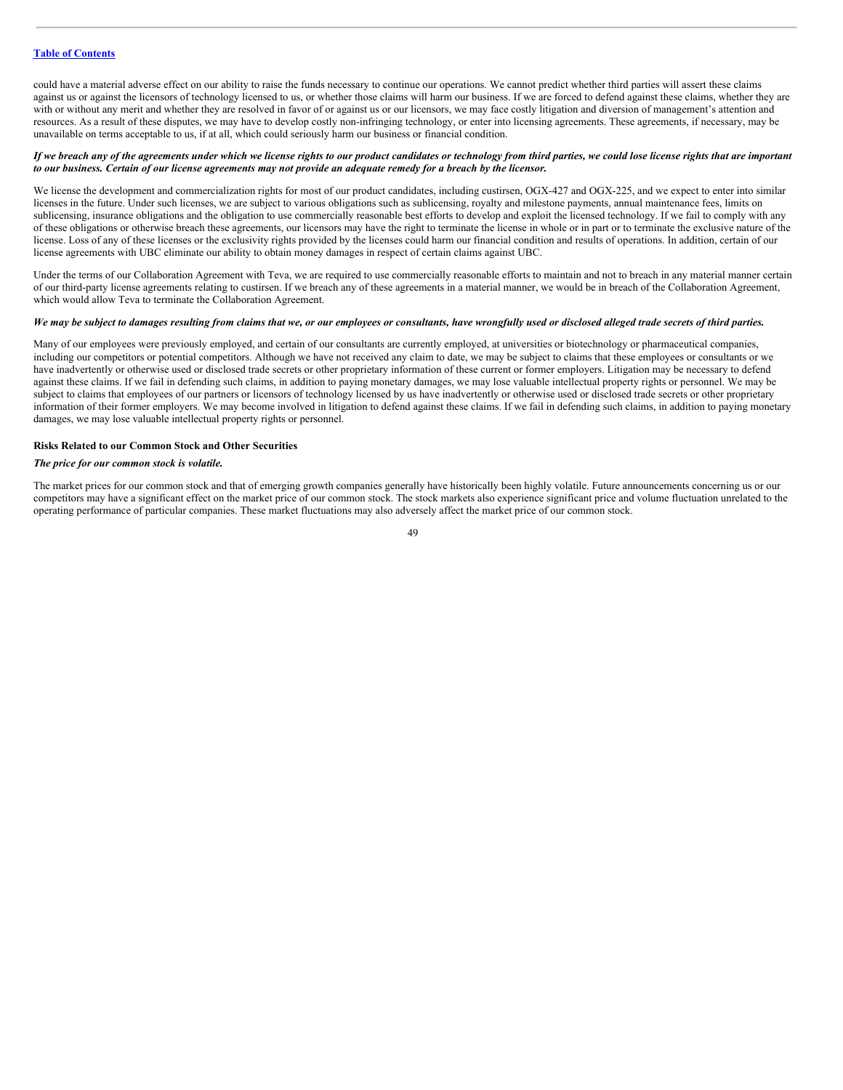could have a material adverse effect on our ability to raise the funds necessary to continue our operations. We cannot predict whether third parties will assert these claims against us or against the licensors of technology licensed to us, or whether those claims will harm our business. If we are forced to defend against these claims, whether they are with or without any merit and whether they are resolved in favor of or against us or our licensors, we may face costly litigation and diversion of management's attention and resources. As a result of these disputes, we may have to develop costly non-infringing technology, or enter into licensing agreements. These agreements, if necessary, may be unavailable on terms acceptable to us, if at all, which could seriously harm our business or financial condition.

### If we breach any of the agreements under which we license rights to our product candidates or technology from third parties, we could lose license rights that are important to our business. Certain of our license agreements may not provide an adequate remedy for a breach by the licensor.

We license the development and commercialization rights for most of our product candidates, including custirsen, OGX-427 and OGX-225, and we expect to enter into similar licenses in the future. Under such licenses, we are subject to various obligations such as sublicensing, royalty and milestone payments, annual maintenance fees, limits on sublicensing, insurance obligations and the obligation to use commercially reasonable best efforts to develop and exploit the licensed technology. If we fail to comply with any of these obligations or otherwise breach these agreements, our licensors may have the right to terminate the license in whole or in part or to terminate the exclusive nature of the license. Loss of any of these licenses or the exclusivity rights provided by the licenses could harm our financial condition and results of operations. In addition, certain of our license agreements with UBC eliminate our ability to obtain money damages in respect of certain claims against UBC.

Under the terms of our Collaboration Agreement with Teva, we are required to use commercially reasonable efforts to maintain and not to breach in any material manner certain of our third-party license agreements relating to custirsen. If we breach any of these agreements in a material manner, we would be in breach of the Collaboration Agreement, which would allow Teva to terminate the Collaboration Agreement.

#### We may be subject to damages resulting from claims that we, or our employees or consultants, have wrongfully used or disclosed alleged trade secrets of third parties.

Many of our employees were previously employed, and certain of our consultants are currently employed, at universities or biotechnology or pharmaceutical companies, including our competitors or potential competitors. Although we have not received any claim to date, we may be subject to claims that these employees or consultants or we have inadvertently or otherwise used or disclosed trade secrets or other proprietary information of these current or former employers. Litigation may be necessary to defend against these claims. If we fail in defending such claims, in addition to paying monetary damages, we may lose valuable intellectual property rights or personnel. We may be subject to claims that employees of our partners or licensors of technology licensed by us have inadvertently or otherwise used or disclosed trade secrets or other proprietary information of their former employers. We may become involved in litigation to defend against these claims. If we fail in defending such claims, in addition to paying monetary damages, we may lose valuable intellectual property rights or personnel.

# **Risks Related to our Common Stock and Other Securities**

# *The price for our common stock is volatile.*

The market prices for our common stock and that of emerging growth companies generally have historically been highly volatile. Future announcements concerning us or our competitors may have a significant effect on the market price of our common stock. The stock markets also experience significant price and volume fluctuation unrelated to the operating performance of particular companies. These market fluctuations may also adversely affect the market price of our common stock.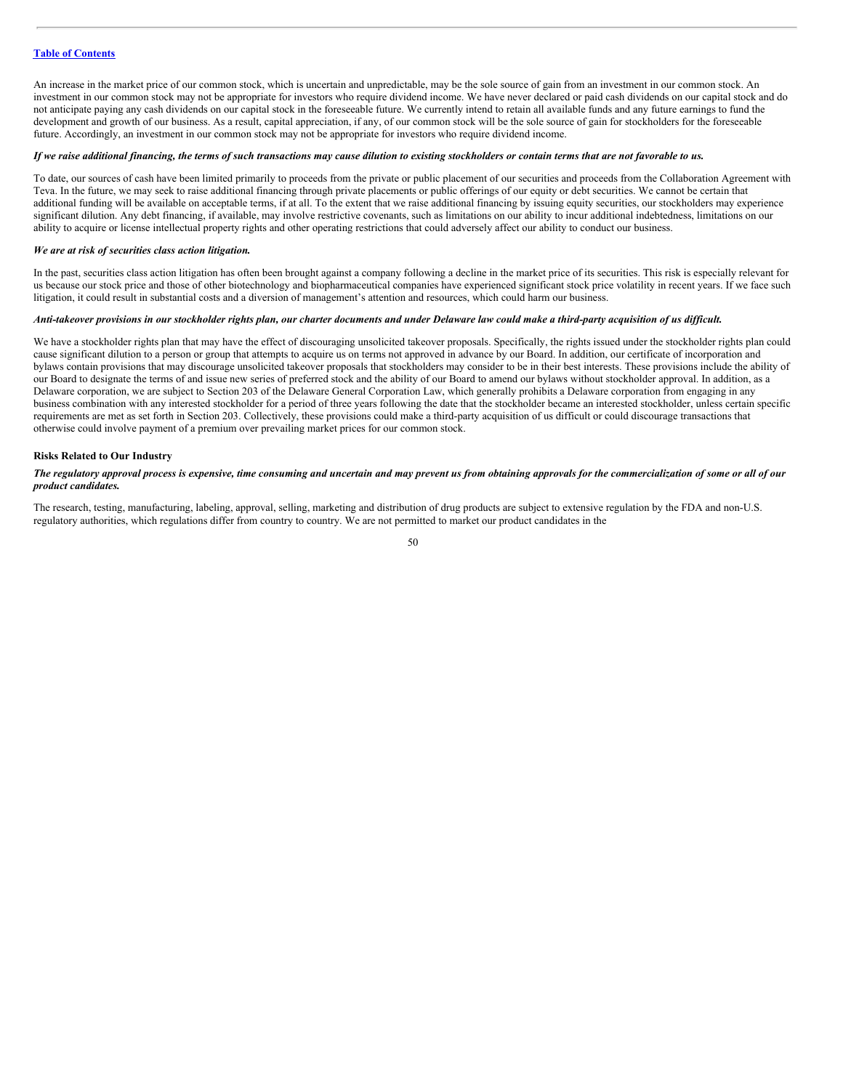An increase in the market price of our common stock, which is uncertain and unpredictable, may be the sole source of gain from an investment in our common stock. An investment in our common stock may not be appropriate for investors who require dividend income. We have never declared or paid cash dividends on our capital stock and do not anticipate paying any cash dividends on our capital stock in the foreseeable future. We currently intend to retain all available funds and any future earnings to fund the development and growth of our business. As a result, capital appreciation, if any, of our common stock will be the sole source of gain for stockholders for the foreseeable future. Accordingly, an investment in our common stock may not be appropriate for investors who require dividend income.

### If we raise additional financing, the terms of such transactions may cause dilution to existing stockholders or contain terms that are not favorable to us.

To date, our sources of cash have been limited primarily to proceeds from the private or public placement of our securities and proceeds from the Collaboration Agreement with Teva. In the future, we may seek to raise additional financing through private placements or public offerings of our equity or debt securities. We cannot be certain that additional funding will be available on acceptable terms, if at all. To the extent that we raise additional financing by issuing equity securities, our stockholders may experience significant dilution. Any debt financing, if available, may involve restrictive covenants, such as limitations on our ability to incur additional indebtedness, limitations on our ability to acquire or license intellectual property rights and other operating restrictions that could adversely affect our ability to conduct our business.

### *We are at risk of securities class action litigation.*

In the past, securities class action litigation has often been brought against a company following a decline in the market price of its securities. This risk is especially relevant for us because our stock price and those of other biotechnology and biopharmaceutical companies have experienced significant stock price volatility in recent years. If we face such litigation, it could result in substantial costs and a diversion of management's attention and resources, which could harm our business.

# Anti-takeover provisions in our stockholder rights plan, our charter documents and under Delaware law could make a third-party acquisition of us difficult.

We have a stockholder rights plan that may have the effect of discouraging unsolicited takeover proposals. Specifically, the rights issued under the stockholder rights plan could cause significant dilution to a person or group that attempts to acquire us on terms not approved in advance by our Board. In addition, our certificate of incorporation and bylaws contain provisions that may discourage unsolicited takeover proposals that stockholders may consider to be in their best interests. These provisions include the ability of our Board to designate the terms of and issue new series of preferred stock and the ability of our Board to amend our bylaws without stockholder approval. In addition, as a Delaware corporation, we are subject to Section 203 of the Delaware General Corporation Law, which generally prohibits a Delaware corporation from engaging in any business combination with any interested stockholder for a period of three years following the date that the stockholder became an interested stockholder, unless certain specific requirements are met as set forth in Section 203. Collectively, these provisions could make a third-party acquisition of us difficult or could discourage transactions that otherwise could involve payment of a premium over prevailing market prices for our common stock.

#### **Risks Related to Our Industry**

# The regulatory approval process is expensive, time consuming and uncertain and may prevent us from obtaining approvals for the commercialization of some or all of our *product candidates.*

The research, testing, manufacturing, labeling, approval, selling, marketing and distribution of drug products are subject to extensive regulation by the FDA and non-U.S. regulatory authorities, which regulations differ from country to country. We are not permitted to market our product candidates in the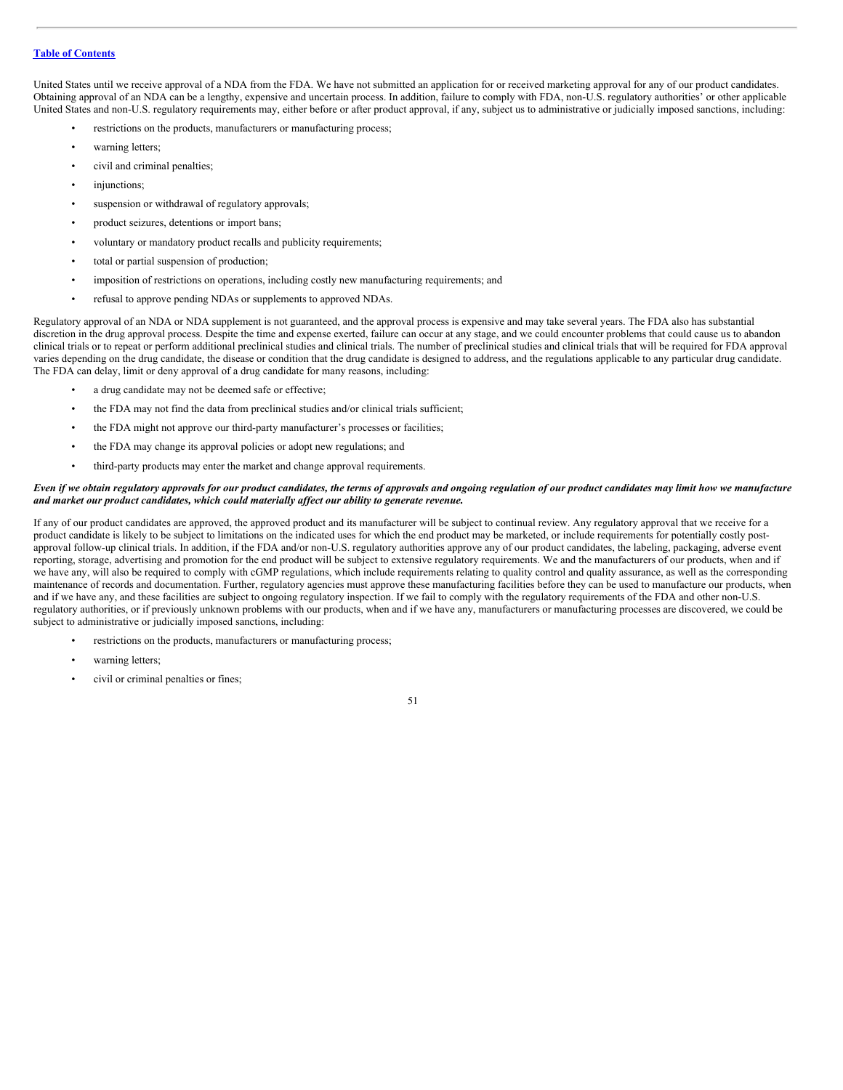United States until we receive approval of a NDA from the FDA. We have not submitted an application for or received marketing approval for any of our product candidates. Obtaining approval of an NDA can be a lengthy, expensive and uncertain process. In addition, failure to comply with FDA, non-U.S. regulatory authorities' or other applicable United States and non-U.S. regulatory requirements may, either before or after product approval, if any, subject us to administrative or judicially imposed sanctions, including:

- restrictions on the products, manufacturers or manufacturing process;
- warning letters:
- civil and criminal penalties;
- injunctions;
- suspension or withdrawal of regulatory approvals;
- product seizures, detentions or import bans;
- voluntary or mandatory product recalls and publicity requirements;
- total or partial suspension of production;
- imposition of restrictions on operations, including costly new manufacturing requirements; and
- refusal to approve pending NDAs or supplements to approved NDAs.

Regulatory approval of an NDA or NDA supplement is not guaranteed, and the approval process is expensive and may take several years. The FDA also has substantial discretion in the drug approval process. Despite the time and expense exerted, failure can occur at any stage, and we could encounter problems that could cause us to abandon clinical trials or to repeat or perform additional preclinical studies and clinical trials. The number of preclinical studies and clinical trials that will be required for FDA approval varies depending on the drug candidate, the disease or condition that the drug candidate is designed to address, and the regulations applicable to any particular drug candidate. The FDA can delay, limit or deny approval of a drug candidate for many reasons, including:

- a drug candidate may not be deemed safe or effective:
- the FDA may not find the data from preclinical studies and/or clinical trials sufficient;
- the FDA might not approve our third-party manufacturer's processes or facilities;
- the FDA may change its approval policies or adopt new regulations; and
- third-party products may enter the market and change approval requirements.

### Even if we obtain regulatory approvals for our product candidates, the terms of approvals and ongoing regulation of our product candidates may limit how we manufacture *and market our product candidates, which could materially af ect our ability to generate revenue.*

If any of our product candidates are approved, the approved product and its manufacturer will be subject to continual review. Any regulatory approval that we receive for a product candidate is likely to be subject to limitations on the indicated uses for which the end product may be marketed, or include requirements for potentially costly postapproval follow-up clinical trials. In addition, if the FDA and/or non-U.S. regulatory authorities approve any of our product candidates, the labeling, packaging, adverse event reporting, storage, advertising and promotion for the end product will be subject to extensive regulatory requirements. We and the manufacturers of our products, when and if we have any, will also be required to comply with cGMP regulations, which include requirements relating to quality control and quality assurance, as well as the corresponding maintenance of records and documentation. Further, regulatory agencies must approve these manufacturing facilities before they can be used to manufacture our products, when and if we have any, and these facilities are subject to ongoing regulatory inspection. If we fail to comply with the regulatory requirements of the FDA and other non-U.S. regulatory authorities, or if previously unknown problems with our products, when and if we have any, manufacturers or manufacturing processes are discovered, we could be subject to administrative or judicially imposed sanctions, including:

- restrictions on the products, manufacturers or manufacturing process;
- warning letters;
- civil or criminal penalties or fines;

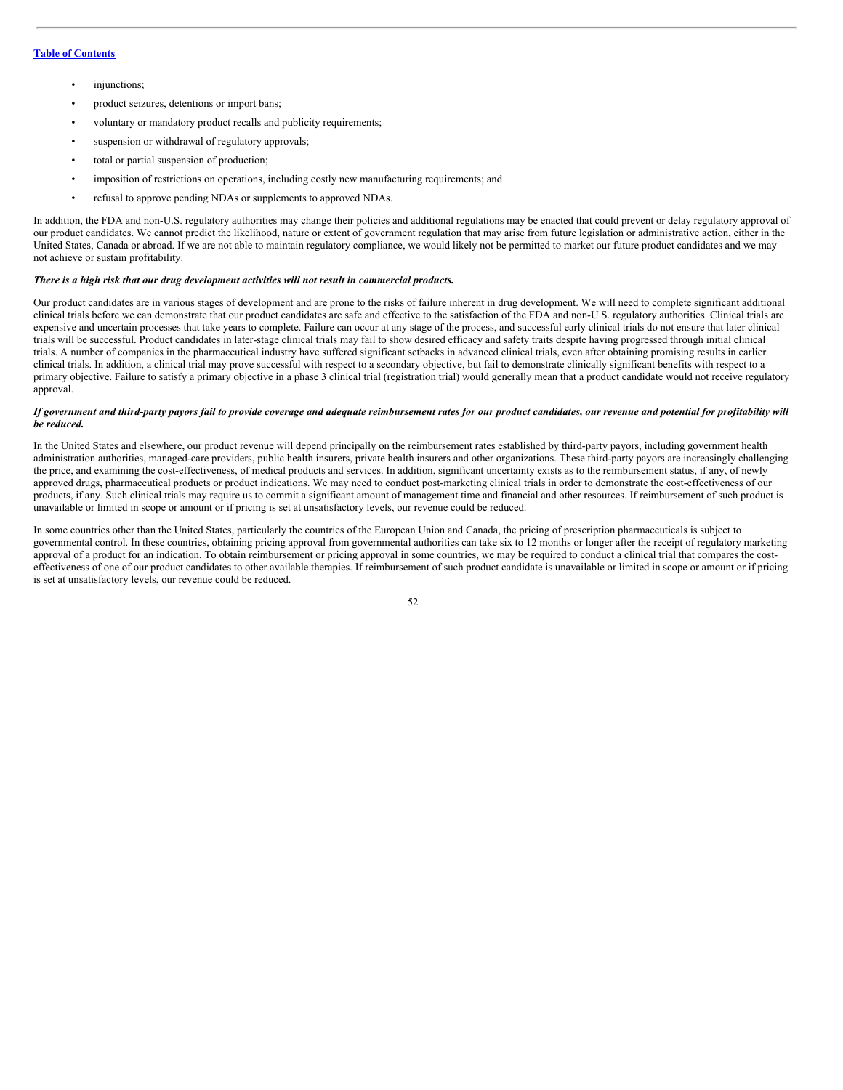- injunctions;
- product seizures, detentions or import bans;
- voluntary or mandatory product recalls and publicity requirements;
- suspension or withdrawal of regulatory approvals;
- total or partial suspension of production;
- imposition of restrictions on operations, including costly new manufacturing requirements; and
- refusal to approve pending NDAs or supplements to approved NDAs.

In addition, the FDA and non-U.S. regulatory authorities may change their policies and additional regulations may be enacted that could prevent or delay regulatory approval of our product candidates. We cannot predict the likelihood, nature or extent of government regulation that may arise from future legislation or administrative action, either in the United States, Canada or abroad. If we are not able to maintain regulatory compliance, we would likely not be permitted to market our future product candidates and we may not achieve or sustain profitability.

# *There is a high risk that our drug development activities will not result in commercial products.*

Our product candidates are in various stages of development and are prone to the risks of failure inherent in drug development. We will need to complete significant additional clinical trials before we can demonstrate that our product candidates are safe and effective to the satisfaction of the FDA and non-U.S. regulatory authorities. Clinical trials are expensive and uncertain processes that take years to complete. Failure can occur at any stage of the process, and successful early clinical trials do not ensure that later clinical trials will be successful. Product candidates in later-stage clinical trials may fail to show desired efficacy and safety traits despite having progressed through initial clinical trials. A number of companies in the pharmaceutical industry have suffered significant setbacks in advanced clinical trials, even after obtaining promising results in earlier clinical trials. In addition, a clinical trial may prove successful with respect to a secondary objective, but fail to demonstrate clinically significant benefits with respect to a primary objective. Failure to satisfy a primary objective in a phase 3 clinical trial (registration trial) would generally mean that a product candidate would not receive regulatory approval.

# If government and third-party payors fail to provide coverage and adequate reimbursement rates for our product candidates, our revenue and potential for profitability will *be reduced.*

In the United States and elsewhere, our product revenue will depend principally on the reimbursement rates established by third-party payors, including government health administration authorities, managed-care providers, public health insurers, private health insurers and other organizations. These third-party payors are increasingly challenging the price, and examining the cost-effectiveness, of medical products and services. In addition, significant uncertainty exists as to the reimbursement status, if any, of newly approved drugs, pharmaceutical products or product indications. We may need to conduct post-marketing clinical trials in order to demonstrate the cost-effectiveness of our products, if any. Such clinical trials may require us to commit a significant amount of management time and financial and other resources. If reimbursement of such product is unavailable or limited in scope or amount or if pricing is set at unsatisfactory levels, our revenue could be reduced.

In some countries other than the United States, particularly the countries of the European Union and Canada, the pricing of prescription pharmaceuticals is subject to governmental control. In these countries, obtaining pricing approval from governmental authorities can take six to 12 months or longer after the receipt of regulatory marketing approval of a product for an indication. To obtain reimbursement or pricing approval in some countries, we may be required to conduct a clinical trial that compares the costeffectiveness of one of our product candidates to other available therapies. If reimbursement of such product candidate is unavailable or limited in scope or amount or if pricing is set at unsatisfactory levels, our revenue could be reduced.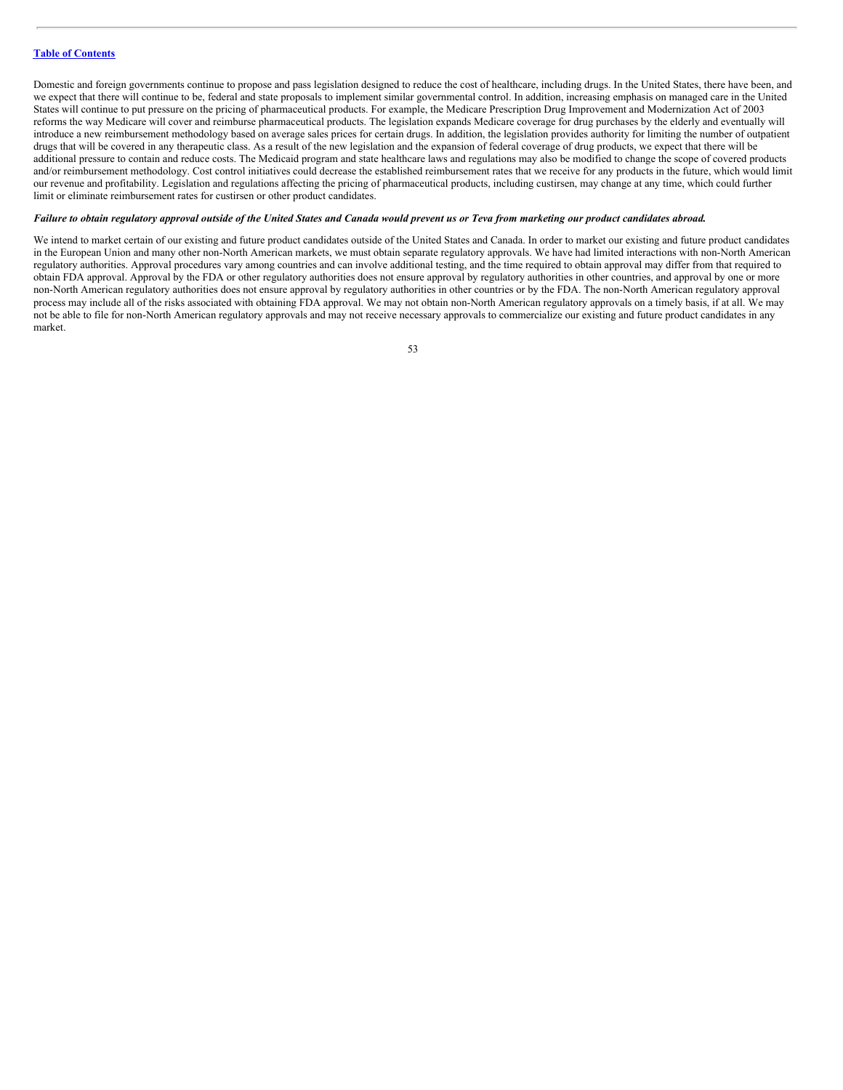Domestic and foreign governments continue to propose and pass legislation designed to reduce the cost of healthcare, including drugs. In the United States, there have been, and we expect that there will continue to be, federal and state proposals to implement similar governmental control. In addition, increasing emphasis on managed care in the United States will continue to put pressure on the pricing of pharmaceutical products. For example, the Medicare Prescription Drug Improvement and Modernization Act of 2003 reforms the way Medicare will cover and reimburse pharmaceutical products. The legislation expands Medicare coverage for drug purchases by the elderly and eventually will introduce a new reimbursement methodology based on average sales prices for certain drugs. In addition, the legislation provides authority for limiting the number of outpatient drugs that will be covered in any therapeutic class. As a result of the new legislation and the expansion of federal coverage of drug products, we expect that there will be additional pressure to contain and reduce costs. The Medicaid program and state healthcare laws and regulations may also be modified to change the scope of covered products and/or reimbursement methodology. Cost control initiatives could decrease the established reimbursement rates that we receive for any products in the future, which would limit our revenue and profitability. Legislation and regulations affecting the pricing of pharmaceutical products, including custirsen, may change at any time, which could further limit or eliminate reimbursement rates for custirsen or other product candidates.

# Failure to obtain regulatory approval outside of the United States and Canada would prevent us or Teva from marketing our product candidates abroad.

We intend to market certain of our existing and future product candidates outside of the United States and Canada. In order to market our existing and future product candidates in the European Union and many other non-North American markets, we must obtain separate regulatory approvals. We have had limited interactions with non-North American regulatory authorities. Approval procedures vary among countries and can involve additional testing, and the time required to obtain approval may differ from that required to obtain FDA approval. Approval by the FDA or other regulatory authorities does not ensure approval by regulatory authorities in other countries, and approval by one or more non-North American regulatory authorities does not ensure approval by regulatory authorities in other countries or by the FDA. The non-North American regulatory approval process may include all of the risks associated with obtaining FDA approval. We may not obtain non-North American regulatory approvals on a timely basis, if at all. We may not be able to file for non-North American regulatory approvals and may not receive necessary approvals to commercialize our existing and future product candidates in any market.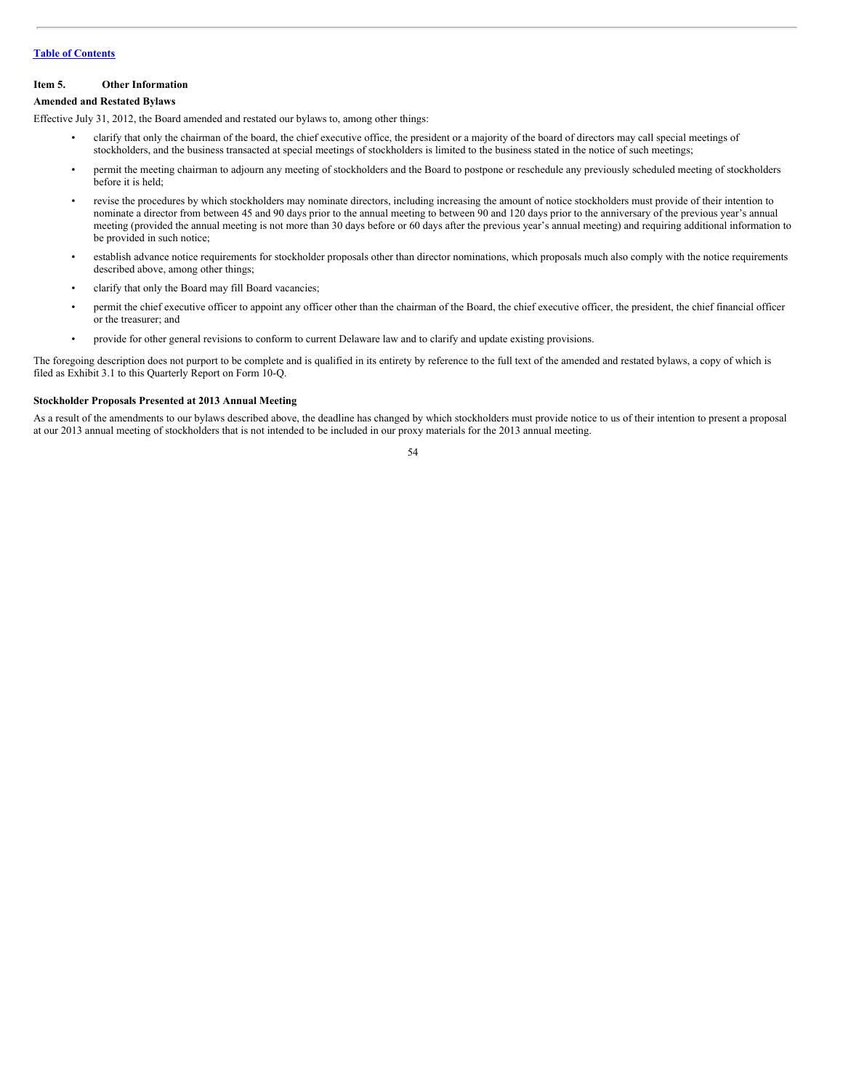### **Item 5. Other Information**

# **Amended and Restated Bylaws**

Effective July 31, 2012, the Board amended and restated our bylaws to, among other things:

- clarify that only the chairman of the board, the chief executive office, the president or a majority of the board of directors may call special meetings of stockholders, and the business transacted at special meetings of stockholders is limited to the business stated in the notice of such meetings;
- permit the meeting chairman to adjourn any meeting of stockholders and the Board to postpone or reschedule any previously scheduled meeting of stockholders before it is held;
- revise the procedures by which stockholders may nominate directors, including increasing the amount of notice stockholders must provide of their intention to nominate a director from between 45 and 90 days prior to the annual meeting to between 90 and 120 days prior to the anniversary of the previous year's annual meeting (provided the annual meeting is not more than 30 days before or 60 days after the previous year's annual meeting) and requiring additional information to be provided in such notice;
- establish advance notice requirements for stockholder proposals other than director nominations, which proposals much also comply with the notice requirements described above, among other things;
- clarify that only the Board may fill Board vacancies;
- permit the chief executive officer to appoint any officer other than the chairman of the Board, the chief executive officer, the president, the chief financial officer or the treasurer; and
- provide for other general revisions to conform to current Delaware law and to clarify and update existing provisions.

The foregoing description does not purport to be complete and is qualified in its entirety by reference to the full text of the amended and restated bylaws, a copy of which is filed as Exhibit 3.1 to this Quarterly Report on Form 10-Q.

## **Stockholder Proposals Presented at 2013 Annual Meeting**

As a result of the amendments to our bylaws described above, the deadline has changed by which stockholders must provide notice to us of their intention to present a proposal at our 2013 annual meeting of stockholders that is not intended to be included in our proxy materials for the 2013 annual meeting.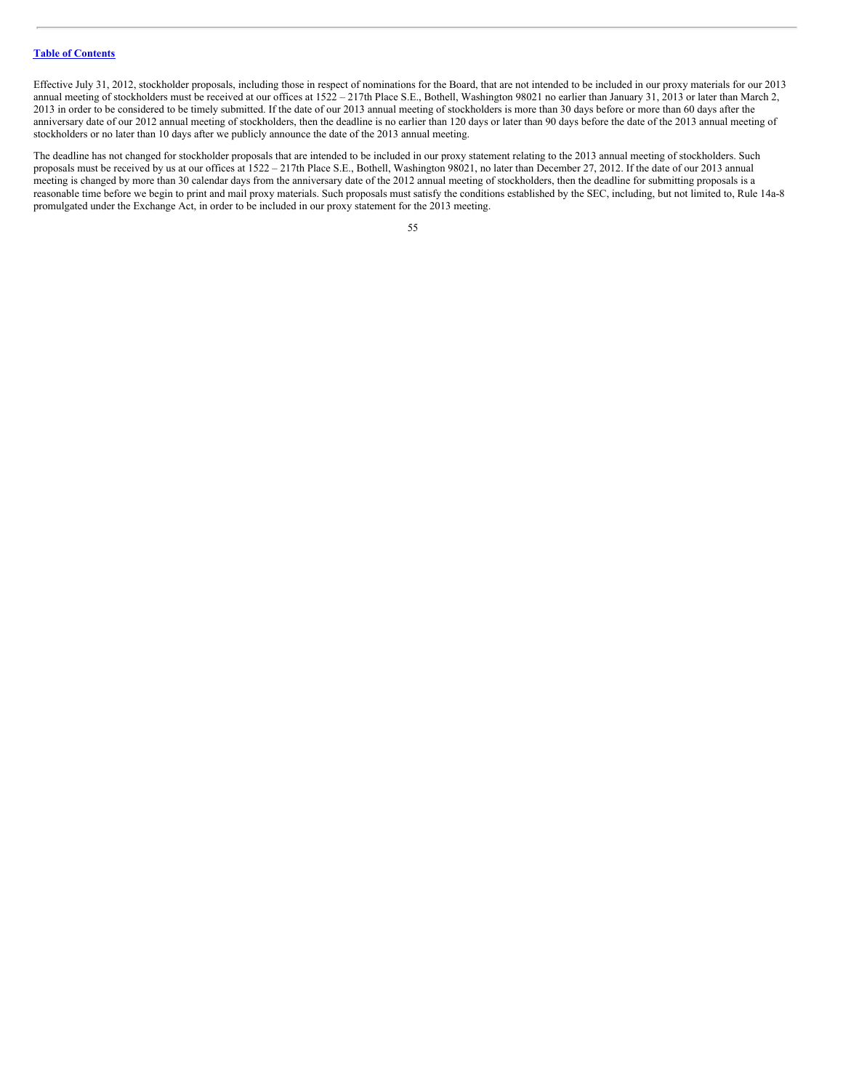Effective July 31, 2012, stockholder proposals, including those in respect of nominations for the Board, that are not intended to be included in our proxy materials for our 2013 annual meeting of stockholders must be received at our offices at 1522 – 217th Place S.E., Bothell, Washington 98021 no earlier than January 31, 2013 or later than March 2, 2013 in order to be considered to be timely submitted. If the date of our 2013 annual meeting of stockholders is more than 30 days before or more than 60 days after the anniversary date of our 2012 annual meeting of stockholders, then the deadline is no earlier than 120 days or later than 90 days before the date of the 2013 annual meeting of stockholders or no later than 10 days after we publicly announce the date of the 2013 annual meeting.

The deadline has not changed for stockholder proposals that are intended to be included in our proxy statement relating to the 2013 annual meeting of stockholders. Such proposals must be received by us at our offices at 1522 – 217th Place S.E., Bothell, Washington 98021, no later than December 27, 2012. If the date of our 2013 annual meeting is changed by more than 30 calendar days from the anniversary date of the 2012 annual meeting of stockholders, then the deadline for submitting proposals is a reasonable time before we begin to print and mail proxy materials. Such proposals must satisfy the conditions established by the SEC, including, but not limited to, Rule 14a-8 promulgated under the Exchange Act, in order to be included in our proxy statement for the 2013 meeting.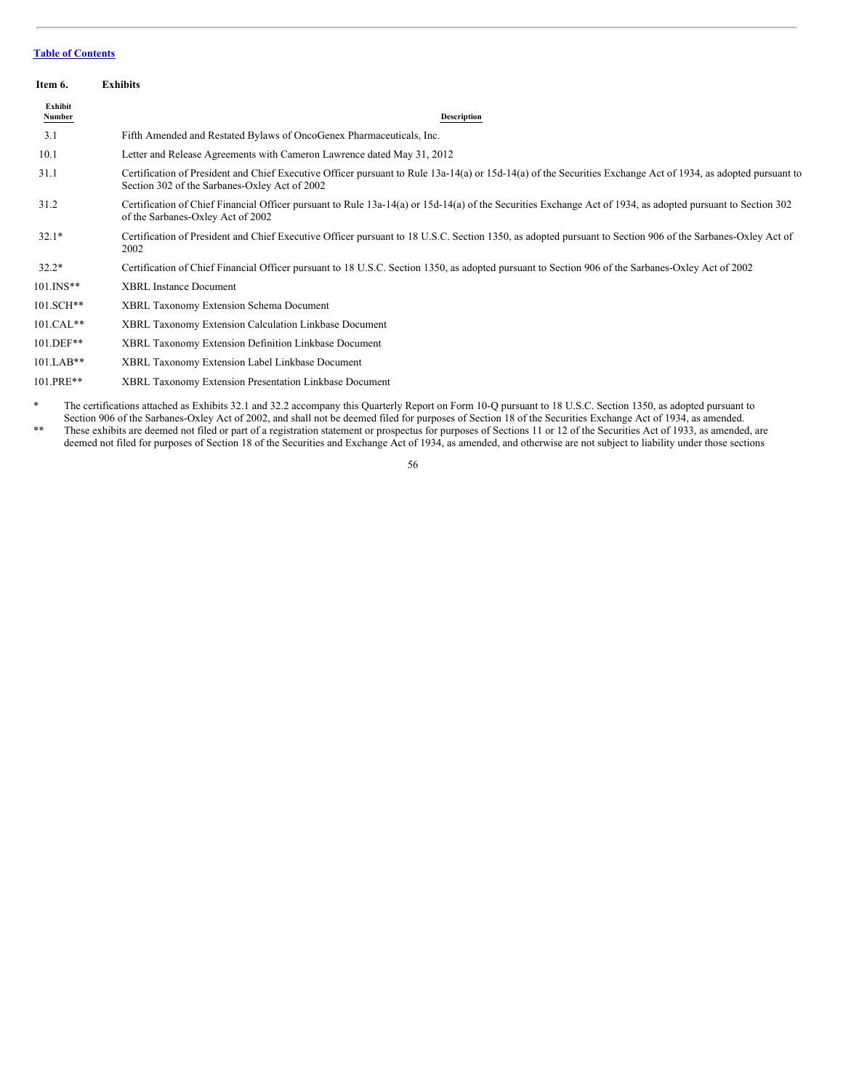| Item 6.                  | <b>Exhibits</b>                                                                                                                                                                                                |
|--------------------------|----------------------------------------------------------------------------------------------------------------------------------------------------------------------------------------------------------------|
| <b>Exhibit</b><br>Number | Description                                                                                                                                                                                                    |
| 3.1                      | Fifth Amended and Restated Bylaws of OncoGenex Pharmaceuticals, Inc.                                                                                                                                           |
| 10.1                     | Letter and Release Agreements with Cameron Lawrence dated May 31, 2012                                                                                                                                         |
| 31.1                     | Certification of President and Chief Executive Officer pursuant to Rule 13a-14(a) or 15d-14(a) of the Securities Exchange Act of 1934, as adopted pursuant to<br>Section 302 of the Sarbanes-Oxley Act of 2002 |
| 31.2                     | Certification of Chief Financial Officer pursuant to Rule 13a-14(a) or 15d-14(a) of the Securities Exchange Act of 1934, as adopted pursuant to Section 302<br>of the Sarbanes-Oxley Act of 2002               |
| $32.1*$                  | Certification of President and Chief Executive Officer pursuant to 18 U.S.C. Section 1350, as adopted pursuant to Section 906 of the Sarbanes-Oxley Act of<br>2002                                             |
| $32.2*$                  | Certification of Chief Financial Officer pursuant to 18 U.S.C. Section 1350, as adopted pursuant to Section 906 of the Sarbanes-Oxley Act of 2002                                                              |
| $101.$ INS**             | <b>XBRL</b> Instance Document                                                                                                                                                                                  |
| $101.SCH**$              | <b>XBRL Taxonomy Extension Schema Document</b>                                                                                                                                                                 |
| $101.CAL**$              | XBRL Taxonomy Extension Calculation Linkbase Document                                                                                                                                                          |
| $101.DEF**$              | XBRL Taxonomy Extension Definition Linkbase Document                                                                                                                                                           |
| $101.LAB**$              | XBRL Taxonomy Extension Label Linkbase Document                                                                                                                                                                |
| 101.PRE**                | XBRL Taxonomy Extension Presentation Linkbase Document                                                                                                                                                         |

\* The certifications attached as Exhibits 32.1 and 32.2 accompany this Quarterly Report on Form 10-Q pursuant to 18 U.S.C. Section 1350, as adopted pursuant to Section 906 of the Sarbanes-Oxley Act of 2002, and shall not be deemed filed for purposes of Section 18 of the Securities Exchange Act of 1934, as amended. \*\* These exhibits are deemed not filed or part of a registration statement or prospectus for purposes of Sections 11 or 12 of the Securities Act of 1933, as amended, are deemed not filed for purposes of Section 18 of the Securities and Exchange Act of 1934, as amended, and otherwise are not subject to liability under those sections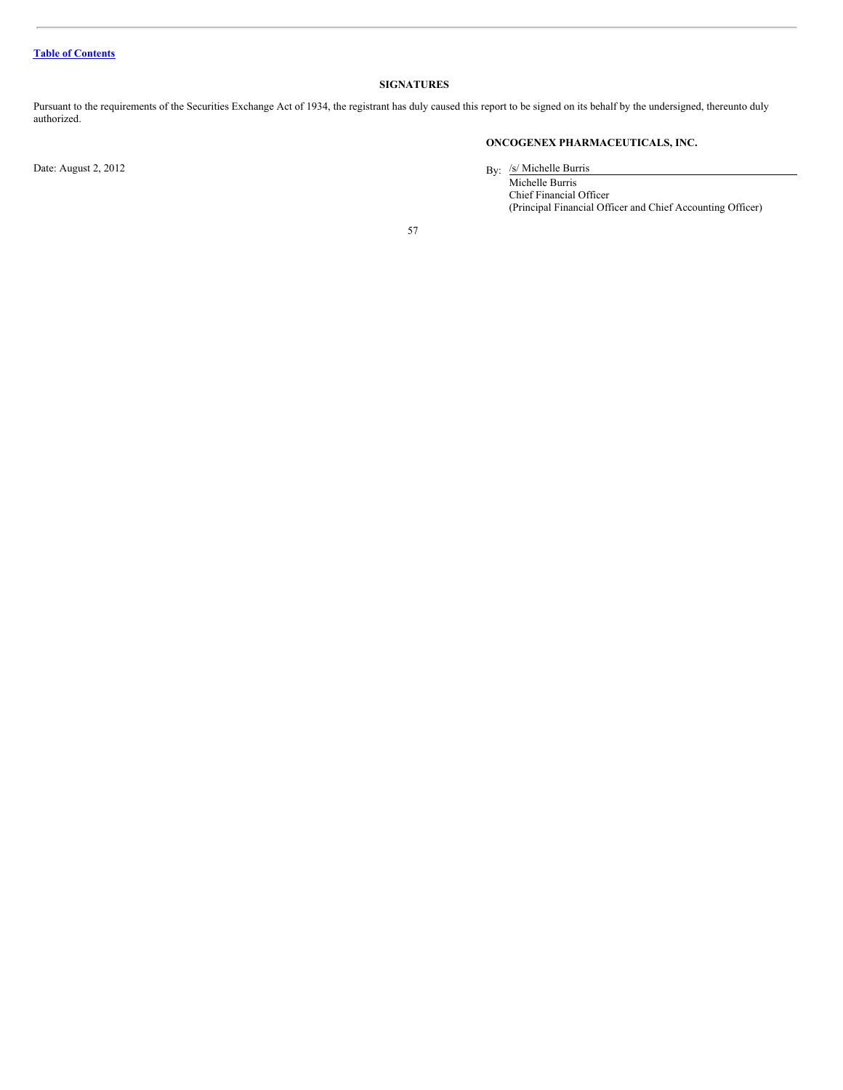# **SIGNATURES**

Pursuant to the requirements of the Securities Exchange Act of 1934, the registrant has duly caused this report to be signed on its behalf by the undersigned, thereunto duly authorized.

Date: August 2, 2012

# **ONCOGENEX PHARMACEUTICALS, INC.**

By: /s/ Michelle Burris

Michelle Burris Chief Financial Officer (Principal Financial Officer and Chief Accounting Officer)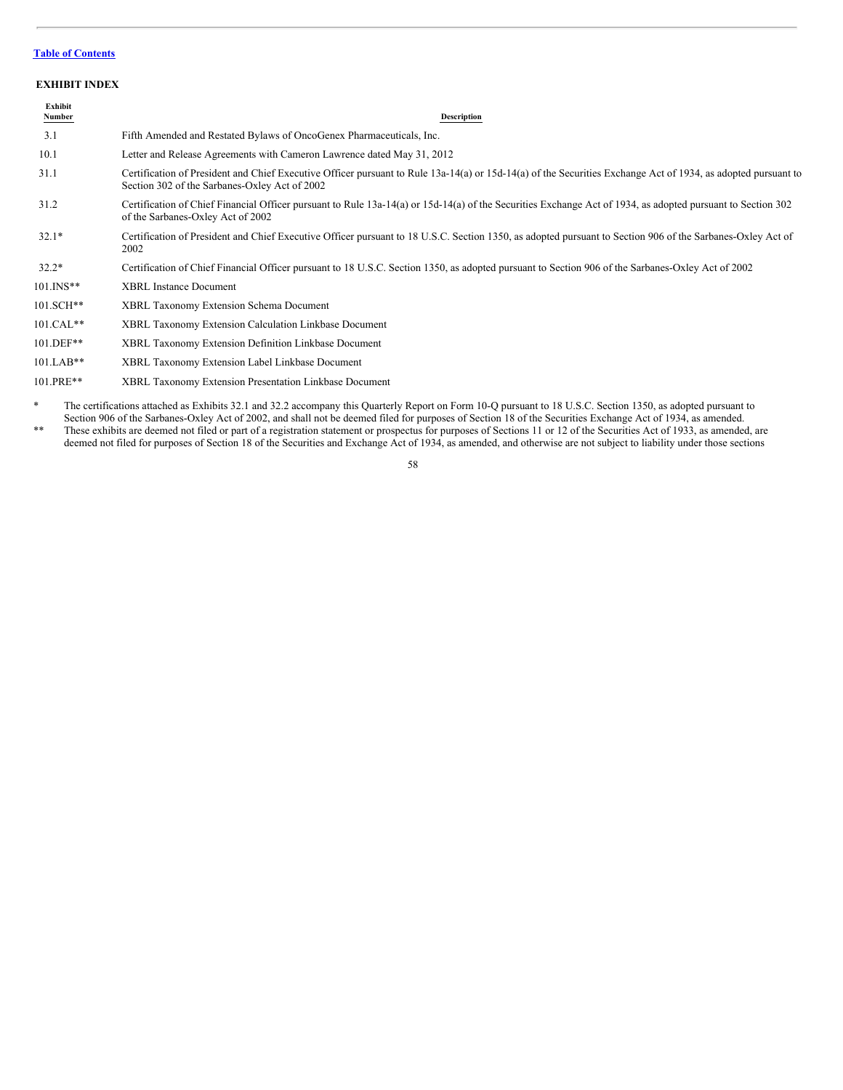### **EXHIBIT INDEX**

| Exhibit<br>Number | Description                                                                                                                                                                                                    |
|-------------------|----------------------------------------------------------------------------------------------------------------------------------------------------------------------------------------------------------------|
| 3.1               | Fifth Amended and Restated Bylaws of OncoGenex Pharmaceuticals, Inc.                                                                                                                                           |
| 10.1              | Letter and Release Agreements with Cameron Lawrence dated May 31, 2012                                                                                                                                         |
| 31.1              | Certification of President and Chief Executive Officer pursuant to Rule 13a-14(a) or 15d-14(a) of the Securities Exchange Act of 1934, as adopted pursuant to<br>Section 302 of the Sarbanes-Oxley Act of 2002 |
| 31.2              | Certification of Chief Financial Officer pursuant to Rule 13a-14(a) or 15d-14(a) of the Securities Exchange Act of 1934, as adopted pursuant to Section 302<br>of the Sarbanes-Oxley Act of 2002               |
| $32.1*$           | Certification of President and Chief Executive Officer pursuant to 18 U.S.C. Section 1350, as adopted pursuant to Section 906 of the Sarbanes-Oxley Act of<br>2002                                             |
| $32.2*$           | Certification of Chief Financial Officer pursuant to 18 U.S.C. Section 1350, as adopted pursuant to Section 906 of the Sarbanes-Oxley Act of 2002                                                              |
| $101.$ INS**      | <b>XBRL Instance Document</b>                                                                                                                                                                                  |
| 101.SCH**         | <b>XBRL Taxonomy Extension Schema Document</b>                                                                                                                                                                 |
| $101.CAL**$       | <b>XBRL Taxonomy Extension Calculation Linkbase Document</b>                                                                                                                                                   |
| $101.$ DEF**      | XBRL Taxonomy Extension Definition Linkbase Document                                                                                                                                                           |
| $101.LAB**$       | XBRL Taxonomy Extension Label Linkbase Document                                                                                                                                                                |
| 101.PRE**         | XBRL Taxonomy Extension Presentation Linkbase Document                                                                                                                                                         |

\* The certifications attached as Exhibits 32.1 and 32.2 accompany this Quarterly Report on Form 10-Q pursuant to 18 U.S.C. Section 1350, as adopted pursuant to Section 906 of the Sarbanes-Oxley Act of 2002, and shall not be deemed filed for purposes of Section 18 of the Securities Exchange Act of 1934, as amended. \*\* These exhibits are deemed not filed or part of a registration statement or prospectus for purposes of Sections 11 or 12 of the Securities Act of 1933, as amended, are deemed not filed for purposes of Section 18 of the Securities and Exchange Act of 1934, as amended, and otherwise are not subject to liability under those sections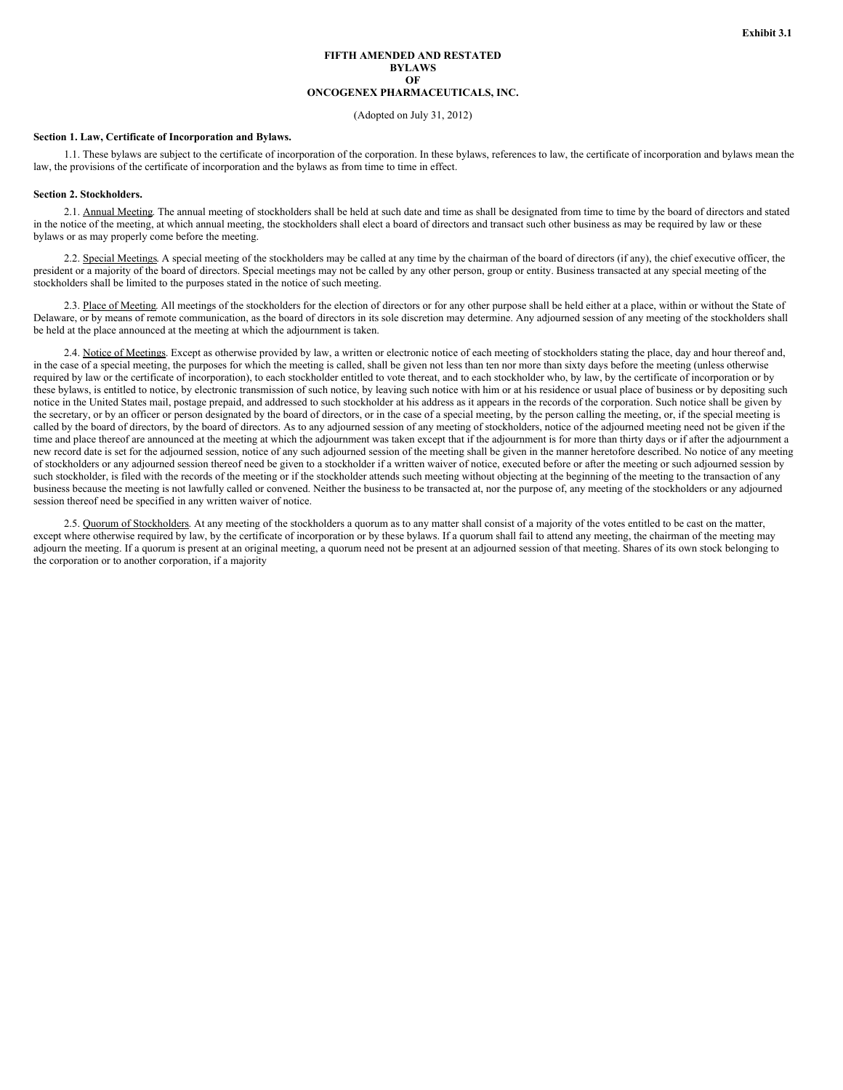### **FIFTH AMENDED AND RESTATED BYLAWS OF ONCOGENEX PHARMACEUTICALS, INC.**

(Adopted on July 31, 2012)

#### **Section 1. Law, Certificate of Incorporation and Bylaws.**

1.1. These bylaws are subject to the certificate of incorporation of the corporation. In these bylaws, references to law, the certificate of incorporation and bylaws mean the law, the provisions of the certificate of incorporation and the bylaws as from time to time in effect.

#### **Section 2. Stockholders.**

2.1. Annual Meeting. The annual meeting of stockholders shall be held at such date and time as shall be designated from time to time by the board of directors and stated in the notice of the meeting, at which annual meeting, the stockholders shall elect a board of directors and transact such other business as may be required by law or these bylaws or as may properly come before the meeting.

2.2. Special Meetings. A special meeting of the stockholders may be called at any time by the chairman of the board of directors (if any), the chief executive officer, the president or a majority of the board of directors. Special meetings may not be called by any other person, group or entity. Business transacted at any special meeting of the stockholders shall be limited to the purposes stated in the notice of such meeting.

2.3. Place of Meeting. All meetings of the stockholders for the election of directors or for any other purpose shall be held either at a place, within or without the State of Delaware, or by means of remote communication, as the board of directors in its sole discretion may determine. Any adjourned session of any meeting of the stockholders shall be held at the place announced at the meeting at which the adjournment is taken.

2.4. Notice of Meetings. Except as otherwise provided by law, a written or electronic notice of each meeting of stockholders stating the place, day and hour thereof and, in the case of a special meeting, the purposes for which the meeting is called, shall be given not less than ten nor more than sixty days before the meeting (unless otherwise required by law or the certificate of incorporation), to each stockholder entitled to vote thereat, and to each stockholder who, by law, by the certificate of incorporation or by these bylaws, is entitled to notice, by electronic transmission of such notice, by leaving such notice with him or at his residence or usual place of business or by depositing such notice in the United States mail, postage prepaid, and addressed to such stockholder at his address as it appears in the records of the corporation. Such notice shall be given by the secretary, or by an officer or person designated by the board of directors, or in the case of a special meeting, by the person calling the meeting, or, if the special meeting is called by the board of directors, by the board of directors. As to any adjourned session of any meeting of stockholders, notice of the adjourned meeting need not be given if the time and place thereof are announced at the meeting at which the adjournment was taken except that if the adjournment is for more than thirty days or if after the adjournment a new record date is set for the adjourned session, notice of any such adjourned session of the meeting shall be given in the manner heretofore described. No notice of any meeting of stockholders or any adjourned session thereof need be given to a stockholder if a written waiver of notice, executed before or after the meeting or such adjourned session by such stockholder, is filed with the records of the meeting or if the stockholder attends such meeting without objecting at the beginning of the meeting to the transaction of any business because the meeting is not lawfully called or convened. Neither the business to be transacted at, nor the purpose of, any meeting of the stockholders or any adjourned session thereof need be specified in any written waiver of notice.

2.5. Quorum of Stockholders. At any meeting of the stockholders a quorum as to any matter shall consist of a majority of the votes entitled to be cast on the matter, except where otherwise required by law, by the certificate of incorporation or by these bylaws. If a quorum shall fail to attend any meeting, the chairman of the meeting may adjourn the meeting. If a quorum is present at an original meeting, a quorum need not be present at an adjourned session of that meeting. Shares of its own stock belonging to the corporation or to another corporation, if a majority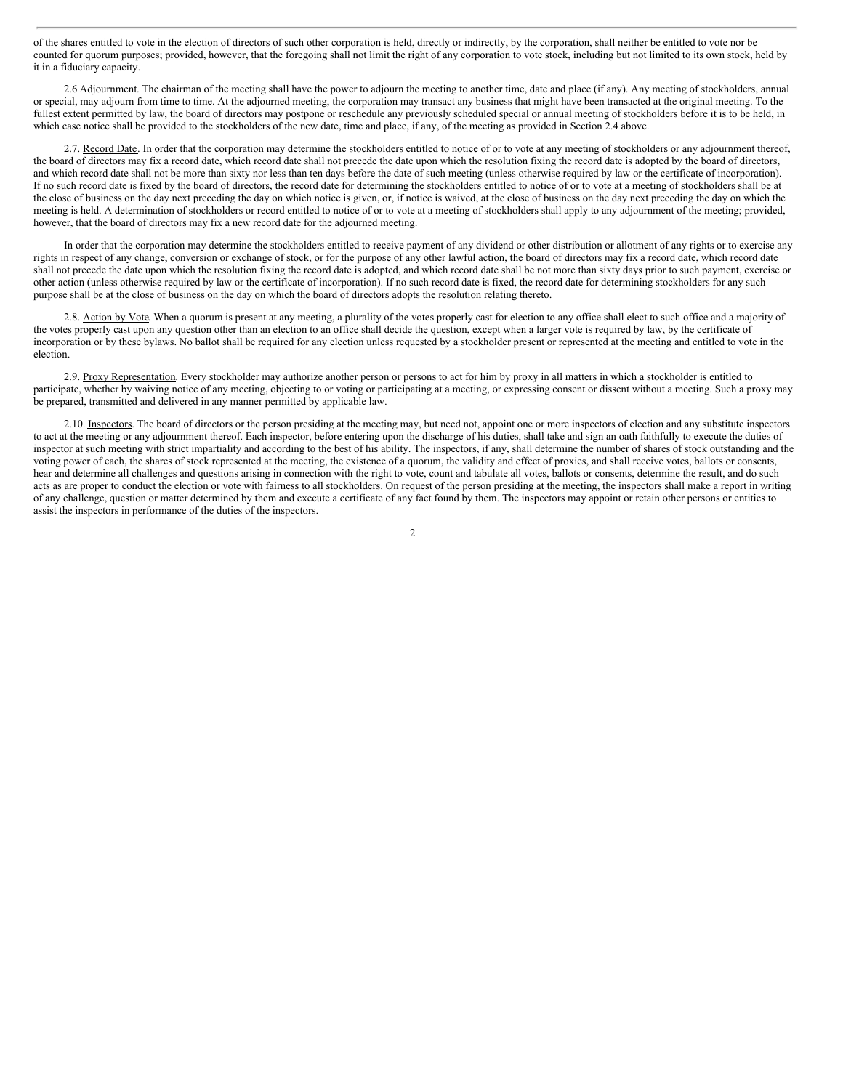of the shares entitled to vote in the election of directors of such other corporation is held, directly or indirectly, by the corporation, shall neither be entitled to vote nor be counted for quorum purposes; provided, however, that the foregoing shall not limit the right of any corporation to vote stock, including but not limited to its own stock, held by it in a fiduciary capacity.

2.6 Adjournment. The chairman of the meeting shall have the power to adjourn the meeting to another time, date and place (if any). Any meeting of stockholders, annual or special, may adjourn from time to time. At the adjourned meeting, the corporation may transact any business that might have been transacted at the original meeting. To the fullest extent permitted by law, the board of directors may postpone or reschedule any previously scheduled special or annual meeting of stockholders before it is to be held, in which case notice shall be provided to the stockholders of the new date, time and place, if any, of the meeting as provided in Section 2.4 above.

2.7. Record Date. In order that the corporation may determine the stockholders entitled to notice of or to vote at any meeting of stockholders or any adjournment thereof, the board of directors may fix a record date, which record date shall not precede the date upon which the resolution fixing the record date is adopted by the board of directors, and which record date shall not be more than sixty nor less than ten days before the date of such meeting (unless otherwise required by law or the certificate of incorporation). If no such record date is fixed by the board of directors, the record date for determining the stockholders entitled to notice of or to vote at a meeting of stockholders shall be at the close of business on the day next preceding the day on which notice is given, or, if notice is waived, at the close of business on the day next preceding the day on which the meeting is held. A determination of stockholders or record entitled to notice of or to vote at a meeting of stockholders shall apply to any adjournment of the meeting; provided, however, that the board of directors may fix a new record date for the adjourned meeting.

In order that the corporation may determine the stockholders entitled to receive payment of any dividend or other distribution or allotment of any rights or to exercise any rights in respect of any change, conversion or exchange of stock, or for the purpose of any other lawful action, the board of directors may fix a record date, which record date shall not precede the date upon which the resolution fixing the record date is adopted, and which record date shall be not more than sixty days prior to such payment, exercise or other action (unless otherwise required by law or the certificate of incorporation). If no such record date is fixed, the record date for determining stockholders for any such purpose shall be at the close of business on the day on which the board of directors adopts the resolution relating thereto.

2.8. Action by Vote. When a quorum is present at any meeting, a plurality of the votes properly cast for election to any office shall elect to such office and a majority of the votes properly cast upon any question other than an election to an office shall decide the question, except when a larger vote is required by law, by the certificate of incorporation or by these bylaws. No ballot shall be required for any election unless requested by a stockholder present or represented at the meeting and entitled to vote in the election.

2.9. Proxy Representation. Every stockholder may authorize another person or persons to act for him by proxy in all matters in which a stockholder is entitled to participate, whether by waiving notice of any meeting, objecting to or voting or participating at a meeting, or expressing consent or dissent without a meeting. Such a proxy may be prepared, transmitted and delivered in any manner permitted by applicable law.

2.10. Inspectors. The board of directors or the person presiding at the meeting may, but need not, appoint one or more inspectors of election and any substitute inspectors to act at the meeting or any adjournment thereof. Each inspector, before entering upon the discharge of his duties, shall take and sign an oath faithfully to execute the duties of inspector at such meeting with strict impartiality and according to the best of his ability. The inspectors, if any, shall determine the number of shares of stock outstanding and the voting power of each, the shares of stock represented at the meeting, the existence of a quorum, the validity and effect of proxies, and shall receive votes, ballots or consents, hear and determine all challenges and questions arising in connection with the right to vote, count and tabulate all votes, ballots or consents, determine the result, and do such acts as are proper to conduct the election or vote with fairness to all stockholders. On request of the person presiding at the meeting, the inspectors shall make a report in writing of any challenge, question or matter determined by them and execute a certificate of any fact found by them. The inspectors may appoint or retain other persons or entities to assist the inspectors in performance of the duties of the inspectors.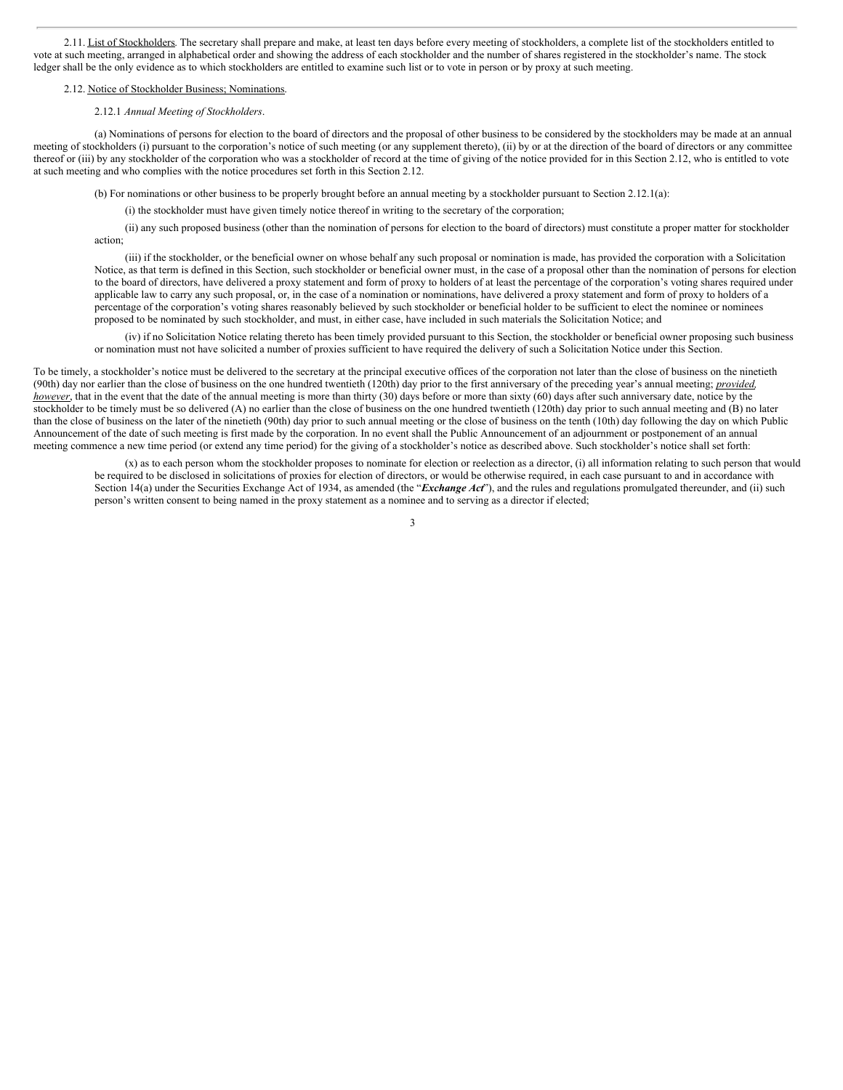2.11. List of Stockholders. The secretary shall prepare and make, at least ten days before every meeting of stockholders, a complete list of the stockholders entitled to vote at such meeting, arranged in alphabetical order and showing the address of each stockholder and the number of shares registered in the stockholder's name. The stock ledger shall be the only evidence as to which stockholders are entitled to examine such list or to vote in person or by proxy at such meeting.

#### 2.12. Notice of Stockholder Business; Nominations.

### 2.12.1 *Annual Meeting of Stockholders*.

(a) Nominations of persons for election to the board of directors and the proposal of other business to be considered by the stockholders may be made at an annual meeting of stockholders (i) pursuant to the corporation's notice of such meeting (or any supplement thereto), (ii) by or at the direction of the board of directors or any committee thereof or (iii) by any stockholder of the corporation who was a stockholder of record at the time of giving of the notice provided for in this Section 2.12, who is entitled to vote at such meeting and who complies with the notice procedures set forth in this Section 2.12.

(b) For nominations or other business to be properly brought before an annual meeting by a stockholder pursuant to Section 2.12.1(a):

(i) the stockholder must have given timely notice thereof in writing to the secretary of the corporation;

(ii) any such proposed business (other than the nomination of persons for election to the board of directors) must constitute a proper matter for stockholder action;

(iii) if the stockholder, or the beneficial owner on whose behalf any such proposal or nomination is made, has provided the corporation with a Solicitation Notice, as that term is defined in this Section, such stockholder or beneficial owner must, in the case of a proposal other than the nomination of persons for election to the board of directors, have delivered a proxy statement and form of proxy to holders of at least the percentage of the corporation's voting shares required under applicable law to carry any such proposal, or, in the case of a nomination or nominations, have delivered a proxy statement and form of proxy to holders of a percentage of the corporation's voting shares reasonably believed by such stockholder or beneficial holder to be sufficient to elect the nominee or nominees proposed to be nominated by such stockholder, and must, in either case, have included in such materials the Solicitation Notice; and

(iv) if no Solicitation Notice relating thereto has been timely provided pursuant to this Section, the stockholder or beneficial owner proposing such business or nomination must not have solicited a number of proxies sufficient to have required the delivery of such a Solicitation Notice under this Section.

To be timely, a stockholder's notice must be delivered to the secretary at the principal executive offices of the corporation not later than the close of business on the ninetieth (90th) day nor earlier than the close of business on the one hundred twentieth (120th) day prior to the first anniversary of the preceding year's annual meeting; *provided, however*, that in the event that the date of the annual meeting is more than thirty (30) days before or more than sixty (60) days after such anniversary date, notice by the stockholder to be timely must be so delivered (A) no earlier than the close of business on the one hundred twentieth (120th) day prior to such annual meeting and (B) no later than the close of business on the later of the ninetieth (90th) day prior to such annual meeting or the close of business on the tenth (10th) day following the day on which Public Announcement of the date of such meeting is first made by the corporation. In no event shall the Public Announcement of an adjournment or postponement of an annual meeting commence a new time period (or extend any time period) for the giving of a stockholder's notice as described above. Such stockholder's notice shall set forth:

(x) as to each person whom the stockholder proposes to nominate for election or reelection as a director, (i) all information relating to such person that would be required to be disclosed in solicitations of proxies for election of directors, or would be otherwise required, in each case pursuant to and in accordance with Section 14(a) under the Securities Exchange Act of 1934, as amended (the "*Exchange Act*"), and the rules and regulations promulgated thereunder, and (ii) such person's written consent to being named in the proxy statement as a nominee and to serving as a director if elected;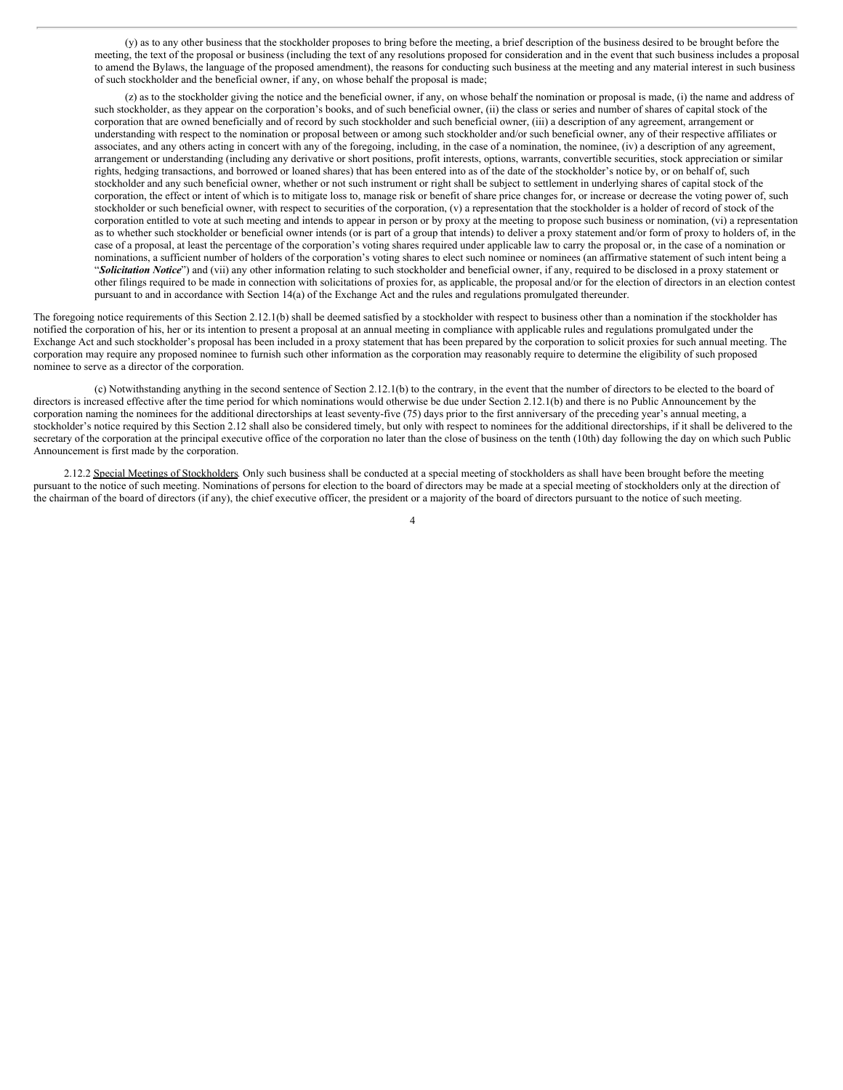(y) as to any other business that the stockholder proposes to bring before the meeting, a brief description of the business desired to be brought before the meeting, the text of the proposal or business (including the text of any resolutions proposed for consideration and in the event that such business includes a proposal to amend the Bylaws, the language of the proposed amendment), the reasons for conducting such business at the meeting and any material interest in such business of such stockholder and the beneficial owner, if any, on whose behalf the proposal is made;

(z) as to the stockholder giving the notice and the beneficial owner, if any, on whose behalf the nomination or proposal is made, (i) the name and address of such stockholder, as they appear on the corporation's books, and of such beneficial owner, (ii) the class or series and number of shares of capital stock of the corporation that are owned beneficially and of record by such stockholder and such beneficial owner, (iii) a description of any agreement, arrangement or understanding with respect to the nomination or proposal between or among such stockholder and/or such beneficial owner, any of their respective affiliates or associates, and any others acting in concert with any of the foregoing, including, in the case of a nomination, the nominee, (iv) a description of any agreement, arrangement or understanding (including any derivative or short positions, profit interests, options, warrants, convertible securities, stock appreciation or similar rights, hedging transactions, and borrowed or loaned shares) that has been entered into as of the date of the stockholder's notice by, or on behalf of, such stockholder and any such beneficial owner, whether or not such instrument or right shall be subject to settlement in underlying shares of capital stock of the corporation, the effect or intent of which is to mitigate loss to, manage risk or benefit of share price changes for, or increase or decrease the voting power of, such stockholder or such beneficial owner, with respect to securities of the corporation, (v) a representation that the stockholder is a holder of record of stock of the corporation entitled to vote at such meeting and intends to appear in person or by proxy at the meeting to propose such business or nomination, (vi) a representation as to whether such stockholder or beneficial owner intends (or is part of a group that intends) to deliver a proxy statement and/or form of proxy to holders of, in the case of a proposal, at least the percentage of the corporation's voting shares required under applicable law to carry the proposal or, in the case of a nomination or nominations, a sufficient number of holders of the corporation's voting shares to elect such nominee or nominees (an affirmative statement of such intent being a "*Solicitation Notice*") and (vii) any other information relating to such stockholder and beneficial owner, if any, required to be disclosed in a proxy statement or other filings required to be made in connection with solicitations of proxies for, as applicable, the proposal and/or for the election of directors in an election contest pursuant to and in accordance with Section 14(a) of the Exchange Act and the rules and regulations promulgated thereunder.

The foregoing notice requirements of this Section 2.12.1(b) shall be deemed satisfied by a stockholder with respect to business other than a nomination if the stockholder has notified the corporation of his, her or its intention to present a proposal at an annual meeting in compliance with applicable rules and regulations promulgated under the Exchange Act and such stockholder's proposal has been included in a proxy statement that has been prepared by the corporation to solicit proxies for such annual meeting. The corporation may require any proposed nominee to furnish such other information as the corporation may reasonably require to determine the eligibility of such proposed nominee to serve as a director of the corporation.

(c) Notwithstanding anything in the second sentence of Section 2.12.1(b) to the contrary, in the event that the number of directors to be elected to the board of directors is increased effective after the time period for which nominations would otherwise be due under Section 2.12.1(b) and there is no Public Announcement by the corporation naming the nominees for the additional directorships at least seventy-five (75) days prior to the first anniversary of the preceding year's annual meeting, a stockholder's notice required by this Section 2.12 shall also be considered timely, but only with respect to nominees for the additional directorships, if it shall be delivered to the secretary of the corporation at the principal executive office of the corporation no later than the close of business on the tenth (10th) day following the day on which such Public Announcement is first made by the corporation.

2.12.2 Special Meetings of Stockholders. Only such business shall be conducted at a special meeting of stockholders as shall have been brought before the meeting pursuant to the notice of such meeting. Nominations of persons for election to the board of directors may be made at a special meeting of stockholders only at the direction of the chairman of the board of directors (if any), the chief executive officer, the president or a majority of the board of directors pursuant to the notice of such meeting.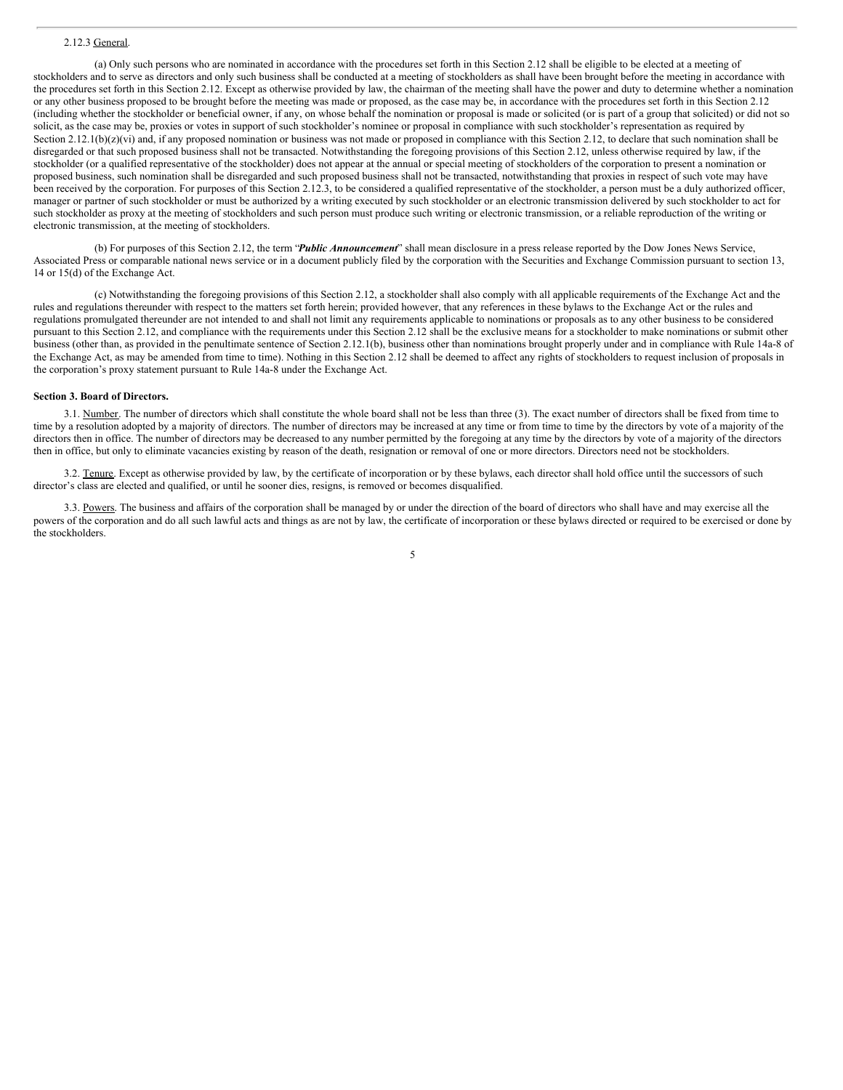#### 2.12.3 General.

(a) Only such persons who are nominated in accordance with the procedures set forth in this Section 2.12 shall be eligible to be elected at a meeting of stockholders and to serve as directors and only such business shall be conducted at a meeting of stockholders as shall have been brought before the meeting in accordance with the procedures set forth in this Section 2.12. Except as otherwise provided by law, the chairman of the meeting shall have the power and duty to determine whether a nomination or any other business proposed to be brought before the meeting was made or proposed, as the case may be, in accordance with the procedures set forth in this Section 2.12 (including whether the stockholder or beneficial owner, if any, on whose behalf the nomination or proposal is made or solicited (or is part of a group that solicited) or did not so solicit, as the case may be, proxies or votes in support of such stockholder's nominee or proposal in compliance with such stockholder's representation as required by Section 2.12.1(b)( $z$ )(vi) and, if any proposed nomination or business was not made or proposed in compliance with this Section 2.12, to declare that such nomination shall be disregarded or that such proposed business shall not be transacted. Notwithstanding the foregoing provisions of this Section 2.12, unless otherwise required by law, if the stockholder (or a qualified representative of the stockholder) does not appear at the annual or special meeting of stockholders of the corporation to present a nomination or proposed business, such nomination shall be disregarded and such proposed business shall not be transacted, notwithstanding that proxies in respect of such vote may have been received by the corporation. For purposes of this Section 2.12.3, to be considered a qualified representative of the stockholder, a person must be a duly authorized officer, manager or partner of such stockholder or must be authorized by a writing executed by such stockholder or an electronic transmission delivered by such stockholder to act for such stockholder as proxy at the meeting of stockholders and such person must produce such writing or electronic transmission, or a reliable reproduction of the writing or electronic transmission, at the meeting of stockholders.

(b) For purposes of this Section 2.12, the term "*Public Announcement*" shall mean disclosure in a press release reported by the Dow Jones News Service, Associated Press or comparable national news service or in a document publicly filed by the corporation with the Securities and Exchange Commission pursuant to section 13, 14 or 15(d) of the Exchange Act.

(c) Notwithstanding the foregoing provisions of this Section 2.12, a stockholder shall also comply with all applicable requirements of the Exchange Act and the rules and regulations thereunder with respect to the matters set forth herein; provided however, that any references in these bylaws to the Exchange Act or the rules and regulations promulgated thereunder are not intended to and shall not limit any requirements applicable to nominations or proposals as to any other business to be considered pursuant to this Section 2.12, and compliance with the requirements under this Section 2.12 shall be the exclusive means for a stockholder to make nominations or submit other business (other than, as provided in the penultimate sentence of Section 2.12.1(b), business other than nominations brought properly under and in compliance with Rule 14a-8 of the Exchange Act, as may be amended from time to time). Nothing in this Section 2.12 shall be deemed to affect any rights of stockholders to request inclusion of proposals in the corporation's proxy statement pursuant to Rule 14a-8 under the Exchange Act.

### **Section 3. Board of Directors.**

3.1. Number. The number of directors which shall constitute the whole board shall not be less than three (3). The exact number of directors shall be fixed from time to time by a resolution adopted by a majority of directors. The number of directors may be increased at any time or from time to time by the directors by vote of a majority of the directors then in office. The number of directors may be decreased to any number permitted by the foregoing at any time by the directors by vote of a majority of the directors then in office, but only to eliminate vacancies existing by reason of the death, resignation or removal of one or more directors. Directors need not be stockholders.

3.2. Tenure. Except as otherwise provided by law, by the certificate of incorporation or by these bylaws, each director shall hold office until the successors of such director's class are elected and qualified, or until he sooner dies, resigns, is removed or becomes disqualified.

3.3. Powers. The business and affairs of the corporation shall be managed by or under the direction of the board of directors who shall have and may exercise all the powers of the corporation and do all such lawful acts and things as are not by law, the certificate of incorporation or these bylaws directed or required to be exercised or done by the stockholders.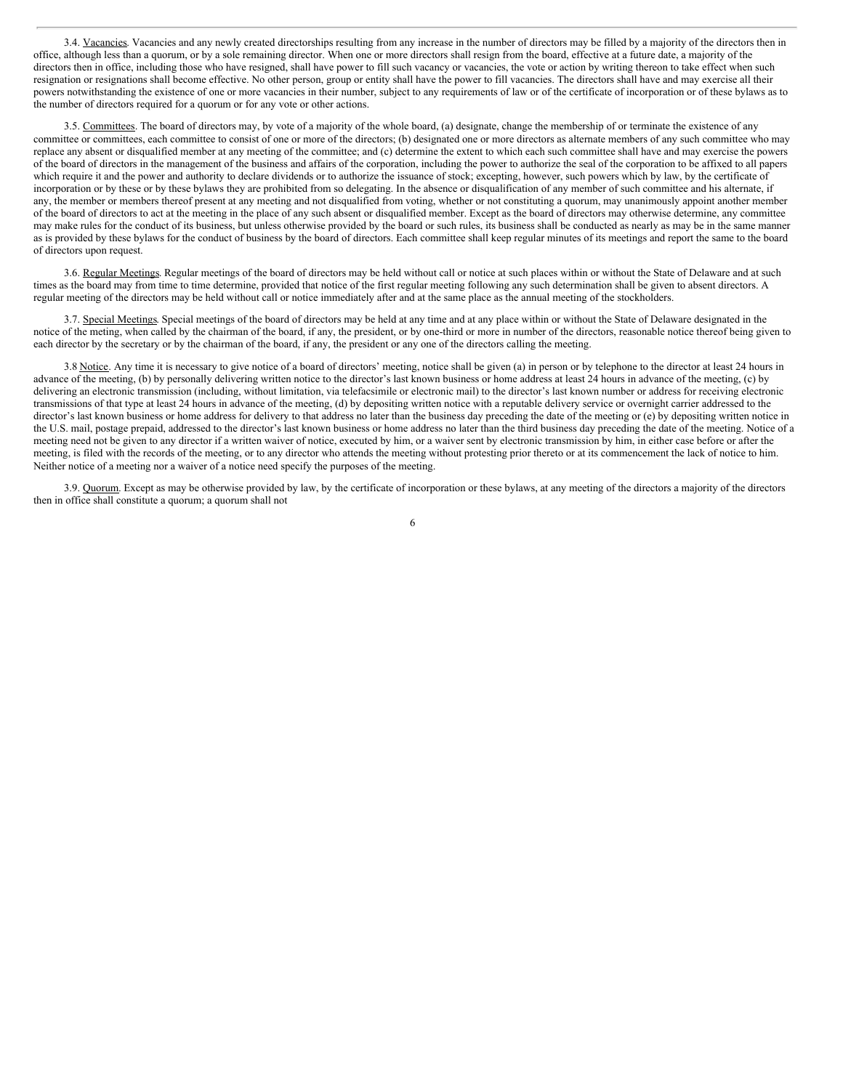3.4. Vacancies. Vacancies and any newly created directorships resulting from any increase in the number of directors may be filled by a majority of the directors then in office, although less than a quorum, or by a sole remaining director. When one or more directors shall resign from the board, effective at a future date, a majority of the directors then in office, including those who have resigned, shall have power to fill such vacancy or vacancies, the vote or action by writing thereon to take effect when such resignation or resignations shall become effective. No other person, group or entity shall have the power to fill vacancies. The directors shall have and may exercise all their powers notwithstanding the existence of one or more vacancies in their number, subject to any requirements of law or of the certificate of incorporation or of these bylaws as to the number of directors required for a quorum or for any vote or other actions.

3.5. Committees. The board of directors may, by vote of a majority of the whole board, (a) designate, change the membership of or terminate the existence of any committee or committees, each committee to consist of one or more of the directors; (b) designated one or more directors as alternate members of any such committee who may replace any absent or disqualified member at any meeting of the committee; and (c) determine the extent to which each such committee shall have and may exercise the powers of the board of directors in the management of the business and affairs of the corporation, including the power to authorize the seal of the corporation to be affixed to all papers which require it and the power and authority to declare dividends or to authorize the issuance of stock; excepting, however, such powers which by law, by the certificate of incorporation or by these or by these bylaws they are prohibited from so delegating. In the absence or disqualification of any member of such committee and his alternate, if any, the member or members thereof present at any meeting and not disqualified from voting, whether or not constituting a quorum, may unanimously appoint another member of the board of directors to act at the meeting in the place of any such absent or disqualified member. Except as the board of directors may otherwise determine, any committee may make rules for the conduct of its business, but unless otherwise provided by the board or such rules, its business shall be conducted as nearly as may be in the same manner as is provided by these bylaws for the conduct of business by the board of directors. Each committee shall keep regular minutes of its meetings and report the same to the board of directors upon request.

3.6. Regular Meetings. Regular meetings of the board of directors may be held without call or notice at such places within or without the State of Delaware and at such times as the board may from time to time determine, provided that notice of the first regular meeting following any such determination shall be given to absent directors. A regular meeting of the directors may be held without call or notice immediately after and at the same place as the annual meeting of the stockholders.

3.7. Special Meetings. Special meetings of the board of directors may be held at any time and at any place within or without the State of Delaware designated in the notice of the meting, when called by the chairman of the board, if any, the president, or by one-third or more in number of the directors, reasonable notice thereof being given to each director by the secretary or by the chairman of the board, if any, the president or any one of the directors calling the meeting.

3.8 Notice. Any time it is necessary to give notice of a board of directors' meeting, notice shall be given (a) in person or by telephone to the director at least 24 hours in advance of the meeting, (b) by personally delivering written notice to the director's last known business or home address at least 24 hours in advance of the meeting, (c) by delivering an electronic transmission (including, without limitation, via telefacsimile or electronic mail) to the director's last known number or address for receiving electronic transmissions of that type at least 24 hours in advance of the meeting, (d) by depositing written notice with a reputable delivery service or overnight carrier addressed to the director's last known business or home address for delivery to that address no later than the business day preceding the date of the meeting or (e) by depositing written notice in the U.S. mail, postage prepaid, addressed to the director's last known business or home address no later than the third business day preceding the date of the meeting. Notice of a meeting need not be given to any director if a written waiver of notice, executed by him, or a waiver sent by electronic transmission by him, in either case before or after the meeting, is filed with the records of the meeting, or to any director who attends the meeting without protesting prior thereto or at its commencement the lack of notice to him. Neither notice of a meeting nor a waiver of a notice need specify the purposes of the meeting.

3.9. Quorum. Except as may be otherwise provided by law, by the certificate of incorporation or these bylaws, at any meeting of the directors a majority of the directors then in office shall constitute a quorum; a quorum shall not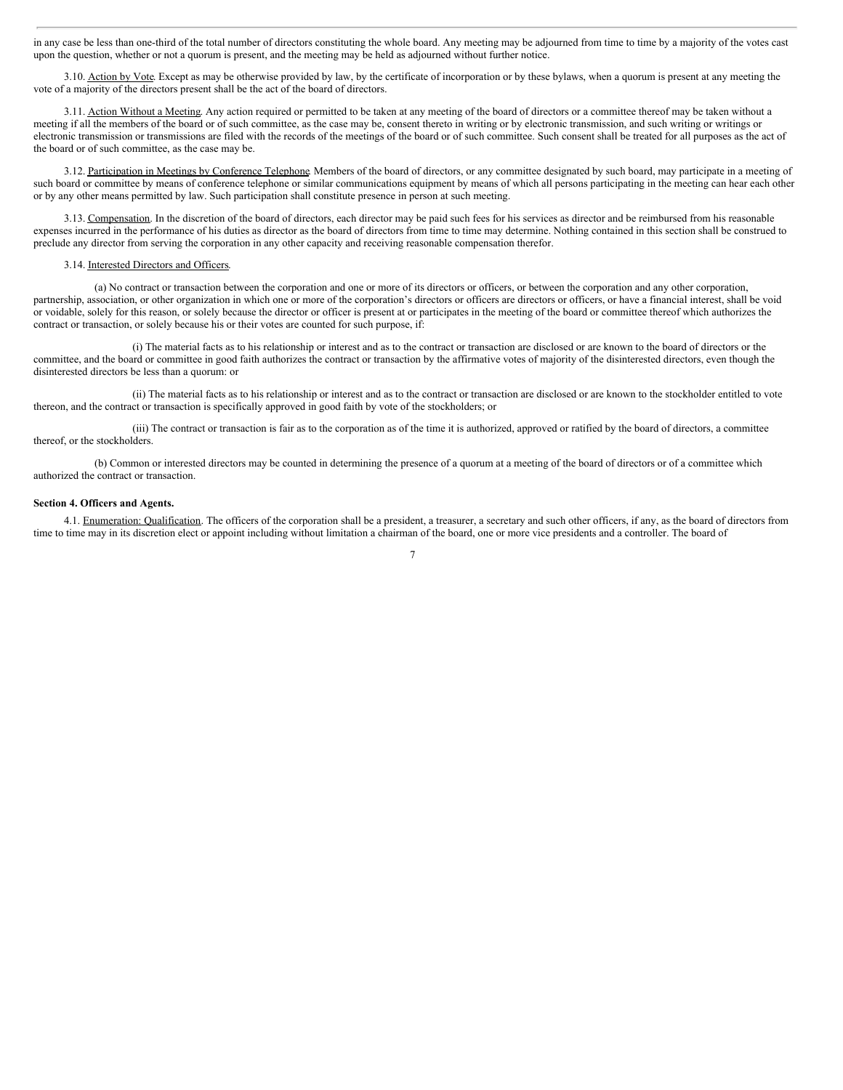in any case be less than one-third of the total number of directors constituting the whole board. Any meeting may be adjourned from time to time by a majority of the votes cast upon the question, whether or not a quorum is present, and the meeting may be held as adjourned without further notice.

3.10. Action by Vote. Except as may be otherwise provided by law, by the certificate of incorporation or by these bylaws, when a quorum is present at any meeting the vote of a majority of the directors present shall be the act of the board of directors.

3.11. Action Without a Meeting. Any action required or permitted to be taken at any meeting of the board of directors or a committee thereof may be taken without a meeting if all the members of the board or of such committee, as the case may be, consent thereto in writing or by electronic transmission, and such writing or writings or electronic transmission or transmissions are filed with the records of the meetings of the board or of such committee. Such consent shall be treated for all purposes as the act of the board or of such committee, as the case may be.

3.12. Participation in Meetings by Conference Telephone. Members of the board of directors, or any committee designated by such board, may participate in a meeting of such board or committee by means of conference telephone or similar communications equipment by means of which all persons participating in the meeting can hear each other or by any other means permitted by law. Such participation shall constitute presence in person at such meeting.

3.13. Compensation. In the discretion of the board of directors, each director may be paid such fees for his services as director and be reimbursed from his reasonable expenses incurred in the performance of his duties as director as the board of directors from time to time may determine. Nothing contained in this section shall be construed to preclude any director from serving the corporation in any other capacity and receiving reasonable compensation therefor.

### 3.14. Interested Directors and Officers.

(a) No contract or transaction between the corporation and one or more of its directors or officers, or between the corporation and any other corporation, partnership, association, or other organization in which one or more of the corporation's directors or officers are directors or officers, or have a financial interest, shall be void or voidable, solely for this reason, or solely because the director or officer is present at or participates in the meeting of the board or committee thereof which authorizes the contract or transaction, or solely because his or their votes are counted for such purpose, if:

(i) The material facts as to his relationship or interest and as to the contract or transaction are disclosed or are known to the board of directors or the committee, and the board or committee in good faith authorizes the contract or transaction by the affirmative votes of majority of the disinterested directors, even though the disinterested directors be less than a quorum: or

(ii) The material facts as to his relationship or interest and as to the contract or transaction are disclosed or are known to the stockholder entitled to vote thereon, and the contract or transaction is specifically approved in good faith by vote of the stockholders; or

(iii) The contract or transaction is fair as to the corporation as of the time it is authorized, approved or ratified by the board of directors, a committee thereof, or the stockholders.

(b) Common or interested directors may be counted in determining the presence of a quorum at a meeting of the board of directors or of a committee which authorized the contract or transaction.

#### **Section 4. Officers and Agents.**

4.1. Enumeration: Qualification. The officers of the corporation shall be a president, a treasurer, a secretary and such other officers, if any, as the board of directors from time to time may in its discretion elect or appoint including without limitation a chairman of the board, one or more vice presidents and a controller. The board of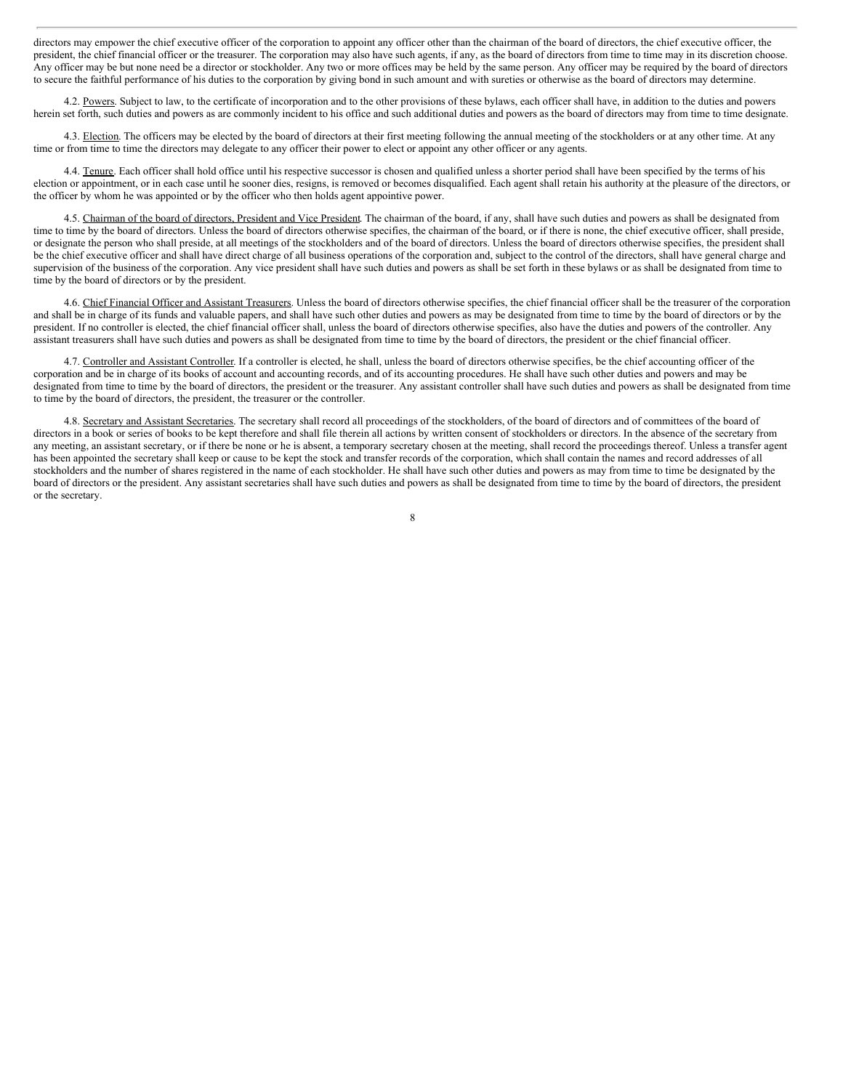directors may empower the chief executive officer of the corporation to appoint any officer other than the chairman of the board of directors, the chief executive officer, the president, the chief financial officer or the treasurer. The corporation may also have such agents, if any, as the board of directors from time to time may in its discretion choose. Any officer may be but none need be a director or stockholder. Any two or more offices may be held by the same person. Any officer may be required by the board of directors to secure the faithful performance of his duties to the corporation by giving bond in such amount and with sureties or otherwise as the board of directors may determine.

4.2. Powers. Subject to law, to the certificate of incorporation and to the other provisions of these bylaws, each officer shall have, in addition to the duties and powers herein set forth, such duties and powers as are commonly incident to his office and such additional duties and powers as the board of directors may from time to time designate.

4.3. Election. The officers may be elected by the board of directors at their first meeting following the annual meeting of the stockholders or at any other time. At any time or from time to time the directors may delegate to any officer their power to elect or appoint any other officer or any agents.

4.4. Tenure. Each officer shall hold office until his respective successor is chosen and qualified unless a shorter period shall have been specified by the terms of his election or appointment, or in each case until he sooner dies, resigns, is removed or becomes disqualified. Each agent shall retain his authority at the pleasure of the directors, or the officer by whom he was appointed or by the officer who then holds agent appointive power.

4.5. Chairman of the board of directors, President and Vice President. The chairman of the board, if any, shall have such duties and powers as shall be designated from time to time by the board of directors. Unless the board of directors otherwise specifies, the chairman of the board, or if there is none, the chief executive officer, shall preside, or designate the person who shall preside, at all meetings of the stockholders and of the board of directors. Unless the board of directors otherwise specifies, the president shall be the chief executive officer and shall have direct charge of all business operations of the corporation and, subject to the control of the directors, shall have general charge and supervision of the business of the corporation. Any vice president shall have such duties and powers as shall be set forth in these bylaws or as shall be designated from time to time by the board of directors or by the president.

4.6. Chief Financial Officer and Assistant Treasurers. Unless the board of directors otherwise specifies, the chief financial officer shall be the treasurer of the corporation and shall be in charge of its funds and valuable papers, and shall have such other duties and powers as may be designated from time to time by the board of directors or by the president. If no controller is elected, the chief financial officer shall, unless the board of directors otherwise specifies, also have the duties and powers of the controller. Any assistant treasurers shall have such duties and powers as shall be designated from time to time by the board of directors, the president or the chief financial officer.

4.7. Controller and Assistant Controller. If a controller is elected, he shall, unless the board of directors otherwise specifies, be the chief accounting officer of the corporation and be in charge of its books of account and accounting records, and of its accounting procedures. He shall have such other duties and powers and may be designated from time to time by the board of directors, the president or the treasurer. Any assistant controller shall have such duties and powers as shall be designated from time to time by the board of directors, the president, the treasurer or the controller.

4.8. Secretary and Assistant Secretaries. The secretary shall record all proceedings of the stockholders, of the board of directors and of committees of the board of directors in a book or series of books to be kept therefore and shall file therein all actions by written consent of stockholders or directors. In the absence of the secretary from any meeting, an assistant secretary, or if there be none or he is absent, a temporary secretary chosen at the meeting, shall record the proceedings thereof. Unless a transfer agent has been appointed the secretary shall keep or cause to be kept the stock and transfer records of the corporation, which shall contain the names and record addresses of all stockholders and the number of shares registered in the name of each stockholder. He shall have such other duties and powers as may from time to time be designated by the board of directors or the president. Any assistant secretaries shall have such duties and powers as shall be designated from time to time by the board of directors, the president or the secretary.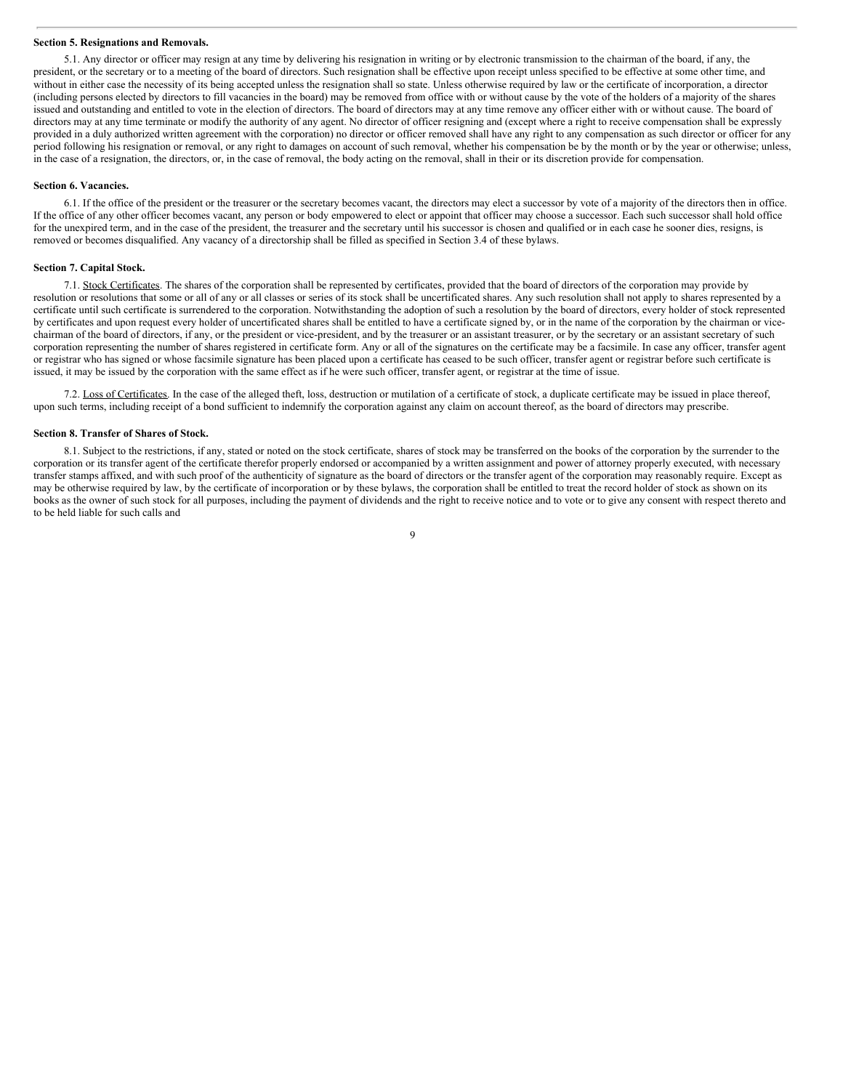#### **Section 5. Resignations and Removals.**

5.1. Any director or officer may resign at any time by delivering his resignation in writing or by electronic transmission to the chairman of the board, if any, the president, or the secretary or to a meeting of the board of directors. Such resignation shall be effective upon receipt unless specified to be effective at some other time, and without in either case the necessity of its being accepted unless the resignation shall so state. Unless otherwise required by law or the certificate of incorporation, a director (including persons elected by directors to fill vacancies in the board) may be removed from office with or without cause by the vote of the holders of a majority of the shares issued and outstanding and entitled to vote in the election of directors. The board of directors may at any time remove any officer either with or without cause. The board of directors may at any time terminate or modify the authority of any agent. No director of officer resigning and (except where a right to receive compensation shall be expressly provided in a duly authorized written agreement with the corporation) no director or officer removed shall have any right to any compensation as such director or officer for any period following his resignation or removal, or any right to damages on account of such removal, whether his compensation be by the month or by the year or otherwise; unless, in the case of a resignation, the directors, or, in the case of removal, the body acting on the removal, shall in their or its discretion provide for compensation.

#### **Section 6. Vacancies.**

6.1. If the office of the president or the treasurer or the secretary becomes vacant, the directors may elect a successor by vote of a majority of the directors then in office. If the office of any other officer becomes vacant, any person or body empowered to elect or appoint that officer may choose a successor. Each such successor shall hold office for the unexpired term, and in the case of the president, the treasurer and the secretary until his successor is chosen and qualified or in each case he sooner dies, resigns, is removed or becomes disqualified. Any vacancy of a directorship shall be filled as specified in Section 3.4 of these bylaws.

#### **Section 7. Capital Stock.**

7.1. Stock Certificates. The shares of the corporation shall be represented by certificates, provided that the board of directors of the corporation may provide by resolution or resolutions that some or all of any or all classes or series of its stock shall be uncertificated shares. Any such resolution shall not apply to shares represented by a certificate until such certificate is surrendered to the corporation. Notwithstanding the adoption of such a resolution by the board of directors, every holder of stock represented by certificates and upon request every holder of uncertificated shares shall be entitled to have a certificate signed by, or in the name of the corporation by the chairman or vicechairman of the board of directors, if any, or the president or vice-president, and by the treasurer or an assistant treasurer, or by the secretary or an assistant secretary of such corporation representing the number of shares registered in certificate form. Any or all of the signatures on the certificate may be a facsimile. In case any officer, transfer agent or registrar who has signed or whose facsimile signature has been placed upon a certificate has ceased to be such officer, transfer agent or registrar before such certificate is issued, it may be issued by the corporation with the same effect as if he were such officer, transfer agent, or registrar at the time of issue.

7.2. Loss of Certificates. In the case of the alleged theft, loss, destruction or mutilation of a certificate of stock, a duplicate certificate may be issued in place thereof, upon such terms, including receipt of a bond sufficient to indemnify the corporation against any claim on account thereof, as the board of directors may prescribe.

### **Section 8. Transfer of Shares of Stock.**

8.1. Subject to the restrictions, if any, stated or noted on the stock certificate, shares of stock may be transferred on the books of the corporation by the surrender to the corporation or its transfer agent of the certificate therefor properly endorsed or accompanied by a written assignment and power of attorney properly executed, with necessary transfer stamps affixed, and with such proof of the authenticity of signature as the board of directors or the transfer agent of the corporation may reasonably require. Except as may be otherwise required by law, by the certificate of incorporation or by these bylaws, the corporation shall be entitled to treat the record holder of stock as shown on its books as the owner of such stock for all purposes, including the payment of dividends and the right to receive notice and to vote or to give any consent with respect thereto and to be held liable for such calls and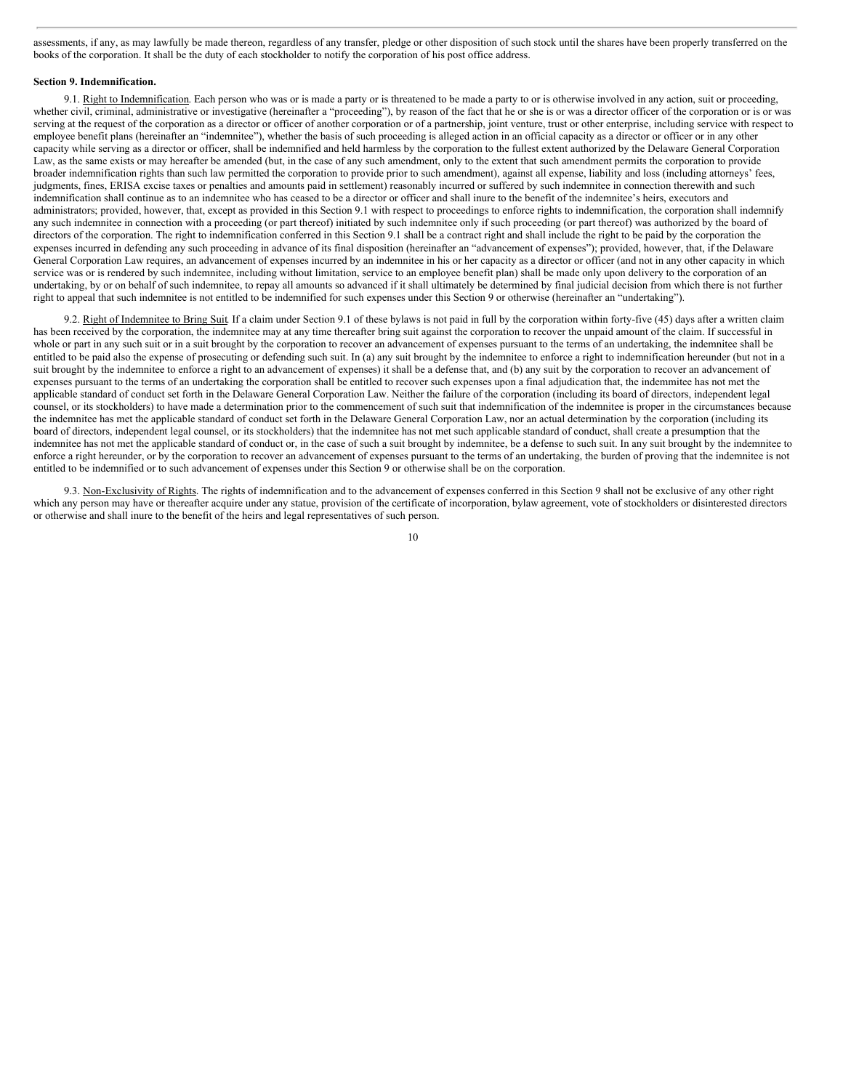assessments, if any, as may lawfully be made thereon, regardless of any transfer, pledge or other disposition of such stock until the shares have been properly transferred on the books of the corporation. It shall be the duty of each stockholder to notify the corporation of his post office address.

#### **Section 9. Indemnification.**

9.1. Right to Indemnification. Each person who was or is made a party or is threatened to be made a party to or is otherwise involved in any action, suit or proceeding, whether civil, criminal, administrative or investigative (hereinafter a "proceeding"), by reason of the fact that he or she is or was a director officer of the corporation or is or was serving at the request of the corporation as a director or officer of another corporation or of a partnership, joint venture, trust or other enterprise, including service with respect to employee benefit plans (hereinafter an "indemnitee"), whether the basis of such proceeding is alleged action in an official capacity as a director or officer or in any other capacity while serving as a director or officer, shall be indemnified and held harmless by the corporation to the fullest extent authorized by the Delaware General Corporation Law, as the same exists or may hereafter be amended (but, in the case of any such amendment, only to the extent that such amendment permits the corporation to provide broader indemnification rights than such law permitted the corporation to provide prior to such amendment), against all expense, liability and loss (including attorneys' fees, judgments, fines, ERISA excise taxes or penalties and amounts paid in settlement) reasonably incurred or suffered by such indemnitee in connection therewith and such indemnification shall continue as to an indemnitee who has ceased to be a director or officer and shall inure to the benefit of the indemnitee's heirs, executors and administrators; provided, however, that, except as provided in this Section 9.1 with respect to proceedings to enforce rights to indemnification, the corporation shall indemnify any such indemnitee in connection with a proceeding (or part thereof) initiated by such indemnitee only if such proceeding (or part thereof) was authorized by the board of directors of the corporation. The right to indemnification conferred in this Section 9.1 shall be a contract right and shall include the right to be paid by the corporation the expenses incurred in defending any such proceeding in advance of its final disposition (hereinafter an "advancement of expenses"); provided, however, that, if the Delaware General Corporation Law requires, an advancement of expenses incurred by an indemnitee in his or her capacity as a director or officer (and not in any other capacity in which service was or is rendered by such indemnitee, including without limitation, service to an employee benefit plan) shall be made only upon delivery to the corporation of an undertaking, by or on behalf of such indemnitee, to repay all amounts so advanced if it shall ultimately be determined by final judicial decision from which there is not further right to appeal that such indemnitee is not entitled to be indemnified for such expenses under this Section 9 or otherwise (hereinafter an "undertaking").

9.2. Right of Indemnitee to Bring Suit. If a claim under Section 9.1 of these bylaws is not paid in full by the corporation within forty-five (45) days after a written claim has been received by the corporation, the indemnitee may at any time thereafter bring suit against the corporation to recover the unpaid amount of the claim. If successful in whole or part in any such suit or in a suit brought by the corporation to recover an advancement of expenses pursuant to the terms of an undertaking, the indemnitee shall be entitled to be paid also the expense of prosecuting or defending such suit. In (a) any suit brought by the indemnite to enforce a right to indemnification hereunder (but not in a suit brought by the indemnitee to enforce a right to an advancement of expenses) it shall be a defense that, and (b) any suit by the corporation to recover an advancement of expenses pursuant to the terms of an undertaking the corporation shall be entitled to recover such expenses upon a final adjudication that, the indemmitee has not met the applicable standard of conduct set forth in the Delaware General Corporation Law. Neither the failure of the corporation (including its board of directors, independent legal counsel, or its stockholders) to have made a determination prior to the commencement of such suit that indemnification of the indemnitee is proper in the circumstances because the indemnitee has met the applicable standard of conduct set forth in the Delaware General Corporation Law, nor an actual determination by the corporation (including its board of directors, independent legal counsel, or its stockholders) that the indemnitee has not met such applicable standard of conduct, shall create a presumption that the indemnitee has not met the applicable standard of conduct or, in the case of such a suit brought by indemnitee, be a defense to such suit. In any suit brought by the indemnitee to enforce a right hereunder, or by the corporation to recover an advancement of expenses pursuant to the terms of an undertaking, the burden of proving that the indemnitee is not entitled to be indemnified or to such advancement of expenses under this Section 9 or otherwise shall be on the corporation.

9.3. Non-Exclusivity of Rights. The rights of indemnification and to the advancement of expenses conferred in this Section 9 shall not be exclusive of any other right which any person may have or thereafter acquire under any statue, provision of the certificate of incorporation, bylaw agreement, vote of stockholders or disinterested directors or otherwise and shall inure to the benefit of the heirs and legal representatives of such person.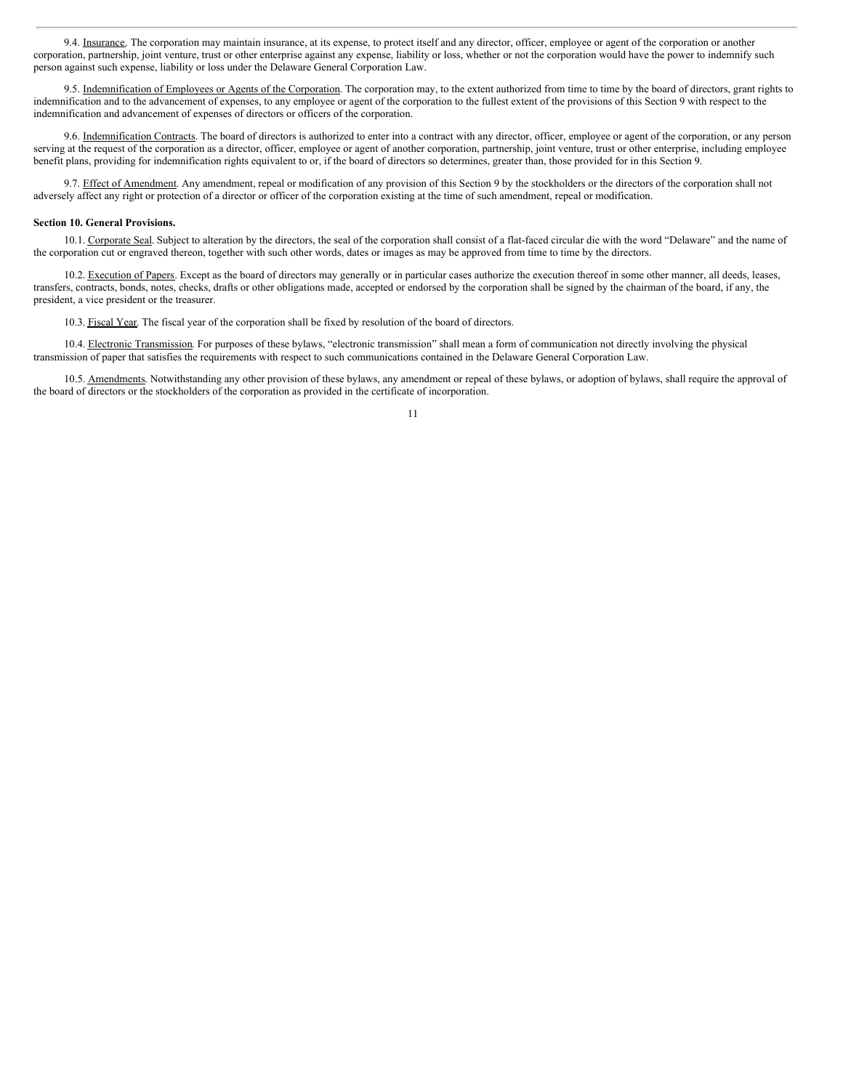9.4. Insurance. The corporation may maintain insurance, at its expense, to protect itself and any director, officer, employee or agent of the corporation or another corporation, partnership, joint venture, trust or other enterprise against any expense, liability or loss, whether or not the corporation would have the power to indemnify such person against such expense, liability or loss under the Delaware General Corporation Law.

9.5. Indemnification of Employees or Agents of the Corporation. The corporation may, to the extent authorized from time to time by the board of directors, grant rights to indemnification and to the advancement of expenses, to any employee or agent of the corporation to the fullest extent of the provisions of this Section 9 with respect to the indemnification and advancement of expenses of directors or officers of the corporation.

9.6. Indemnification Contracts. The board of directors is authorized to enter into a contract with any director, officer, employee or agent of the corporation, or any person serving at the request of the corporation as a director, officer, employee or agent of another corporation, partnership, joint venture, trust or other enterprise, including employee benefit plans, providing for indemnification rights equivalent to or, if the board of directors so determines, greater than, those provided for in this Section 9.

9.7. Effect of Amendment. Any amendment, repeal or modification of any provision of this Section 9 by the stockholders or the directors of the corporation shall not adversely affect any right or protection of a director or officer of the corporation existing at the time of such amendment, repeal or modification.

#### **Section 10. General Provisions.**

10.1. Corporate Seal. Subject to alteration by the directors, the seal of the corporation shall consist of a flat-faced circular die with the word "Delaware" and the name of the corporation cut or engraved thereon, together with such other words, dates or images as may be approved from time to time by the directors.

10.2. Execution of Papers. Except as the board of directors may generally or in particular cases authorize the execution thereof in some other manner, all deeds, leases, transfers, contracts, bonds, notes, checks, drafts or other obligations made, accepted or endorsed by the corporation shall be signed by the chairman of the board, if any, the president, a vice president or the treasurer.

10.3. Fiscal Year. The fiscal year of the corporation shall be fixed by resolution of the board of directors.

10.4. Electronic Transmission. For purposes of these bylaws, "electronic transmission" shall mean a form of communication not directly involving the physical transmission of paper that satisfies the requirements with respect to such communications contained in the Delaware General Corporation Law.

10.5. Amendments. Notwithstanding any other provision of these bylaws, any amendment or repeal of these bylaws, or adoption of bylaws, shall require the approval of the board of directors or the stockholders of the corporation as provided in the certificate of incorporation.

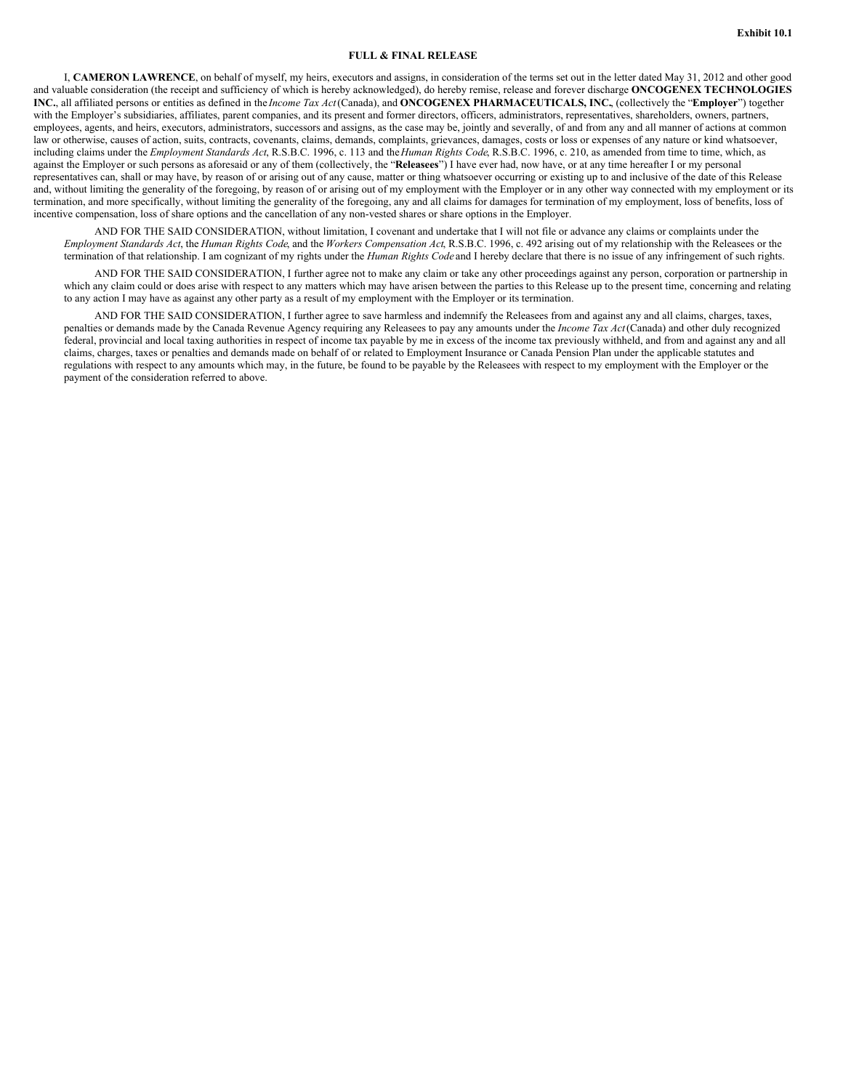### **FULL & FINAL RELEASE**

I, **CAMERON LAWRENCE**, on behalf of myself, my heirs, executors and assigns, in consideration of the terms set out in the letter dated May 31, 2012 and other good and valuable consideration (the receipt and sufficiency of which is hereby acknowledged), do hereby remise, release and forever discharge **ONCOGENEX TECHNOLOGIES INC.**, all affiliated persons or entities as defined in the *Income Tax Act*(Canada), and **ONCOGENEX PHARMACEUTICALS, INC.**, (collectively the "**Employer**") together with the Employer's subsidiaries, affiliates, parent companies, and its present and former directors, officers, administrators, representatives, shareholders, owners, partners, employees, agents, and heirs, executors, administrators, successors and assigns, as the case may be, jointly and severally, of and from any and all manner of actions at common law or otherwise, causes of action, suits, contracts, covenants, claims, demands, complaints, grievances, damages, costs or loss or expenses of any nature or kind whatsoever, including claims under the *Employment Standards Act*, R.S.B.C. 1996, c. 113 and the*Human Rights Code*, R.S.B.C. 1996, c. 210, as amended from time to time, which, as against the Employer or such persons as aforesaid or any of them (collectively, the "**Releasees**") I have ever had, now have, or at any time hereafter I or my personal representatives can, shall or may have, by reason of or arising out of any cause, matter or thing whatsoever occurring or existing up to and inclusive of the date of this Release and, without limiting the generality of the foregoing, by reason of or arising out of my employment with the Employer or in any other way connected with my employment or its termination, and more specifically, without limiting the generality of the foregoing, any and all claims for damages for termination of my employment, loss of benefits, loss of incentive compensation, loss of share options and the cancellation of any non-vested shares or share options in the Employer.

AND FOR THE SAID CONSIDERATION, without limitation, I covenant and undertake that I will not file or advance any claims or complaints under the *Employment Standards Act*, the *Human Rights Code*, and the *Workers Compensation Act*, R.S.B.C. 1996, c. 492 arising out of my relationship with the Releasees or the termination of that relationship. I am cognizant of my rights under the *Human Rights Code* and I hereby declare that there is no issue of any infringement of such rights.

AND FOR THE SAID CONSIDERATION, I further agree not to make any claim or take any other proceedings against any person, corporation or partnership in which any claim could or does arise with respect to any matters which may have arisen between the parties to this Release up to the present time, concerning and relating to any action I may have as against any other party as a result of my employment with the Employer or its termination.

AND FOR THE SAID CONSIDERATION, I further agree to save harmless and indemnify the Releasees from and against any and all claims, charges, taxes, penalties or demands made by the Canada Revenue Agency requiring any Releasees to pay any amounts under the *Income Tax Act*(Canada) and other duly recognized federal, provincial and local taxing authorities in respect of income tax payable by me in excess of the income tax previously withheld, and from and against any and all claims, charges, taxes or penalties and demands made on behalf of or related to Employment Insurance or Canada Pension Plan under the applicable statutes and regulations with respect to any amounts which may, in the future, be found to be payable by the Releasees with respect to my employment with the Employer or the payment of the consideration referred to above.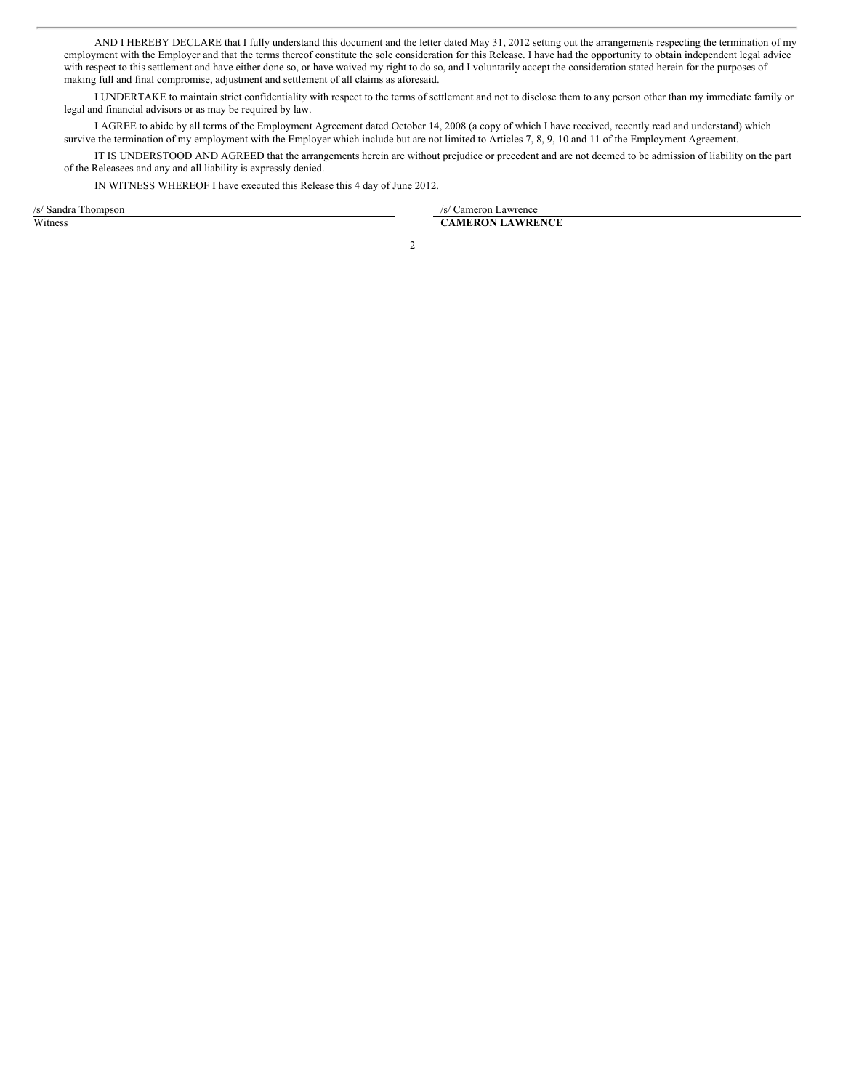AND I HEREBY DECLARE that I fully understand this document and the letter dated May 31, 2012 setting out the arrangements respecting the termination of my employment with the Employer and that the terms thereof constitute the sole consideration for this Release. I have had the opportunity to obtain independent legal advice with respect to this settlement and have either done so, or have waived my right to do so, and I voluntarily accept the consideration stated herein for the purposes of making full and final compromise, adjustment and settlement of all claims as aforesaid.

I UNDERTAKE to maintain strict confidentiality with respect to the terms of settlement and not to disclose them to any person other than my immediate family or legal and financial advisors or as may be required by law.

I AGREE to abide by all terms of the Employment Agreement dated October 14, 2008 (a copy of which I have received, recently read and understand) which survive the termination of my employment with the Employer which include but are not limited to Articles 7, 8, 9, 10 and 11 of the Employment Agreement.

IT IS UNDERSTOOD AND AGREED that the arrangements herein are without prejudice or precedent and are not deemed to be admission of liability on the part of the Releasees and any and all liability is expressly denied.

IN WITNESS WHEREOF I have executed this Release this 4 day of June 2012.

/s/ Sandra Thompson /s/ Cameron Lawrence

**CAMERON LAWRENCE**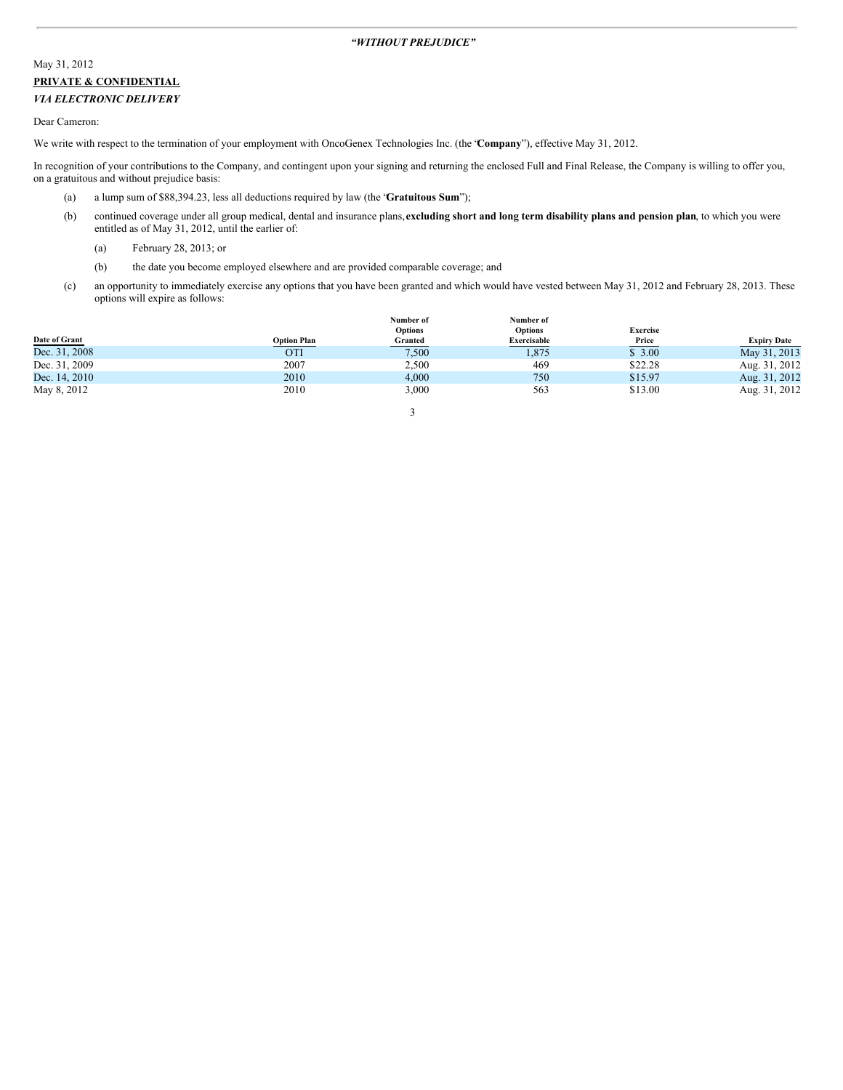# May 31, 2012 **PRIVATE & CONFIDENTIAL**

# *VIA ELECTRONIC DELIVERY*

# Dear Cameron:

We write with respect to the termination of your employment with OncoGenex Technologies Inc. (the "**Company**"), effective May 31, 2012.

In recognition of your contributions to the Company, and contingent upon your signing and returning the enclosed Full and Final Release, the Company is willing to offer you, on a gratuitous and without prejudice basis:

- (a) a lump sum of \$88,394.23, less all deductions required by law (the "**Gratuitous Sum**");
- (b) continued coverage under all group medical, dental and insurance plans, excluding short and long term disability plans and pension plan, to which you were entitled as of May 31, 2012, until the earlier of:
	- (a) February 28, 2013; or
	- (b) the date you become employed elsewhere and are provided comparable coverage; and
- (c) an opportunity to immediately exercise any options that you have been granted and which would have vested between May 31, 2012 and February 28, 2013. These options will expire as follows:

|               |                    | Number of      | Number of      |                 |                    |
|---------------|--------------------|----------------|----------------|-----------------|--------------------|
|               |                    | <b>Options</b> | <b>Options</b> | <b>Exercise</b> |                    |
| Date of Grant | <b>Option Plan</b> | Granted        | Exercisable    | Price           | <b>Expiry Date</b> |
| Dec. 31, 2008 | <b>OTI</b>         | 7,500          | 1,875          | \$3.00          | May 31, 2013       |
| Dec. 31, 2009 | 2007               | 2,500          | 469            | \$22.28         | Aug. 31, 2012      |
| Dec. 14, 2010 | 2010               | 4,000          | 750            | \$15.97         | Aug. 31, 2012      |
| May 8, 2012   | 2010               | 3,000          | 563            | \$13.00         | Aug. 31, 2012      |

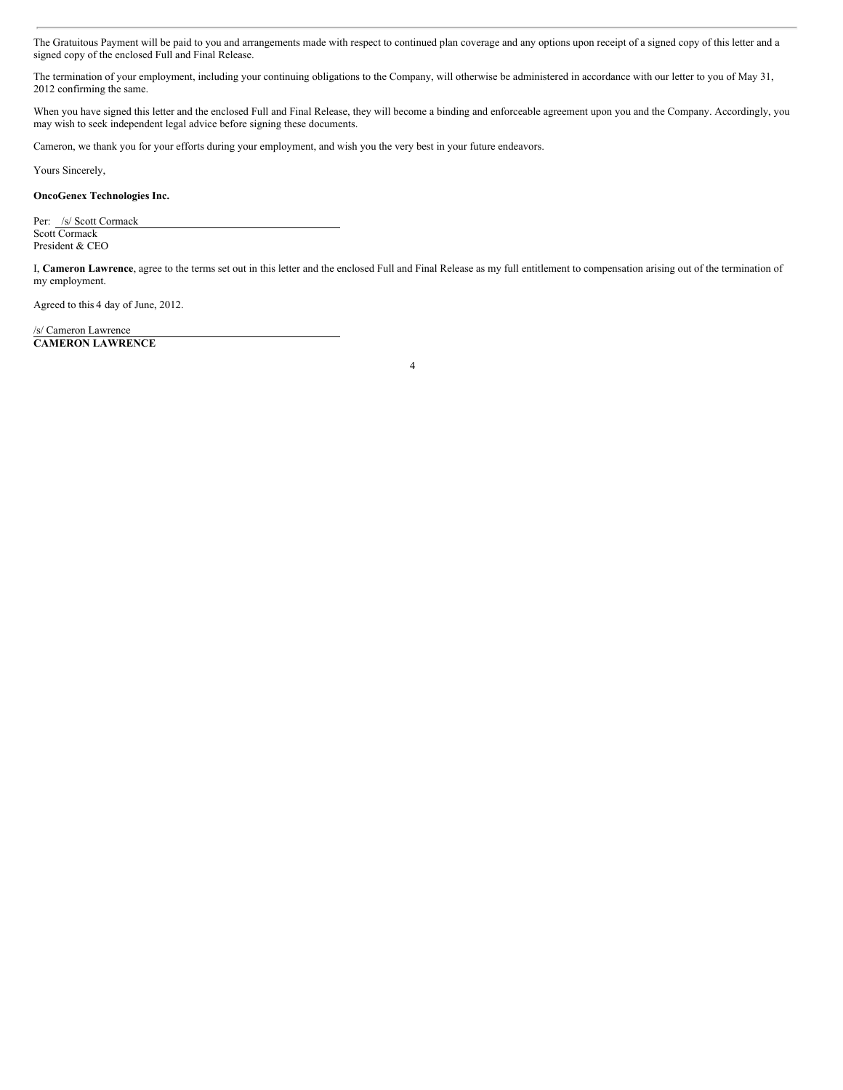The Gratuitous Payment will be paid to you and arrangements made with respect to continued plan coverage and any options upon receipt of a signed copy of this letter and a signed copy of the enclosed Full and Final Release.

The termination of your employment, including your continuing obligations to the Company, will otherwise be administered in accordance with our letter to you of May 31, 2012 confirming the same.

When you have signed this letter and the enclosed Full and Final Release, they will become a binding and enforceable agreement upon you and the Company. Accordingly, you may wish to seek independent legal advice before signing these documents.

Cameron, we thank you for your efforts during your employment, and wish you the very best in your future endeavors.

Yours Sincerely,

# **OncoGenex Technologies Inc.**

Per: /s/ Scott Cormack Scott Cormack President & CEO

I, **Cameron Lawrence**, agree to the terms set out in this letter and the enclosed Full and Final Release as my full entitlement to compensation arising out of the termination of my employment.

Agreed to this 4 day of June, 2012.

/s/ Cameron Lawrence **CAMERON LAWRENCE**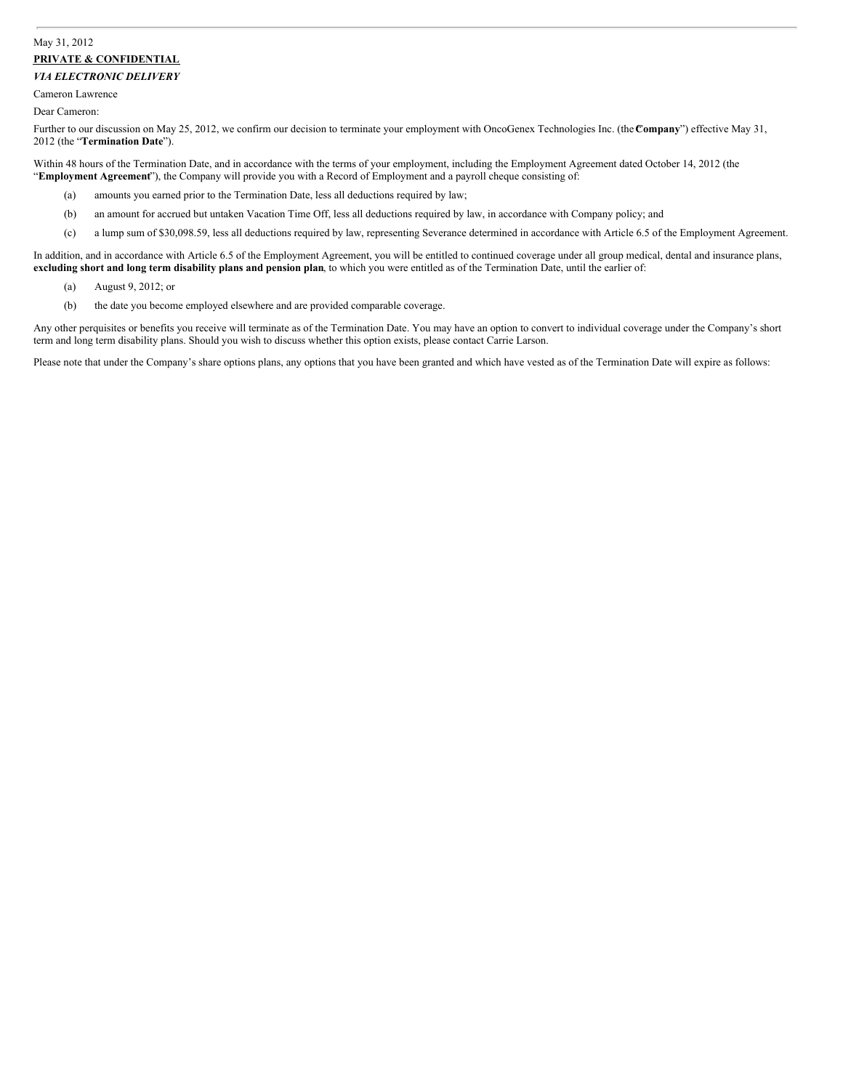### May 31, 2012

# **PRIVATE & CONFIDENTIAL**

# *VIA ELECTRONIC DELIVERY*

Cameron Lawrence

Dear Cameron:

Further to our discussion on May 25, 2012, we confirm our decision to terminate your employment with OncoGenex Technologies Inc. (the **Company**") effective May 31, 2012 (the "**Termination Date**").

Within 48 hours of the Termination Date, and in accordance with the terms of your employment, including the Employment Agreement dated October 14, 2012 (the "**Employment Agreement**"), the Company will provide you with a Record of Employment and a payroll cheque consisting of:

- (a) amounts you earned prior to the Termination Date, less all deductions required by law;
- (b) an amount for accrued but untaken Vacation Time Off, less all deductions required by law, in accordance with Company policy; and
- (c) a lump sum of \$30,098.59, less all deductions required by law, representing Severance determined in accordance with Article 6.5 of the Employment Agreement.

In addition, and in accordance with Article 6.5 of the Employment Agreement, you will be entitled to continued coverage under all group medical, dental and insurance plans, **excluding short and long term disability plans and pension plan**, to which you were entitled as of the Termination Date, until the earlier of:

- (a) August 9, 2012; or
- (b) the date you become employed elsewhere and are provided comparable coverage.

Any other perquisites or benefits you receive will terminate as of the Termination Date. You may have an option to convert to individual coverage under the Company's short term and long term disability plans. Should you wish to discuss whether this option exists, please contact Carrie Larson.

Please note that under the Company's share options plans, any options that you have been granted and which have vested as of the Termination Date will expire as follows: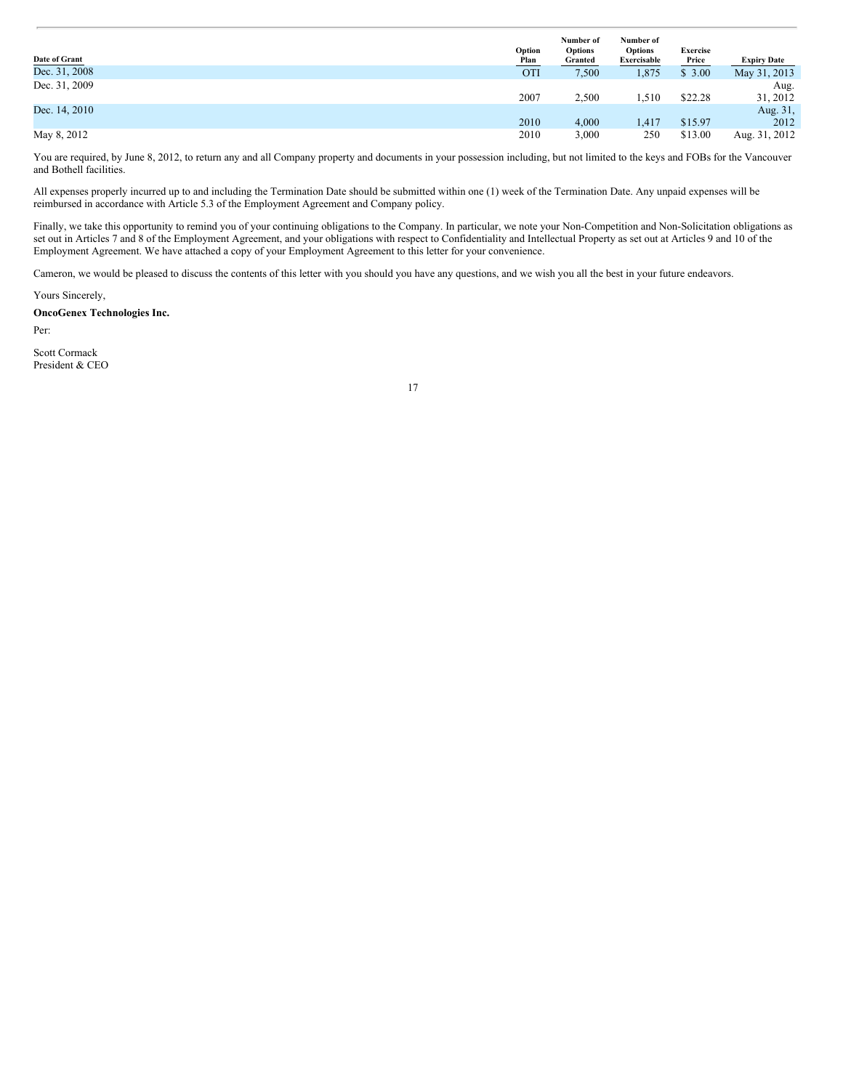|               | Option | Number of<br><b>Options</b> | Number of<br><b>Options</b> | <b>Exercise</b> |                    |
|---------------|--------|-----------------------------|-----------------------------|-----------------|--------------------|
| Date of Grant | Plan   | Granted                     | Exercisable                 | Price           | <b>Expiry Date</b> |
| Dec. 31, 2008 | OTI    | 7,500                       | 1,875                       | \$3.00          | May 31, 2013       |
| Dec. 31, 2009 |        |                             |                             |                 | Aug.               |
|               | 2007   | 2,500                       | 1,510                       | \$22.28         | 31, 2012           |
| Dec. 14, 2010 |        |                             |                             |                 | Aug. 31,           |
|               | 2010   | 4,000                       | 1,417                       | \$15.97         | 2012               |
| May 8, 2012   | 2010   | 3,000                       | 250                         | \$13.00         | Aug. 31, 2012      |

You are required, by June 8, 2012, to return any and all Company property and documents in your possession including, but not limited to the keys and FOBs for the Vancouver and Bothell facilities.

All expenses properly incurred up to and including the Termination Date should be submitted within one (1) week of the Termination Date. Any unpaid expenses will be reimbursed in accordance with Article 5.3 of the Employment Agreement and Company policy.

Finally, we take this opportunity to remind you of your continuing obligations to the Company. In particular, we note your Non-Competition and Non-Solicitation obligations as set out in Articles 7 and 8 of the Employment Agreement, and your obligations with respect to Confidentiality and Intellectual Property as set out at Articles 9 and 10 of the Employment Agreement. We have attached a copy of your Employment Agreement to this letter for your convenience.

Cameron, we would be pleased to discuss the contents of this letter with you should you have any questions, and we wish you all the best in your future endeavors.

Yours Sincerely,

**OncoGenex Technologies Inc.**

Per:

Scott Cormack President & CEO

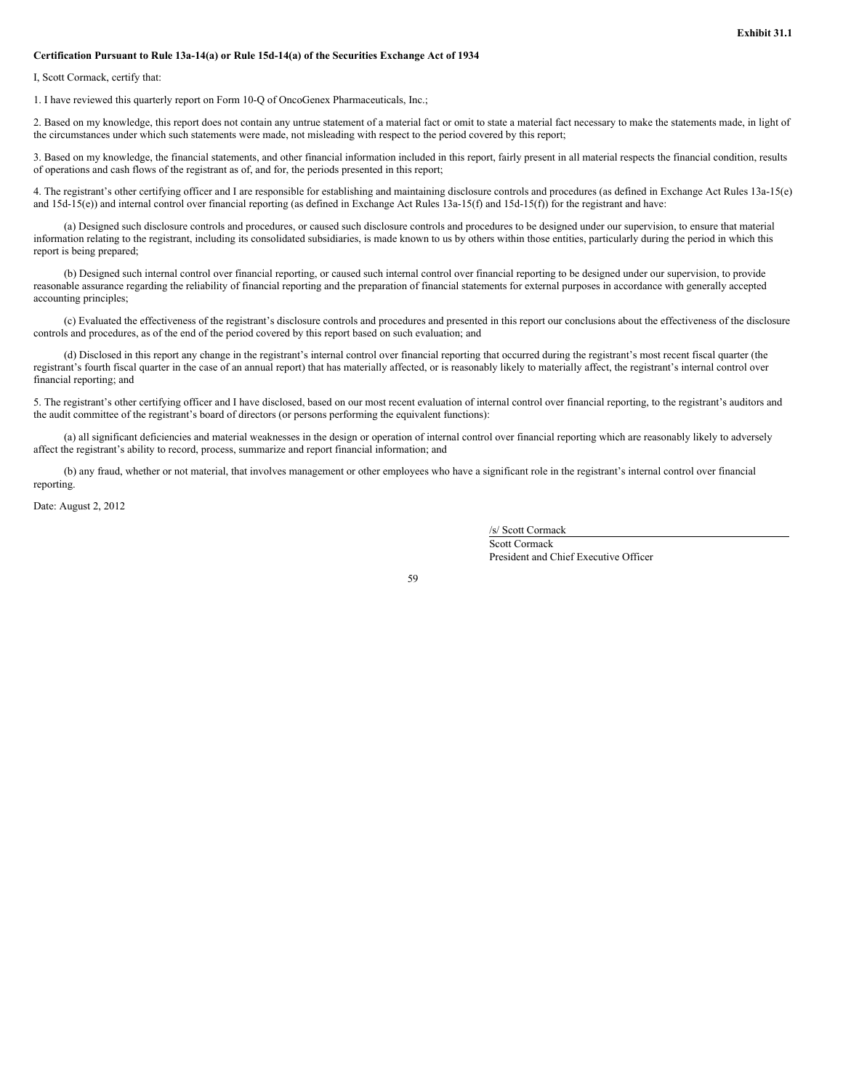#### **Certification Pursuant to Rule 13a-14(a) or Rule 15d-14(a) of the Securities Exchange Act of 1934**

I, Scott Cormack, certify that:

1. I have reviewed this quarterly report on Form 10-Q of OncoGenex Pharmaceuticals, Inc.;

2. Based on my knowledge, this report does not contain any untrue statement of a material fact or omit to state a material fact necessary to make the statements made, in light of the circumstances under which such statements were made, not misleading with respect to the period covered by this report;

3. Based on my knowledge, the financial statements, and other financial information included in this report, fairly present in all material respects the financial condition, results of operations and cash flows of the registrant as of, and for, the periods presented in this report;

4. The registrant's other certifying officer and I are responsible for establishing and maintaining disclosure controls and procedures (as defined in Exchange Act Rules 13a-15(e) and  $15d-15(e)$ ) and internal control over financial reporting (as defined in Exchange Act Rules  $13a-15(f)$  and  $15d-15(f)$ ) for the registrant and have:

(a) Designed such disclosure controls and procedures, or caused such disclosure controls and procedures to be designed under our supervision, to ensure that material information relating to the registrant, including its consolidated subsidiaries, is made known to us by others within those entities, particularly during the period in which this report is being prepared;

(b) Designed such internal control over financial reporting, or caused such internal control over financial reporting to be designed under our supervision, to provide reasonable assurance regarding the reliability of financial reporting and the preparation of financial statements for external purposes in accordance with generally accepted accounting principles;

(c) Evaluated the effectiveness of the registrant's disclosure controls and procedures and presented in this report our conclusions about the effectiveness of the disclosure controls and procedures, as of the end of the period covered by this report based on such evaluation; and

(d) Disclosed in this report any change in the registrant's internal control over financial reporting that occurred during the registrant's most recent fiscal quarter (the registrant's fourth fiscal quarter in the case of an annual report) that has materially affected, or is reasonably likely to materially affect, the registrant's internal control over financial reporting; and

5. The registrant's other certifying officer and I have disclosed, based on our most recent evaluation of internal control over financial reporting, to the registrant's auditors and the audit committee of the registrant's board of directors (or persons performing the equivalent functions):

(a) all significant deficiencies and material weaknesses in the design or operation of internal control over financial reporting which are reasonably likely to adversely affect the registrant's ability to record, process, summarize and report financial information; and

(b) any fraud, whether or not material, that involves management or other employees who have a significant role in the registrant's internal control over financial reporting.

Date: August 2, 2012

/s/ Scott Cormack

Scott Cormack President and Chief Executive Officer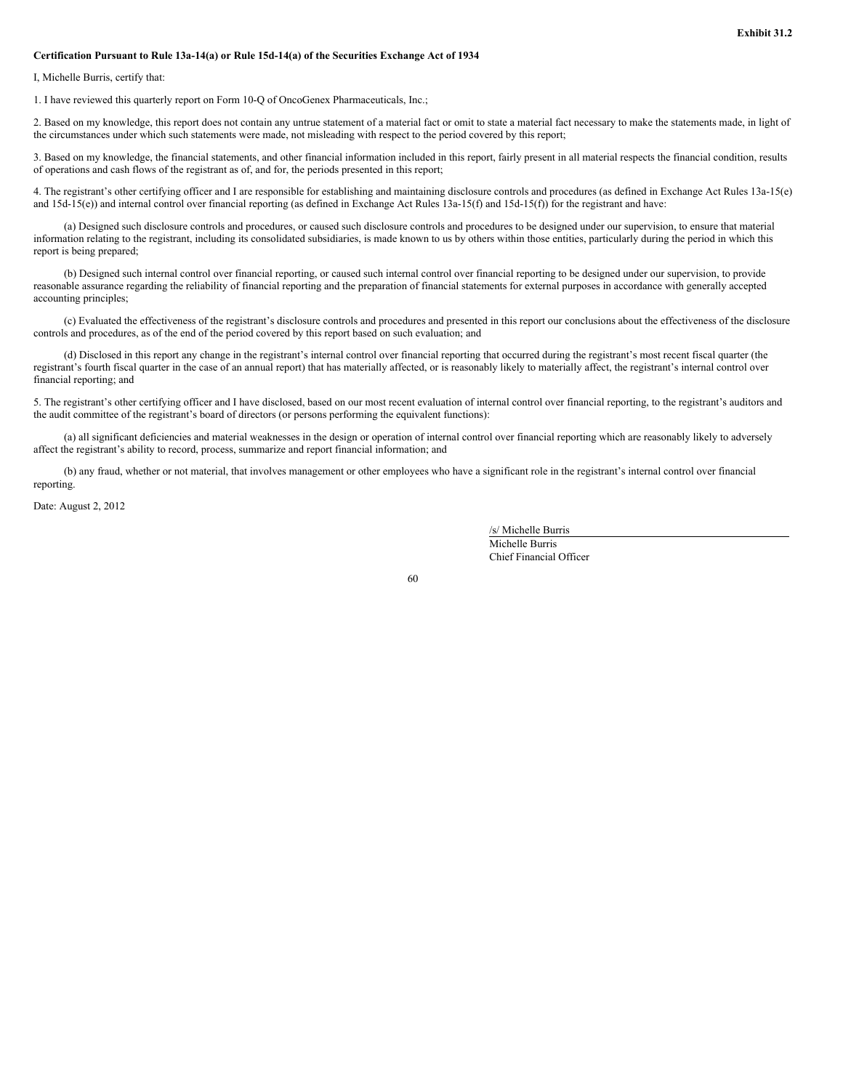#### **Certification Pursuant to Rule 13a-14(a) or Rule 15d-14(a) of the Securities Exchange Act of 1934**

I, Michelle Burris, certify that:

1. I have reviewed this quarterly report on Form 10-Q of OncoGenex Pharmaceuticals, Inc.;

2. Based on my knowledge, this report does not contain any untrue statement of a material fact or omit to state a material fact necessary to make the statements made, in light of the circumstances under which such statements were made, not misleading with respect to the period covered by this report;

3. Based on my knowledge, the financial statements, and other financial information included in this report, fairly present in all material respects the financial condition, results of operations and cash flows of the registrant as of, and for, the periods presented in this report;

4. The registrant's other certifying officer and I are responsible for establishing and maintaining disclosure controls and procedures (as defined in Exchange Act Rules 13a-15(e) and  $15d-15(e)$ ) and internal control over financial reporting (as defined in Exchange Act Rules  $13a-15(f)$  and  $15d-15(f)$ ) for the registrant and have:

(a) Designed such disclosure controls and procedures, or caused such disclosure controls and procedures to be designed under our supervision, to ensure that material information relating to the registrant, including its consolidated subsidiaries, is made known to us by others within those entities, particularly during the period in which this report is being prepared;

(b) Designed such internal control over financial reporting, or caused such internal control over financial reporting to be designed under our supervision, to provide reasonable assurance regarding the reliability of financial reporting and the preparation of financial statements for external purposes in accordance with generally accepted accounting principles;

(c) Evaluated the effectiveness of the registrant's disclosure controls and procedures and presented in this report our conclusions about the effectiveness of the disclosure controls and procedures, as of the end of the period covered by this report based on such evaluation; and

(d) Disclosed in this report any change in the registrant's internal control over financial reporting that occurred during the registrant's most recent fiscal quarter (the registrant's fourth fiscal quarter in the case of an annual report) that has materially affected, or is reasonably likely to materially affect, the registrant's internal control over financial reporting; and

5. The registrant's other certifying officer and I have disclosed, based on our most recent evaluation of internal control over financial reporting, to the registrant's auditors and the audit committee of the registrant's board of directors (or persons performing the equivalent functions):

(a) all significant deficiencies and material weaknesses in the design or operation of internal control over financial reporting which are reasonably likely to adversely affect the registrant's ability to record, process, summarize and report financial information; and

(b) any fraud, whether or not material, that involves management or other employees who have a significant role in the registrant's internal control over financial reporting.

Date: August 2, 2012

/s/ Michelle Burris Michelle Burris Chief Financial Officer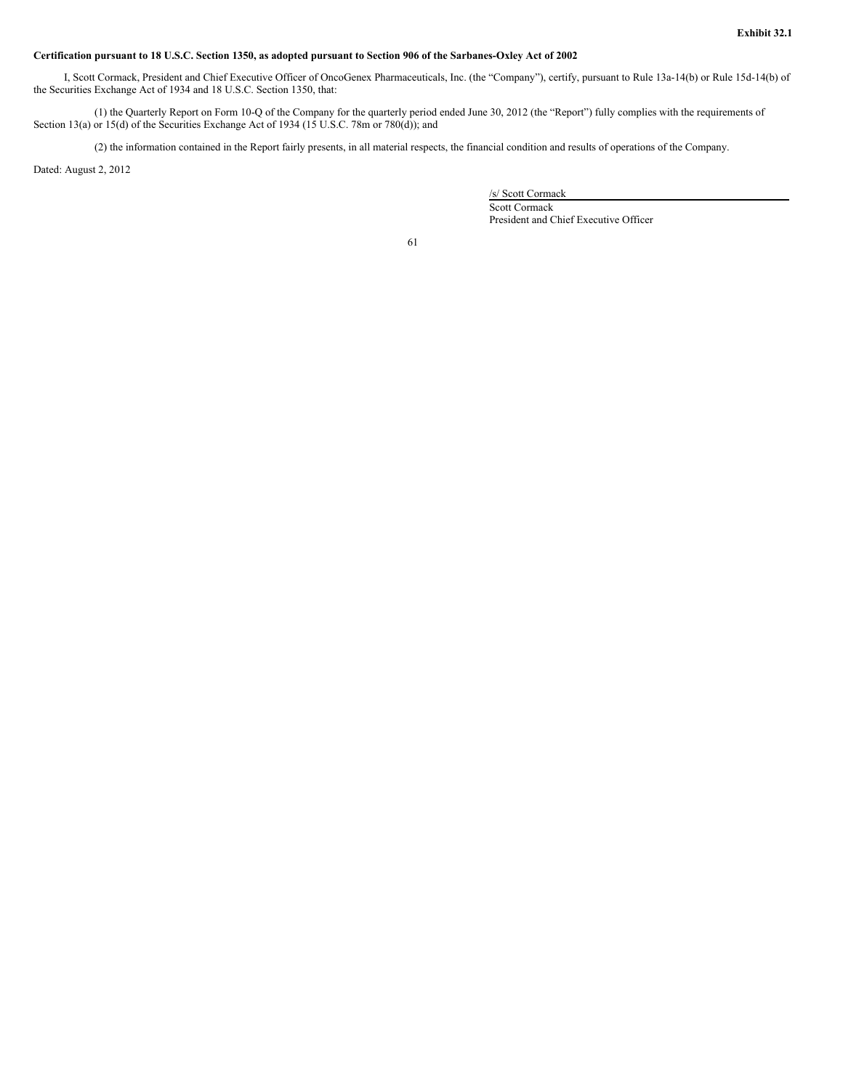# Certification pursuant to 18 U.S.C. Section 1350, as adopted pursuant to Section 906 of the Sarbanes-Oxley Act of 2002

I, Scott Cormack, President and Chief Executive Officer of OncoGenex Pharmaceuticals, Inc. (the "Company"), certify, pursuant to Rule 13a-14(b) or Rule 15d-14(b) of the Securities Exchange Act of 1934 and 18 U.S.C. Section 1350, that:

(1) the Quarterly Report on Form 10-Q of the Company for the quarterly period ended June 30, 2012 (the "Report") fully complies with the requirements of Section 13(a) or 15(d) of the Securities Exchange Act of 1934 (15 U.S.C. 78m or 780(d)); and

(2) the information contained in the Report fairly presents, in all material respects, the financial condition and results of operations of the Company.

Dated: August 2, 2012

/s/ Scott Cormack

Scott Cormack President and Chief Executive Officer